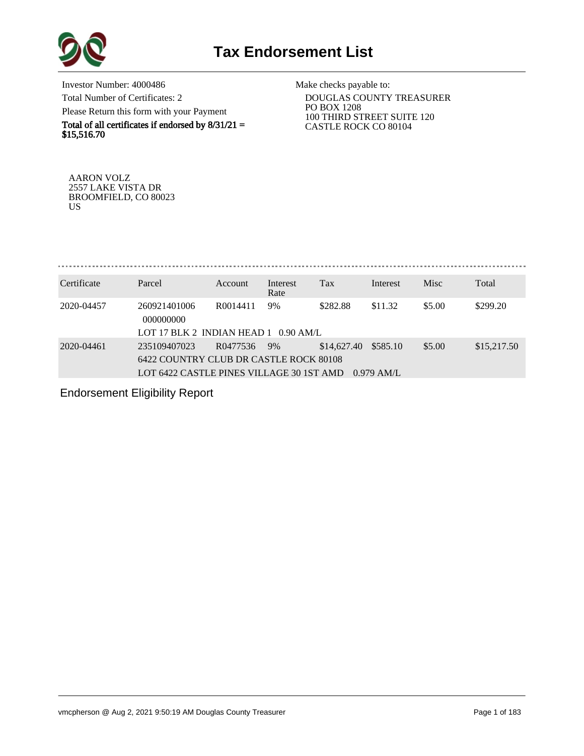

Investor Number: 4000486 Total Number of Certificates: 2 Please Return this form with your Payment

Total of all certificates if endorsed by  $8/31/21 =$ \$15,516.70

Make checks payable to:

 DOUGLAS COUNTY TREASURER PO BOX 1208 100 THIRD STREET SUITE 120 CASTLE ROCK CO 80104

AARON VOLZ 2557 LAKE VISTA DR BROOMFIELD, CO 80023 US

. . . . . . . . . . . . . . . . . . . 

| Certificate | Parcel                                                                                             | <b>Account</b>       | Interest<br>Rate | Tax         | Interest                         | <b>Misc</b> | Total       |
|-------------|----------------------------------------------------------------------------------------------------|----------------------|------------------|-------------|----------------------------------|-------------|-------------|
| 2020-04457  | 260921401006<br>000000000<br>LOT 17 BLK 2 INDIAN HEAD 1 0.90 AM/L                                  | R <sub>0014411</sub> | 9%               | \$282.88    | \$11.32                          | \$5.00      | \$299.20    |
| 2020-04461  | 235109407023<br>6422 COUNTRY CLUB DR CASTLE ROCK 80108<br>LOT 6422 CASTLE PINES VILLAGE 30 1ST AMD | R0477536             | 9%               | \$14,627.40 | \$585.10<br>$0.979 \text{ AM/L}$ | \$5.00      | \$15,217.50 |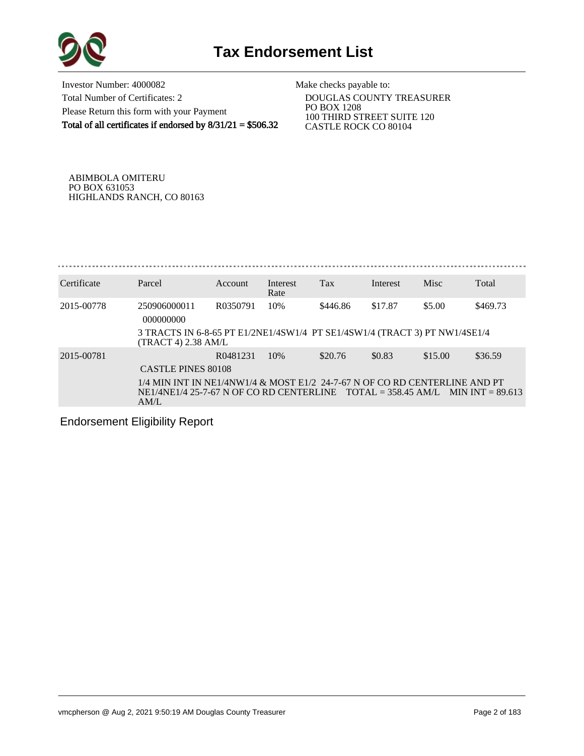

Investor Number: 4000082 Total Number of Certificates: 2 Please Return this form with your Payment Total of all certificates if endorsed by 8/31/21 = \$506.32 Make checks payable to:

 DOUGLAS COUNTY TREASURER PO BOX 1208 100 THIRD STREET SUITE 120 CASTLE ROCK CO 80104

ABIMBOLA OMITERU PO BOX 631053 HIGHLANDS RANCH, CO 80163

| Certificate | Parcel                                                                                                                                                                | Account  | Interest<br>Rate | <b>Tax</b> | Interest | Misc    | Total    |
|-------------|-----------------------------------------------------------------------------------------------------------------------------------------------------------------------|----------|------------------|------------|----------|---------|----------|
| 2015-00778  | 250906000011<br>000000000                                                                                                                                             | R0350791 | 10%              | \$446.86   | \$17.87  | \$5.00  | \$469.73 |
|             | 3 TRACTS IN 6-8-65 PT E1/2NE1/4SW1/4 PT SE1/4SW1/4 (TRACT 3) PT NW1/4SE1/4<br>$(TRACT 4)$ 2.38 AM/L                                                                   |          |                  |            |          |         |          |
| 2015-00781  | CASTLE PINES 80108                                                                                                                                                    | R0481231 | 10%              | \$20.76    | \$0.83   | \$15.00 | \$36.59  |
|             | 1/4 MIN INT IN NE1/4NW1/4 & MOST E1/2 24-7-67 N OF CO RD CENTERLINE AND PT<br>$NE1/4NE1/4$ 25-7-67 N OF CO RD CENTERLINE TOTAL = 358.45 AM/L MIN INT = 89.613<br>AM/L |          |                  |            |          |         |          |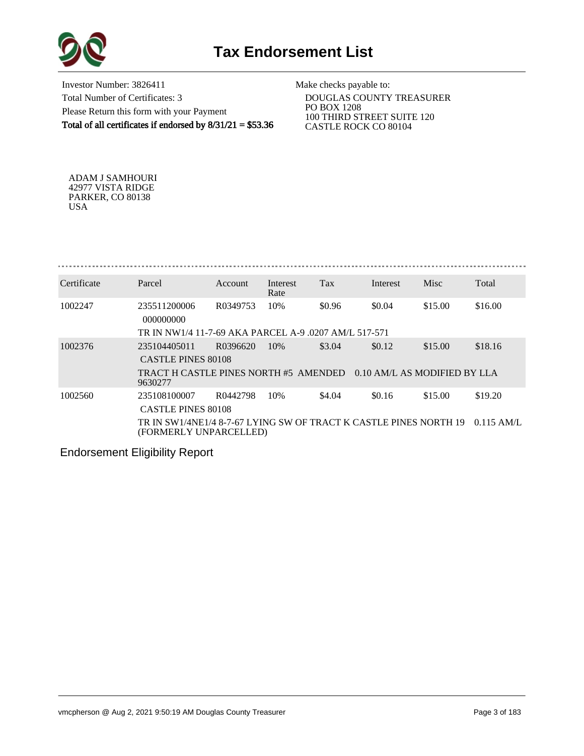



Investor Number: 3826411 Total Number of Certificates: 3 Please Return this form with your Payment Total of all certificates if endorsed by  $8/31/21 = $53.36$ 

Make checks payable to:

 DOUGLAS COUNTY TREASURER PO BOX 1208 100 THIRD STREET SUITE 120 CASTLE ROCK CO 80104

ADAM J SAMHOURI 42977 VISTA RIDGE PARKER, CO 80138 USA

. . . . . . . . . . . . . . . . . 

| Certificate | Parcel                                                                                      | Account  | Interest<br>Rate | Tax    | Interest | Misc                         | Total        |
|-------------|---------------------------------------------------------------------------------------------|----------|------------------|--------|----------|------------------------------|--------------|
| 1002247     | 235511200006<br>000000000                                                                   | R0349753 | 10%              | \$0.96 | \$0.04   | \$15.00                      | \$16.00      |
|             | TR IN NW1/4 11-7-69 AKA PARCEL A-9 .0207 AM/L 517-571                                       |          |                  |        |          |                              |              |
| 1002376     | 235104405011                                                                                | R0396620 | 10%              | \$3.04 | \$0.12   | \$15.00                      | \$18.16      |
|             | <b>CASTLE PINES 80108</b>                                                                   |          |                  |        |          |                              |              |
|             | TRACT H CASTLE PINES NORTH #5 AMENDED<br>9630277                                            |          |                  |        |          | 0.10 AM/L AS MODIFIED BY LLA |              |
| 1002560     | 235108100007                                                                                | R0442798 | 10%              | \$4.04 | \$0.16   | \$15.00                      | \$19.20      |
|             | <b>CASTLE PINES 80108</b>                                                                   |          |                  |        |          |                              |              |
|             | TR IN SW1/4NE1/4 8-7-67 LYING SW OF TRACT K CASTLE PINES NORTH 19<br>(FORMERLY UNPARCELLED) |          |                  |        |          |                              | $0.115$ AM/L |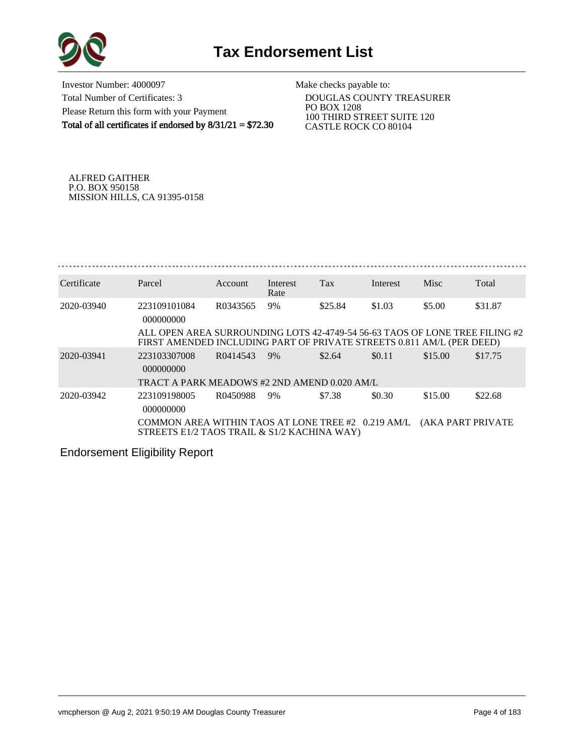

Investor Number: 4000097 Total Number of Certificates: 3 Please Return this form with your Payment Total of all certificates if endorsed by  $8/31/21 = $72.30$ 

Make checks payable to:

 DOUGLAS COUNTY TREASURER PO BOX 1208 100 THIRD STREET SUITE 120 CASTLE ROCK CO 80104

ALFRED GAITHER P.O. BOX 950158 MISSION HILLS, CA 91395-0158

| Certificate | Parcel                                                                                                                                               | Account  | Interest<br>Rate | Tax     | Interest | Misc                      | Total   |
|-------------|------------------------------------------------------------------------------------------------------------------------------------------------------|----------|------------------|---------|----------|---------------------------|---------|
| 2020-03940  | 223109101084<br>000000000                                                                                                                            | R0343565 | 9%               | \$25.84 | \$1.03   | \$5.00                    | \$31.87 |
|             | ALL OPEN AREA SURROUNDING LOTS 42-4749-54 56-63 TAOS OF LONE TREE FILING #2<br>FIRST AMENDED INCLUDING PART OF PRIVATE STREETS 0.811 AM/L (PER DEED) |          |                  |         |          |                           |         |
| 2020-03941  | 223103307008<br>000000000                                                                                                                            | R0414543 | 9%               | \$2.64  | \$0.11   | \$15.00                   | \$17.75 |
|             | TRACT A PARK MEADOWS #2 2ND AMEND 0.020 AM/L                                                                                                         |          |                  |         |          |                           |         |
| 2020-03942  | 223109198005<br>000000000                                                                                                                            | R0450988 | 9%               | \$7.38  | \$0.30   | \$15.00                   | \$22.68 |
|             | COMMON AREA WITHIN TAOS AT LONE TREE #2 0.219 AM/L<br>STREETS E1/2 TAOS TRAIL & S1/2 KACHINA WAY)                                                    |          |                  |         |          | <b>(AKA PART PRIVATE)</b> |         |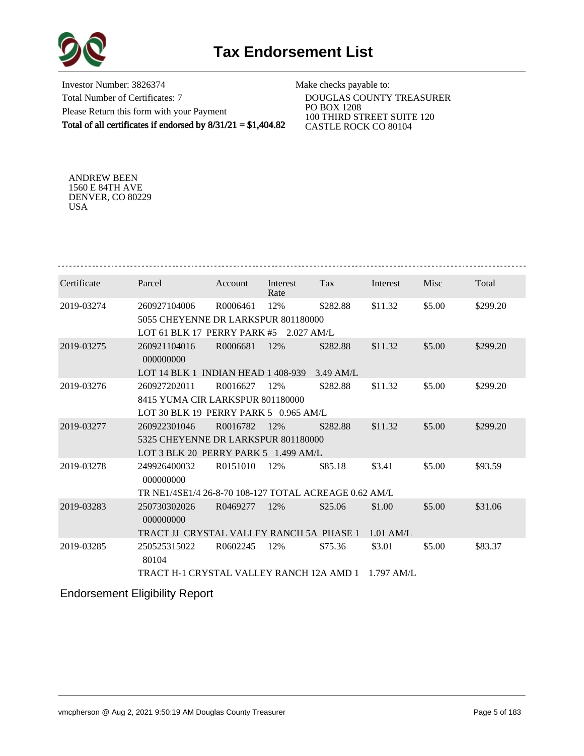



Investor Number: 3826374 Total Number of Certificates: 7 Please Return this form with your Payment Total of all certificates if endorsed by 8/31/21 = \$1,404.82

Make checks payable to:

 DOUGLAS COUNTY TREASURER PO BOX 1208 100 THIRD STREET SUITE 120 CASTLE ROCK CO 80104

ANDREW BEEN 1560 E 84TH AVE DENVER, CO 80229 USA

| Certificate | Parcel                                                | Account  | Interest<br>Rate | Tax         | Interest     | Misc   | Total    |
|-------------|-------------------------------------------------------|----------|------------------|-------------|--------------|--------|----------|
| 2019-03274  | 260927104006                                          | R0006461 | 12%              | \$282.88    | \$11.32      | \$5.00 | \$299.20 |
|             | 5055 CHEYENNE DR LARKSPUR 801180000                   |          |                  |             |              |        |          |
|             | LOT 61 BLK 17 PERRY PARK #5                           |          | $2.027$ AM/L     |             |              |        |          |
| 2019-03275  | 260921104016<br>000000000                             | R0006681 | 12%              | \$282.88    | \$11.32      | \$5.00 | \$299.20 |
|             | LOT 14 BLK 1 INDIAN HEAD 1 408-939                    |          |                  | $3.49$ AM/L |              |        |          |
| 2019-03276  | 260927202011                                          | R0016627 | 12%              | \$282.88    | \$11.32      | \$5.00 | \$299.20 |
|             | 8415 YUMA CIR LARKSPUR 801180000                      |          |                  |             |              |        |          |
|             | LOT 30 BLK 19 PERRY PARK 5 0.965 AM/L                 |          |                  |             |              |        |          |
| 2019-03277  | 260922301046                                          | R0016782 | 12%              | \$282.88    | \$11.32      | \$5.00 | \$299.20 |
|             | 5325 CHEYENNE DR LARKSPUR 801180000                   |          |                  |             |              |        |          |
|             | LOT 3 BLK 20 PERRY PARK 5 1.499 AM/L                  |          |                  |             |              |        |          |
| 2019-03278  | 249926400032<br>000000000                             | R0151010 | 12%              | \$85.18     | \$3.41       | \$5.00 | \$93.59  |
|             | TR NE1/4SE1/4 26-8-70 108-127 TOTAL ACREAGE 0.62 AM/L |          |                  |             |              |        |          |
| 2019-03283  | 250730302026<br>000000000                             | R0469277 | 12%              | \$25.06     | \$1.00       | \$5.00 | \$31.06  |
|             | TRACT IJ CRYSTAL VALLEY RANCH 5A PHASE 1              |          |                  |             | $1.01$ AM/L  |        |          |
| 2019-03285  | 250525315022<br>80104                                 | R0602245 | 12%              | \$75.36     | \$3.01       | \$5.00 | \$83.37  |
|             | TRACT H-1 CRYSTAL VALLEY RANCH 12A AMD 1              |          |                  |             | $1.797$ AM/L |        |          |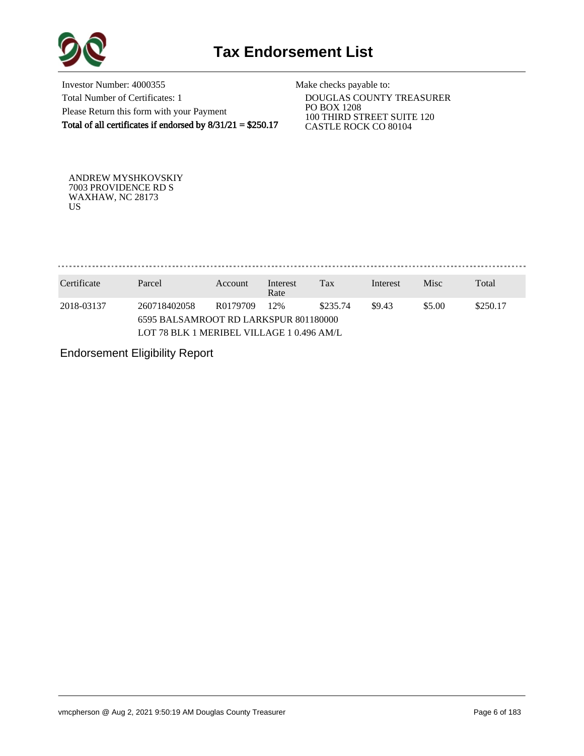

Investor Number: 4000355 Total Number of Certificates: 1 Please Return this form with your Payment Total of all certificates if endorsed by  $8/31/21 = $250.17$ 

Make checks payable to:

 DOUGLAS COUNTY TREASURER PO BOX 1208 100 THIRD STREET SUITE 120 CASTLE ROCK CO 80104

ANDREW MYSHKOVSKIY 7003 PROVIDENCE RD S WAXHAW, NC 28173 US

. . . . . . . . . . . . . . . . . . . 

| Certificate | Parcel                                    | Account  | Interest<br>Rate | Tax      | Interest | <b>Misc</b> | Total    |  |  |  |
|-------------|-------------------------------------------|----------|------------------|----------|----------|-------------|----------|--|--|--|
| 2018-03137  | 260718402058                              | R0179709 | 12%              | \$235.74 | \$9.43   | \$5.00      | \$250.17 |  |  |  |
|             | 6595 BALSAMROOT RD LARKSPUR 801180000     |          |                  |          |          |             |          |  |  |  |
|             | LOT 78 BLK 1 MERIBEL VILLAGE 1 0.496 AM/L |          |                  |          |          |             |          |  |  |  |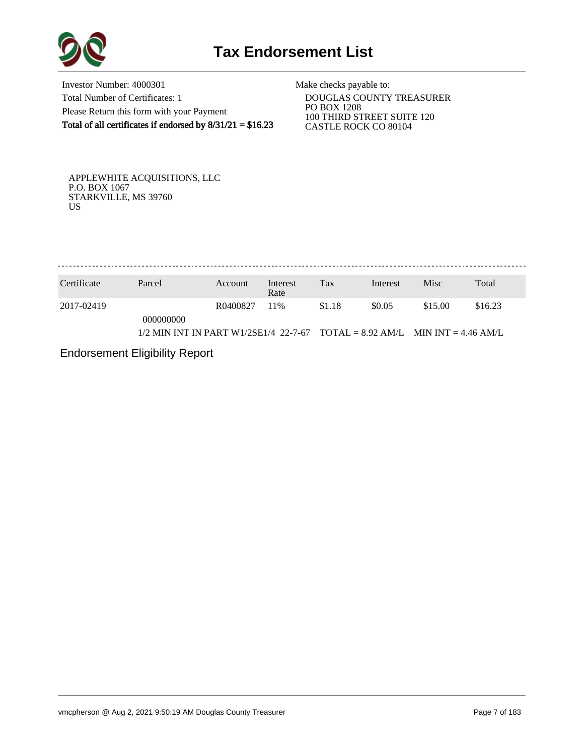

Investor Number: 4000301 Total Number of Certificates: 1 Please Return this form with your Payment Total of all certificates if endorsed by  $8/31/21 = $16.23$ 

Make checks payable to:

 DOUGLAS COUNTY TREASURER PO BOX 1208 100 THIRD STREET SUITE 120 CASTLE ROCK CO 80104

APPLEWHITE ACQUISITIONS, LLC P.O. BOX 1067 STARKVILLE, MS 39760 US

. . . . . . . . . . . . . . . . 

| Certificate | Parcel                                                                        | Account  | Interest<br>Rate | Tax    | Interest | <b>Misc</b> | Total   |
|-------------|-------------------------------------------------------------------------------|----------|------------------|--------|----------|-------------|---------|
| 2017-02419  | 000000000                                                                     | R0400827 | 11%              | \$1.18 | \$0.05   | \$15.00     | \$16.23 |
|             | $1/2$ MIN INT IN PART W1/2SE1/4 22-7-67 TOTAL = 8.92 AM/L MIN INT = 4.46 AM/L |          |                  |        |          |             |         |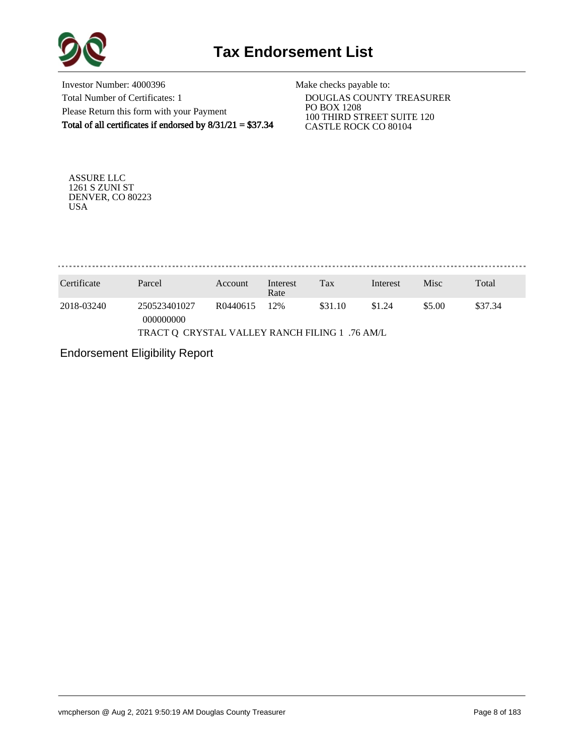

Investor Number: 4000396 Total Number of Certificates: 1 Please Return this form with your Payment Total of all certificates if endorsed by  $8/31/21 = $37.34$ 

Make checks payable to:

 DOUGLAS COUNTY TREASURER PO BOX 1208 100 THIRD STREET SUITE 120 CASTLE ROCK CO 80104

ASSURE LLC 1261 S ZUNI ST DENVER, CO 80223 USA

. . . . . . . . . . . . . . . . . . .

| Parcel                    | Interest<br>Rate    | Tax | Interest | <b>Misc</b>                                    | Total   |
|---------------------------|---------------------|-----|----------|------------------------------------------------|---------|
| 250523401027<br>000000000 | 12%                 |     | \$1.24   | \$5.00                                         | \$37.34 |
|                           | Account<br>R0440615 |     | \$31.10  | TRACT Q CRYSTAL VALLEY RANCH FILING 1 .76 AM/L |         |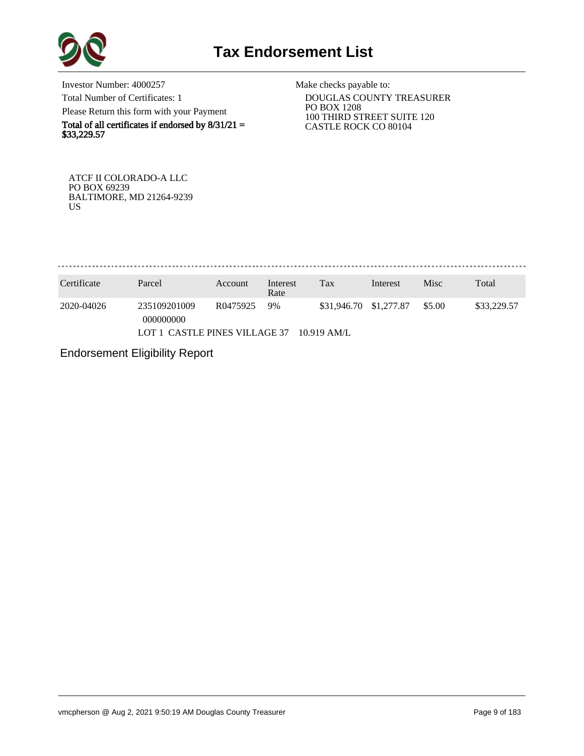

Investor Number: 4000257 Total Number of Certificates: 1 Please Return this form with your Payment

Total of all certificates if endorsed by  $8/31/21 =$ \$33,229.57

Make checks payable to:

 DOUGLAS COUNTY TREASURER PO BOX 1208 100 THIRD STREET SUITE 120 CASTLE ROCK CO 80104

ATCF II COLORADO-A LLC PO BOX 69239 BALTIMORE, MD 21264-9239 US

. . . . . . . . . . . . . . . 

| Certificate | Parcel                        | Account  | Interest<br>Rate | Tax                    | Interest | Misc   | Total       |
|-------------|-------------------------------|----------|------------------|------------------------|----------|--------|-------------|
| 2020-04026  | 235109201009<br>000000000     | R0475925 | 9%               | \$31,946.70 \$1,277.87 |          | \$5.00 | \$33,229.57 |
|             | LOT 1 CASTLE PINES VILLAGE 37 |          |                  | $10.919$ AM/L          |          |        |             |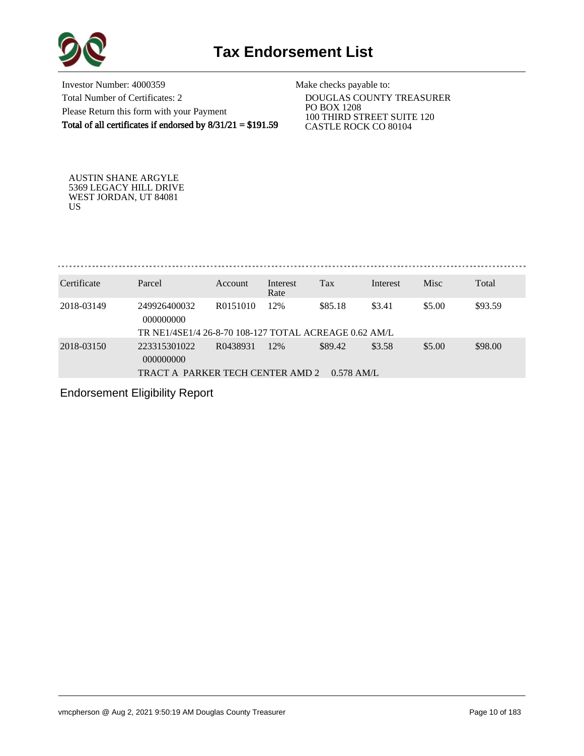

Investor Number: 4000359 Total Number of Certificates: 2 Please Return this form with your Payment Total of all certificates if endorsed by 8/31/21 = \$191.59

Make checks payable to:

 DOUGLAS COUNTY TREASURER PO BOX 1208 100 THIRD STREET SUITE 120 CASTLE ROCK CO 80104

AUSTIN SHANE ARGYLE 5369 LEGACY HILL DRIVE WEST JORDAN, UT 84081 US

. . . . . . . . . . . . . . . . 

| Certificate | Parcel                                                | Account  | Interest<br>Rate | Tax          | Interest | <b>Misc</b> | Total   |
|-------------|-------------------------------------------------------|----------|------------------|--------------|----------|-------------|---------|
| 2018-03149  | 249926400032<br>000000000                             | R0151010 | 12%              | \$85.18      | \$3.41   | \$5.00      | \$93.59 |
|             | TR NE1/4SE1/4 26-8-70 108-127 TOTAL ACREAGE 0.62 AM/L |          |                  |              |          |             |         |
| 2018-03150  | 223315301022<br>000000000                             | R0438931 | 12%              | \$89.42      | \$3.58   | \$5.00      | \$98.00 |
|             | TRACT A PARKER TECH CENTER AMD 2                      |          |                  | $0.578$ AM/L |          |             |         |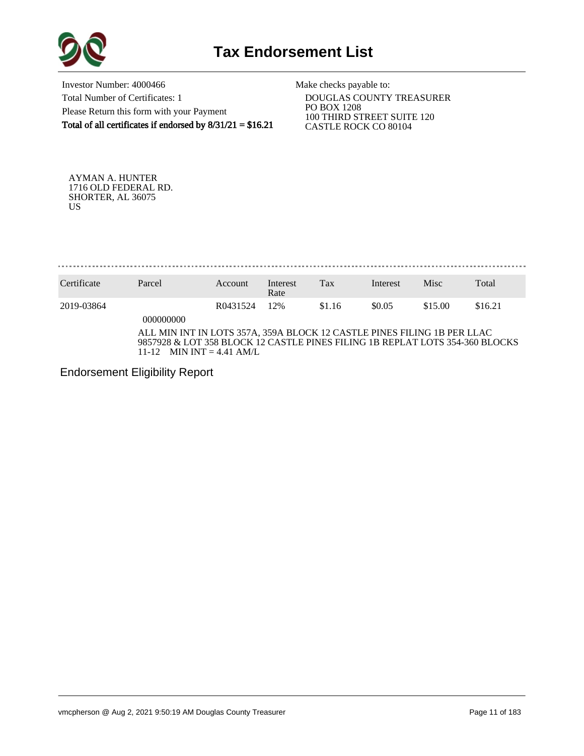

Investor Number: 4000466 Total Number of Certificates: 1 Please Return this form with your Payment Total of all certificates if endorsed by  $8/31/21 = $16.21$ 

Make checks payable to:

 DOUGLAS COUNTY TREASURER PO BOX 1208 100 THIRD STREET SUITE 120 CASTLE ROCK CO 80104

AYMAN A. HUNTER 1716 OLD FEDERAL RD. SHORTER, AL 36075 US

. . . . . . . . . . . . . . . . . . . 

| Certificate | Parcel                                                                                                                                                                               | Account  | Interest<br>Rate | Tax    | Interest | Misc    | Total   |
|-------------|--------------------------------------------------------------------------------------------------------------------------------------------------------------------------------------|----------|------------------|--------|----------|---------|---------|
| 2019-03864  | 000000000                                                                                                                                                                            | R0431524 | 12%              | \$1.16 | \$0.05   | \$15.00 | \$16.21 |
|             | ALL MIN INT IN LOTS 357A, 359A BLOCK 12 CASTLE PINES FILING 1B PER LLAC<br>9857928 & LOT 358 BLOCK 12 CASTLE PINES FILING 1B REPLAT LOTS 354-360 BLOCKS<br>11-12 MIN INT = 4.41 AM/L |          |                  |        |          |         |         |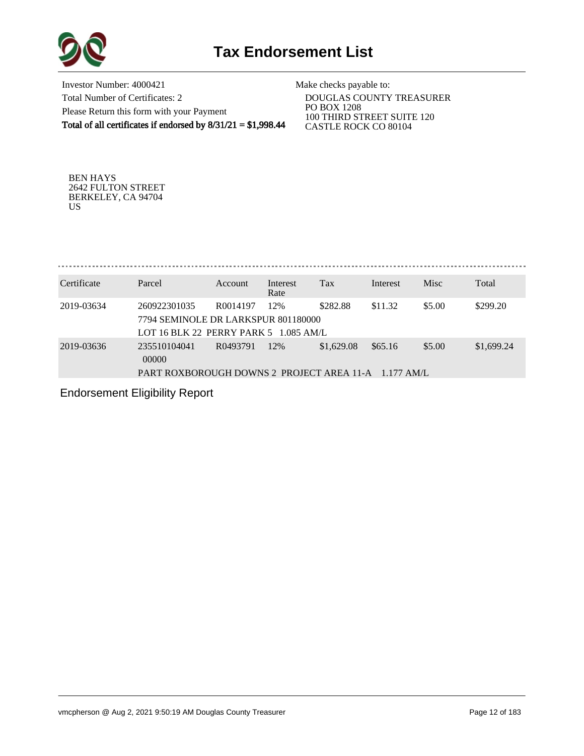

Investor Number: 4000421 Total Number of Certificates: 2 Please Return this form with your Payment Total of all certificates if endorsed by 8/31/21 = \$1,998.44

Make checks payable to:

 DOUGLAS COUNTY TREASURER PO BOX 1208 100 THIRD STREET SUITE 120 CASTLE ROCK CO 80104

BEN HAYS 2642 FULTON STREET BERKELEY, CA 94704 US

. . . . . . . . . . . . . . . . . . . 

| Certificate | Parcel                                                                                       | Account              | Interest<br>Rate | Tax        | Interest | Misc   | Total      |
|-------------|----------------------------------------------------------------------------------------------|----------------------|------------------|------------|----------|--------|------------|
| 2019-03634  | 260922301035<br>7794 SEMINOLE DR LARKSPUR 801180000<br>LOT 16 BLK 22 PERRY PARK 5 1.085 AM/L | R <sub>0014197</sub> | 12%              | \$282.88   | \$11.32  | \$5.00 | \$299.20   |
| 2019-03636  | 235510104041<br>00000<br>PART ROXBOROUGH DOWNS 2 PROJECT AREA 11-A 1.177 AM/L                | R0493791             | 12%              | \$1,629.08 | \$65.16  | \$5.00 | \$1,699.24 |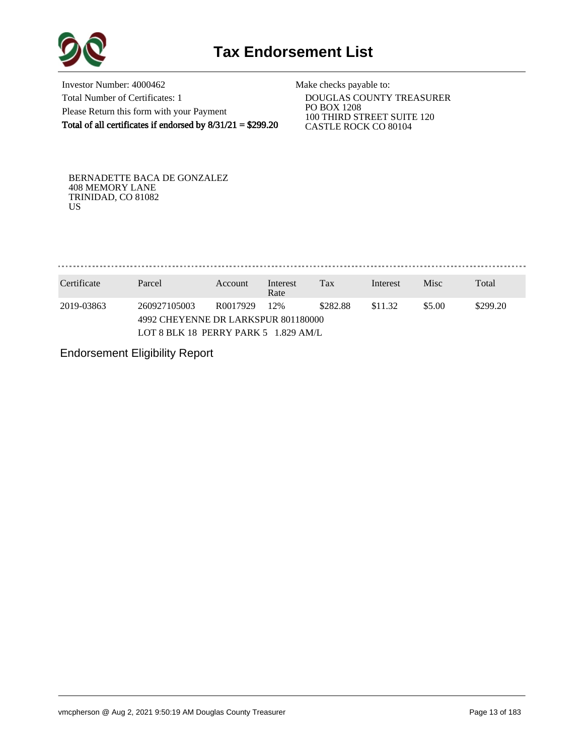

Investor Number: 4000462 Total Number of Certificates: 1 Please Return this form with your Payment Total of all certificates if endorsed by 8/31/21 = \$299.20

Make checks payable to:

 DOUGLAS COUNTY TREASURER PO BOX 1208 100 THIRD STREET SUITE 120 CASTLE ROCK CO 80104

BERNADETTE BACA DE GONZALEZ 408 MEMORY LANE TRINIDAD, CO 81082 US

. . . . . . . . . . . . . . . . . . 

| Certificate                          | Parcel       | Account                                                                                             | Interest<br>Rate | Tax | Interest | Misc | Total |  |
|--------------------------------------|--------------|-----------------------------------------------------------------------------------------------------|------------------|-----|----------|------|-------|--|
| 2019-03863                           | 260927105003 | \$282.88<br>\$5.00<br>\$299.20<br>12%<br>\$11.32<br>R0017929<br>4992 CHEYENNE DR LARKSPUR 801180000 |                  |     |          |      |       |  |
| LOT 8 BLK 18 PERRY PARK 5 1.829 AM/L |              |                                                                                                     |                  |     |          |      |       |  |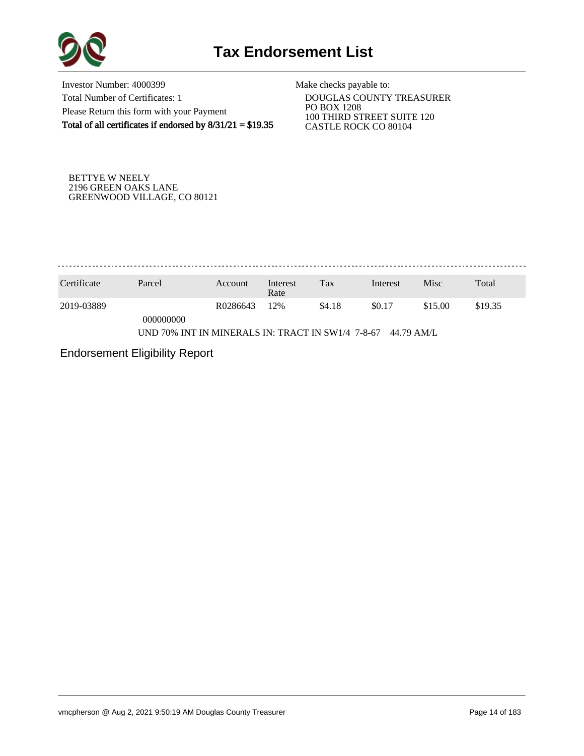

Investor Number: 4000399 Total Number of Certificates: 1 Please Return this form with your Payment Total of all certificates if endorsed by  $8/31/21 = $19.35$ 

Make checks payable to:

 DOUGLAS COUNTY TREASURER PO BOX 1208 100 THIRD STREET SUITE 120 CASTLE ROCK CO 80104

BETTYE W NEELY 2196 GREEN OAKS LANE GREENWOOD VILLAGE, CO 80121

. . . . . . . . . . . . . . . . . 

| Certificate                                                     | Parcel    | Account  | Interest<br>Rate | Tax    | Interest | Misc    | Total   |  |
|-----------------------------------------------------------------|-----------|----------|------------------|--------|----------|---------|---------|--|
| 2019-03889                                                      |           | R0286643 | 12%              | \$4.18 | \$0.17   | \$15.00 | \$19.35 |  |
|                                                                 | 000000000 |          |                  |        |          |         |         |  |
| UND 70% INT IN MINERALS IN: TRACT IN SW1/4 7-8-67<br>44.79 AM/L |           |          |                  |        |          |         |         |  |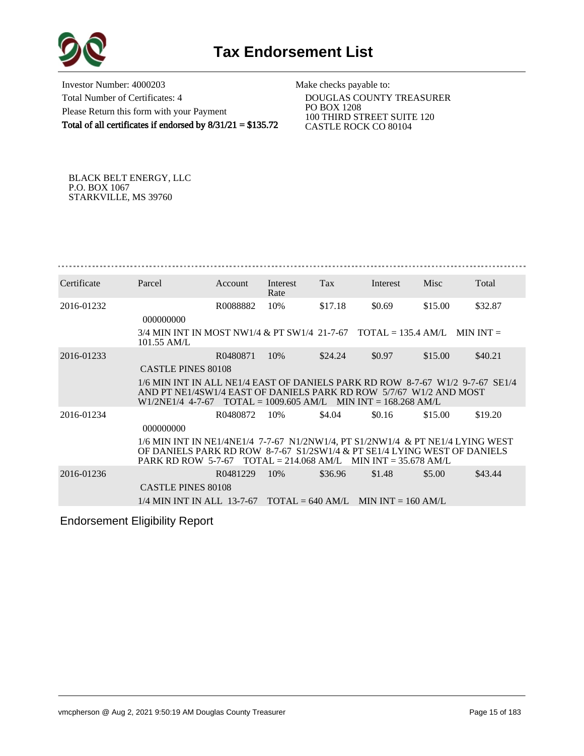

Investor Number: 4000203 Total Number of Certificates: 4 Please Return this form with your Payment Total of all certificates if endorsed by 8/31/21 = \$135.72

Make checks payable to:

 DOUGLAS COUNTY TREASURER PO BOX 1208 100 THIRD STREET SUITE 120 CASTLE ROCK CO 80104

BLACK BELT ENERGY, LLC P.O. BOX 1067 STARKVILLE, MS 39760

| Certificate | Parcel                                                                                                                                              | Account  | Interest<br>Rate | Tax                                            | Interest | Misc    | Total   |
|-------------|-----------------------------------------------------------------------------------------------------------------------------------------------------|----------|------------------|------------------------------------------------|----------|---------|---------|
| 2016-01232  |                                                                                                                                                     | R0088882 | 10%              | \$17.18                                        | \$0.69   | \$15.00 | \$32.87 |
|             | 000000000                                                                                                                                           |          |                  |                                                |          |         |         |
|             | $3/4$ MIN INT IN MOST NW1/4 & PT SW1/4 21-7-67 TOTAL = 135.4 AM/L MIN INT =<br>$101.55$ AM/L                                                        |          |                  |                                                |          |         |         |
| 2016-01233  |                                                                                                                                                     | R0480871 | 10%              | \$24.24                                        | \$0.97   | \$15.00 | \$40.21 |
|             | <b>CASTLE PINES 80108</b>                                                                                                                           |          |                  |                                                |          |         |         |
|             | 1/6 MIN INT IN ALL NE1/4 EAST OF DANIELS PARK RD ROW 8-7-67 W1/2 9-7-67 SE1/4<br>AND PT NE1/4SW1/4 EAST OF DANIELS PARK RD ROW 5/7/67 W1/2 AND MOST |          |                  |                                                |          |         |         |
|             | W <sub>1</sub> /2NE <sub>1</sub> /4 4-7-67                                                                                                          |          |                  | $TOTAL = 1009.605 AM/L$ MIN INT = 168.268 AM/L |          |         |         |
| 2016-01234  |                                                                                                                                                     | R0480872 | 10%              | \$4.04                                         | \$0.16   | \$15.00 | \$19.20 |
|             | 000000000                                                                                                                                           |          |                  |                                                |          |         |         |
|             | 1/6 MIN INT IN NE1/4NE1/4 7-7-67 N1/2NW1/4, PT S1/2NW1/4 & PT NE1/4 LYING WEST                                                                      |          |                  |                                                |          |         |         |
|             | OF DANIELS PARK RD ROW 8-7-67 S1/2SW1/4 & PT SE1/4 LYING WEST OF DANIELS<br><b>PARK RD ROW 5-7-67</b>                                               |          |                  | $TOTAL = 214.068 AM/L$ MIN INT = 35.678 AM/L   |          |         |         |
| 2016-01236  |                                                                                                                                                     | R0481229 | 10%              | \$36.96                                        | \$1.48   | \$5.00  | \$43.44 |
|             | <b>CASTLE PINES 80108</b>                                                                                                                           |          |                  |                                                |          |         |         |
|             | $1/4$ MIN INT IN ALL 13-7-67 TOTAL = 640 AM/L MIN INT = 160 AM/L                                                                                    |          |                  |                                                |          |         |         |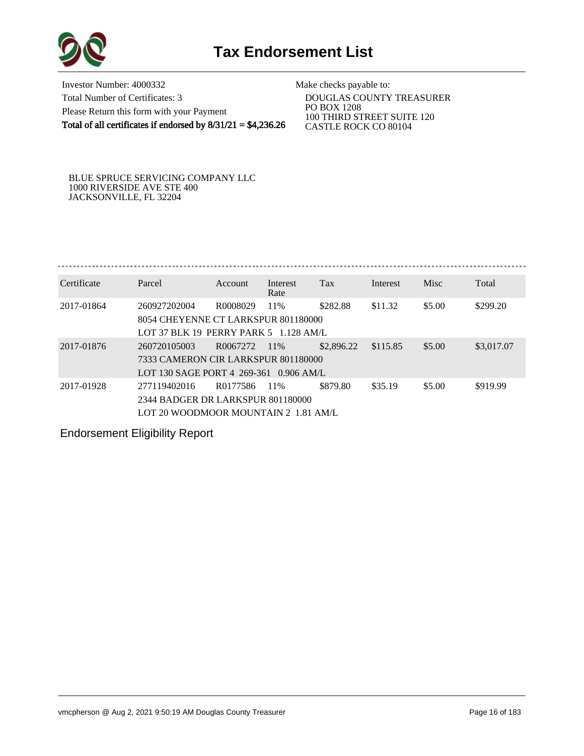

Investor Number: 4000332 Total Number of Certificates: 3 Please Return this form with your Payment Total of all certificates if endorsed by  $8/31/21 = $4,236.26$ 

Make checks payable to:

 DOUGLAS COUNTY TREASURER PO BOX 1208 100 THIRD STREET SUITE 120 CASTLE ROCK CO 80104

## BLUE SPRUCE SERVICING COMPANY LLC 1000 RIVERSIDE AVE STE 400 JACKSONVILLE, FL 32204

| Certificate | Parcel                                 | <b>Account</b> | Interest<br>Rate | Tax        | Interest | Misc   | Total      |  |  |  |  |
|-------------|----------------------------------------|----------------|------------------|------------|----------|--------|------------|--|--|--|--|
| 2017-01864  | 260927202004                           | R0008029       | 11%              | \$282.88   | \$11.32  | \$5.00 | \$299.20   |  |  |  |  |
|             | 8054 CHEYENNE CT LARKSPUR 801180000    |                |                  |            |          |        |            |  |  |  |  |
|             | LOT 37 BLK 19 PERRY PARK 5 1.128 AM/L  |                |                  |            |          |        |            |  |  |  |  |
| 2017-01876  | 260720105003                           | R0067272       | 11\%             | \$2,896.22 | \$115.85 | \$5.00 | \$3,017.07 |  |  |  |  |
|             | 7333 CAMERON CIR LARKSPUR 801180000    |                |                  |            |          |        |            |  |  |  |  |
|             | LOT 130 SAGE PORT 4 269-361 0.906 AM/L |                |                  |            |          |        |            |  |  |  |  |
| 2017-01928  | 277119402016                           | R0177586       | 11%              | \$879.80   | \$35.19  | \$5.00 | \$919.99   |  |  |  |  |
|             | 2344 BADGER DR LARKSPUR 801180000      |                |                  |            |          |        |            |  |  |  |  |
|             | LOT 20 WOODMOOR MOUNTAIN 2 1.81 AM/L   |                |                  |            |          |        |            |  |  |  |  |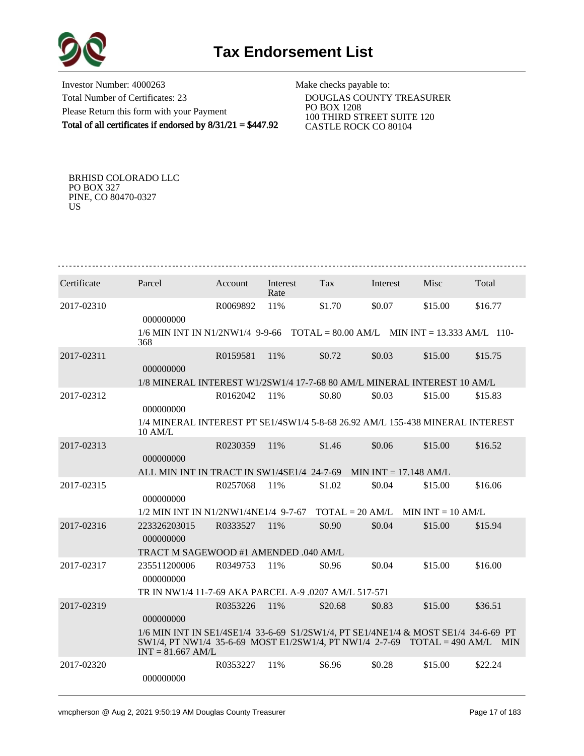

Investor Number: 4000263 Total Number of Certificates: 23 Please Return this form with your Payment Total of all certificates if endorsed by 8/31/21 = \$447.92 Make checks payable to: DOUGLAS COUNTY TREASURER PO BOX 1208 100 THIRD STREET SUITE 120

CASTLE ROCK CO 80104

BRHISD COLORADO LLC PO BOX 327 PINE, CO 80470-0327 US

| Certificate | Parcel                                                                                                                                                                                       | Account  | Interest<br>Rate | Tax               | Interest | Misc                | Total   |
|-------------|----------------------------------------------------------------------------------------------------------------------------------------------------------------------------------------------|----------|------------------|-------------------|----------|---------------------|---------|
| 2017-02310  | 000000000                                                                                                                                                                                    | R0069892 | 11%              | \$1.70            | \$0.07   | \$15.00             | \$16.77 |
|             | $1/6$ MIN INT IN N1/2NW1/4 9-9-66 TOTAL = 80.00 AM/L MIN INT = 13.333 AM/L 110-<br>368                                                                                                       |          |                  |                   |          |                     |         |
| 2017-02311  | 000000000                                                                                                                                                                                    | R0159581 | 11%              | \$0.72            | \$0.03   | \$15.00             | \$15.75 |
|             | 1/8 MINERAL INTEREST W1/2SW1/4 17-7-68 80 AM/L MINERAL INTEREST 10 AM/L                                                                                                                      |          |                  |                   |          |                     |         |
| 2017-02312  | 000000000                                                                                                                                                                                    | R0162042 | 11%              | \$0.80            | \$0.03   | \$15.00             | \$15.83 |
|             | 1/4 MINERAL INTEREST PT SE1/4SW1/4 5-8-68 26.92 AM/L 155-438 MINERAL INTEREST<br>10 AM/L                                                                                                     |          |                  |                   |          |                     |         |
| 2017-02313  | 000000000                                                                                                                                                                                    | R0230359 | 11%              | \$1.46            | \$0.06   | \$15.00             | \$16.52 |
|             | ALL MIN INT IN TRACT IN SW1/4SE1/4 24-7-69 MIN INT = 17.148 AM/L                                                                                                                             |          |                  |                   |          |                     |         |
| 2017-02315  | 000000000                                                                                                                                                                                    | R0257068 | 11%              | \$1.02            | \$0.04   | \$15.00             | \$16.06 |
|             | 1/2 MIN INT IN N1/2NW1/4NE1/4 9-7-67                                                                                                                                                         |          |                  | $TOTAL = 20 AM/L$ |          | MIN INT $= 10$ AM/L |         |
| 2017-02316  | 223326203015<br>000000000                                                                                                                                                                    | R0333527 | 11%              | \$0.90            | \$0.04   | \$15.00             | \$15.94 |
|             | TRACT M SAGEWOOD #1 AMENDED .040 AM/L                                                                                                                                                        |          |                  |                   |          |                     |         |
| 2017-02317  | 235511200006<br>000000000                                                                                                                                                                    | R0349753 | 11%              | \$0.96            | \$0.04   | \$15.00             | \$16.00 |
|             | TR IN NW1/4 11-7-69 AKA PARCEL A-9 .0207 AM/L 517-571                                                                                                                                        |          |                  |                   |          |                     |         |
| 2017-02319  | 000000000                                                                                                                                                                                    | R0353226 | 11%              | \$20.68           | \$0.83   | \$15.00             | \$36.51 |
|             | 1/6 MIN INT IN SE1/4SE1/4 33-6-69 S1/2SW1/4, PT SE1/4NE1/4 & MOST SE1/4 34-6-69 PT<br>$SW1/4$ , PT NW1/4 35-6-69 MOST E1/2SW1/4, PT NW1/4 2-7-69 TOTAL = 490 AM/L MIN<br>$INT = 81.667$ AM/L |          |                  |                   |          |                     |         |
| 2017-02320  | 000000000                                                                                                                                                                                    | R0353227 | 11%              | \$6.96            | \$0.28   | \$15.00             | \$22.24 |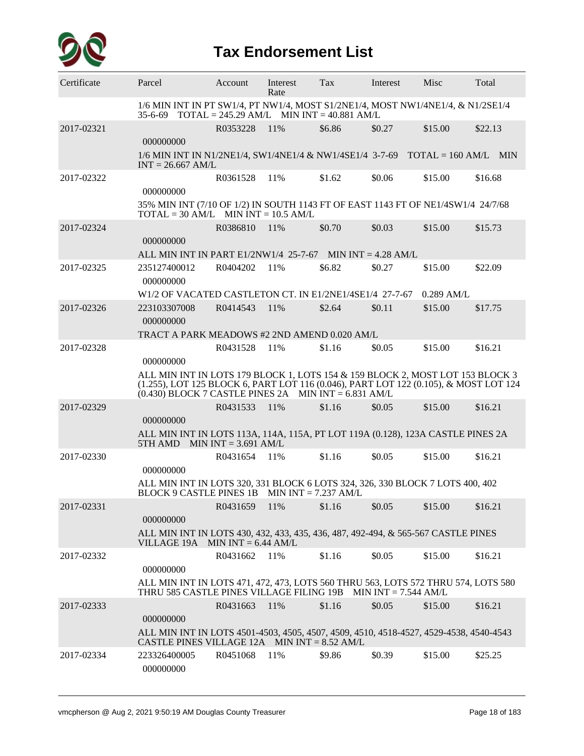

## **Tax Endorsement List**

| Certificate | Parcel                                                                                                                                                                                                                          | Account  | Interest<br>Rate | Tax    | Interest               | Misc         | Total   |
|-------------|---------------------------------------------------------------------------------------------------------------------------------------------------------------------------------------------------------------------------------|----------|------------------|--------|------------------------|--------------|---------|
|             | 1/6 MIN INT IN PT SW1/4, PT NW1/4, MOST S1/2NE1/4, MOST NW1/4NE1/4, & N1/2SE1/4<br>35-6-69 TOTAL = 245.29 AM/L MIN INT = 40.881 AM/L                                                                                            |          |                  |        |                        |              |         |
| 2017-02321  | 000000000                                                                                                                                                                                                                       | R0353228 | 11%              | \$6.86 | \$0.27                 | \$15.00      | \$22.13 |
|             | 1/6 MIN INT IN N1/2NE1/4, SW1/4NE1/4 & NW1/4SE1/4 3-7-69 TOTAL = 160 AM/L MIN<br>$INT = 26.667$ AM/L                                                                                                                            |          |                  |        |                        |              |         |
| 2017-02322  | 000000000                                                                                                                                                                                                                       | R0361528 | 11%              | \$1.62 | \$0.06                 | \$15.00      | \$16.68 |
|             | 35% MIN INT (7/10 OF 1/2) IN SOUTH 1143 FT OF EAST 1143 FT OF NE1/4SW1/4 24/7/68<br>$TOTAL = 30 AM/L$ MIN INT = 10.5 AM/L                                                                                                       |          |                  |        |                        |              |         |
| 2017-02324  | 000000000                                                                                                                                                                                                                       | R0386810 | 11%              | \$0.70 | \$0.03                 | \$15.00      | \$15.73 |
|             | ALL MIN INT IN PART $E1/2NW1/4$ 25-7-67 MIN INT = 4.28 AM/L                                                                                                                                                                     |          |                  |        |                        |              |         |
| 2017-02325  | 235127400012<br>000000000                                                                                                                                                                                                       | R0404202 | 11%              | \$6.82 | \$0.27                 | \$15.00      | \$22.09 |
|             | W1/2 OF VACATED CASTLETON CT. IN E1/2NE1/4SE1/4 27-7-67                                                                                                                                                                         |          |                  |        |                        | $0.289$ AM/L |         |
| 2017-02326  | 223103307008<br>000000000                                                                                                                                                                                                       | R0414543 | 11%              | \$2.64 | \$0.11                 | \$15.00      | \$17.75 |
|             | TRACT A PARK MEADOWS #2 2ND AMEND 0.020 AM/L                                                                                                                                                                                    |          |                  |        |                        |              |         |
| 2017-02328  | 000000000                                                                                                                                                                                                                       | R0431528 | 11%              | \$1.16 | \$0.05                 | \$15.00      | \$16.21 |
|             | ALL MIN INT IN LOTS 179 BLOCK 1, LOTS 154 & 159 BLOCK 2, MOST LOT 153 BLOCK 3<br>(1.255), LOT 125 BLOCK 6, PART LOT 116 (0.046), PART LOT 122 (0.105), & MOST LOT 124<br>$(0.430)$ BLOCK 7 CASTLE PINES 2A MIN INT = 6.831 AM/L |          |                  |        |                        |              |         |
| 2017-02329  | 000000000                                                                                                                                                                                                                       | R0431533 | 11%              | \$1.16 | \$0.05                 | \$15.00      | \$16.21 |
|             | ALL MIN INT IN LOTS 113A, 114A, 115A, PT LOT 119A (0.128), 123A CASTLE PINES 2A<br>5TH AMD MIN $INT = 3.691$ AM/L                                                                                                               |          |                  |        |                        |              |         |
| 2017-02330  | 000000000                                                                                                                                                                                                                       | R0431654 | 11%              | \$1.16 | \$0.05                 | \$15.00      | \$16.21 |
|             | ALL MIN INT IN LOTS 320, 331 BLOCK 6 LOTS 324, 326, 330 BLOCK 7 LOTS 400, 402<br>BLOCK 9 CASTLE PINES 1B MIN INT = 7.237 AM/L                                                                                                   |          |                  |        |                        |              |         |
| 2017-02331  | 000000000                                                                                                                                                                                                                       | R0431659 | 11%              | \$1.16 | \$0.05                 | \$15.00      | \$16.21 |
|             | ALL MIN INT IN LOTS 430, 432, 433, 435, 436, 487, 492-494, & 565-567 CASTLE PINES<br>VILLAGE 19A MIN INT = $6.44$ AM/L                                                                                                          |          |                  |        |                        |              |         |
| 2017-02332  | 000000000                                                                                                                                                                                                                       | R0431662 | 11%              | \$1.16 | \$0.05                 | \$15.00      | \$16.21 |
|             | ALL MIN INT IN LOTS 471, 472, 473, LOTS 560 THRU 563, LOTS 572 THRU 574, LOTS 580<br>THRU 585 CASTLE PINES VILLAGE FILING 19B                                                                                                   |          |                  |        | MIN $INT = 7.544$ AM/L |              |         |
| 2017-02333  | 000000000                                                                                                                                                                                                                       | R0431663 | 11%              | \$1.16 | \$0.05                 | \$15.00      | \$16.21 |
|             | ALL MIN INT IN LOTS 4501-4503, 4505, 4507, 4509, 4510, 4518-4527, 4529-4538, 4540-4543<br>CASTLE PINES VILLAGE 12A MIN INT = 8.52 AM/L                                                                                          |          |                  |        |                        |              |         |
| 2017-02334  | 223326400005<br>000000000                                                                                                                                                                                                       | R0451068 | 11%              | \$9.86 | \$0.39                 | \$15.00      | \$25.25 |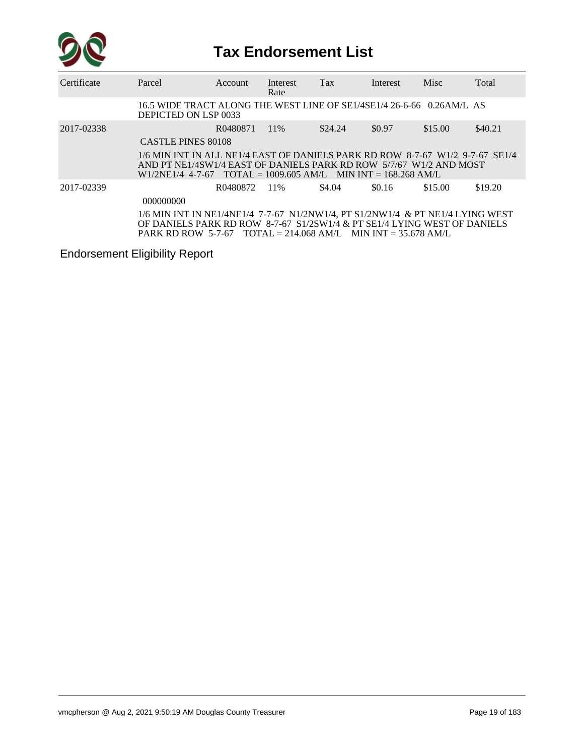

## **Tax Endorsement List**

| Certificate | Parcel                                                                                                                                                                                                                      | Account  | Interest<br>Rate | Tax     | Interest | Misc    | Total   |
|-------------|-----------------------------------------------------------------------------------------------------------------------------------------------------------------------------------------------------------------------------|----------|------------------|---------|----------|---------|---------|
|             | 16.5 WIDE TRACT ALONG THE WEST LINE OF SE1/4SE1/4 26-6-66 0.26AM/L AS<br>DEPICTED ON LSP 0033                                                                                                                               |          |                  |         |          |         |         |
| 2017-02338  |                                                                                                                                                                                                                             | R0480871 | $11\%$           | \$24.24 | \$0.97   | \$15.00 | \$40.21 |
|             | <b>CASTLE PINES 80108</b>                                                                                                                                                                                                   |          |                  |         |          |         |         |
|             | 1/6 MIN INT IN ALL NE1/4 EAST OF DANIELS PARK RD ROW 8-7-67 W1/2 9-7-67 SE1/4<br>AND PT NE1/4SW1/4 EAST OF DANIELS PARK RD ROW 5/7/67 W1/2 AND MOST<br>$W1/2NE1/4$ 4-7-67 TOTAL = 1009.605 AM/L MIN INT = 168.268 AM/L      |          |                  |         |          |         |         |
| 2017-02339  |                                                                                                                                                                                                                             | R0480872 | 11%              | \$4.04  | \$0.16   | \$15.00 | \$19.20 |
|             | 000000000                                                                                                                                                                                                                   |          |                  |         |          |         |         |
|             | 1/6 MIN INT IN NE1/4NE1/4 7-7-67 N1/2NW1/4, PT S1/2NW1/4 & PT NE1/4 LYING WEST<br>OF DANIELS PARK RD ROW 8-7-67 S1/2SW1/4 & PT SE1/4 LYING WEST OF DANIELS<br>PARK RD ROW 5-7-67 TOTAL = 214.068 AM/L MIN INT = 35.678 AM/L |          |                  |         |          |         |         |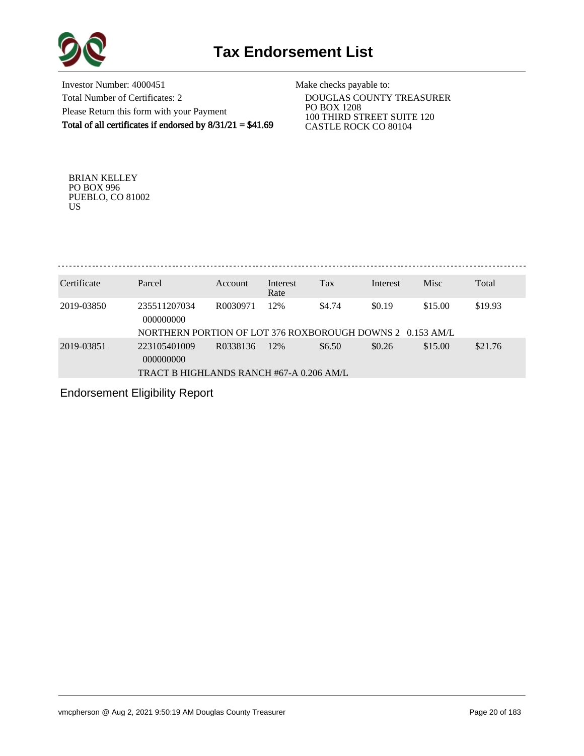

Investor Number: 4000451 Total Number of Certificates: 2 Please Return this form with your Payment Total of all certificates if endorsed by  $8/31/21 = $41.69$ 

Make checks payable to:

 DOUGLAS COUNTY TREASURER PO BOX 1208 100 THIRD STREET SUITE 120 CASTLE ROCK CO 80104

BRIAN KELLEY PO BOX 996 PUEBLO, CO 81002 US

| Certificate | Parcel                                                    | Account  | Interest<br>Rate | Tax    | Interest | <b>Misc</b> | Total   |
|-------------|-----------------------------------------------------------|----------|------------------|--------|----------|-------------|---------|
| 2019-03850  | 235511207034<br>000000000                                 | R0030971 | 12%              | \$4.74 | \$0.19   | \$15.00     | \$19.93 |
|             | NORTHERN PORTION OF LOT 376 ROXBOROUGH DOWNS 2 0.153 AM/L |          |                  |        |          |             |         |

2019-03851 223105401009 R0338136 12% \$6.50 \$0.26 \$15.00 \$21.76 000000000 TRACT B HIGHLANDS RANCH #67-A 0.206 AM/L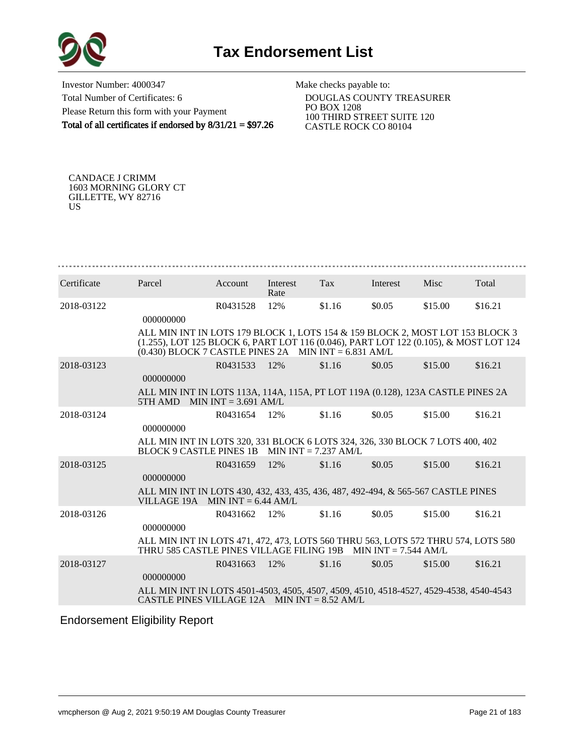

Investor Number: 4000347 Total Number of Certificates: 6 Please Return this form with your Payment Total of all certificates if endorsed by 8/31/21 = \$97.26

Make checks payable to:

 DOUGLAS COUNTY TREASURER PO BOX 1208 100 THIRD STREET SUITE 120 CASTLE ROCK CO 80104

CANDACE J CRIMM 1603 MORNING GLORY CT GILLETTE, WY 82716 US

| Certificate | Parcel                                                                                                                                                                                                                          | Account       | Interest<br>Rate | Tax    | Interest | <b>Misc</b> | Total   |
|-------------|---------------------------------------------------------------------------------------------------------------------------------------------------------------------------------------------------------------------------------|---------------|------------------|--------|----------|-------------|---------|
| 2018-03122  | 000000000                                                                                                                                                                                                                       | R0431528      | 12%              | \$1.16 | \$0.05   | \$15.00     | \$16.21 |
|             | ALL MIN INT IN LOTS 179 BLOCK 1, LOTS 154 & 159 BLOCK 2, MOST LOT 153 BLOCK 3<br>(1.255), LOT 125 BLOCK 6, PART LOT 116 (0.046), PART LOT 122 (0.105), & MOST LOT 124<br>$(0.430)$ BLOCK 7 CASTLE PINES 2A MIN INT = 6.831 AM/L |               |                  |        |          |             |         |
| 2018-03123  | 000000000                                                                                                                                                                                                                       | R0431533      | 12%              | \$1.16 | \$0.05   | \$15.00     | \$16.21 |
|             | ALL MIN INT IN LOTS 113A, 114A, 115A, PT LOT 119A (0.128), 123A CASTLE PINES 2A<br>5TH AMD MIN INT = $3.691$ AM/L                                                                                                               |               |                  |        |          |             |         |
| 2018-03124  | 000000000                                                                                                                                                                                                                       | R0431654 12\% |                  | \$1.16 | \$0.05   | \$15.00     | \$16.21 |
|             | ALL MIN INT IN LOTS 320, 331 BLOCK 6 LOTS 324, 326, 330 BLOCK 7 LOTS 400, 402<br>BLOCK 9 CASTLE PINES 1B MIN INT = $7.237$ AM/L                                                                                                 |               |                  |        |          |             |         |
| 2018-03125  | 000000000                                                                                                                                                                                                                       | R0431659 12%  |                  | \$1.16 | \$0.05   | \$15.00     | \$16.21 |
|             | ALL MIN INT IN LOTS 430, 432, 433, 435, 436, 487, 492-494, & 565-567 CASTLE PINES<br>VILLAGE 19A MIN INT $= 6.44$ AM/L                                                                                                          |               |                  |        |          |             |         |
| 2018-03126  | 000000000                                                                                                                                                                                                                       | R0431662      | 12%              | \$1.16 | \$0.05   | \$15.00     | \$16.21 |
|             | ALL MIN INT IN LOTS 471, 472, 473, LOTS 560 THRU 563, LOTS 572 THRU 574, LOTS 580<br>THRU 585 CASTLE PINES VILLAGE FILING 19B MIN INT $= 7.544$ AM/L                                                                            |               |                  |        |          |             |         |
| 2018-03127  | 000000000                                                                                                                                                                                                                       | R0431663      | 12%              | \$1.16 | \$0.05   | \$15.00     | \$16.21 |
|             | ALL MIN INT IN LOTS 4501-4503, 4505, 4507, 4509, 4510, 4518-4527, 4529-4538, 4540-4543<br>CASTLE PINES VILLAGE 12A MIN INT = $8.52$ AM/L                                                                                        |               |                  |        |          |             |         |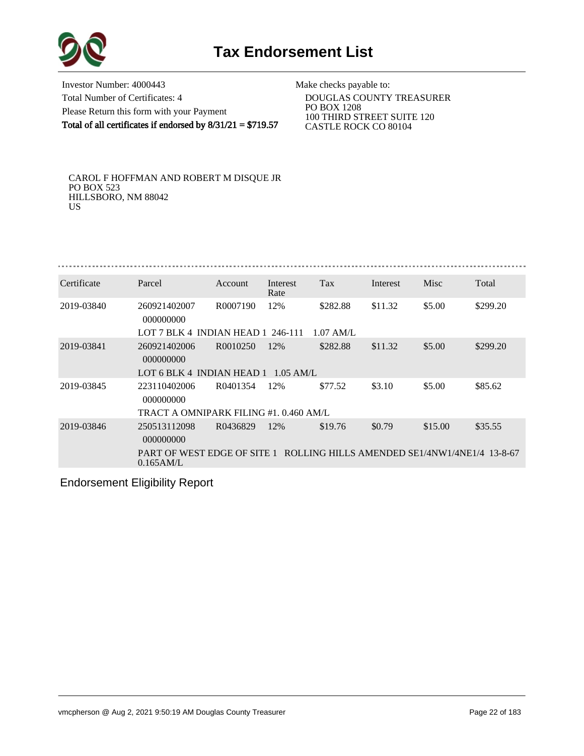

Investor Number: 4000443 Total Number of Certificates: 4 Please Return this form with your Payment Total of all certificates if endorsed by  $8/31/21 = $719.57$ 

Make checks payable to:

 DOUGLAS COUNTY TREASURER PO BOX 1208 100 THIRD STREET SUITE 120 CASTLE ROCK CO 80104

CAROL F HOFFMAN AND ROBERT M DISQUE JR PO BOX 523 HILLSBORO, NM 88042 US

| Certificate | Parcel                                                                                    | Account  | Interest<br>Rate | Tax         | Interest | Misc    | Total    |
|-------------|-------------------------------------------------------------------------------------------|----------|------------------|-------------|----------|---------|----------|
| 2019-03840  | 260921402007<br>000000000                                                                 | R0007190 | 12%              | \$282.88    | \$11.32  | \$5.00  | \$299.20 |
|             | LOT 7 BLK 4 INDIAN HEAD 1 246-111                                                         |          |                  | $1.07$ AM/L |          |         |          |
| 2019-03841  | 260921402006<br>000000000                                                                 | R0010250 | 12%              | \$282.88    | \$11.32  | \$5.00  | \$299.20 |
|             | LOT 6 BLK 4 INDIAN HEAD 1                                                                 |          | $1.05$ AM/L      |             |          |         |          |
| 2019-03845  | 223110402006<br>000000000                                                                 | R0401354 | 12%              | \$77.52     | \$3.10   | \$5.00  | \$85.62  |
|             | TRACT A OMNIPARK FILING #1.0.460 AM/L                                                     |          |                  |             |          |         |          |
| 2019-03846  | 250513112098<br>000000000                                                                 | R0436829 | 12%              | \$19.76     | \$0.79   | \$15.00 | \$35.55  |
|             | PART OF WEST EDGE OF SITE 1 ROLLING HILLS AMENDED SE1/4NW1/4NE1/4 13-8-67<br>$0.165$ AM/L |          |                  |             |          |         |          |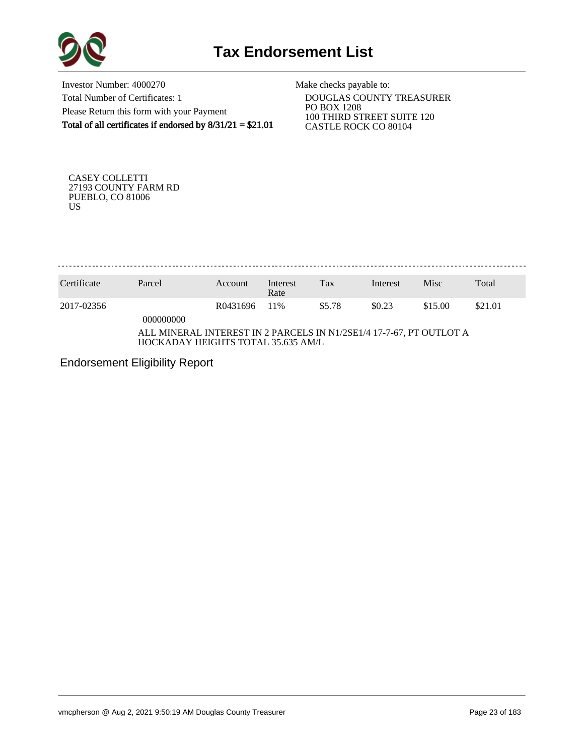

Investor Number: 4000270 Total Number of Certificates: 1 Please Return this form with your Payment Total of all certificates if endorsed by 8/31/21 = \$21.01

Make checks payable to:

 DOUGLAS COUNTY TREASURER PO BOX 1208 100 THIRD STREET SUITE 120 CASTLE ROCK CO 80104

CASEY COLLETTI 27193 COUNTY FARM RD PUEBLO, CO 81006 US

. . . . . . . . . . . . . . . 

| Certificate                                                                                               | Parcel    | Account  | Interest<br>Rate | Tax    | Interest | Misc    | Total   |
|-----------------------------------------------------------------------------------------------------------|-----------|----------|------------------|--------|----------|---------|---------|
| 2017-02356                                                                                                | 000000000 | R0431696 | 11%              | \$5.78 | \$0.23   | \$15.00 | \$21.01 |
| ALL MINERAL INTEREST IN 2 PARCELS IN N1/2SE1/4 17-7-67, PT OUTLOT A<br>HOCKADAY HEIGHTS TOTAL 35.635 AM/L |           |          |                  |        |          |         |         |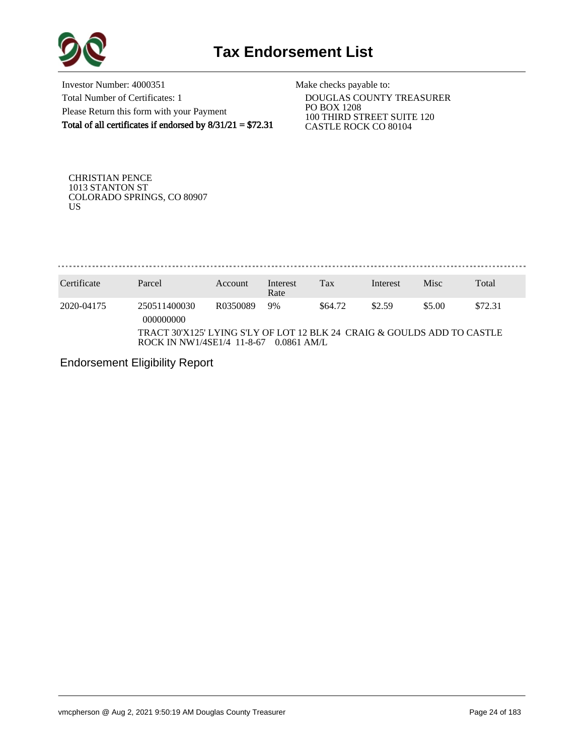

Investor Number: 4000351 Total Number of Certificates: 1 Please Return this form with your Payment Total of all certificates if endorsed by  $8/31/21 = $72.31$ 

Make checks payable to:

 DOUGLAS COUNTY TREASURER PO BOX 1208 100 THIRD STREET SUITE 120 CASTLE ROCK CO 80104

CHRISTIAN PENCE 1013 STANTON ST COLORADO SPRINGS, CO 80907 US

. . . . . . . . . . . . . . . . . . . . . . . . . . . . . .

| Certificate | Parcel                                                                                                 | Account  | Interest<br>Rate | Tax     | Interest | Misc   | Total   |
|-------------|--------------------------------------------------------------------------------------------------------|----------|------------------|---------|----------|--------|---------|
| 2020-04175  | 250511400030<br>000000000                                                                              | R0350089 | 9%               | \$64.72 | \$2.59   | \$5.00 | \$72.31 |
|             | TRACT 30'X125' LYING S'LY OF LOT 12 BLK 24  CRAIG & GOULDS ADD TO CASTLE<br>ROCK IN NW1/4SE1/4 11-8-67 |          | $0.0861$ AM/L    |         |          |        |         |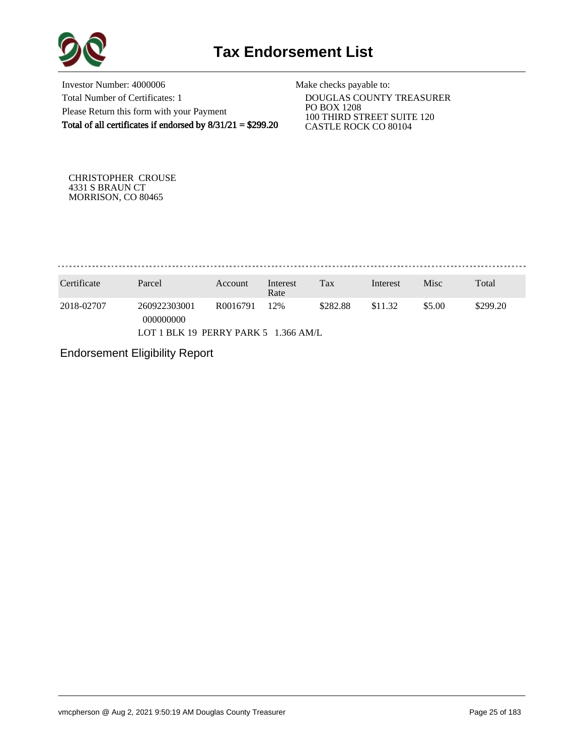

Investor Number: 4000006 Total Number of Certificates: 1 Please Return this form with your Payment Total of all certificates if endorsed by 8/31/21 = \$299.20

Make checks payable to:

 DOUGLAS COUNTY TREASURER PO BOX 1208 100 THIRD STREET SUITE 120 CASTLE ROCK CO 80104

CHRISTOPHER CROUSE 4331 S BRAUN CT MORRISON, CO 80465

. . . . . . . . . . . . . . . . . . . 

| Certificate                          | Parcel                    | Account  | Interest<br>Rate | Tax      | Interest | Misc   | Total    |
|--------------------------------------|---------------------------|----------|------------------|----------|----------|--------|----------|
| 2018-02707                           | 260922303001<br>000000000 | R0016791 | 12%              | \$282.88 | \$11.32  | \$5.00 | \$299.20 |
| LOT 1 BLK 19 PERRY PARK 5 1.366 AM/L |                           |          |                  |          |          |        |          |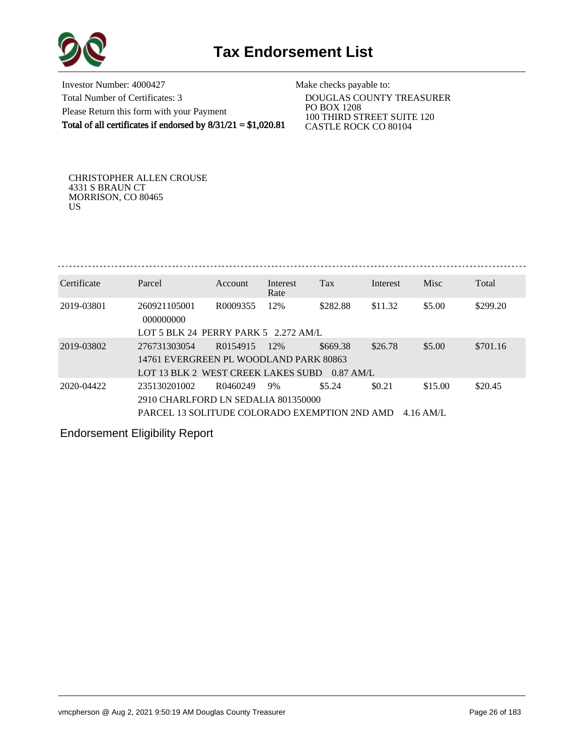

Investor Number: 4000427 Total Number of Certificates: 3 Please Return this form with your Payment Total of all certificates if endorsed by  $8/31/21 = $1,020.81$ 

Make checks payable to:

 DOUGLAS COUNTY TREASURER PO BOX 1208 100 THIRD STREET SUITE 120 CASTLE ROCK CO 80104

CHRISTOPHER ALLEN CROUSE 4331 S BRAUN CT MORRISON, CO 80465 US

. . . . . . . . . . . . . . . . . . . . . . . . . . . . . . . Certificate Parcel Account Interest Tax Interest Misc Total Rate 2019-03801 260921105001 R0009355 12% \$282.88 \$11.32 \$5.00 \$299.20 000000000

|            | LOT 5 BLK 24 PERRY PARK 5 2.272 AM/L                    |             |     |          |         |         |          |
|------------|---------------------------------------------------------|-------------|-----|----------|---------|---------|----------|
| 2019-03802 | 276731303054                                            | R0154915    | 12% | \$669.38 | \$26.78 | \$5.00  | \$701.16 |
|            | 14761 EVERGREEN PL WOODLAND PARK 80863                  |             |     |          |         |         |          |
|            | LOT 13 BLK 2 WEST CREEK LAKES SUBD 0.87 AM/L            |             |     |          |         |         |          |
| 2020-04422 | 235130201002                                            | R0460249 9% |     | \$5.24   | \$0.21  | \$15.00 | \$20.45  |
|            | 2910 CHARLFORD LN SEDALIA 801350000                     |             |     |          |         |         |          |
|            | PARCEL 13 SOLITUDE COLORADO EXEMPTION 2ND AMD 4.16 AM/L |             |     |          |         |         |          |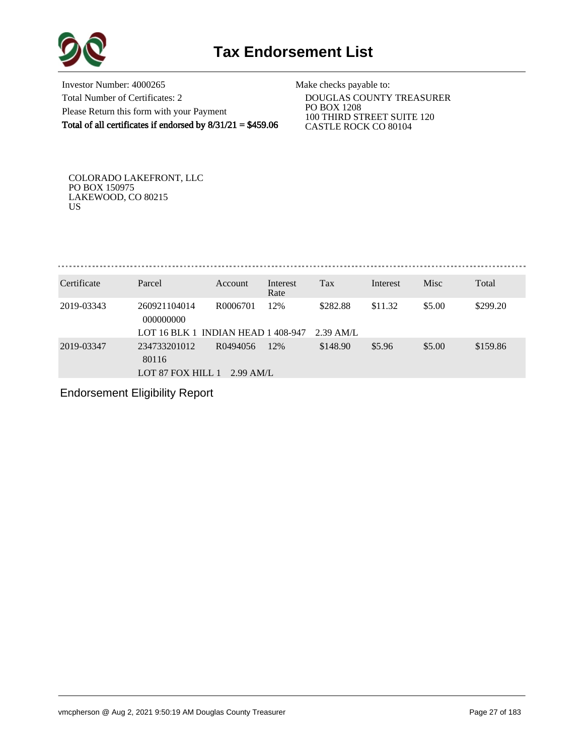

Investor Number: 4000265 Total Number of Certificates: 2 Please Return this form with your Payment Total of all certificates if endorsed by 8/31/21 = \$459.06

Make checks payable to:

 DOUGLAS COUNTY TREASURER PO BOX 1208 100 THIRD STREET SUITE 120 CASTLE ROCK CO 80104

COLORADO LAKEFRONT, LLC PO BOX 150975 LAKEWOOD, CO 80215 US

. . . . . . . . . . . . . . . . . . . 

| Certificate | Parcel                                     | <b>Account</b>          | Interest<br>Rate | Tax       | Interest | Misc   | Total    |
|-------------|--------------------------------------------|-------------------------|------------------|-----------|----------|--------|----------|
| 2019-03343  | 260921104014<br>000000000                  | R0006701                | 12%              | \$282.88  | \$11.32  | \$5.00 | \$299.20 |
|             | LOT 16 BLK 1 INDIAN HEAD 1 408-947         |                         |                  | 2.39 AM/L |          |        |          |
| 2019-03347  | 234733201012<br>80116<br>LOT 87 FOX HILL 1 | R0494056<br>$2.99$ AM/L | 12%              | \$148.90  | \$5.96   | \$5.00 | \$159.86 |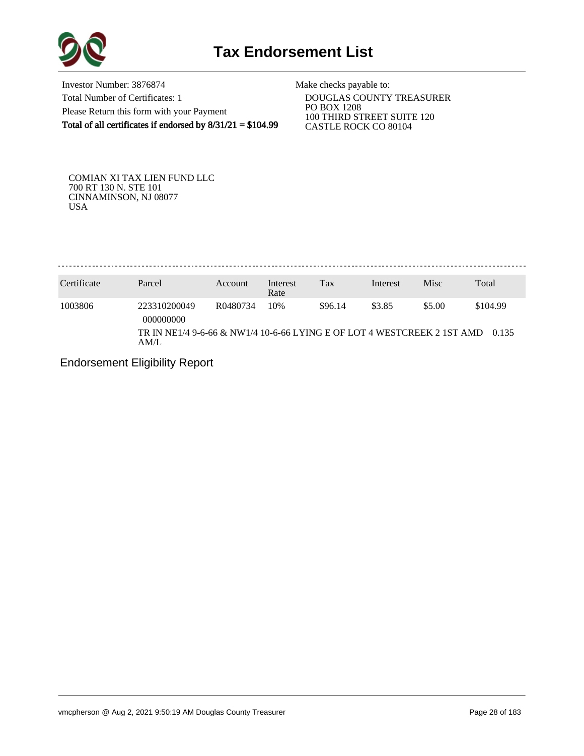

Investor Number: 3876874 Total Number of Certificates: 1 Please Return this form with your Payment Total of all certificates if endorsed by  $8/31/21 = $104.99$ 

Make checks payable to:

 DOUGLAS COUNTY TREASURER PO BOX 1208 100 THIRD STREET SUITE 120 CASTLE ROCK CO 80104

COMIAN XI TAX LIEN FUND LLC 700 RT 130 N. STE 101 CINNAMINSON, NJ 08077 USA

. . . . . . . . . . . . . . . . . . . . . . . . . . . . . . . . . .

| Certificate | Parcel                                                                                               | Account  | Interest<br>Rate | Tax     | Interest | Misc   | Total             |
|-------------|------------------------------------------------------------------------------------------------------|----------|------------------|---------|----------|--------|-------------------|
| 1003806     | 223310200049<br>000000000<br>TR IN NE1/4 9-6-66 & NW1/4 10-6-66 LYING E OF LOT 4 WESTCREEK 2 1ST AMD | R0480734 | 10%              | \$96.14 | \$3.85   | \$5.00 | \$104.99<br>0.135 |
|             | AM/L                                                                                                 |          |                  |         |          |        |                   |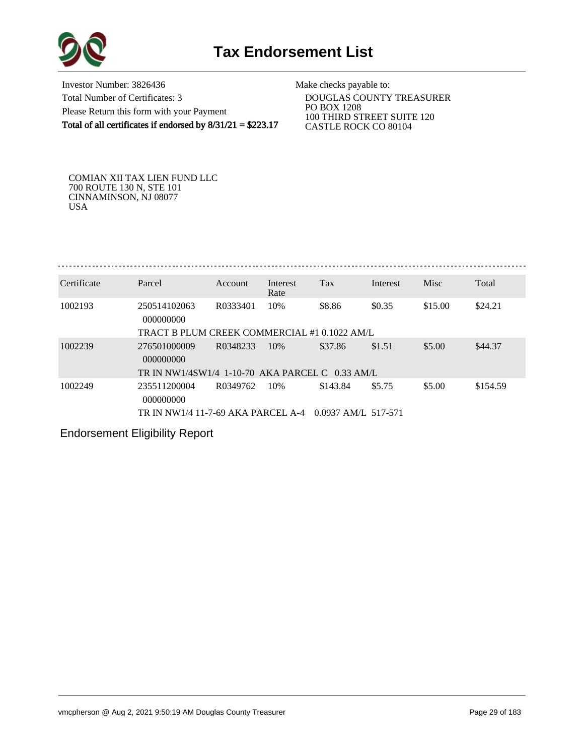

Investor Number: 3826436 Total Number of Certificates: 3 Please Return this form with your Payment Total of all certificates if endorsed by 8/31/21 = \$223.17

Make checks payable to:

 DOUGLAS COUNTY TREASURER PO BOX 1208 100 THIRD STREET SUITE 120 CASTLE ROCK CO 80104

COMIAN XII TAX LIEN FUND LLC 700 ROUTE 130 N, STE 101 CINNAMINSON, NJ 08077 USA

| Certificate | Parcel                                       | Account  | Interest<br>Rate | Tax    | Interest | Misc    | Total   |
|-------------|----------------------------------------------|----------|------------------|--------|----------|---------|---------|
| 1002193     | 250514102063<br>000000000                    | R0333401 | 10%              | \$8.86 | \$0.35   | \$15.00 | \$24.21 |
|             | TRACT B PLUM CREEK COMMERCIAL #1 0.1022 AM/L |          |                  |        |          |         |         |

| 1002239 | 276501000009<br>000000000                              | R0348233 | 10% | \$37.86  | \$1.51 | \$5.00 | \$44.37  |
|---------|--------------------------------------------------------|----------|-----|----------|--------|--------|----------|
|         | TR IN NW1/4SW1/4 1-10-70 AKA PARCEL C 0.33 AM/L        |          |     |          |        |        |          |
| 1002249 | 235511200004<br>000000000                              | R0349762 | 10% | \$143.84 | \$5.75 | \$5.00 | \$154.59 |
|         | TR IN NW1/4 11-7-69 AKA PARCEL A-4 0.0937 AM/L 517-571 |          |     |          |        |        |          |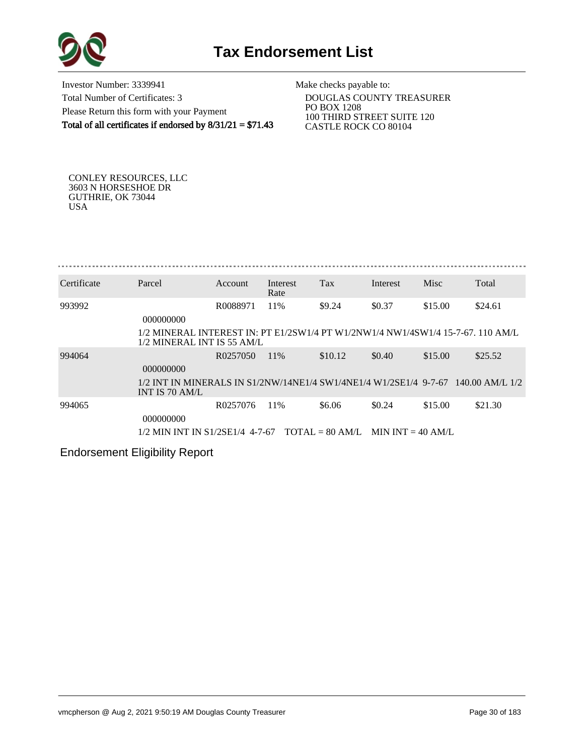

Investor Number: 3339941 Total Number of Certificates: 3 Please Return this form with your Payment Total of all certificates if endorsed by  $8/31/21 = $71.43$ 

Make checks payable to:

 DOUGLAS COUNTY TREASURER PO BOX 1208 100 THIRD STREET SUITE 120 CASTLE ROCK CO 80104

CONLEY RESOURCES, LLC 3603 N HORSESHOE DR GUTHRIE, OK 73044 USA

| Certificate | Parcel                                                                                                        | Account  | Interest<br>Rate | <b>Tax</b> | Interest | Misc    | Total   |
|-------------|---------------------------------------------------------------------------------------------------------------|----------|------------------|------------|----------|---------|---------|
| 993992      | 000000000                                                                                                     | R0088971 | 11\%             | \$9.24     | \$0.37   | \$15.00 | \$24.61 |
|             | 1/2 MINERAL INTEREST IN: PT E1/2SW1/4 PT W1/2NW1/4 NW1/4SW1/4 15-7-67, 110 AM/L<br>1/2 MINERAL INT IS 55 AM/L |          |                  |            |          |         |         |
| 994064      | 000000000                                                                                                     | R0257050 | 11\%             | \$10.12    | \$0.40   | \$15.00 | \$25.52 |
|             | 1/2 INT IN MINERALS IN S1/2NW/14NE1/4 SW1/4NE1/4 W1/2SE1/4 9-7-67 140.00 AM/L 1/2<br>INT IS 70 AM/L           |          |                  |            |          |         |         |
| 994065      | 000000000                                                                                                     | R0257076 | 11%              | \$6.06     | \$0.24   | \$15.00 | \$21.30 |
|             | $1/2$ MIN INT IN S1/2SE1/4 4-7-67 TOTAL = 80 AM/L MIN INT = 40 AM/L                                           |          |                  |            |          |         |         |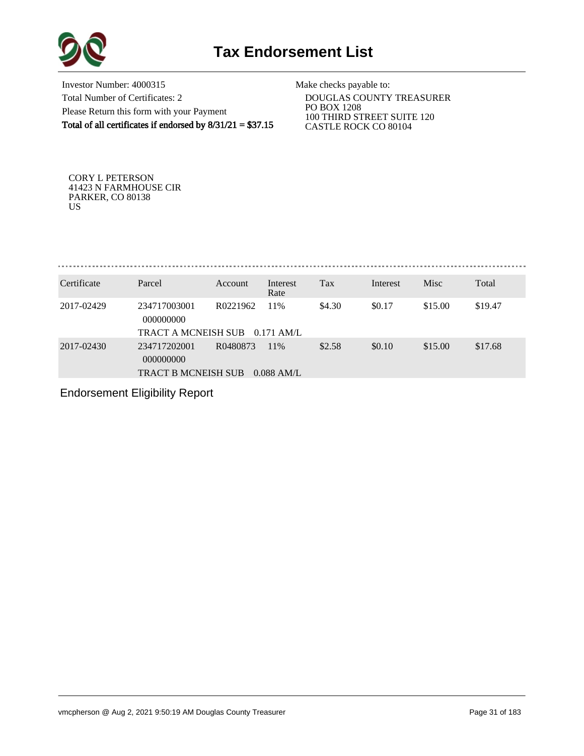

Investor Number: 4000315 Total Number of Certificates: 2 Please Return this form with your Payment Total of all certificates if endorsed by  $8/31/21 = $37.15$ 

Make checks payable to:

 DOUGLAS COUNTY TREASURER PO BOX 1208 100 THIRD STREET SUITE 120 CASTLE ROCK CO 80104

CORY L PETERSON 41423 N FARMHOUSE CIR PARKER, CO 80138 US

Tax Interest Misc Total Certificate Parcel Account Interest

| Certificate | Parcei                                                  | ACCOUIIU | merest<br>Rate      | 1 ax   | mierest | <b>IVIISC</b> | I Otal  |
|-------------|---------------------------------------------------------|----------|---------------------|--------|---------|---------------|---------|
| 2017-02429  | 234717003001<br>000000000<br>TRACT A MCNEISH SUB        | R0221962 | 11%<br>$0.171$ AM/L | \$4.30 | \$0.17  | \$15.00       | \$19.47 |
| 2017-02430  | 234717202001<br>000000000<br><b>TRACT B MCNEISH SUB</b> | R0480873 | 11%<br>$0.088$ AM/L | \$2.58 | \$0.10  | \$15.00       | \$17.68 |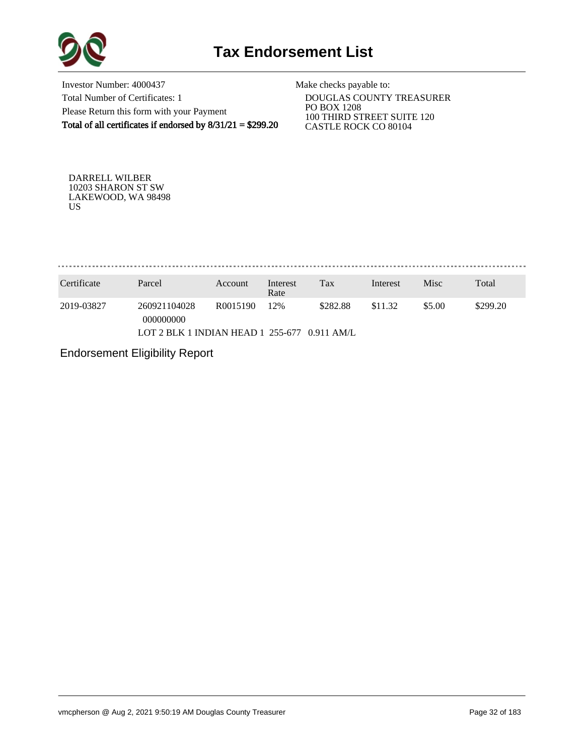

Investor Number: 4000437 Total Number of Certificates: 1 Please Return this form with your Payment Total of all certificates if endorsed by  $8/31/21 = $299.20$ 

Make checks payable to:

 DOUGLAS COUNTY TREASURER PO BOX 1208 100 THIRD STREET SUITE 120 CASTLE ROCK CO 80104

DARRELL WILBER 10203 SHARON ST SW LAKEWOOD, WA 98498 US

. . . . . . . . . . . . . . . . 

| Certificate | Parcel                                                     | Account  | Interest<br>Rate | Tax      | Interest | Misc   | Total    |
|-------------|------------------------------------------------------------|----------|------------------|----------|----------|--------|----------|
| 2019-03827  | 260921104028<br>000000000                                  | R0015190 | 12%              | \$282.88 | \$11.32  | \$5.00 | \$299.20 |
|             | LOT 2 BLK 1 INDIAN HEAD $1\,255-677\,0.911\,\mathrm{AM/L}$ |          |                  |          |          |        |          |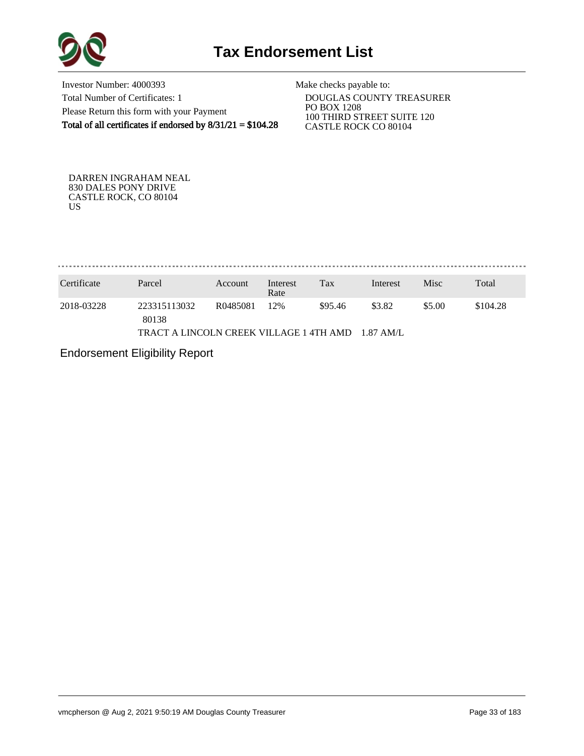

Investor Number: 4000393 Total Number of Certificates: 1 Please Return this form with your Payment Total of all certificates if endorsed by 8/31/21 = \$104.28

Make checks payable to:

 DOUGLAS COUNTY TREASURER PO BOX 1208 100 THIRD STREET SUITE 120 CASTLE ROCK CO 80104

DARREN INGRAHAM NEAL 830 DALES PONY DRIVE CASTLE ROCK, CO 80104 US

| Certificate | Parcel                                  | Account  | Interest<br>Rate | Tax     | Interest     | Misc   | Total    |
|-------------|-----------------------------------------|----------|------------------|---------|--------------|--------|----------|
| 2018-03228  | 223315113032<br>80138                   | R0485081 | 12%              | \$95.46 | \$3.82       | \$5.00 | \$104.28 |
|             | TRACT A LINCOLN CREEK VILLAGE 1 4TH AMD |          |                  |         | $-1.87$ AM/L |        |          |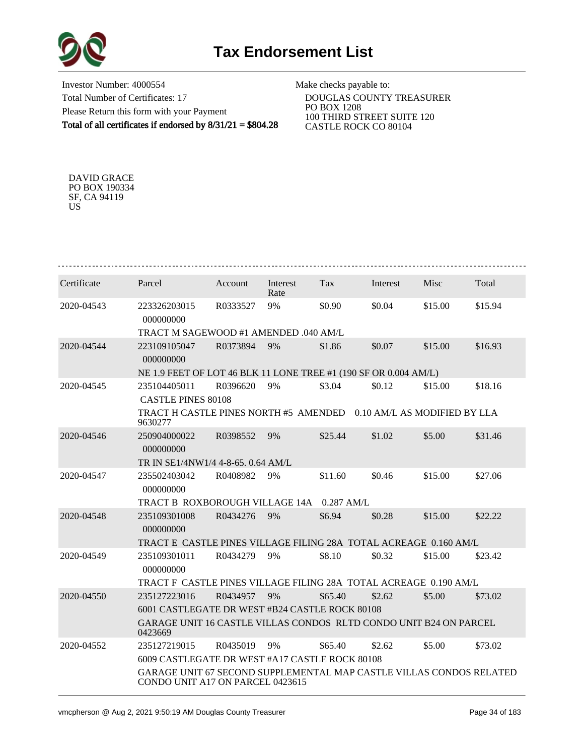

Investor Number: 4000554 Total Number of Certificates: 17 Please Return this form with your Payment Total of all certificates if endorsed by 8/31/21 = \$804.28

Make checks payable to:

 DOUGLAS COUNTY TREASURER PO BOX 1208 100 THIRD STREET SUITE 120 CASTLE ROCK CO 80104

DAVID GRACE PO BOX 190334 SF, CA 94119 US

| Certificate | Parcel                                                                                                  | Account  | Interest<br>Rate | <b>Tax</b>   | Interest | Misc                         | Total   |  |  |  |  |
|-------------|---------------------------------------------------------------------------------------------------------|----------|------------------|--------------|----------|------------------------------|---------|--|--|--|--|
| 2020-04543  | 223326203015<br>000000000                                                                               | R0333527 | 9%               | \$0.90       | \$0.04   | \$15.00                      | \$15.94 |  |  |  |  |
|             | TRACT M SAGEWOOD #1 AMENDED .040 AM/L                                                                   |          |                  |              |          |                              |         |  |  |  |  |
| 2020-04544  | 223109105047<br>000000000                                                                               | R0373894 | 9%               | \$1.86       | \$0.07   | \$15.00                      | \$16.93 |  |  |  |  |
|             | NE 1.9 FEET OF LOT 46 BLK 11 LONE TREE #1 (190 SF OR 0.004 AM/L)                                        |          |                  |              |          |                              |         |  |  |  |  |
| 2020-04545  | 235104405011<br><b>CASTLE PINES 80108</b>                                                               | R0396620 | 9%               | \$3.04       | \$0.12   | \$15.00                      | \$18.16 |  |  |  |  |
|             | TRACT H CASTLE PINES NORTH #5 AMENDED<br>9630277                                                        |          |                  |              |          | 0.10 AM/L AS MODIFIED BY LLA |         |  |  |  |  |
| 2020-04546  | 250904000022<br>000000000                                                                               | R0398552 | 9%               | \$25.44      | \$1.02   | \$5.00                       | \$31.46 |  |  |  |  |
|             | TR IN SE1/4NW1/4 4-8-65, 0.64 AM/L                                                                      |          |                  |              |          |                              |         |  |  |  |  |
| 2020-04547  | 235502403042<br>000000000                                                                               | R0408982 | 9%               | \$11.60      | \$0.46   | \$15.00                      | \$27.06 |  |  |  |  |
|             | TRACT B ROXBOROUGH VILLAGE 14A                                                                          |          |                  | $0.287$ AM/L |          |                              |         |  |  |  |  |
| 2020-04548  | 235109301008<br>000000000                                                                               | R0434276 | 9%               | \$6.94       | \$0.28   | \$15.00                      | \$22.22 |  |  |  |  |
|             | TRACT E_CASTLE PINES VILLAGE FILING 28A_TOTAL ACREAGE_0.160 AM/L                                        |          |                  |              |          |                              |         |  |  |  |  |
| 2020-04549  | 235109301011<br>000000000                                                                               | R0434279 | 9%               | \$8.10       | \$0.32   | \$15.00                      | \$23.42 |  |  |  |  |
|             | TRACT F CASTLE PINES VILLAGE FILING 28A TOTAL ACREAGE 0.190 AM/L                                        |          |                  |              |          |                              |         |  |  |  |  |
| 2020-04550  | 235127223016                                                                                            | R0434957 | 9%               | \$65.40      | \$2.62   | \$5.00                       | \$73.02 |  |  |  |  |
|             | 6001 CASTLEGATE DR WEST #B24 CASTLE ROCK 80108                                                          |          |                  |              |          |                              |         |  |  |  |  |
|             | GARAGE UNIT 16 CASTLE VILLAS CONDOS RLTD CONDO UNIT B24 ON PARCEL<br>0423669                            |          |                  |              |          |                              |         |  |  |  |  |
| 2020-04552  | 235127219015                                                                                            | R0435019 | 9%               | \$65.40      | \$2.62   | \$5.00                       | \$73.02 |  |  |  |  |
|             | 6009 CASTLEGATE DR WEST #A17 CASTLE ROCK 80108                                                          |          |                  |              |          |                              |         |  |  |  |  |
|             | GARAGE UNIT 67 SECOND SUPPLEMENTAL MAP CASTLE VILLAS CONDOS RELATED<br>CONDO UNIT A17 ON PARCEL 0423615 |          |                  |              |          |                              |         |  |  |  |  |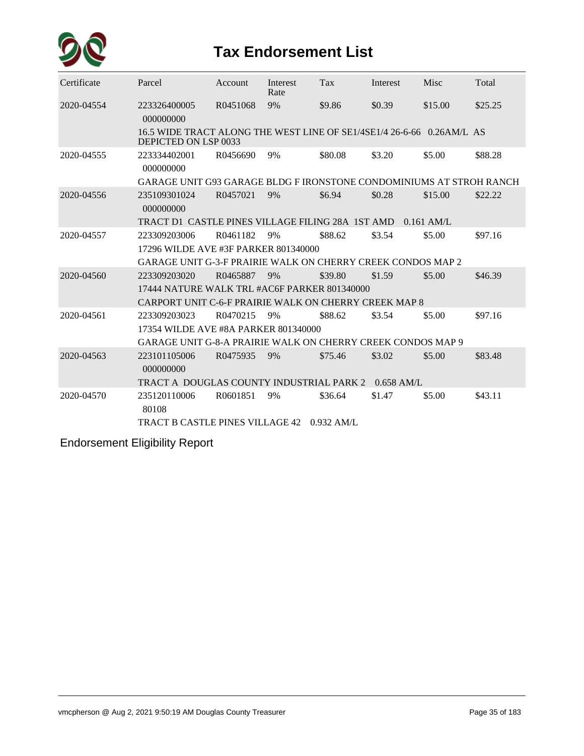

## **Tax Endorsement List**

| Certificate | Parcel                                                                                        | Account  | Interest<br>Rate | Tax     | Interest | Misc    | Total   |  |  |  |
|-------------|-----------------------------------------------------------------------------------------------|----------|------------------|---------|----------|---------|---------|--|--|--|
| 2020-04554  | 223326400005<br>000000000                                                                     | R0451068 | 9%               | \$9.86  | \$0.39   | \$15.00 | \$25.25 |  |  |  |
|             | 16.5 WIDE TRACT ALONG THE WEST LINE OF SE1/4SE1/4 26-6-66 0.26AM/L AS<br>DEPICTED ON LSP 0033 |          |                  |         |          |         |         |  |  |  |
| 2020-04555  | 223334402001<br>000000000                                                                     | R0456690 | 9%               | \$80.08 | \$3.20   | \$5.00  | \$88.28 |  |  |  |
|             | GARAGE UNIT G93 GARAGE BLDG F IRONSTONE CONDOMINIUMS AT STROH RANCH                           |          |                  |         |          |         |         |  |  |  |
| 2020-04556  | 235109301024<br>000000000                                                                     | R0457021 | 9%               | \$6.94  | \$0.28   | \$15.00 | \$22.22 |  |  |  |
|             | TRACT D1 CASTLE PINES VILLAGE FILING 28A 1ST AMD 0.161 AM/L                                   |          |                  |         |          |         |         |  |  |  |
| 2020-04557  | 223309203006                                                                                  | R0461182 | 9%               | \$88.62 | \$3.54   | \$5.00  | \$97.16 |  |  |  |
|             | 17296 WILDE AVE #3F PARKER 801340000                                                          |          |                  |         |          |         |         |  |  |  |
|             | <b>GARAGE UNIT G-3-F PRAIRIE WALK ON CHERRY CREEK CONDOS MAP 2</b>                            |          |                  |         |          |         |         |  |  |  |
| 2020-04560  | 223309203020                                                                                  | R0465887 | 9%               | \$39.80 | \$1.59   | \$5.00  | \$46.39 |  |  |  |
|             | 17444 NATURE WALK TRL #AC6F PARKER 801340000                                                  |          |                  |         |          |         |         |  |  |  |
|             | CARPORT UNIT C-6-F PRAIRIE WALK ON CHERRY CREEK MAP 8                                         |          |                  |         |          |         |         |  |  |  |
| 2020-04561  | 223309203023                                                                                  | R0470215 | 9%               | \$88.62 | \$3.54   | \$5.00  | \$97.16 |  |  |  |
|             | 17354 WILDE AVE #8A PARKER 801340000                                                          |          |                  |         |          |         |         |  |  |  |
|             | <b>GARAGE UNIT G-8-A PRAIRIE WALK ON CHERRY CREEK CONDOS MAP 9</b>                            |          |                  |         |          |         |         |  |  |  |
| 2020-04563  | 223101105006<br>000000000                                                                     | R0475935 | 9%               | \$75.46 | \$3.02   | \$5.00  | \$83.48 |  |  |  |
|             | TRACT A DOUGLAS COUNTY INDUSTRIAL PARK 2 0.658 AM/L                                           |          |                  |         |          |         |         |  |  |  |
| 2020-04570  | 235120110006<br>80108                                                                         | R0601851 | 9%               | \$36.64 | \$1.47   | \$5.00  | \$43.11 |  |  |  |
|             | TRACT B CASTLE PINES VILLAGE 42 0.932 AM/L                                                    |          |                  |         |          |         |         |  |  |  |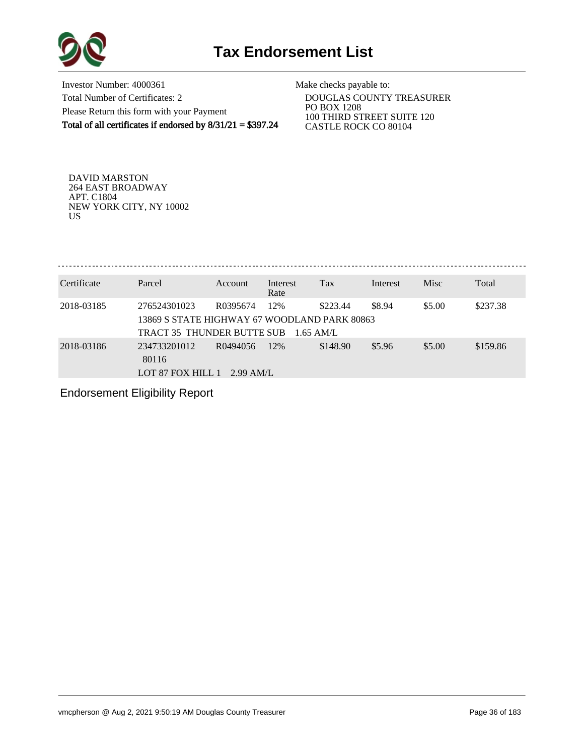

Investor Number: 4000361 Total Number of Certificates: 2 Please Return this form with your Payment Total of all certificates if endorsed by 8/31/21 = \$397.24

Make checks payable to:

 DOUGLAS COUNTY TREASURER PO BOX 1208 100 THIRD STREET SUITE 120 CASTLE ROCK CO 80104

DAVID MARSTON 264 EAST BROADWAY APT. C1804 NEW YORK CITY, NY 10002 US

| Certificate | Parcel                                                                                     | <b>Account</b>          | Interest<br>Rate   | Tax      | Interest | <b>Misc</b> | Total    |
|-------------|--------------------------------------------------------------------------------------------|-------------------------|--------------------|----------|----------|-------------|----------|
| 2018-03185  | 276524301023<br>13869 S STATE HIGHWAY 67 WOODLAND PARK 80863<br>TRACT 35 THUNDER BUTTE SUB | R0395674                | 12%<br>$1.65$ AM/L | \$223.44 | \$8.94   | \$5.00      | \$237.38 |
| 2018-03186  | 234733201012<br>80116<br>LOT 87 FOX HILL 1                                                 | R0494056<br>$2.99$ AM/L | 12%                | \$148.90 | \$5.96   | \$5.00      | \$159.86 |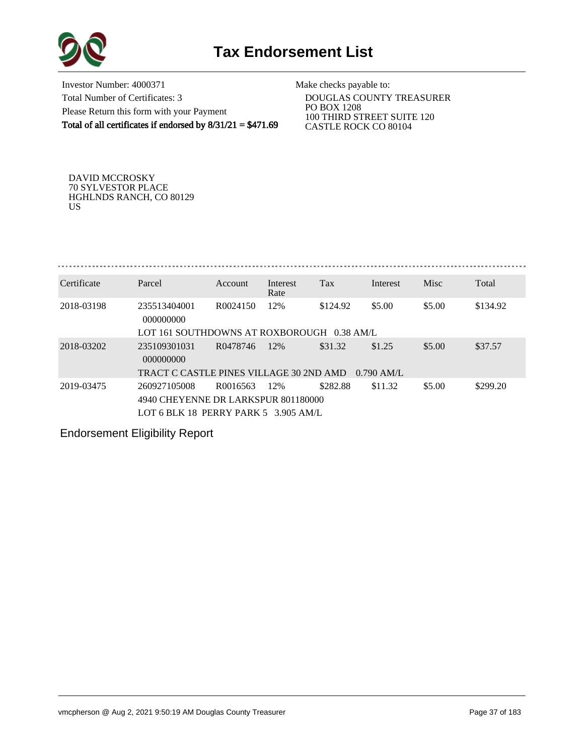

Investor Number: 4000371 Total Number of Certificates: 3 Please Return this form with your Payment Total of all certificates if endorsed by  $8/31/21 = $471.69$ 

Make checks payable to:

 DOUGLAS COUNTY TREASURER PO BOX 1208 100 THIRD STREET SUITE 120 CASTLE ROCK CO 80104

DAVID MCCROSKY 70 SYLVESTOR PLACE HGHLNDS RANCH, CO 80129 US

| Certificate | Parcel                                     | Account              | Interest | Tax      | Interest             | Misc   | Total    |
|-------------|--------------------------------------------|----------------------|----------|----------|----------------------|--------|----------|
|             |                                            |                      | Rate     |          |                      |        |          |
| 2018-03198  | 235513404001                               | R <sub>0024150</sub> | 12%      | \$124.92 | \$5.00               | \$5.00 | \$134.92 |
|             | 000000000                                  |                      |          |          |                      |        |          |
|             | LOT 161 SOUTHDOWNS AT ROXBOROUGH 0.38 AM/L |                      |          |          |                      |        |          |
| 2018-03202  | 235109301031                               | R0478746             | 12%      | \$31.32  | \$1.25               | \$5.00 | \$37.57  |
|             | 000000000                                  |                      |          |          |                      |        |          |
|             | TRACT C CASTLE PINES VILLAGE 30 2ND AMD    |                      |          |          | $0.790 \text{ AM/L}$ |        |          |
| 2019-03475  | 260927105008                               | R0016563             | 12%      | \$282.88 | \$11.32              | \$5.00 | \$299.20 |
|             | 4940 CHEYENNE DR LARKSPUR 801180000        |                      |          |          |                      |        |          |
|             | LOT 6 BLK 18 PERRY PARK 5 3.905 AM/L       |                      |          |          |                      |        |          |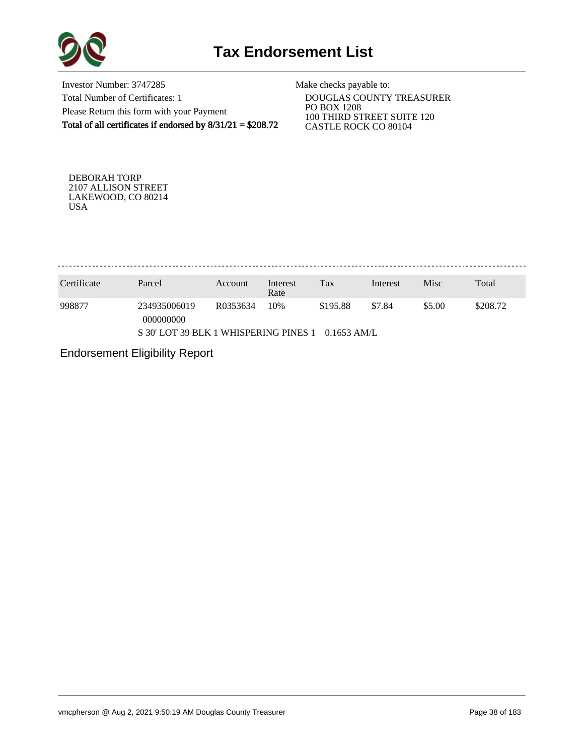

Investor Number: 3747285 Total Number of Certificates: 1 Please Return this form with your Payment Total of all certificates if endorsed by 8/31/21 = \$208.72

Make checks payable to:

 DOUGLAS COUNTY TREASURER PO BOX 1208 100 THIRD STREET SUITE 120 CASTLE ROCK CO 80104

DEBORAH TORP 2107 ALLISON STREET LAKEWOOD, CO 80214 USA

. . . . . . . . . . . . . . . . . 

| Certificate                                            | Parcel                    | Account  | Interest<br>Rate | Tax      | Interest | Misc   | Total    |
|--------------------------------------------------------|---------------------------|----------|------------------|----------|----------|--------|----------|
| 998877                                                 | 234935006019<br>000000000 | R0353634 | 10%              | \$195.88 | \$7.84   | \$5.00 | \$208.72 |
| S 30' LOT 39 BLK 1 WHISPERING PINES 1<br>$0.1653$ AM/L |                           |          |                  |          |          |        |          |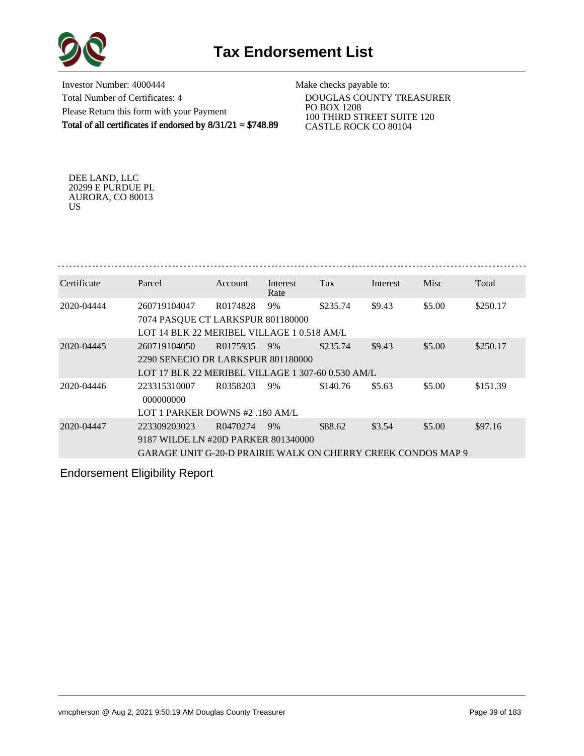



Investor Number: 4000444 Total Number of Certificates: 4 Please Return this form with your Payment Total of all certificates if endorsed by 8/31/21 = \$748.89

Make checks payable to:

 DOUGLAS COUNTY TREASURER PO BOX 1208 100 THIRD STREET SUITE 120 CASTLE ROCK CO 80104

DEE LAND, LLC 20299 E PURDUE PL AURORA, CO 80013 US

| Certificate | Parcel                                                                                                              | <b>Account</b> | Interest<br>Rate | Tax      | Interest | <b>Misc</b> | Total    |
|-------------|---------------------------------------------------------------------------------------------------------------------|----------------|------------------|----------|----------|-------------|----------|
| 2020-04444  | 260719104047<br>7074 PASQUE CT LARKSPUR 801180000<br>LOT 14 BLK 22 MERIBEL VILLAGE 1 0.518 AM/L                     | R0174828       | 9%               | \$235.74 | \$9.43   | \$5.00      | \$250.17 |
| 2020-04445  | 260719104050<br>2290 SENECIO DR LARKSPUR 801180000<br>LOT 17 BLK 22 MERIBEL VILLAGE 1 307-60 0.530 AM/L             | R0175935       | 9%               | \$235.74 | \$9.43   | \$5.00      | \$250.17 |
| 2020-04446  | 223315310007<br>000000000<br>LOT 1 PARKER DOWNS #2 .180 AM/L                                                        | R0358203       | 9%               | \$140.76 | \$5.63   | \$5.00      | \$151.39 |
| 2020-04447  | 223309203023<br>9187 WILDE LN #20D PARKER 801340000<br>GARAGE UNIT G-20-D PRAIRIE WALK ON CHERRY CREEK CONDOS MAP 9 | R0470274       | 9%               | \$88.62  | \$3.54   | \$5.00      | \$97.16  |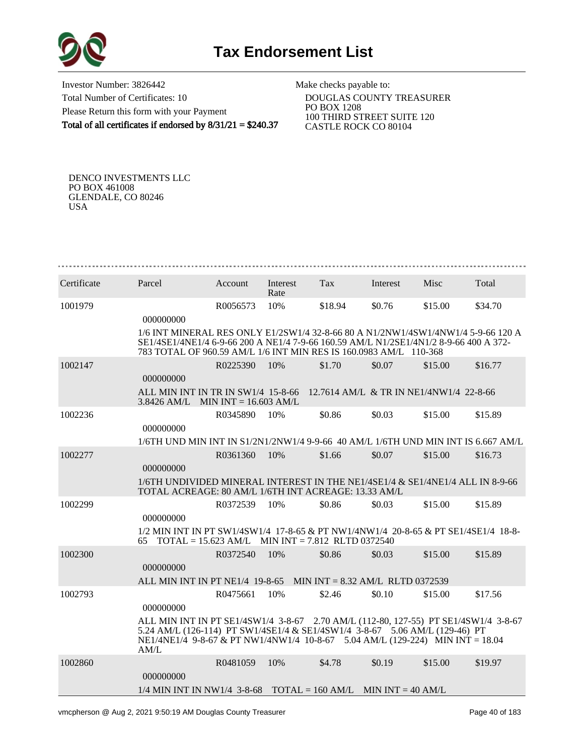

Investor Number: 3826442 Total Number of Certificates: 10 Please Return this form with your Payment Total of all certificates if endorsed by 8/31/21 = \$240.37

Make checks payable to:

 DOUGLAS COUNTY TREASURER PO BOX 1208 100 THIRD STREET SUITE 120 CASTLE ROCK CO 80104

DENCO INVESTMENTS LLC PO BOX 461008 GLENDALE, CO 80246 USA

| Certificate | Parcel                                                                                                                                                                                                                                                      | Account  | Interest<br>Rate | Tax     | Interest | <b>Misc</b>                             | Total   |
|-------------|-------------------------------------------------------------------------------------------------------------------------------------------------------------------------------------------------------------------------------------------------------------|----------|------------------|---------|----------|-----------------------------------------|---------|
| 1001979     | 000000000                                                                                                                                                                                                                                                   | R0056573 | 10%              | \$18.94 | \$0.76   | \$15.00                                 | \$34.70 |
|             | 1/6 INT MINERAL RES ONLY E1/2SW1/4 32-8-66 80 A N1/2NW1/4SW1/4NW1/4 5-9-66 120 A<br>SE1/4SE1/4NE1/4 6-9-66 200 A NE1/4 7-9-66 160.59 AM/L N1/2SE1/4N1/2 8-9-66 400 A 372-<br>783 TOTAL OF 960.59 AM/L 1/6 INT MIN RES IS 160.0983 AM/L 110-368              |          |                  |         |          |                                         |         |
| 1002147     |                                                                                                                                                                                                                                                             | R0225390 | 10%              | \$1.70  | \$0.07   | \$15.00                                 | \$16.77 |
|             | 000000000                                                                                                                                                                                                                                                   |          |                  |         |          |                                         |         |
|             | ALL MIN INT IN TR IN SW1/4 15-8-66<br>$3.8426$ AM/L MIN INT = 16.603 AM/L                                                                                                                                                                                   |          |                  |         |          | 12.7614 AM/L & TR IN NE1/4NW1/4 22-8-66 |         |
| 1002236     | 000000000                                                                                                                                                                                                                                                   | R0345890 | 10%              | \$0.86  | \$0.03   | \$15.00                                 | \$15.89 |
|             | 1/6TH UND MIN INT IN S1/2N1/2NW1/4 9-9-66 40 AM/L 1/6TH UND MIN INT IS 6.667 AM/L                                                                                                                                                                           |          |                  |         |          |                                         |         |
| 1002277     | 000000000                                                                                                                                                                                                                                                   | R0361360 | 10%              | \$1.66  | \$0.07   | \$15.00                                 | \$16.73 |
|             | 1/6TH UNDIVIDED MINERAL INTEREST IN THE NE1/4SE1/4 & SE1/4NE1/4 ALL IN 8-9-66<br>TOTAL ACREAGE: 80 AM/L 1/6TH INT ACREAGE: 13.33 AM/L                                                                                                                       |          |                  |         |          |                                         |         |
| 1002299     | 000000000                                                                                                                                                                                                                                                   | R0372539 | 10%              | \$0.86  | \$0.03   | \$15.00                                 | \$15.89 |
|             | 1/2 MIN INT IN PT SW1/4SW1/4 17-8-65 & PT NW1/4NW1/4 20-8-65 & PT SE1/4SE1/4 18-8-<br>$\text{TOTAL} = 15.623 \text{ AM/L}$ MIN INT = 7.812 RLTD 0372540<br>65                                                                                               |          |                  |         |          |                                         |         |
| 1002300     | 000000000                                                                                                                                                                                                                                                   | R0372540 | 10%              | \$0.86  | \$0.03   | \$15.00                                 | \$15.89 |
|             | ALL MIN INT IN PT NE1/4 19-8-65 MIN INT = 8.32 AM/L RLTD 0372539                                                                                                                                                                                            |          |                  |         |          |                                         |         |
| 1002793     | 000000000                                                                                                                                                                                                                                                   | R0475661 | 10%              | \$2.46  | \$0.10   | \$15.00                                 | \$17.56 |
|             | ALL MIN INT IN PT SE1/4SW1/4 3-8-67 2.70 AM/L (112-80, 127-55) PT SE1/4SW1/4 3-8-67<br>5.24 AM/L (126-114) PT SW1/4SE1/4 & SE1/4SW1/4 3-8-67 5.06 AM/L (129-46) PT<br>NE1/4NE1/4 9-8-67 & PT NW1/4NW1/4 10-8-67 5.04 AM/L (129-224) MIN INT = 18.04<br>AM/L |          |                  |         |          |                                         |         |
| 1002860     | 000000000                                                                                                                                                                                                                                                   | R0481059 | 10%              | \$4.78  | \$0.19   | \$15.00                                 | \$19.97 |
|             | $1/4$ MIN INT IN NW1/4 3-8-68 TOTAL = 160 AM/L MIN INT = 40 AM/L                                                                                                                                                                                            |          |                  |         |          |                                         |         |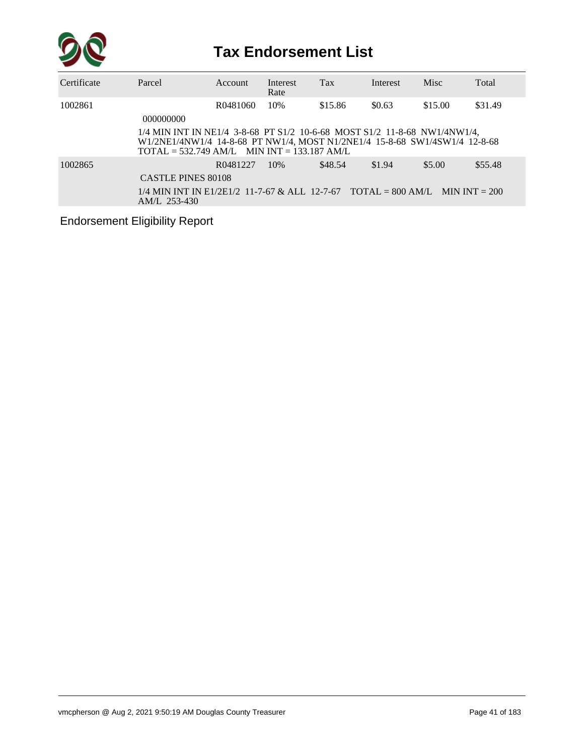

| Certificate | Parcel                                                                                                                                                                                                                    | Account  | Interest<br>Rate | <b>Tax</b> | Interest | Misc    | Total   |
|-------------|---------------------------------------------------------------------------------------------------------------------------------------------------------------------------------------------------------------------------|----------|------------------|------------|----------|---------|---------|
| 1002861     | 000000000                                                                                                                                                                                                                 | R0481060 | 10%              | \$15.86    | \$0.63   | \$15.00 | \$31.49 |
|             | $1/4$ MIN INT IN NE1/4 3-8-68 PT S1/2 10-6-68 MOST S1/2 11-8-68 NW1/4NW1/4,<br>W1/2NE1/4NW1/4 14-8-68 PT NW1/4, MOST N1/2NE1/4 15-8-68 SW1/4SW1/4 12-8-68<br>$\text{TOTAL} = 532.749 \text{ AM/L}$ MIN INT = 133.187 AM/L |          |                  |            |          |         |         |
| 1002865     | <b>CASTLE PINES 80108</b><br>$1/4$ MIN INT IN E1/2E1/2 11-7-67 & ALL 12-7-67 TOTAL = 800 AM/L MIN INT = 200<br>$AM/L$ 253-430                                                                                             | R0481227 | 10%              | \$48.54    | \$1.94   | \$5.00  | \$55.48 |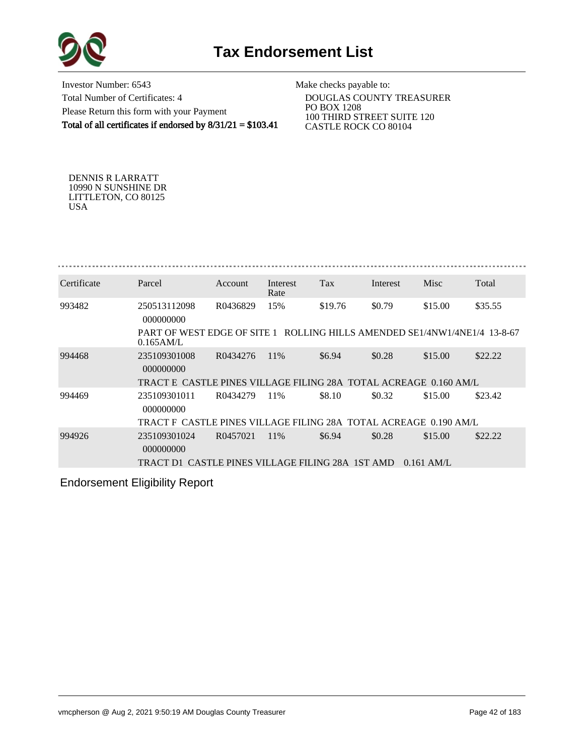



Investor Number: 6543 Total Number of Certificates: 4 Please Return this form with your Payment Total of all certificates if endorsed by 8/31/21 = \$103.41

Make checks payable to:

 DOUGLAS COUNTY TREASURER PO BOX 1208 100 THIRD STREET SUITE 120 CASTLE ROCK CO 80104

DENNIS R LARRATT 10990 N SUNSHINE DR LITTLETON, CO 80125 USA

| Certificate | Parcel                                                                                    | Account  | Interest<br>Rate | Tax                                     | Interest | Misc         | Total   |
|-------------|-------------------------------------------------------------------------------------------|----------|------------------|-----------------------------------------|----------|--------------|---------|
| 993482      | 250513112098<br>000000000                                                                 | R0436829 | 15%              | \$19.76                                 | \$0.79   | \$15.00      | \$35.55 |
|             | PART OF WEST EDGE OF SITE 1 ROLLING HILLS AMENDED SE1/4NW1/4NE1/4 13-8-67<br>$0.165$ AM/L |          |                  |                                         |          |              |         |
| 994468      | 235109301008<br>000000000                                                                 | R0434276 | 11\%             | \$6.94                                  | \$0.28   | \$15.00      | \$22.22 |
|             | TRACT E_CASTLE PINES VILLAGE FILING 28A_TOTAL ACREAGE_0.160 AM/L                          |          |                  |                                         |          |              |         |
| 994469      | 235109301011<br>000000000                                                                 | R0434279 | 11%              | \$8.10                                  | \$0.32   | \$15.00      | \$23.42 |
|             | TRACT F_CASTLE PINES VILLAGE FILING 28A_TOTAL ACREAGE_0.190 AM/L                          |          |                  |                                         |          |              |         |
| 994926      | 235109301024<br>000000000                                                                 | R0457021 | 11\%             | \$6.94                                  | \$0.28   | \$15.00      | \$22.22 |
|             | TRACT D1                                                                                  |          |                  | CASTLE PINES VILLAGE FILING 28A 1ST AMD |          | $0.161$ AM/L |         |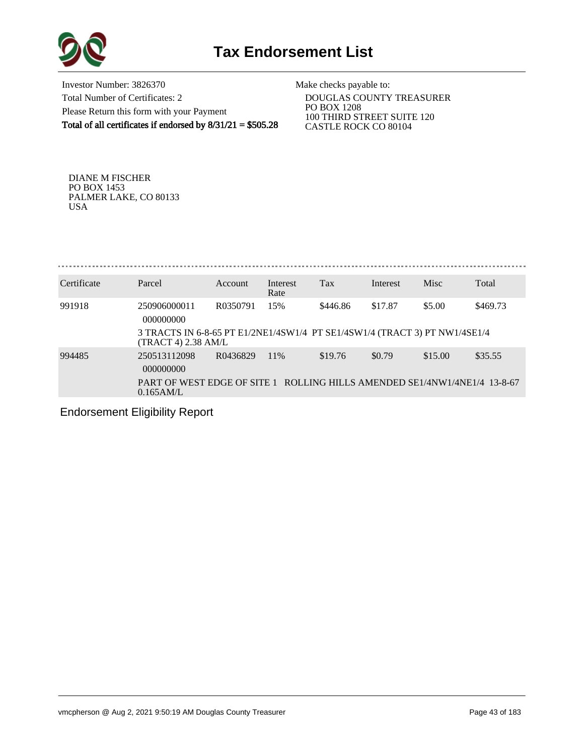

Investor Number: 3826370 Total Number of Certificates: 2 Please Return this form with your Payment Total of all certificates if endorsed by 8/31/21 = \$505.28

Make checks payable to:

 DOUGLAS COUNTY TREASURER PO BOX 1208 100 THIRD STREET SUITE 120 CASTLE ROCK CO 80104

DIANE M FISCHER PO BOX 1453 PALMER LAKE, CO 80133 USA

. . . . . . . . . . . . . . . 

| Certificate | Parcel                                                                                            | Account  | Interest<br>Rate | Tax      | Interest | Misc    | Total    |  |  |  |
|-------------|---------------------------------------------------------------------------------------------------|----------|------------------|----------|----------|---------|----------|--|--|--|
| 991918      | 250906000011<br>000000000                                                                         | R0350791 | 15%              | \$446.86 | \$17.87  | \$5.00  | \$469.73 |  |  |  |
|             | 3 TRACTS IN 6-8-65 PT E1/2NE1/4SW1/4 PT SE1/4SW1/4 (TRACT 3) PT NW1/4SE1/4<br>(TRACT 4) 2.38 AM/L |          |                  |          |          |         |          |  |  |  |
| 994485      | 250513112098<br>000000000                                                                         | R0436829 | 11\%             | \$19.76  | \$0.79   | \$15.00 | \$35.55  |  |  |  |
|             | PART OF WEST EDGE OF SITE 1 ROLLING HILLS AMENDED SE1/4NW1/4NE1/4 13-8-67<br>0.165AM/L            |          |                  |          |          |         |          |  |  |  |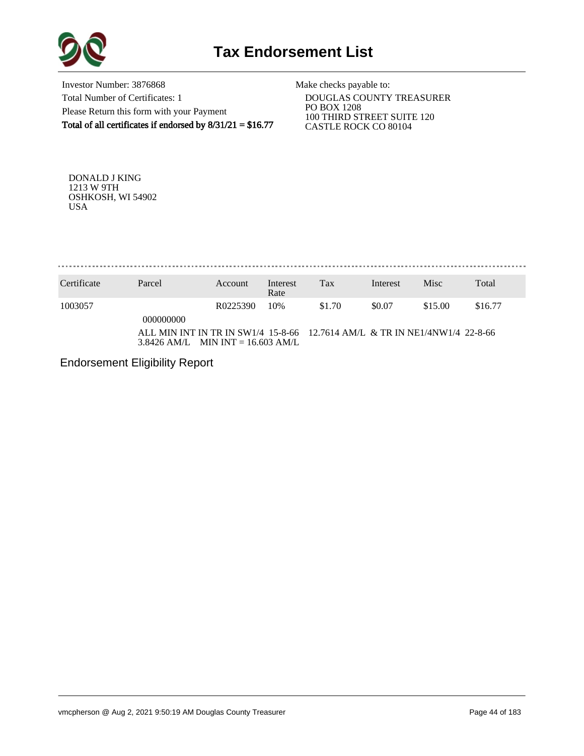

Investor Number: 3876868 Total Number of Certificates: 1 Please Return this form with your Payment Total of all certificates if endorsed by  $8/31/21 = $16.77$ 

Make checks payable to:

 DOUGLAS COUNTY TREASURER PO BOX 1208 100 THIRD STREET SUITE 120 CASTLE ROCK CO 80104

DONALD J KING 1213 W 9TH OSHKOSH, WI 54902 USA

. . . . . . . . . . . . . . . 

| Certificate | Parcel                                                                                                            | Account  | Interest<br>Rate | Tax    | Interest | Misc    | Total   |
|-------------|-------------------------------------------------------------------------------------------------------------------|----------|------------------|--------|----------|---------|---------|
| 1003057     | 000000000                                                                                                         | R0225390 | 10%              | \$1.70 | \$0.07   | \$15.00 | \$16.77 |
|             | ALL MIN INT IN TR IN SW1/4 15-8-66 12.7614 AM/L & TR IN NE1/4NW1/4 22-8-66<br>$3.8426$ AM/L MIN INT = 16.603 AM/L |          |                  |        |          |         |         |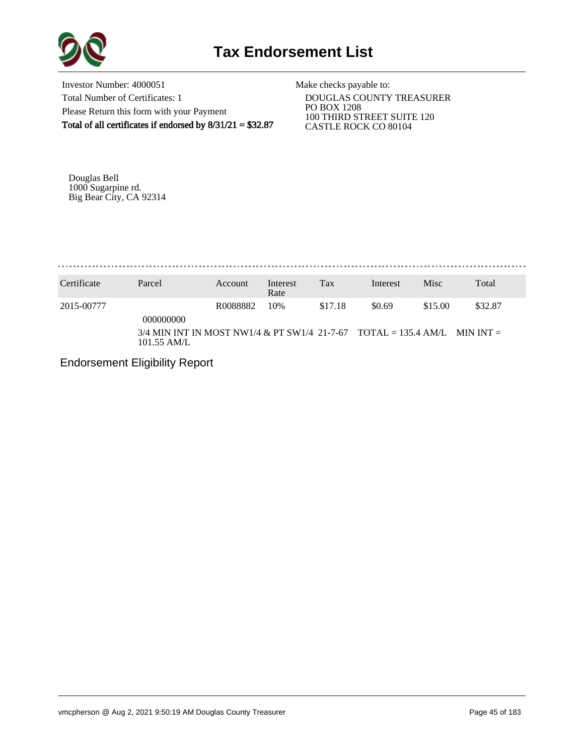

Investor Number: 4000051 Total Number of Certificates: 1 Please Return this form with your Payment Total of all certificates if endorsed by 8/31/21 = \$32.87

Make checks payable to:

 DOUGLAS COUNTY TREASURER PO BOX 1208 100 THIRD STREET SUITE 120 CASTLE ROCK CO 80104

Douglas Bell 1000 Sugarpine rd. Big Bear City, CA 92314

. . . . . . . . . . . . . .

| Certificate | Parcel                                                                                                    | Account  | Interest<br>Rate | Tax     | Interest | <b>Misc</b> | Total   |
|-------------|-----------------------------------------------------------------------------------------------------------|----------|------------------|---------|----------|-------------|---------|
| 2015-00777  | 000000000<br>$3/4$ MIN INT IN MOST NW1/4 & PT SW1/4 21-7-67 TOTAL = 135.4 AM/L MIN INT =<br>$101.55$ AM/L | R0088882 | 10%              | \$17.18 | \$0.69   | \$15.00     | \$32.87 |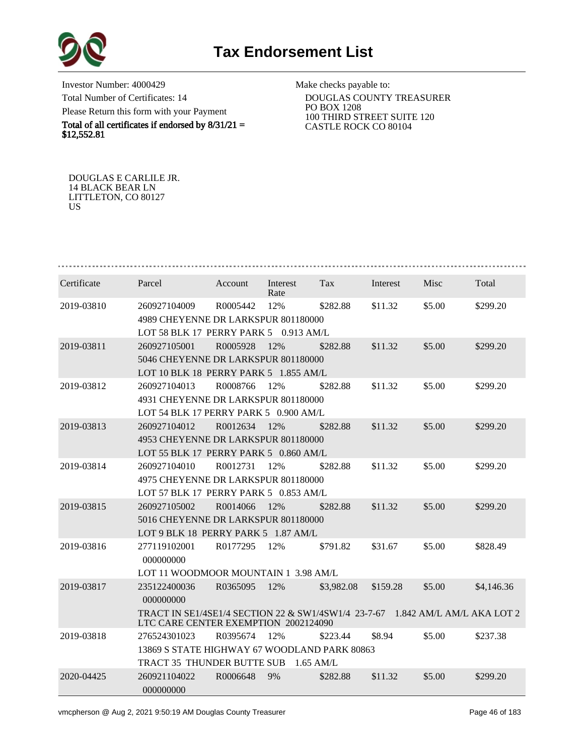

Investor Number: 4000429 Total Number of Certificates: 14 Please Return this form with your Payment

Total of all certificates if endorsed by  $8/31/21 =$ \$12,552.81

Make checks payable to:

 DOUGLAS COUNTY TREASURER PO BOX 1208 100 THIRD STREET SUITE 120 CASTLE ROCK CO 80104

DOUGLAS E CARLILE JR. 14 BLACK BEAR LN LITTLETON, CO 80127 US

| Certificate | Parcel                                                                                                                | Account  | Interest<br>Rate | Tax         | Interest | Misc   | Total      |  |  |  |
|-------------|-----------------------------------------------------------------------------------------------------------------------|----------|------------------|-------------|----------|--------|------------|--|--|--|
| 2019-03810  | 260927104009                                                                                                          | R0005442 | 12%              | \$282.88    | \$11.32  | \$5.00 | \$299.20   |  |  |  |
|             | 4989 CHEYENNE DR LARKSPUR 801180000                                                                                   |          |                  |             |          |        |            |  |  |  |
|             | LOT 58 BLK 17 PERRY PARK 5 0.913 AM/L                                                                                 |          |                  |             |          |        |            |  |  |  |
| 2019-03811  | 260927105001                                                                                                          | R0005928 | 12%              | \$282.88    | \$11.32  | \$5.00 | \$299.20   |  |  |  |
|             | 5046 CHEYENNE DR LARKSPUR 801180000                                                                                   |          |                  |             |          |        |            |  |  |  |
|             | LOT 10 BLK 18 PERRY PARK 5 1.855 AM/L                                                                                 |          |                  |             |          |        |            |  |  |  |
| 2019-03812  | 260927104013                                                                                                          | R0008766 | 12%              | \$282.88    | \$11.32  | \$5.00 | \$299.20   |  |  |  |
|             | 4931 CHEYENNE DR LARKSPUR 801180000                                                                                   |          |                  |             |          |        |            |  |  |  |
|             | LOT 54 BLK 17 PERRY PARK 5 0.900 AM/L                                                                                 |          |                  |             |          |        |            |  |  |  |
| 2019-03813  | 260927104012                                                                                                          | R0012634 | 12%              | \$282.88    | \$11.32  | \$5.00 | \$299.20   |  |  |  |
|             | 4953 CHEYENNE DR LARKSPUR 801180000                                                                                   |          |                  |             |          |        |            |  |  |  |
|             | LOT 55 BLK 17 PERRY PARK 5 0.860 AM/L                                                                                 |          |                  |             |          |        |            |  |  |  |
| 2019-03814  | 260927104010                                                                                                          | R0012731 | 12%              | \$282.88    | \$11.32  | \$5.00 | \$299.20   |  |  |  |
|             | 4975 CHEYENNE DR LARKSPUR 801180000                                                                                   |          |                  |             |          |        |            |  |  |  |
|             | LOT 57 BLK 17 PERRY PARK 5 0.853 AM/L                                                                                 |          |                  |             |          |        |            |  |  |  |
| 2019-03815  | 260927105002                                                                                                          | R0014066 | 12%              | \$282.88    | \$11.32  | \$5.00 | \$299.20   |  |  |  |
|             | 5016 CHEYENNE DR LARKSPUR 801180000                                                                                   |          |                  |             |          |        |            |  |  |  |
|             | LOT 9 BLK 18 PERRY PARK 5 1.87 AM/L                                                                                   |          |                  |             |          |        |            |  |  |  |
| 2019-03816  | 277119102001                                                                                                          | R0177295 | 12%              | \$791.82    | \$31.67  | \$5.00 | \$828.49   |  |  |  |
|             | 000000000                                                                                                             |          |                  |             |          |        |            |  |  |  |
|             | LOT 11 WOODMOOR MOUNTAIN 1 3.98 AM/L                                                                                  |          |                  |             |          |        |            |  |  |  |
| 2019-03817  | 235122400036                                                                                                          | R0365095 | 12%              | \$3,982.08  | \$159.28 | \$5.00 | \$4,146.36 |  |  |  |
|             | 000000000                                                                                                             |          |                  |             |          |        |            |  |  |  |
|             | TRACT IN SE1/4SE1/4 SECTION 22 & SW1/4SW1/4 23-7-67 1.842 AM/L AM/L AKA LOT 2<br>LTC CARE CENTER EXEMPTION 2002124090 |          |                  |             |          |        |            |  |  |  |
| 2019-03818  | 276524301023                                                                                                          | R0395674 | 12%              | \$223.44    | \$8.94   | \$5.00 | \$237.38   |  |  |  |
|             | 13869 S STATE HIGHWAY 67 WOODLAND PARK 80863                                                                          |          |                  |             |          |        |            |  |  |  |
|             | TRACT 35 THUNDER BUTTE SUB                                                                                            |          |                  | $1.65$ AM/L |          |        |            |  |  |  |
| 2020-04425  | 260921104022<br>000000000                                                                                             | R0006648 | 9%               | \$282.88    | \$11.32  | \$5.00 | \$299.20   |  |  |  |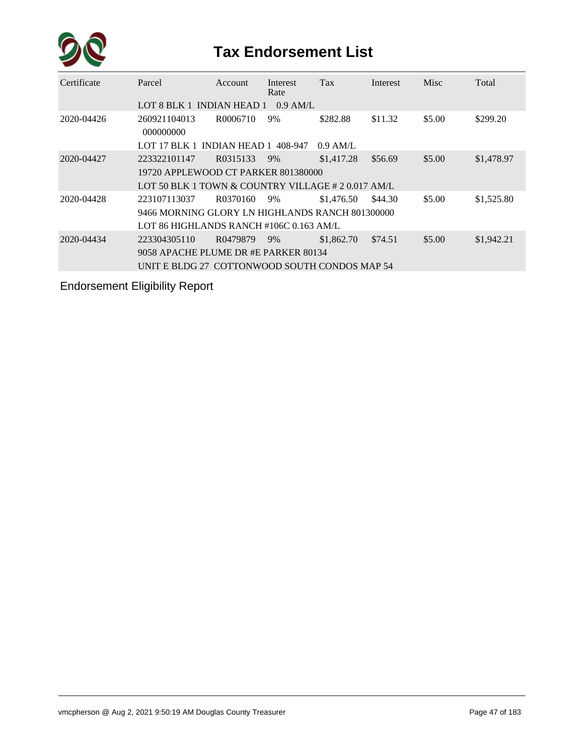

| Certificate | Parcel                                             | <b>Account</b> | Interest<br>Rate | Tax        | Interest | Misc   | Total      |  |  |  |
|-------------|----------------------------------------------------|----------------|------------------|------------|----------|--------|------------|--|--|--|
|             | LOT 8 BLK 1 INDIAN HEAD 1                          |                | $0.9$ AM/L       |            |          |        |            |  |  |  |
| 2020-04426  | 260921104013<br>000000000                          | R0006710       | 9%               | \$282.88   | \$11.32  | \$5.00 | \$299.20   |  |  |  |
|             | LOT 17 BLK 1 INDIAN HEAD 1 $408-947$               |                |                  | $0.9$ AM/L |          |        |            |  |  |  |
| 2020-04427  | 223322101147                                       | R0315133       | 9%               | \$1,417.28 | \$56.69  | \$5.00 | \$1,478.97 |  |  |  |
|             | 19720 APPLEWOOD CT PARKER 801380000                |                |                  |            |          |        |            |  |  |  |
|             | LOT 50 BLK 1 TOWN & COUNTRY VILLAGE # 2 0.017 AM/L |                |                  |            |          |        |            |  |  |  |
| 2020-04428  | 223107113037                                       | R0370160       | 9%               | \$1,476.50 | \$44.30  | \$5.00 | \$1,525.80 |  |  |  |
|             | 9466 MORNING GLORY LN HIGHLANDS RANCH 801300000    |                |                  |            |          |        |            |  |  |  |
|             | LOT 86 HIGHLANDS RANCH #106C 0.163 AM/L            |                |                  |            |          |        |            |  |  |  |
| 2020-04434  | 223304305110                                       | R0479879       | 9%               | \$1,862.70 | \$74.51  | \$5.00 | \$1,942.21 |  |  |  |
|             | 9058 APACHE PLUME DR #E PARKER 80134               |                |                  |            |          |        |            |  |  |  |
|             | UNIT E BLDG 27 COTTONWOOD SOUTH CONDOS MAP 54      |                |                  |            |          |        |            |  |  |  |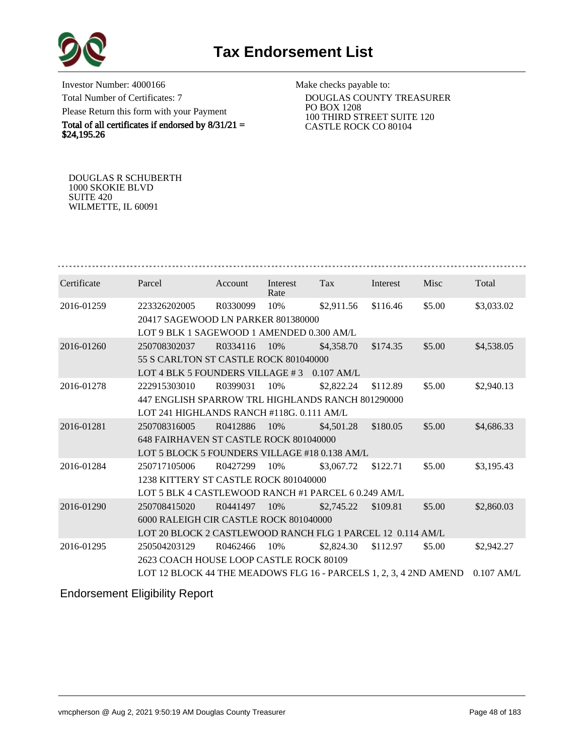

Investor Number: 4000166 Total Number of Certificates: 7 Please Return this form with your Payment

Total of all certificates if endorsed by  $8/31/21 =$ \$24,195.26

Make checks payable to:

 DOUGLAS COUNTY TREASURER PO BOX 1208 100 THIRD STREET SUITE 120 CASTLE ROCK CO 80104

DOUGLAS R SCHUBERTH 1000 SKOKIE BLVD SUITE 420 WILMETTE, IL 60091

| Certificate | Parcel                                                                       | Account  | Interest<br>Rate | Tax        | Interest | Misc   | Total      |  |  |  |
|-------------|------------------------------------------------------------------------------|----------|------------------|------------|----------|--------|------------|--|--|--|
| 2016-01259  | 223326202005                                                                 | R0330099 | 10%              | \$2,911.56 | \$116.46 | \$5.00 | \$3,033.02 |  |  |  |
|             | 20417 SAGEWOOD LN PARKER 801380000                                           |          |                  |            |          |        |            |  |  |  |
|             | LOT 9 BLK 1 SAGEWOOD 1 AMENDED 0.300 AM/L                                    |          |                  |            |          |        |            |  |  |  |
| 2016-01260  | 250708302037                                                                 | R0334116 | 10%              | \$4,358.70 | \$174.35 | \$5.00 | \$4,538.05 |  |  |  |
|             | 55 S CARLTON ST CASTLE ROCK 801040000                                        |          |                  |            |          |        |            |  |  |  |
|             | LOT 4 BLK 5 FOUNDERS VILLAGE #3 0.107 AM/L                                   |          |                  |            |          |        |            |  |  |  |
| 2016-01278  | 222915303010                                                                 | R0399031 | 10%              | \$2,822.24 | \$112.89 | \$5.00 | \$2,940.13 |  |  |  |
|             | 447 ENGLISH SPARROW TRL HIGHLANDS RANCH 801290000                            |          |                  |            |          |        |            |  |  |  |
|             | LOT 241 HIGHLANDS RANCH #118G, 0.111 AM/L                                    |          |                  |            |          |        |            |  |  |  |
| 2016-01281  | 250708316005                                                                 | R0412886 | 10%              | \$4,501.28 | \$180.05 | \$5.00 | \$4,686.33 |  |  |  |
|             | 648 FAIRHAVEN ST CASTLE ROCK 801040000                                       |          |                  |            |          |        |            |  |  |  |
|             | LOT 5 BLOCK 5 FOUNDERS VILLAGE #18 0.138 AM/L                                |          |                  |            |          |        |            |  |  |  |
| 2016-01284  | 250717105006                                                                 | R0427299 | 10%              | \$3,067.72 | \$122.71 | \$5.00 | \$3,195.43 |  |  |  |
|             | 1238 KITTERY ST CASTLE ROCK 801040000                                        |          |                  |            |          |        |            |  |  |  |
|             | LOT 5 BLK 4 CASTLEWOOD RANCH #1 PARCEL 6 0.249 AM/L                          |          |                  |            |          |        |            |  |  |  |
| 2016-01290  | 250708415020                                                                 | R0441497 | 10%              | \$2,745.22 | \$109.81 | \$5.00 | \$2,860.03 |  |  |  |
|             | 6000 RALEIGH CIR CASTLE ROCK 801040000                                       |          |                  |            |          |        |            |  |  |  |
|             | LOT 20 BLOCK 2 CASTLEWOOD RANCH FLG 1 PARCEL 12 0.114 AM/L                   |          |                  |            |          |        |            |  |  |  |
| 2016-01295  | 250504203129                                                                 | R0462466 | 10%              | \$2,824.30 | \$112.97 | \$5.00 | \$2,942.27 |  |  |  |
|             | 2623 COACH HOUSE LOOP CASTLE ROCK 80109                                      |          |                  |            |          |        |            |  |  |  |
|             | LOT 12 BLOCK 44 THE MEADOWS FLG 16 - PARCELS 1, 2, 3, 4 2ND AMEND 0.107 AM/L |          |                  |            |          |        |            |  |  |  |
|             |                                                                              |          |                  |            |          |        |            |  |  |  |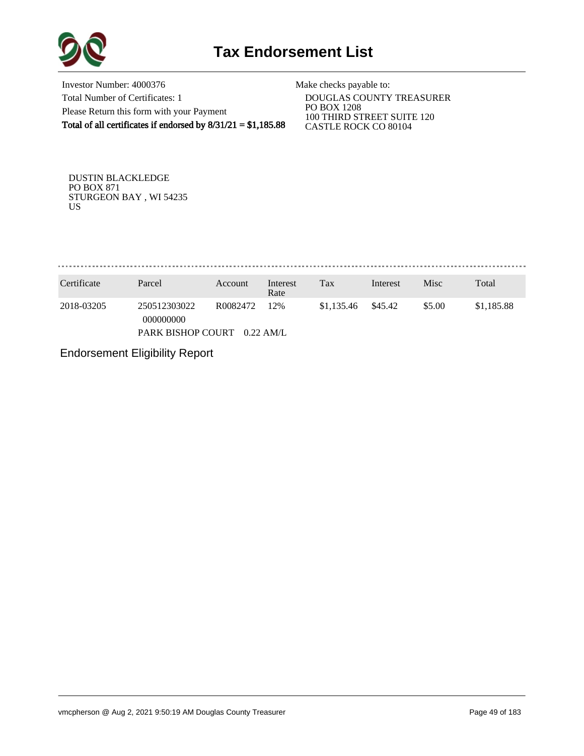

Investor Number: 4000376 Total Number of Certificates: 1 Please Return this form with your Payment Total of all certificates if endorsed by  $8/31/21 = $1,185.88$ 

Make checks payable to:

 DOUGLAS COUNTY TREASURER PO BOX 1208 100 THIRD STREET SUITE 120 CASTLE ROCK CO 80104

DUSTIN BLACKLEDGE PO BOX 871 STURGEON BAY , WI 54235 US

. . . . . . . . . . . . . . 

| Certificate | Parcel                                         | Account              | Interest<br>Rate   | Tax        | Interest | Misc   | Total      |
|-------------|------------------------------------------------|----------------------|--------------------|------------|----------|--------|------------|
| 2018-03205  | 250512303022<br>000000000<br>PARK BISHOP COURT | R <sub>0082472</sub> | 12%<br>$0.22$ AM/L | \$1,135.46 | \$45.42  | \$5.00 | \$1,185.88 |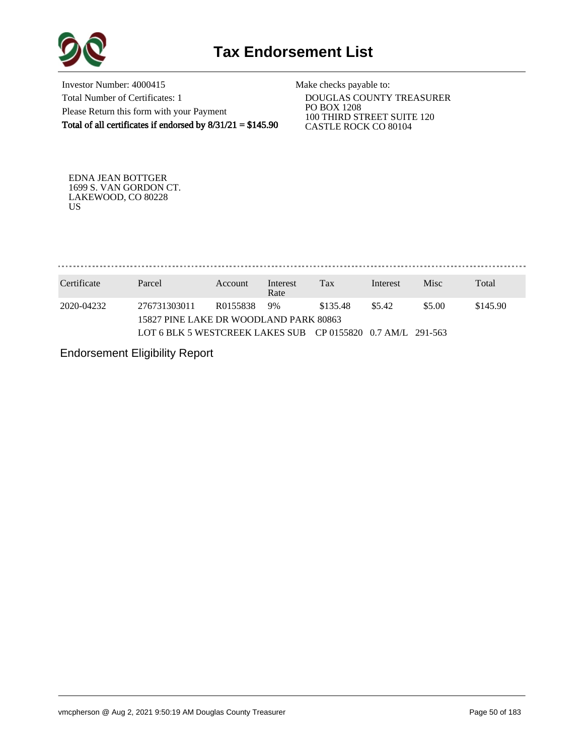

Investor Number: 4000415 Total Number of Certificates: 1 Please Return this form with your Payment Total of all certificates if endorsed by  $8/31/21 = $145.90$ 

Make checks payable to:

 DOUGLAS COUNTY TREASURER PO BOX 1208 100 THIRD STREET SUITE 120 CASTLE ROCK CO 80104

EDNA JEAN BOTTGER 1699 S. VAN GORDON CT. LAKEWOOD, CO 80228 US

. . . . . . . . . . . . . . . . . 

| Certificate | Parcel                                                      | Account  | Interest<br>Rate | Tax      | Interest | <b>Misc</b> | Total    |
|-------------|-------------------------------------------------------------|----------|------------------|----------|----------|-------------|----------|
| 2020-04232  | 276731303011<br>15827 PINE LAKE DR WOODLAND PARK 80863      | R0155838 | 9%               | \$135.48 | \$5.42   | \$5.00      | \$145.90 |
|             | LOT 6 BLK 5 WESTCREEK LAKES SUB CP 0155820 0.7 AM/L 291-563 |          |                  |          |          |             |          |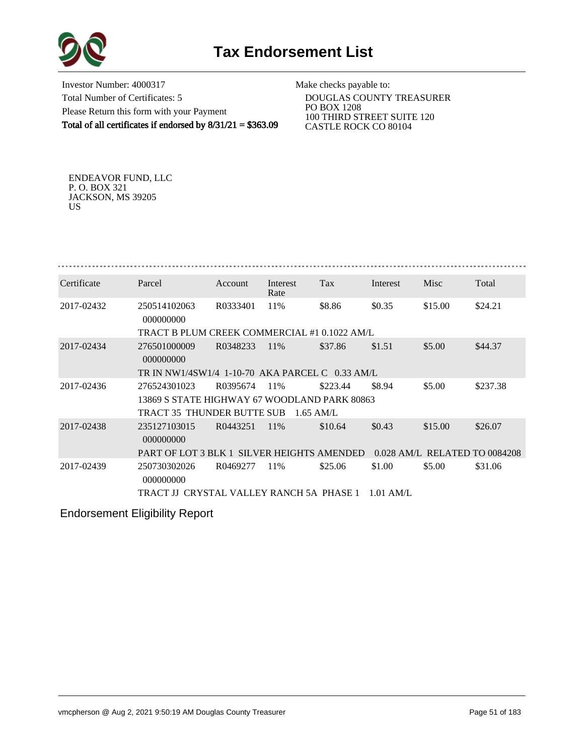



Investor Number: 4000317 Total Number of Certificates: 5 Please Return this form with your Payment Total of all certificates if endorsed by 8/31/21 = \$363.09

Make checks payable to:

 DOUGLAS COUNTY TREASURER PO BOX 1208 100 THIRD STREET SUITE 120 CASTLE ROCK CO 80104

ENDEAVOR FUND, LLC P. O. BOX 321 JACKSON, MS 39205 US

| Certificate | Parcel                                          | Account  | Interest<br>Rate | Tax         | Interest    | Misc                          | Total    |  |  |  |
|-------------|-------------------------------------------------|----------|------------------|-------------|-------------|-------------------------------|----------|--|--|--|
| 2017-02432  | 250514102063<br>000000000                       | R0333401 | 11%              | \$8.86      | \$0.35      | \$15.00                       | \$24.21  |  |  |  |
|             | TRACT B PLUM CREEK COMMERCIAL #1 0.1022 AM/L    |          |                  |             |             |                               |          |  |  |  |
| 2017-02434  | 276501000009<br>000000000                       | R0348233 | 11\%             | \$37.86     | \$1.51      | \$5.00                        | \$44.37  |  |  |  |
|             | TR IN NW1/4SW1/4 1-10-70 AKA PARCEL C 0.33 AM/L |          |                  |             |             |                               |          |  |  |  |
| 2017-02436  | 276524301023                                    | R0395674 | 11%              | \$223.44    | \$8.94      | \$5.00                        | \$237.38 |  |  |  |
|             | 13869 S STATE HIGHWAY 67 WOODLAND PARK 80863    |          |                  |             |             |                               |          |  |  |  |
|             | TRACT 35 THUNDER BUTTE SUB                      |          |                  | $1.65$ AM/L |             |                               |          |  |  |  |
| 2017-02438  | 235127103015<br>000000000                       | R0443251 | 11%              | \$10.64     | \$0.43      | \$15.00                       | \$26.07  |  |  |  |
|             | PART OF LOT 3 BLK 1 SILVER HEIGHTS AMENDED      |          |                  |             |             | 0.028 AM/L RELATED TO 0084208 |          |  |  |  |
| 2017-02439  | 250730302026<br>000000000                       | R0469277 | 11%              | \$25.06     | \$1.00      | \$5.00                        | \$31.06  |  |  |  |
|             | TRACT IJ CRYSTAL VALLEY RANCH 5A PHASE 1        |          |                  |             | $1.01$ AM/L |                               |          |  |  |  |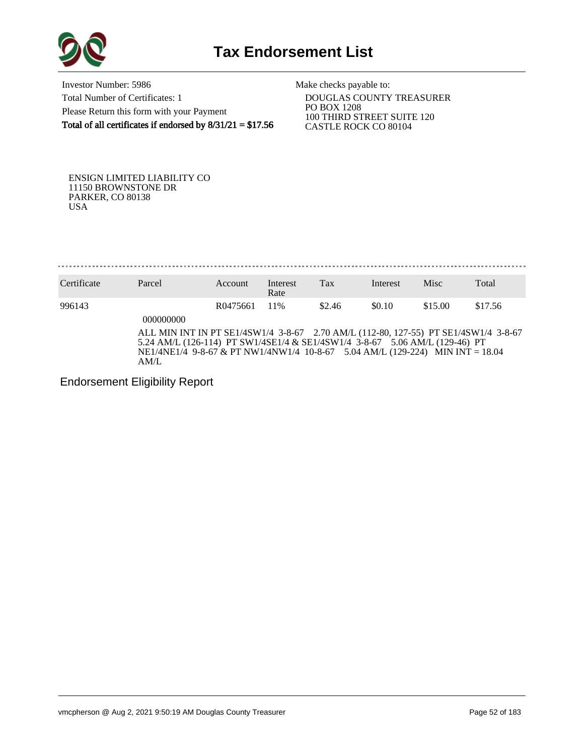

Investor Number: 5986 Total Number of Certificates: 1 Please Return this form with your Payment Total of all certificates if endorsed by  $8/31/21 = $17.56$  Make checks payable to:

 DOUGLAS COUNTY TREASURER PO BOX 1208 100 THIRD STREET SUITE 120 CASTLE ROCK CO 80104

ENSIGN LIMITED LIABILITY CO 11150 BROWNSTONE DR PARKER, CO 80138 USA

Certificate Parcel Account Interest Rate Tax Interest Misc Total 996143 R0475661 11% \$2.46 \$0.10 \$15.00 \$17.56 000000000 ALL MIN INT IN PT SE1/4SW1/4 3-8-67 2.70 AM/L (112-80, 127-55) PT SE1/4SW1/4 3-8-67 5.24 AM/L (126-114) PT SW1/4SE1/4 & SE1/4SW1/4 3-8-67 5.06 AM/L (129-46) PT NE1/4NE1/4 9-8-67 & PT NW1/4NW1/4 10-8-67 5.04 AM/L (129-224) MIN INT = 18.04 AM/L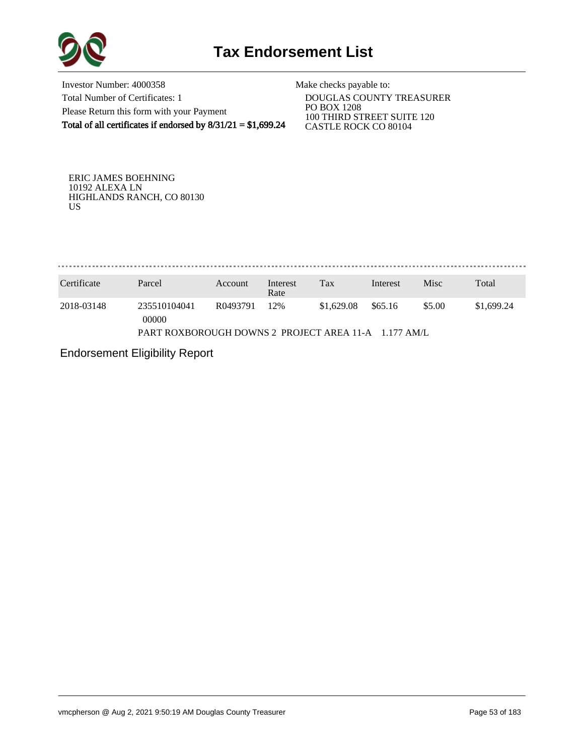

Investor Number: 4000358 Total Number of Certificates: 1 Please Return this form with your Payment Total of all certificates if endorsed by  $8/31/21 = $1,699.24$ 

Make checks payable to:

 DOUGLAS COUNTY TREASURER PO BOX 1208 100 THIRD STREET SUITE 120 CASTLE ROCK CO 80104

ERIC JAMES BOEHNING 10192 ALEXA LN HIGHLANDS RANCH, CO 80130 US

. . . . . . . . . . . . . . 

| Certificate                                          | Parcel                | Account  | Interest<br>Rate | Tax        | Interest | Misc   | Total      |  |
|------------------------------------------------------|-----------------------|----------|------------------|------------|----------|--------|------------|--|
| 2018-03148                                           | 235510104041<br>00000 | R0493791 | 12%              | \$1,629.08 | \$65.16  | \$5.00 | \$1,699.24 |  |
| PART ROXBOROUGH DOWNS 2 PROJECT AREA 11-A 1.177 AM/L |                       |          |                  |            |          |        |            |  |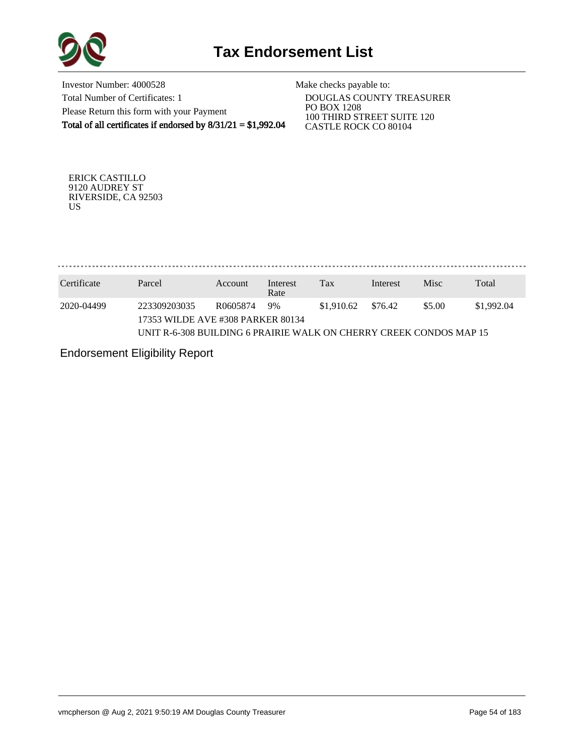

Investor Number: 4000528 Total Number of Certificates: 1 Please Return this form with your Payment Total of all certificates if endorsed by 8/31/21 = \$1,992.04

Make checks payable to:

 DOUGLAS COUNTY TREASURER PO BOX 1208 100 THIRD STREET SUITE 120 CASTLE ROCK CO 80104

ERICK CASTILLO 9120 AUDREY ST RIVERSIDE, CA 92503 US

. . . . . . . . . . . . . . . . . . . . . . . . . . . . . . . . .

| Certificate | Parcel                                                             | Account  | Interest<br>Rate | Tax        | Interest | <b>Misc</b> | Total      |
|-------------|--------------------------------------------------------------------|----------|------------------|------------|----------|-------------|------------|
| 2020-04499  | 223309203035<br>17353 WILDE AVE #308 PARKER 80134                  | R0605874 | 9%               | \$1,910.62 | \$76.42  | \$5.00      | \$1,992.04 |
|             | UNIT R-6-308 BUILDING 6 PRAIRIE WALK ON CHERRY CREEK CONDOS MAP 15 |          |                  |            |          |             |            |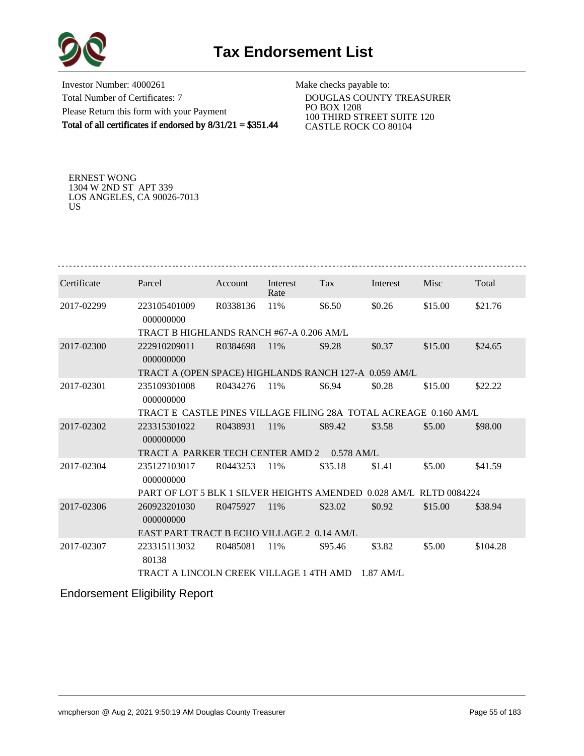

Investor Number: 4000261 Total Number of Certificates: 7 Please Return this form with your Payment Total of all certificates if endorsed by 8/31/21 = \$351.44

Make checks payable to:

 DOUGLAS COUNTY TREASURER PO BOX 1208 100 THIRD STREET SUITE 120 CASTLE ROCK CO 80104

ERNEST WONG 1304 W 2ND ST APT 339 LOS ANGELES, CA 90026-7013 US

| Certificate | Parcel                                                             | Account  | Interest<br>Rate | Tax     | Interest    | Misc    | Total    |  |  |  |  |  |
|-------------|--------------------------------------------------------------------|----------|------------------|---------|-------------|---------|----------|--|--|--|--|--|
| 2017-02299  | 223105401009<br>000000000                                          | R0338136 | 11%              | \$6.50  | \$0.26      | \$15.00 | \$21.76  |  |  |  |  |  |
|             | TRACT B HIGHLANDS RANCH #67-A 0.206 AM/L                           |          |                  |         |             |         |          |  |  |  |  |  |
| 2017-02300  | 222910209011<br>000000000                                          | R0384698 | 11%              | \$9.28  | \$0.37      | \$15.00 | \$24.65  |  |  |  |  |  |
|             | TRACT A (OPEN SPACE) HIGHLANDS RANCH 127-A 0.059 AM/L              |          |                  |         |             |         |          |  |  |  |  |  |
| 2017-02301  | 235109301008<br>000000000                                          | R0434276 | 11%              | \$6.94  | \$0.28      | \$15.00 | \$22.22  |  |  |  |  |  |
|             | TRACT E CASTLE PINES VILLAGE FILING 28A TOTAL ACREAGE 0.160 AM/L   |          |                  |         |             |         |          |  |  |  |  |  |
| 2017-02302  | 223315301022<br>000000000                                          | R0438931 | 11%              | \$89.42 | \$3.58      | \$5.00  | \$98.00  |  |  |  |  |  |
|             | TRACT A PARKER TECH CENTER AMD 2 0.578 AM/L                        |          |                  |         |             |         |          |  |  |  |  |  |
| 2017-02304  | 235127103017<br>000000000                                          | R0443253 | 11%              | \$35.18 | \$1.41      | \$5.00  | \$41.59  |  |  |  |  |  |
|             | PART OF LOT 5 BLK 1 SILVER HEIGHTS AMENDED 0.028 AM/L RLTD 0084224 |          |                  |         |             |         |          |  |  |  |  |  |
| 2017-02306  | 260923201030<br>000000000                                          | R0475927 | 11%              | \$23.02 | \$0.92      | \$15.00 | \$38.94  |  |  |  |  |  |
|             | EAST PART TRACT B ECHO VILLAGE 2 0.14 AM/L                         |          |                  |         |             |         |          |  |  |  |  |  |
| 2017-02307  | 223315113032<br>80138                                              | R0485081 | 11%              | \$95.46 | \$3.82      | \$5.00  | \$104.28 |  |  |  |  |  |
|             | TRACT A LINCOLN CREEK VILLAGE 1 4TH AMD                            |          |                  |         | $1.87$ AM/L |         |          |  |  |  |  |  |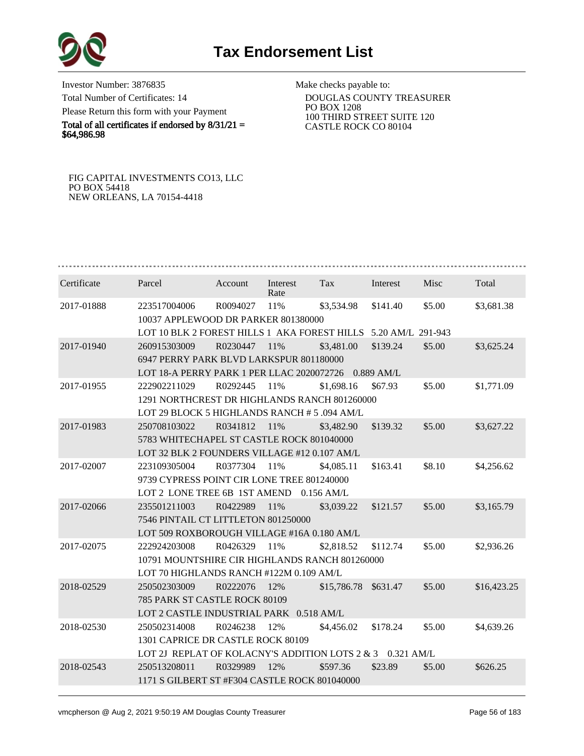

Investor Number: 3876835 Total Number of Certificates: 14 Please Return this form with your Payment

Total of all certificates if endorsed by  $8/31/21 =$ \$64,986.98

Make checks payable to:

 DOUGLAS COUNTY TREASURER PO BOX 1208 100 THIRD STREET SUITE 120 CASTLE ROCK CO 80104

FIG CAPITAL INVESTMENTS CO13, LLC PO BOX 54418 NEW ORLEANS, LA 70154-4418

| Certificate | Parcel                                                         | Account  | Interest<br>Rate | Tax                  | Interest | Misc   | Total       |  |  |  |
|-------------|----------------------------------------------------------------|----------|------------------|----------------------|----------|--------|-------------|--|--|--|
| 2017-01888  | 223517004006                                                   | R0094027 | 11%              | \$3,534.98           | \$141.40 | \$5.00 | \$3,681.38  |  |  |  |
|             | 10037 APPLEWOOD DR PARKER 801380000                            |          |                  |                      |          |        |             |  |  |  |
|             | LOT 10 BLK 2 FOREST HILLS 1 AKA FOREST HILLS 5.20 AM/L 291-943 |          |                  |                      |          |        |             |  |  |  |
| 2017-01940  | 260915303009                                                   | R0230447 | 11%              | \$3,481.00           | \$139.24 | \$5.00 | \$3,625.24  |  |  |  |
|             | 6947 PERRY PARK BLVD LARKSPUR 801180000                        |          |                  |                      |          |        |             |  |  |  |
|             | LOT 18-A PERRY PARK 1 PER LLAC 2020072726 0.889 AM/L           |          |                  |                      |          |        |             |  |  |  |
| 2017-01955  | 222902211029                                                   | R0292445 | 11%              | \$1,698.16           | \$67.93  | \$5.00 | \$1,771.09  |  |  |  |
|             | 1291 NORTHCREST DR HIGHLANDS RANCH 801260000                   |          |                  |                      |          |        |             |  |  |  |
|             | LOT 29 BLOCK 5 HIGHLANDS RANCH # 5 .094 AM/L                   |          |                  |                      |          |        |             |  |  |  |
| 2017-01983  | 250708103022                                                   | R0341812 | 11%              | \$3,482.90           | \$139.32 | \$5.00 | \$3,627.22  |  |  |  |
|             | 5783 WHITECHAPEL ST CASTLE ROCK 801040000                      |          |                  |                      |          |        |             |  |  |  |
|             | LOT 32 BLK 2 FOUNDERS VILLAGE #12 0.107 AM/L                   |          |                  |                      |          |        |             |  |  |  |
| 2017-02007  | 223109305004                                                   | R0377304 | 11%              | \$4,085.11           | \$163.41 | \$8.10 | \$4,256.62  |  |  |  |
|             | 9739 CYPRESS POINT CIR LONE TREE 801240000                     |          |                  |                      |          |        |             |  |  |  |
|             | LOT 2 LONE TREE 6B 1ST AMEND                                   |          |                  | $0.156$ AM/L         |          |        |             |  |  |  |
| 2017-02066  | 235501211003                                                   | R0422989 | 11%              | \$3,039.22           | \$121.57 | \$5.00 | \$3,165.79  |  |  |  |
|             | 7546 PINTAIL CT LITTLETON 801250000                            |          |                  |                      |          |        |             |  |  |  |
|             | LOT 509 ROXBOROUGH VILLAGE #16A 0.180 AM/L                     |          |                  |                      |          |        |             |  |  |  |
| 2017-02075  | 222924203008                                                   | R0426329 | 11%              | \$2,818.52           | \$112.74 | \$5.00 | \$2,936.26  |  |  |  |
|             | 10791 MOUNTSHIRE CIR HIGHLANDS RANCH 801260000                 |          |                  |                      |          |        |             |  |  |  |
|             | LOT 70 HIGHLANDS RANCH #122M 0.109 AM/L                        |          |                  |                      |          |        |             |  |  |  |
| 2018-02529  | 250502303009                                                   | R0222076 | 12%              | \$15,786.78 \$631.47 |          | \$5.00 | \$16,423.25 |  |  |  |
|             | 785 PARK ST CASTLE ROCK 80109                                  |          |                  |                      |          |        |             |  |  |  |
|             | LOT 2 CASTLE INDUSTRIAL PARK 0.518 AM/L                        |          |                  |                      |          |        |             |  |  |  |
| 2018-02530  | 250502314008                                                   | R0246238 | 12%              | \$4,456.02           | \$178.24 | \$5.00 | \$4,639.26  |  |  |  |
|             | 1301 CAPRICE DR CASTLE ROCK 80109                              |          |                  |                      |          |        |             |  |  |  |
|             | LOT 2J REPLAT OF KOLACNY'S ADDITION LOTS 2 & 3 0.321 AM/L      |          |                  |                      |          |        |             |  |  |  |
| 2018-02543  | 250513208011                                                   | R0329989 | 12%              | \$597.36             | \$23.89  | \$5.00 | \$626.25    |  |  |  |
|             | 1171 S GILBERT ST #F304 CASTLE ROCK 801040000                  |          |                  |                      |          |        |             |  |  |  |
|             |                                                                |          |                  |                      |          |        |             |  |  |  |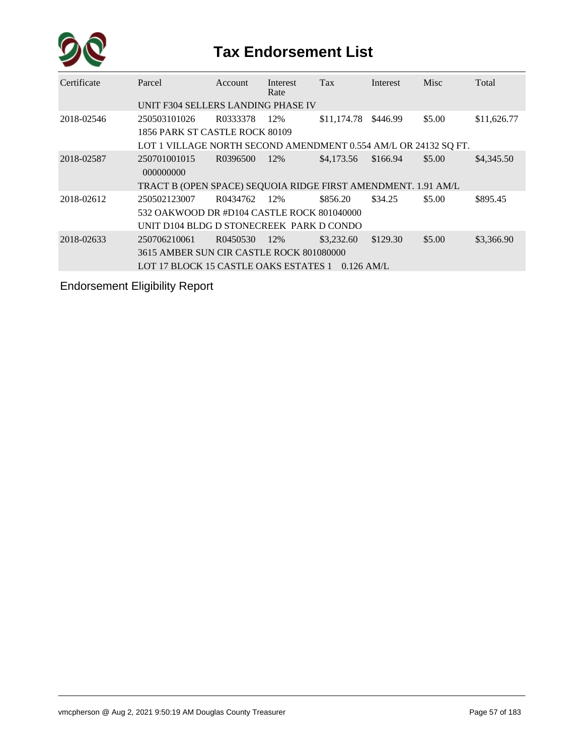

| Certificate | Parcel                                                          | Account  | Interest<br>Rate | <b>Tax</b>   | Interest | Misc   | Total       |  |  |  |
|-------------|-----------------------------------------------------------------|----------|------------------|--------------|----------|--------|-------------|--|--|--|
|             | UNIT F304 SELLERS LANDING PHASE IV                              |          |                  |              |          |        |             |  |  |  |
| 2018-02546  | 250503101026                                                    | R0333378 | 12%              | \$11,174.78  | \$446.99 | \$5.00 | \$11,626.77 |  |  |  |
|             | 1856 PARK ST CASTLE ROCK 80109                                  |          |                  |              |          |        |             |  |  |  |
|             | LOT 1 VILLAGE NORTH SECOND AMENDMENT 0.554 AM/L OR 24132 SQ FT. |          |                  |              |          |        |             |  |  |  |
| 2018-02587  | 250701001015<br>000000000                                       | R0396500 | 12%              | \$4,173.56   | \$166.94 | \$5.00 | \$4,345.50  |  |  |  |
|             | TRACT B (OPEN SPACE) SEQUOIA RIDGE FIRST AMENDMENT. 1.91 AM/L   |          |                  |              |          |        |             |  |  |  |
| 2018-02612  | 250502123007                                                    | R0434762 | 12%              | \$856.20     | \$34.25  | \$5.00 | \$895.45    |  |  |  |
|             | 532 OAKWOOD DR #D104 CASTLE ROCK 801040000                      |          |                  |              |          |        |             |  |  |  |
|             | UNIT D104 BLDG D STONECREEK PARK D CONDO                        |          |                  |              |          |        |             |  |  |  |
| 2018-02633  | 250706210061                                                    | R0450530 | 12%              | \$3,232.60   | \$129.30 | \$5.00 | \$3,366.90  |  |  |  |
|             | 3615 AMBER SUN CIR CASTLE ROCK 801080000                        |          |                  |              |          |        |             |  |  |  |
|             | LOT 17 BLOCK 15 CASTLE OAKS ESTATES 1                           |          |                  | $0.126$ AM/L |          |        |             |  |  |  |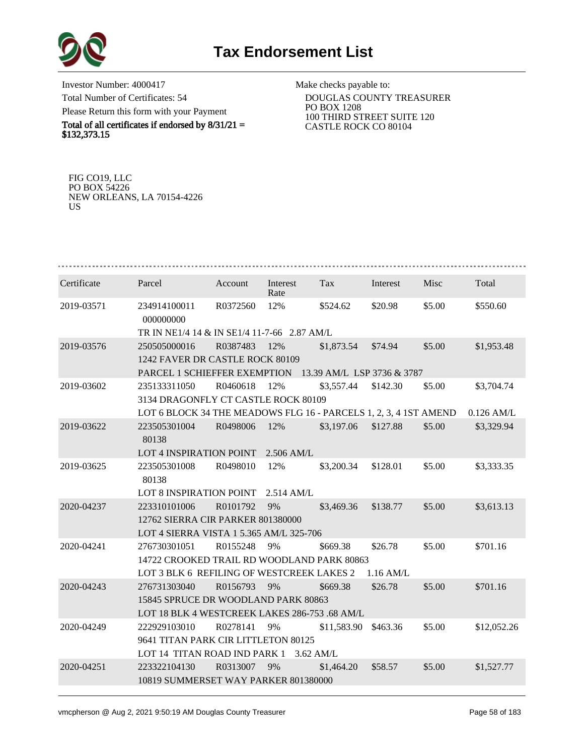

Investor Number: 4000417 Total Number of Certificates: 54 Please Return this form with your Payment

Total of all certificates if endorsed by  $8/31/21 =$ \$132,373.15

Make checks payable to:

 DOUGLAS COUNTY TREASURER PO BOX 1208 100 THIRD STREET SUITE 120 CASTLE ROCK CO 80104

FIG CO19, LLC PO BOX 54226 NEW ORLEANS, LA 70154-4226 US

| Certificate | Parcel                                                           | Account  | Interest<br>Rate | Tax         | Interest  | Misc   | Total        |  |  |  |  |
|-------------|------------------------------------------------------------------|----------|------------------|-------------|-----------|--------|--------------|--|--|--|--|
| 2019-03571  | 234914100011<br>000000000                                        | R0372560 | 12%              | \$524.62    | \$20.98   | \$5.00 | \$550.60     |  |  |  |  |
|             | TR IN NE1/4 14 & IN SE1/4 11-7-66 2.87 AM/L                      |          |                  |             |           |        |              |  |  |  |  |
| 2019-03576  | 250505000016                                                     | R0387483 | 12%              | \$1,873.54  | \$74.94   | \$5.00 | \$1,953.48   |  |  |  |  |
|             | 1242 FAVER DR CASTLE ROCK 80109                                  |          |                  |             |           |        |              |  |  |  |  |
|             | PARCEL 1 SCHIEFFER EXEMPTION<br>13.39 AM/L LSP 3736 & 3787       |          |                  |             |           |        |              |  |  |  |  |
| 2019-03602  | 235133311050                                                     | R0460618 | 12%              | \$3,557.44  | \$142.30  | \$5.00 | \$3,704.74   |  |  |  |  |
|             | 3134 DRAGONFLY CT CASTLE ROCK 80109                              |          |                  |             |           |        |              |  |  |  |  |
|             | LOT 6 BLOCK 34 THE MEADOWS FLG 16 - PARCELS 1, 2, 3, 4 1ST AMEND |          |                  |             |           |        | $0.126$ AM/L |  |  |  |  |
| 2019-03622  | 223505301004                                                     | R0498006 | 12%              | \$3,197.06  | \$127.88  | \$5.00 | \$3,329.94   |  |  |  |  |
|             | 80138                                                            |          |                  |             |           |        |              |  |  |  |  |
|             | LOT 4 INSPIRATION POINT                                          |          | 2.506 AM/L       |             |           |        |              |  |  |  |  |
| 2019-03625  | 223505301008<br>80138                                            | R0498010 | 12%              | \$3,200.34  | \$128.01  | \$5.00 | \$3,333.35   |  |  |  |  |
|             | LOT 8 INSPIRATION POINT                                          |          | 2.514 AM/L       |             |           |        |              |  |  |  |  |
| 2020-04237  | 223310101006                                                     | R0101792 | 9%               | \$3,469.36  | \$138.77  | \$5.00 | \$3,613.13   |  |  |  |  |
|             | 12762 SIERRA CIR PARKER 801380000                                |          |                  |             |           |        |              |  |  |  |  |
|             | LOT 4 SIERRA VISTA 1 5.365 AM/L 325-706                          |          |                  |             |           |        |              |  |  |  |  |
| 2020-04241  | 276730301051                                                     | R0155248 | 9%               | \$669.38    | \$26.78   | \$5.00 | \$701.16     |  |  |  |  |
|             | 14722 CROOKED TRAIL RD WOODLAND PARK 80863                       |          |                  |             |           |        |              |  |  |  |  |
|             | LOT 3 BLK 6 REFILING OF WESTCREEK LAKES 2                        |          |                  |             | 1.16 AM/L |        |              |  |  |  |  |
| 2020-04243  | 276731303040                                                     | R0156793 | 9%               | \$669.38    | \$26.78   | \$5.00 | \$701.16     |  |  |  |  |
|             | 15845 SPRUCE DR WOODLAND PARK 80863                              |          |                  |             |           |        |              |  |  |  |  |
|             | LOT 18 BLK 4 WESTCREEK LAKES 286-753 .68 AM/L                    |          |                  |             |           |        |              |  |  |  |  |
| 2020-04249  | 222929103010                                                     | R0278141 | 9%               | \$11,583.90 | \$463.36  | \$5.00 | \$12,052.26  |  |  |  |  |
|             | 9641 TITAN PARK CIR LITTLETON 80125                              |          |                  |             |           |        |              |  |  |  |  |
|             | LOT 14 TITAN ROAD IND PARK 1                                     |          |                  | $3.62$ AM/L |           |        |              |  |  |  |  |
| 2020-04251  | 223322104130                                                     | R0313007 | 9%               | \$1,464.20  | \$58.57   | \$5.00 | \$1,527.77   |  |  |  |  |
|             | 10819 SUMMERSET WAY PARKER 801380000                             |          |                  |             |           |        |              |  |  |  |  |
|             |                                                                  |          |                  |             |           |        |              |  |  |  |  |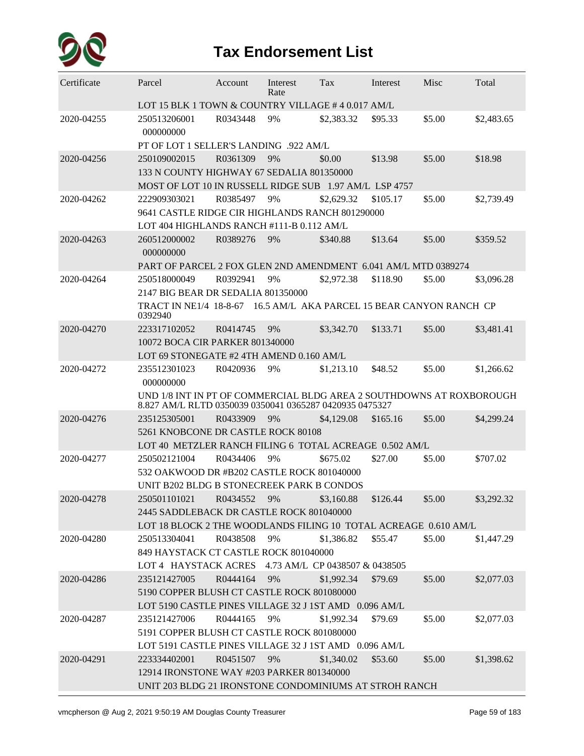

| Certificate | Parcel                                                                                                                          | Account     | Interest<br>Rate | Tax        | Interest | Misc   | Total      |  |  |  |  |
|-------------|---------------------------------------------------------------------------------------------------------------------------------|-------------|------------------|------------|----------|--------|------------|--|--|--|--|
|             | LOT 15 BLK 1 TOWN & COUNTRY VILLAGE #4 0.017 AM/L                                                                               |             |                  |            |          |        |            |  |  |  |  |
| 2020-04255  | 250513206001<br>000000000                                                                                                       | R0343448    | 9%               | \$2,383.32 | \$95.33  | \$5.00 | \$2,483.65 |  |  |  |  |
|             | PT OF LOT 1 SELLER'S LANDING .922 AM/L                                                                                          |             |                  |            |          |        |            |  |  |  |  |
| 2020-04256  | 250109002015                                                                                                                    | R0361309    | 9%               | \$0.00     | \$13.98  | \$5.00 | \$18.98    |  |  |  |  |
|             | 133 N COUNTY HIGHWAY 67 SEDALIA 801350000                                                                                       |             |                  |            |          |        |            |  |  |  |  |
|             | MOST OF LOT 10 IN RUSSELL RIDGE SUB 1.97 AM/L LSP 4757                                                                          |             |                  |            |          |        |            |  |  |  |  |
| 2020-04262  | 222909303021                                                                                                                    | R0385497    | 9%               | \$2,629.32 | \$105.17 | \$5.00 | \$2,739.49 |  |  |  |  |
|             | 9641 CASTLE RIDGE CIR HIGHLANDS RANCH 801290000                                                                                 |             |                  |            |          |        |            |  |  |  |  |
|             | LOT 404 HIGHLANDS RANCH #111-B 0.112 AM/L                                                                                       |             |                  |            |          |        |            |  |  |  |  |
| 2020-04263  | 260512000002<br>000000000                                                                                                       | R0389276    | 9%               | \$340.88   | \$13.64  | \$5.00 | \$359.52   |  |  |  |  |
|             | PART OF PARCEL 2 FOX GLEN 2ND AMENDMENT 6.041 AM/L MTD 0389274                                                                  |             |                  |            |          |        |            |  |  |  |  |
| 2020-04264  | 250518000049                                                                                                                    | R0392941    | 9%               | \$2,972.38 | \$118.90 | \$5.00 | \$3,096.28 |  |  |  |  |
|             | 2147 BIG BEAR DR SEDALIA 801350000                                                                                              |             |                  |            |          |        |            |  |  |  |  |
|             | TRACT IN NE1/4 18-8-67 16.5 AM/L AKA PARCEL 15 BEAR CANYON RANCH CP<br>0392940                                                  |             |                  |            |          |        |            |  |  |  |  |
| 2020-04270  | 223317102052                                                                                                                    | R0414745    | 9%               | \$3,342.70 | \$133.71 | \$5.00 | \$3,481.41 |  |  |  |  |
|             | 10072 BOCA CIR PARKER 801340000                                                                                                 |             |                  |            |          |        |            |  |  |  |  |
|             | LOT 69 STONEGATE #2 4TH AMEND 0.160 AM/L                                                                                        |             |                  |            |          |        |            |  |  |  |  |
| 2020-04272  | 235512301023<br>000000000                                                                                                       | R0420936    | 9%               | \$1,213.10 | \$48.52  | \$5.00 | \$1,266.62 |  |  |  |  |
|             | UND 1/8 INT IN PT OF COMMERCIAL BLDG AREA 2 SOUTHDOWNS AT ROXBOROUGH<br>8.827 AM/L RLTD 0350039 0350041 0365287 0420935 0475327 |             |                  |            |          |        |            |  |  |  |  |
| 2020-04276  | 235125305001                                                                                                                    | R0433909    | 9%               | \$4,129.08 | \$165.16 | \$5.00 | \$4,299.24 |  |  |  |  |
|             | 5261 KNOBCONE DR CASTLE ROCK 80108                                                                                              |             |                  |            |          |        |            |  |  |  |  |
|             | LOT 40 METZLER RANCH FILING 6 TOTAL ACREAGE 0.502 AM/L                                                                          |             |                  |            |          |        |            |  |  |  |  |
| 2020-04277  | 250502121004                                                                                                                    | R0434406    | 9%               | \$675.02   | \$27.00  | \$5.00 | \$707.02   |  |  |  |  |
|             | 532 OAKWOOD DR #B202 CASTLE ROCK 801040000                                                                                      |             |                  |            |          |        |            |  |  |  |  |
|             | UNIT B202 BLDG B STONECREEK PARK B CONDOS                                                                                       |             |                  |            |          |        |            |  |  |  |  |
| 2020-04278  | 250501101021                                                                                                                    | R0434552    | 9%               | \$3,160.88 | \$126.44 | \$5.00 | \$3,292.32 |  |  |  |  |
|             | 2445 SADDLEBACK DR CASTLE ROCK 801040000                                                                                        |             |                  |            |          |        |            |  |  |  |  |
|             | LOT 18 BLOCK 2 THE WOODLANDS FILING 10 TOTAL ACREAGE 0.610 AM/L                                                                 |             |                  |            |          |        |            |  |  |  |  |
| 2020-04280  | 250513304041                                                                                                                    | R0438508 9% |                  | \$1,386.82 | \$55.47  | \$5.00 | \$1,447.29 |  |  |  |  |
|             | 849 HAYSTACK CT CASTLE ROCK 801040000                                                                                           |             |                  |            |          |        |            |  |  |  |  |
|             | LOT 4 HAYSTACK ACRES 4.73 AM/L CP 0438507 & 0438505                                                                             |             |                  |            |          |        |            |  |  |  |  |
| 2020-04286  | 235121427005                                                                                                                    | R0444164    | 9%               | \$1,992.34 | \$79.69  | \$5.00 | \$2,077.03 |  |  |  |  |
|             | 5190 COPPER BLUSH CT CASTLE ROCK 801080000                                                                                      |             |                  |            |          |        |            |  |  |  |  |
|             | LOT 5190 CASTLE PINES VILLAGE 32 J 1ST AMD 0.096 AM/L                                                                           |             |                  |            |          |        |            |  |  |  |  |
| 2020-04287  | 235121427006                                                                                                                    | R0444165    | 9%               | \$1,992.34 | \$79.69  | \$5.00 | \$2,077.03 |  |  |  |  |
|             | 5191 COPPER BLUSH CT CASTLE ROCK 801080000                                                                                      |             |                  |            |          |        |            |  |  |  |  |
|             | LOT 5191 CASTLE PINES VILLAGE 32 J 1ST AMD 0.096 AM/L                                                                           |             |                  |            |          |        |            |  |  |  |  |
| 2020-04291  | 223334402001                                                                                                                    | R0451507    | 9%               | \$1,340.02 | \$53.60  | \$5.00 | \$1,398.62 |  |  |  |  |
|             | 12914 IRONSTONE WAY #203 PARKER 801340000                                                                                       |             |                  |            |          |        |            |  |  |  |  |
|             | UNIT 203 BLDG 21 IRONSTONE CONDOMINIUMS AT STROH RANCH                                                                          |             |                  |            |          |        |            |  |  |  |  |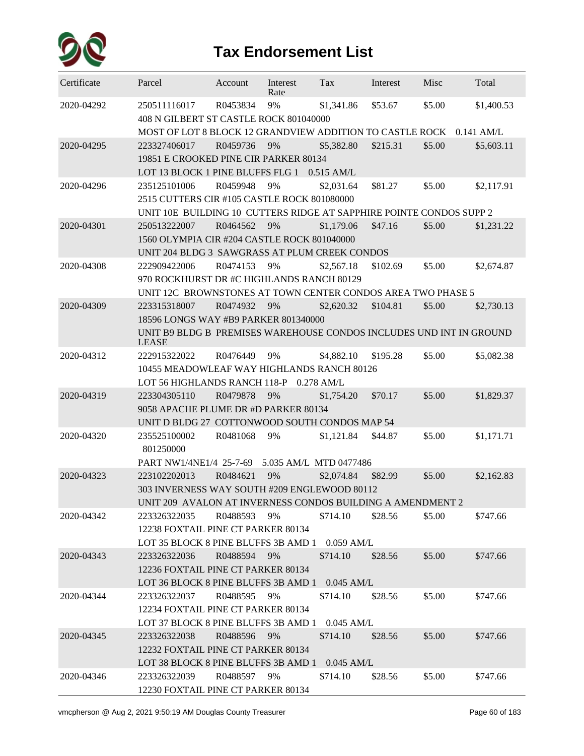

| Certificate | Parcel                                                              | Account  | Interest<br>Rate       | Tax        | Interest | Misc   | Total        |
|-------------|---------------------------------------------------------------------|----------|------------------------|------------|----------|--------|--------------|
| 2020-04292  | 250511116017<br>408 N GILBERT ST CASTLE ROCK 801040000              | R0453834 | 9%                     | \$1,341.86 | \$53.67  | \$5.00 | \$1,400.53   |
|             | MOST OF LOT 8 BLOCK 12 GRANDVIEW ADDITION TO CASTLE ROCK            |          |                        |            |          |        | $0.141$ AM/L |
| 2020-04295  | 223327406017                                                        | R0459736 | 9%                     | \$5,382.80 | \$215.31 | \$5.00 | \$5,603.11   |
|             | 19851 E CROOKED PINE CIR PARKER 80134                               |          |                        |            |          |        |              |
|             | LOT 13 BLOCK 1 PINE BLUFFS FLG 1 0.515 AM/L                         |          |                        |            |          |        |              |
| 2020-04296  | 235125101006                                                        | R0459948 | 9%                     | \$2,031.64 | \$81.27  | \$5.00 | \$2,117.91   |
|             | 2515 CUTTERS CIR #105 CASTLE ROCK 801080000                         |          |                        |            |          |        |              |
|             | UNIT 10E BUILDING 10 CUTTERS RIDGE AT SAPPHIRE POINTE CONDOS SUPP 2 |          |                        |            |          |        |              |
| 2020-04301  | 250513222007                                                        | R0464562 | 9%                     | \$1,179.06 | \$47.16  | \$5.00 | \$1,231.22   |
|             | 1560 OLYMPIA CIR #204 CASTLE ROCK 801040000                         |          |                        |            |          |        |              |
|             | UNIT 204 BLDG 3 SAWGRASS AT PLUM CREEK CONDOS                       |          |                        |            |          |        |              |
| 2020-04308  | 222909422006                                                        | R0474153 | 9%                     | \$2,567.18 | \$102.69 | \$5.00 | \$2,674.87   |
|             | 970 ROCKHURST DR #C HIGHLANDS RANCH 80129                           |          |                        |            |          |        |              |
|             | UNIT 12C BROWNSTONES AT TOWN CENTER CONDOS AREA TWO PHASE 5         |          |                        |            |          |        |              |
| 2020-04309  | 223315318007                                                        | R0474932 | 9%                     | \$2,620.32 | \$104.81 | \$5.00 | \$2,730.13   |
|             | 18596 LONGS WAY #B9 PARKER 801340000                                |          |                        |            |          |        |              |
|             | UNIT B9 BLDG B PREMISES WAREHOUSE CONDOS INCLUDES UND INT IN GROUND |          |                        |            |          |        |              |
|             | <b>LEASE</b>                                                        |          |                        |            |          |        |              |
| 2020-04312  | 222915322022                                                        | R0476449 | 9%                     | \$4,882.10 | \$195.28 | \$5.00 | \$5,082.38   |
|             | 10455 MEADOWLEAF WAY HIGHLANDS RANCH 80126                          |          |                        |            |          |        |              |
|             | LOT 56 HIGHLANDS RANCH 118-P 0.278 AM/L                             |          |                        |            |          |        |              |
| 2020-04319  | 223304305110                                                        | R0479878 | 9%                     | \$1,754.20 | \$70.17  | \$5.00 | \$1,829.37   |
|             | 9058 APACHE PLUME DR #D PARKER 80134                                |          |                        |            |          |        |              |
|             | UNIT D BLDG 27 COTTONWOOD SOUTH CONDOS MAP 54                       |          |                        |            |          |        |              |
| 2020-04320  | 235525100002                                                        | R0481068 | 9%                     | \$1,121.84 | \$44.87  | \$5.00 | \$1,171.71   |
|             | 801250000                                                           |          |                        |            |          |        |              |
|             | PART NW1/4NE1/4 25-7-69                                             |          | 5.035 AM/L MTD 0477486 |            |          |        |              |
| 2020-04323  | 223102202013                                                        | R0484621 | 9%                     | \$2,074.84 | \$82.99  | \$5.00 | \$2,162.83   |
|             | 303 INVERNESS WAY SOUTH #209 ENGLEWOOD 80112                        |          |                        |            |          |        |              |
|             | UNIT 209 AVALON AT INVERNESS CONDOS BUILDING A AMENDMENT 2          |          |                        |            |          |        |              |
| 2020-04342  | 223326322035                                                        | R0488593 | 9%                     | \$714.10   | \$28.56  | \$5.00 | \$747.66     |
|             | 12238 FOXTAIL PINE CT PARKER 80134                                  |          |                        |            |          |        |              |
|             | LOT 35 BLOCK 8 PINE BLUFFS 3B AMD 1 0.059 AM/L                      |          |                        |            |          |        |              |
| 2020-04343  | 223326322036                                                        | R0488594 | 9%                     | \$714.10   | \$28.56  |        | \$747.66     |
|             | 12236 FOXTAIL PINE CT PARKER 80134                                  |          |                        |            |          | \$5.00 |              |
|             |                                                                     |          |                        |            |          |        |              |
|             | LOT 36 BLOCK 8 PINE BLUFFS 3B AMD 1 0.045 AM/L                      |          |                        |            |          |        |              |
| 2020-04344  | 223326322037                                                        | R0488595 | 9%                     | \$714.10   | \$28.56  | \$5.00 | \$747.66     |
|             | 12234 FOXTAIL PINE CT PARKER 80134                                  |          |                        |            |          |        |              |
|             | LOT 37 BLOCK 8 PINE BLUFFS 3B AMD 1 0.045 AM/L                      |          |                        |            |          |        |              |
| 2020-04345  | 223326322038                                                        | R0488596 | 9%                     | \$714.10   | \$28.56  | \$5.00 | \$747.66     |
|             | 12232 FOXTAIL PINE CT PARKER 80134                                  |          |                        |            |          |        |              |
|             | LOT 38 BLOCK 8 PINE BLUFFS 3B AMD 1 0.045 AM/L                      |          |                        |            |          |        |              |
| 2020-04346  | 223326322039                                                        | R0488597 | 9%                     | \$714.10   | \$28.56  | \$5.00 | \$747.66     |
|             | 12230 FOXTAIL PINE CT PARKER 80134                                  |          |                        |            |          |        |              |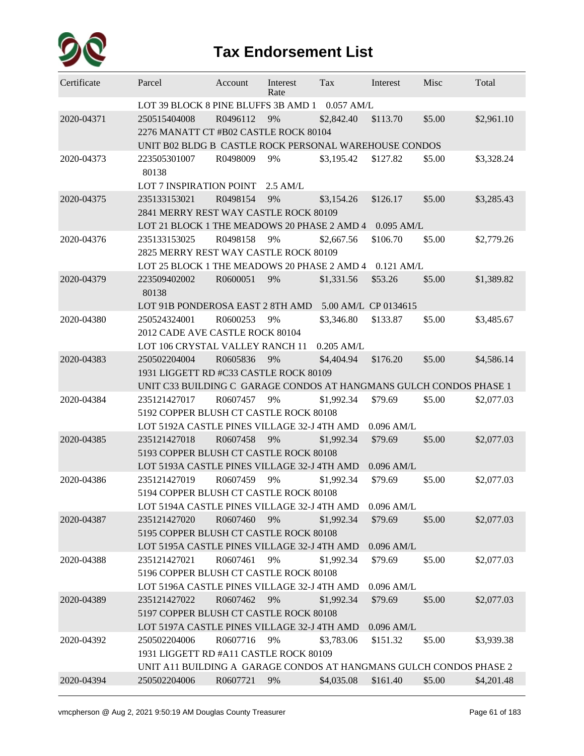

| Certificate | Parcel                                                             | Account  | Interest<br>Rate | Tax          | Interest             | Misc   | Total      |  |  |  |
|-------------|--------------------------------------------------------------------|----------|------------------|--------------|----------------------|--------|------------|--|--|--|
|             | LOT 39 BLOCK 8 PINE BLUFFS 3B AMD 1                                |          |                  | $0.057$ AM/L |                      |        |            |  |  |  |
| 2020-04371  | 250515404008                                                       | R0496112 | 9%               | \$2,842.40   | \$113.70             | \$5.00 | \$2,961.10 |  |  |  |
|             | 2276 MANATT CT #B02 CASTLE ROCK 80104                              |          |                  |              |                      |        |            |  |  |  |
|             | UNIT B02 BLDG B CASTLE ROCK PERSONAL WAREHOUSE CONDOS              |          |                  |              |                      |        |            |  |  |  |
| 2020-04373  | 223505301007                                                       | R0498009 | 9%               | \$3,195.42   | \$127.82             | \$5.00 | \$3,328.24 |  |  |  |
|             | 80138                                                              |          |                  |              |                      |        |            |  |  |  |
|             | <b>LOT 7 INSPIRATION POINT</b>                                     |          | $2.5$ AM/L       |              |                      |        |            |  |  |  |
| 2020-04375  | 235133153021                                                       | R0498154 | 9%               | \$3,154.26   | \$126.17             | \$5.00 | \$3,285.43 |  |  |  |
|             | 2841 MERRY REST WAY CASTLE ROCK 80109                              |          |                  |              |                      |        |            |  |  |  |
|             | LOT 21 BLOCK 1 THE MEADOWS 20 PHASE 2 AMD 4                        |          |                  |              | $0.095$ AM/L         |        |            |  |  |  |
| 2020-04376  | 235133153025                                                       | R0498158 | 9%               | \$2,667.56   | \$106.70             | \$5.00 | \$2,779.26 |  |  |  |
|             | 2825 MERRY REST WAY CASTLE ROCK 80109                              |          |                  |              |                      |        |            |  |  |  |
|             | LOT 25 BLOCK 1 THE MEADOWS 20 PHASE 2 AMD 4 0.121 AM/L             |          |                  |              |                      |        |            |  |  |  |
| 2020-04379  | 223509402002                                                       | R0600051 | 9%               | \$1,331.56   | \$53.26              | \$5.00 | \$1,389.82 |  |  |  |
|             | 80138                                                              |          |                  |              |                      |        |            |  |  |  |
|             | LOT 91B PONDEROSA EAST 2 8TH AMD                                   |          |                  |              | 5.00 AM/L CP 0134615 |        |            |  |  |  |
| 2020-04380  | 250524324001                                                       | R0600253 | 9%               | \$3,346.80   | \$133.87             | \$5.00 | \$3,485.67 |  |  |  |
|             | 2012 CADE AVE CASTLE ROCK 80104                                    |          |                  |              |                      |        |            |  |  |  |
|             | LOT 106 CRYSTAL VALLEY RANCH 11                                    |          |                  | $0.205$ AM/L |                      |        |            |  |  |  |
| 2020-04383  | 250502204004                                                       | R0605836 | 9%               | \$4,404.94   | \$176.20             | \$5.00 | \$4,586.14 |  |  |  |
|             | 1931 LIGGETT RD #C33 CASTLE ROCK 80109                             |          |                  |              |                      |        |            |  |  |  |
|             | UNIT C33 BUILDING C GARAGE CONDOS AT HANGMANS GULCH CONDOS PHASE 1 |          |                  |              |                      |        |            |  |  |  |
| 2020-04384  | 235121427017                                                       | R0607457 | 9%               | \$1,992.34   | \$79.69              | \$5.00 | \$2,077.03 |  |  |  |
|             | 5192 COPPER BLUSH CT CASTLE ROCK 80108                             |          |                  |              |                      |        |            |  |  |  |
|             | LOT 5192A CASTLE PINES VILLAGE 32-J 4TH AMD                        |          |                  |              | $0.096$ AM/L         |        |            |  |  |  |
| 2020-04385  | 235121427018                                                       | R0607458 | 9%               | \$1,992.34   | \$79.69              | \$5.00 | \$2,077.03 |  |  |  |
|             | 5193 COPPER BLUSH CT CASTLE ROCK 80108                             |          |                  |              |                      |        |            |  |  |  |
|             | LOT 5193A CASTLE PINES VILLAGE 32-J 4TH AMD                        |          |                  |              | $0.096$ AM/L         |        |            |  |  |  |
| 2020-04386  | 235121427019                                                       | R0607459 | 9%               | \$1,992.34   | \$79.69              | \$5.00 | \$2,077.03 |  |  |  |
|             | 5194 COPPER BLUSH CT CASTLE ROCK 80108                             |          |                  |              |                      |        |            |  |  |  |
|             | LOT 5194A CASTLE PINES VILLAGE 32-J 4TH AMD                        |          |                  |              | 0.096 AM/L           |        |            |  |  |  |
| 2020-04387  | 235121427020                                                       | R0607460 | 9%               | \$1,992.34   | \$79.69              | \$5.00 | \$2,077.03 |  |  |  |
|             | 5195 COPPER BLUSH CT CASTLE ROCK 80108                             |          |                  |              |                      |        |            |  |  |  |
|             | LOT 5195A CASTLE PINES VILLAGE 32-J 4TH AMD                        |          |                  |              | $0.096$ AM/L         |        |            |  |  |  |
| 2020-04388  | 235121427021                                                       | R0607461 | 9%               | \$1,992.34   | \$79.69              | \$5.00 | \$2,077.03 |  |  |  |
|             | 5196 COPPER BLUSH CT CASTLE ROCK 80108                             |          |                  |              |                      |        |            |  |  |  |
|             | LOT 5196A CASTLE PINES VILLAGE 32-J 4TH AMD                        |          |                  |              | $0.096$ AM/L         |        |            |  |  |  |
| 2020-04389  | 235121427022                                                       | R0607462 | 9%               | \$1,992.34   | \$79.69              | \$5.00 | \$2,077.03 |  |  |  |
|             | 5197 COPPER BLUSH CT CASTLE ROCK 80108                             |          |                  |              |                      |        |            |  |  |  |
|             | LOT 5197A CASTLE PINES VILLAGE 32-J 4TH AMD                        |          |                  |              | $0.096$ AM/L         |        |            |  |  |  |
| 2020-04392  | 250502204006                                                       | R0607716 | 9%               | \$3,783.06   | \$151.32             | \$5.00 | \$3,939.38 |  |  |  |
|             | 1931 LIGGETT RD #A11 CASTLE ROCK 80109                             |          |                  |              |                      |        |            |  |  |  |
|             | UNIT A11 BUILDING A GARAGE CONDOS AT HANGMANS GULCH CONDOS PHASE 2 |          |                  |              |                      |        |            |  |  |  |
| 2020-04394  | 250502204006                                                       | R0607721 | 9%               | \$4,035.08   | \$161.40             | \$5.00 | \$4,201.48 |  |  |  |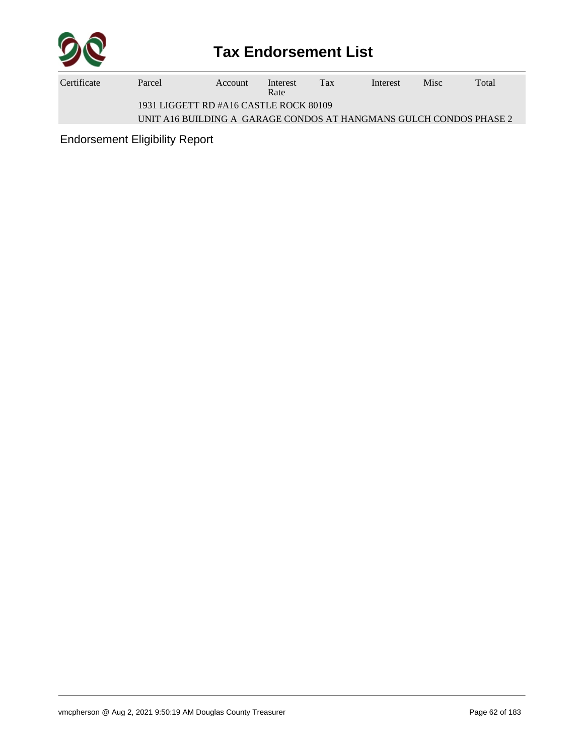

| Certificate | Parcel                                 | Account | Interest<br>Rate | Tax | Interest | <b>Misc</b> | Total |  |  |
|-------------|----------------------------------------|---------|------------------|-----|----------|-------------|-------|--|--|
|             | 1931 LIGGETT RD #A16 CASTLE ROCK 80109 |         |                  |     |          |             |       |  |  |

UNIT A16 BUILDING A GARAGE CONDOS AT HANGMANS GULCH CONDOS PHASE 2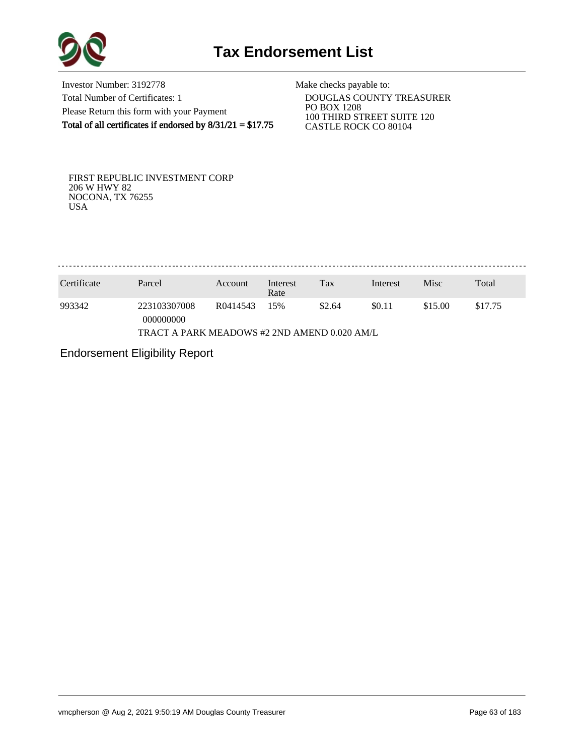

Investor Number: 3192778 Total Number of Certificates: 1 Please Return this form with your Payment Total of all certificates if endorsed by  $8/31/21 = $17.75$ 

Make checks payable to:

 DOUGLAS COUNTY TREASURER PO BOX 1208 100 THIRD STREET SUITE 120 CASTLE ROCK CO 80104

FIRST REPUBLIC INVESTMENT CORP 206 W HWY 82 NOCONA, TX 76255 USA

. . . . . . . . . . . . . . . . . . . 

| Certificate                                  | Parcel                    | Account  | Interest<br>Rate | Tax    | Interest | Misc    | Total   |  |  |
|----------------------------------------------|---------------------------|----------|------------------|--------|----------|---------|---------|--|--|
| 993342                                       | 223103307008<br>000000000 | R0414543 | 15%              | \$2.64 | \$0.11   | \$15.00 | \$17.75 |  |  |
| TRACT A PARK MEADOWS #2 2ND AMEND 0.020 AM/L |                           |          |                  |        |          |         |         |  |  |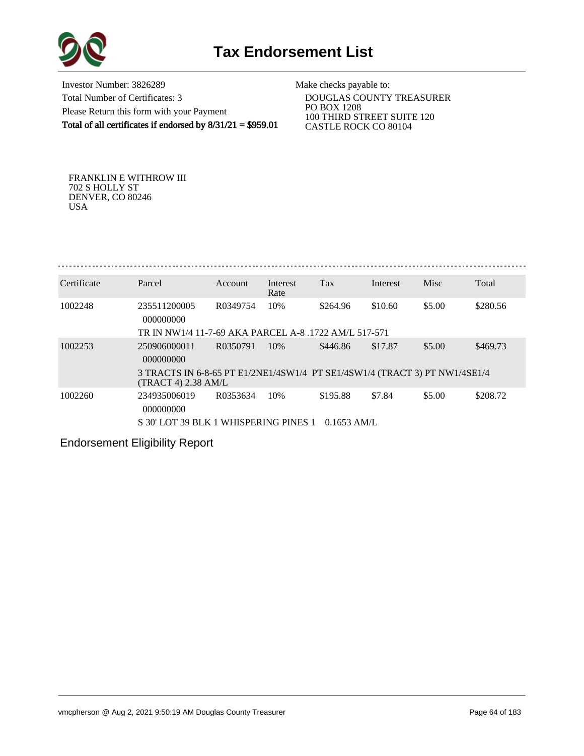

Investor Number: 3826289 Total Number of Certificates: 3 Please Return this form with your Payment Total of all certificates if endorsed by 8/31/21 = \$959.01

Make checks payable to:

 DOUGLAS COUNTY TREASURER PO BOX 1208 100 THIRD STREET SUITE 120 CASTLE ROCK CO 80104

FRANKLIN E WITHROW III 702 S HOLLY ST DENVER, CO 80246 USA

| Certificate | Parcel                                                                                              | Account  | Interest<br>Rate | Tax           | Interest | Misc   | Total    |  |  |  |
|-------------|-----------------------------------------------------------------------------------------------------|----------|------------------|---------------|----------|--------|----------|--|--|--|
| 1002248     | 235511200005<br>000000000                                                                           | R0349754 | 10%              | \$264.96      | \$10.60  | \$5.00 | \$280.56 |  |  |  |
|             | TR IN NW1/4 11-7-69 AKA PARCEL A-8 1722 AM/L 517-571                                                |          |                  |               |          |        |          |  |  |  |
| 1002253     | 250906000011<br>000000000                                                                           | R0350791 | 10%              | \$446.86      | \$17.87  | \$5.00 | \$469.73 |  |  |  |
|             | 3 TRACTS IN 6-8-65 PT E1/2NE1/4SW1/4 PT SE1/4SW1/4 (TRACT 3) PT NW1/4SE1/4<br>$(TRACT 4)$ 2.38 AM/L |          |                  |               |          |        |          |  |  |  |
| 1002260     | 234935006019<br>000000000                                                                           | R0353634 | 10%              | \$195.88      | \$7.84   | \$5.00 | \$208.72 |  |  |  |
|             | S 30' LOT 39 BLK 1 WHISPERING PINES 1                                                               |          |                  | $0.1653$ AM/L |          |        |          |  |  |  |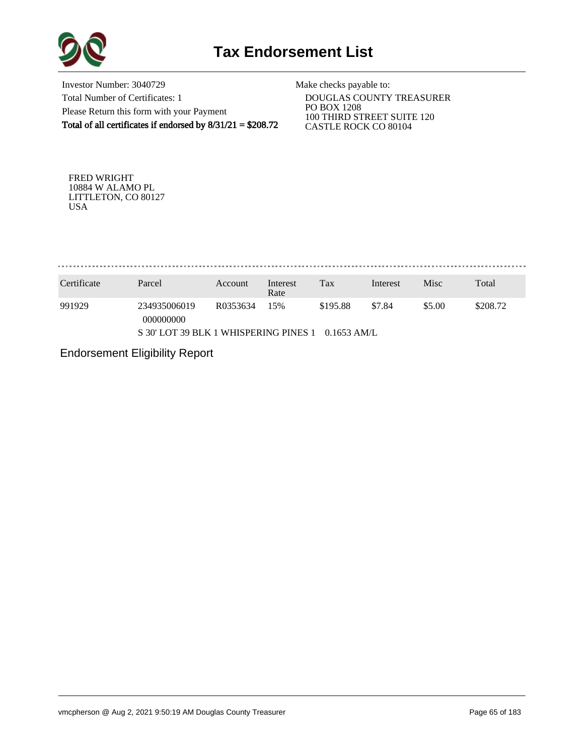

Investor Number: 3040729 Total Number of Certificates: 1 Please Return this form with your Payment Total of all certificates if endorsed by 8/31/21 = \$208.72

Make checks payable to:

 DOUGLAS COUNTY TREASURER PO BOX 1208 100 THIRD STREET SUITE 120 CASTLE ROCK CO 80104

FRED WRIGHT 10884 W ALAMO PL LITTLETON, CO 80127 USA

. . . . . . . . . . . . . . . . . 

| Certificate                                            | Parcel                    | Account  | Interest<br>Rate | Tax      | Interest | Misc   | Total    |  |  |
|--------------------------------------------------------|---------------------------|----------|------------------|----------|----------|--------|----------|--|--|
| 991929                                                 | 234935006019<br>000000000 | R0353634 | 15%              | \$195.88 | \$7.84   | \$5.00 | \$208.72 |  |  |
| S 30' LOT 39 BLK 1 WHISPERING PINES 1<br>$0.1653$ AM/L |                           |          |                  |          |          |        |          |  |  |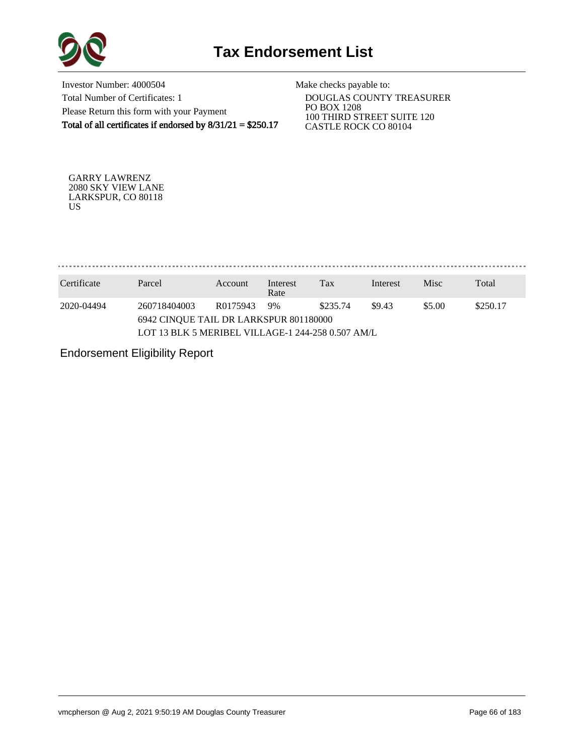

Investor Number: 4000504 Total Number of Certificates: 1 Please Return this form with your Payment Total of all certificates if endorsed by 8/31/21 = \$250.17

Make checks payable to:

 DOUGLAS COUNTY TREASURER PO BOX 1208 100 THIRD STREET SUITE 120 CASTLE ROCK CO 80104

GARRY LAWRENZ 2080 SKY VIEW LANE LARKSPUR, CO 80118 US

. . . . . . . . . . . . . . . . . 

| Certificate | Parcel                                                 | Account  | Interest<br>Rate | Tax      | Interest | Misc               | Total |  |  |  |  |
|-------------|--------------------------------------------------------|----------|------------------|----------|----------|--------------------|-------|--|--|--|--|
| 2020-04494  | 260718404003<br>6942 CINOUE TAIL DR LARKSPUR 801180000 | R0175943 | 9%               | \$235.74 | \$9.43   | \$5.00<br>\$250.17 |       |  |  |  |  |
|             | LOT 13 BLK 5 MERIBEL VILLAGE-1 244-258 0.507 AM/L      |          |                  |          |          |                    |       |  |  |  |  |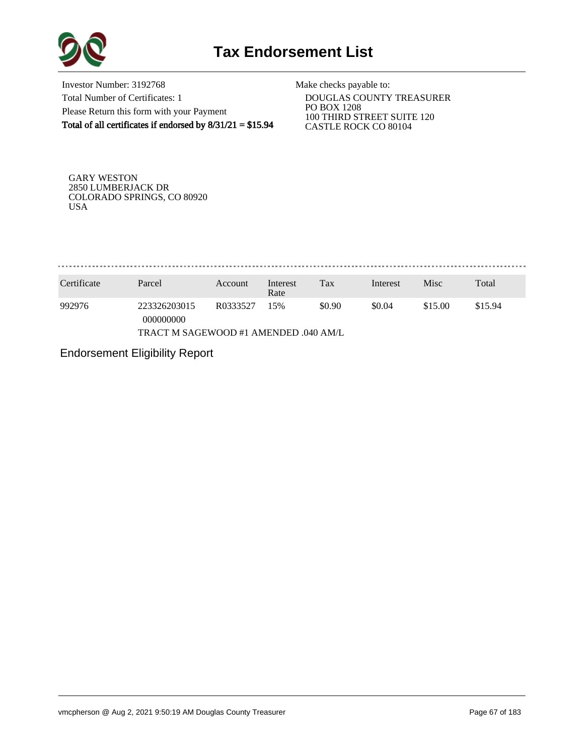

Investor Number: 3192768 Total Number of Certificates: 1 Please Return this form with your Payment Total of all certificates if endorsed by 8/31/21 = \$15.94

Make checks payable to:

 DOUGLAS COUNTY TREASURER PO BOX 1208 100 THIRD STREET SUITE 120 CASTLE ROCK CO 80104

GARY WESTON 2850 LUMBERJACK DR COLORADO SPRINGS, CO 80920 USA

. . . . . . . . . . . . . . . . . .

| Certificate                           | Parcel                    | Account  | Interest<br>Rate | Tax    | Interest | Misc    | Total   |  |  |
|---------------------------------------|---------------------------|----------|------------------|--------|----------|---------|---------|--|--|
| 992976                                | 223326203015<br>000000000 | R0333527 | 15%              | \$0.90 | \$0.04   | \$15.00 | \$15.94 |  |  |
| TRACT M SAGEWOOD #1 AMENDED .040 AM/L |                           |          |                  |        |          |         |         |  |  |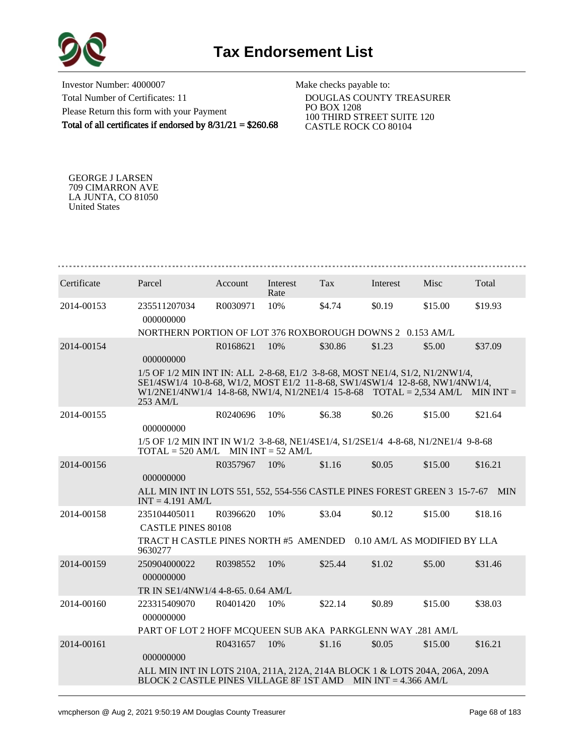



Investor Number: 4000007 Total Number of Certificates: 11 Please Return this form with your Payment Total of all certificates if endorsed by 8/31/21 = \$260.68

Make checks payable to:

 DOUGLAS COUNTY TREASURER PO BOX 1208 100 THIRD STREET SUITE 120 CASTLE ROCK CO 80104

GEORGE J LARSEN 709 CIMARRON AVE LA JUNTA, CO 81050 United States

| Certificate | Parcel                                                                                                                                                                                                                                                      | Account  | Interest<br>Rate | Tax     | Interest | Misc    | Total   |
|-------------|-------------------------------------------------------------------------------------------------------------------------------------------------------------------------------------------------------------------------------------------------------------|----------|------------------|---------|----------|---------|---------|
| 2014-00153  | 235511207034<br>000000000                                                                                                                                                                                                                                   | R0030971 | 10%              | \$4.74  | \$0.19   | \$15.00 | \$19.93 |
|             | NORTHERN PORTION OF LOT 376 ROXBOROUGH DOWNS 2 0.153 AM/L                                                                                                                                                                                                   |          |                  |         |          |         |         |
| 2014-00154  | 000000000                                                                                                                                                                                                                                                   | R0168621 | 10%              | \$30.86 | \$1.23   | \$5.00  | \$37.09 |
|             | 1/5 OF 1/2 MIN INT IN: ALL 2-8-68, E1/2 3-8-68, MOST NE1/4, S1/2, N1/2NW1/4,<br>SE1/4SW1/4 10-8-68, W1/2, MOST E1/2 11-8-68, SW1/4SW1/4 12-8-68, NW1/4NW1/4,<br>$W1/2NE1/4NW1/4$ 14-8-68, NW1/4, N1/2NE1/4 15-8-68 TOTAL = 2,534 AM/L MIN INT =<br>253 AM/L |          |                  |         |          |         |         |
| 2014-00155  | 000000000                                                                                                                                                                                                                                                   | R0240696 | 10%              | \$6.38  | \$0.26   | \$15.00 | \$21.64 |
|             | 1/5 OF 1/2 MIN INT IN W1/2 3-8-68, NE1/4SE1/4, S1/2SE1/4 4-8-68, N1/2NE1/4 9-8-68<br>$TOTAL = 520 AM/L$ MIN INT = 52 AM/L                                                                                                                                   |          |                  |         |          |         |         |
| 2014-00156  | 000000000                                                                                                                                                                                                                                                   | R0357967 | 10%              | \$1.16  | \$0.05   | \$15.00 | \$16.21 |
|             | ALL MIN INT IN LOTS 551, 552, 554-556 CASTLE PINES FOREST GREEN 3 15-7-67 MIN<br>$INT = 4.191$ AM/L                                                                                                                                                         |          |                  |         |          |         |         |
| 2014-00158  | 235104405011                                                                                                                                                                                                                                                | R0396620 | 10%              | \$3.04  | \$0.12   | \$15.00 | \$18.16 |
|             | <b>CASTLE PINES 80108</b>                                                                                                                                                                                                                                   |          |                  |         |          |         |         |
|             | TRACT H CASTLE PINES NORTH #5 AMENDED 0.10 AM/L AS MODIFIED BY LLA<br>9630277                                                                                                                                                                               |          |                  |         |          |         |         |
| 2014-00159  | 250904000022<br>000000000                                                                                                                                                                                                                                   | R0398552 | 10\%             | \$25.44 | \$1.02   | \$5.00  | \$31.46 |
|             | TR IN SE1/4NW1/4 4-8-65, 0.64 AM/L                                                                                                                                                                                                                          |          |                  |         |          |         |         |
| 2014-00160  | 223315409070<br>000000000                                                                                                                                                                                                                                   | R0401420 | 10%              | \$22.14 | \$0.89   | \$15.00 | \$38.03 |
|             | PART OF LOT 2 HOFF MCQUEEN SUB AKA PARKGLENN WAY .281 AM/L                                                                                                                                                                                                  |          |                  |         |          |         |         |
| 2014-00161  | 000000000                                                                                                                                                                                                                                                   | R0431657 | 10%              | \$1.16  | \$0.05   | \$15.00 | \$16.21 |
|             | ALL MIN INT IN LOTS 210A, 211A, 212A, 214A BLOCK 1 & LOTS 204A, 206A, 209A<br>BLOCK 2 CASTLE PINES VILLAGE 8F 1ST AMD MIN INT = 4.366 AM/L                                                                                                                  |          |                  |         |          |         |         |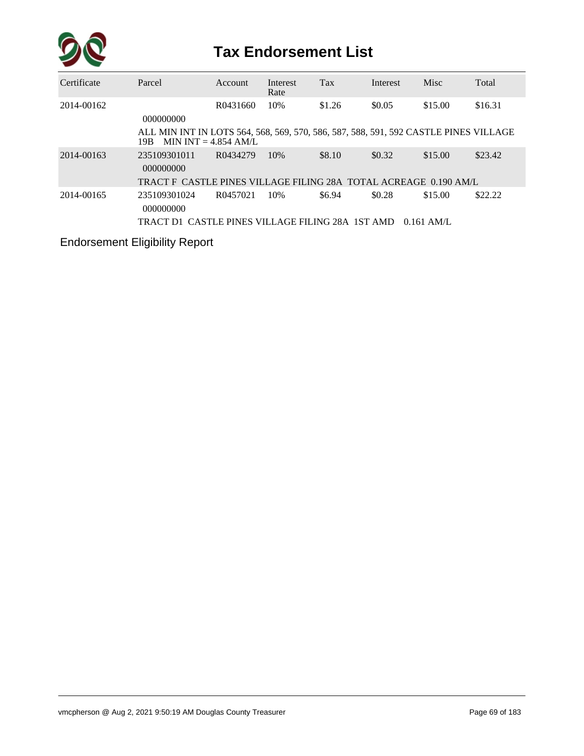

| Certificate | Parcel                                                                                                                 | Account  | Interest<br>Rate | <b>Tax</b> | Interest | Misc         | Total   |
|-------------|------------------------------------------------------------------------------------------------------------------------|----------|------------------|------------|----------|--------------|---------|
| 2014-00162  | 000000000                                                                                                              | R0431660 | 10%              | \$1.26     | \$0.05   | \$15.00      | \$16.31 |
|             | ALL MIN INT IN LOTS 564, 568, 569, 570, 586, 587, 588, 591, 592 CASTLE PINES VILLAGE<br>MIN INT $= 4.854$ AM/L<br>19B. |          |                  |            |          |              |         |
| 2014-00163  | 235109301011<br>000000000                                                                                              | R0434279 | 10%              | \$8.10     | \$0.32   | \$15.00      | \$23.42 |
|             | TRACT F CASTLE PINES VILLAGE FILING 28A TOTAL ACREAGE 0.190 AM/L                                                       |          |                  |            |          |              |         |
| 2014-00165  | 235109301024<br>000000000                                                                                              | R0457021 | 10%              | \$6.94     | \$0.28   | \$15.00      | \$22.22 |
|             | TRACT D1_CASTLE PINES VILLAGE FILING 28A_1ST AMD                                                                       |          |                  |            |          | $0.161$ AM/L |         |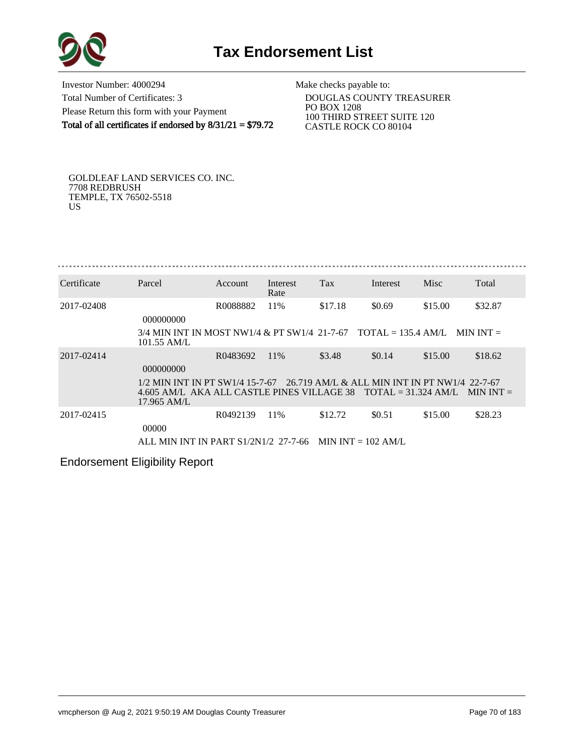

Investor Number: 4000294 Total Number of Certificates: 3 Please Return this form with your Payment Total of all certificates if endorsed by 8/31/21 = \$79.72

Make checks payable to:

 DOUGLAS COUNTY TREASURER PO BOX 1208 100 THIRD STREET SUITE 120 CASTLE ROCK CO 80104

GOLDLEAF LAND SERVICES CO. INC. 7708 REDBRUSH TEMPLE, TX 76502-5518 US

| Certificate | Parcel                                                                                                             | Account              | Interest    | Tax                                           | Interest                            | Misc    | Total       |
|-------------|--------------------------------------------------------------------------------------------------------------------|----------------------|-------------|-----------------------------------------------|-------------------------------------|---------|-------------|
| 2017-02408  |                                                                                                                    | R0088882             | Rate<br>11% | \$17.18                                       | \$0.69                              | \$15.00 | \$32.87     |
|             | 000000000<br>3/4 MIN INT IN MOST NW1/4 & PT SW1/4 21-7-67                                                          |                      |             |                                               | $\text{TOTAL} = 135.4 \text{ AM/L}$ |         | MIN INT $=$ |
| 2017-02414  | $101.55$ AM/L                                                                                                      | R0483692             | 11\%        | \$3.48                                        | \$0.14                              | \$15.00 | \$18.62     |
|             | 000000000                                                                                                          |                      |             |                                               |                                     |         |             |
|             | 1/2 MIN INT IN PT SW1/4 15-7-67<br>4.605 AM/L AKA ALL CASTLE PINES VILLAGE 38 $TOTAL = 31.324$ AM/L<br>17.965 AM/L |                      |             | 26.719 AM/L & ALL MIN INT IN PT NW1/4 22-7-67 |                                     |         | MIN INT $=$ |
| 2017-02415  | 00000                                                                                                              | R <sub>0492139</sub> | 11%         | \$12.72                                       | \$0.51                              | \$15.00 | \$28.23     |
|             | ALL MIN INT IN PART $S1/2N1/2$ 27-7-66 MIN INT = 102 AM/L                                                          |                      |             |                                               |                                     |         |             |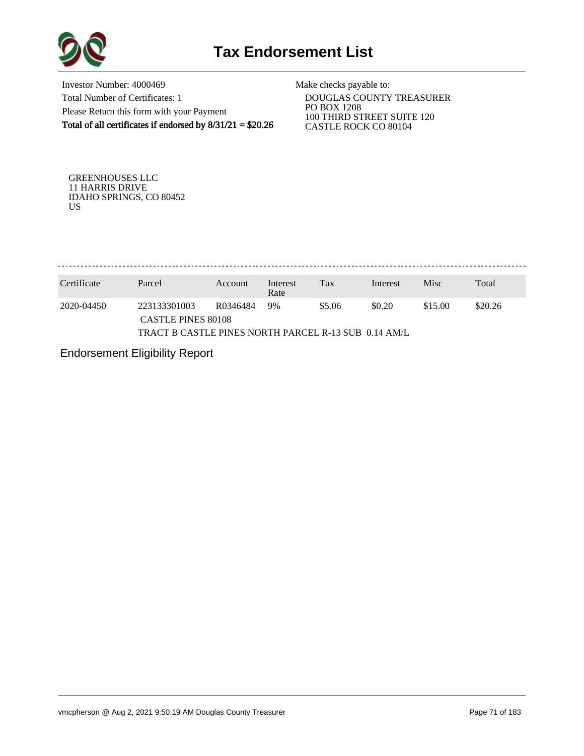

Investor Number: 4000469 Total Number of Certificates: 1 Please Return this form with your Payment Total of all certificates if endorsed by 8/31/21 = \$20.26

Make checks payable to:

 DOUGLAS COUNTY TREASURER PO BOX 1208 100 THIRD STREET SUITE 120 CASTLE ROCK CO 80104

GREENHOUSES LLC 11 HARRIS DRIVE IDAHO SPRINGS, CO 80452 US

. . . . . . . . . . . . . . . 

| Certificate | Parcel                                               | Account  | Interest<br>Rate | Tax    | Interest | Misc    | Total   |  |  |  |
|-------------|------------------------------------------------------|----------|------------------|--------|----------|---------|---------|--|--|--|
| 2020-04450  | 223133301003<br><b>CASTLE PINES 80108</b>            | R0346484 | 9%               | \$5.06 | \$0.20   | \$15.00 | \$20.26 |  |  |  |
|             | TRACT B CASTLE PINES NORTH PARCEL R-13 SUB 0.14 AM/L |          |                  |        |          |         |         |  |  |  |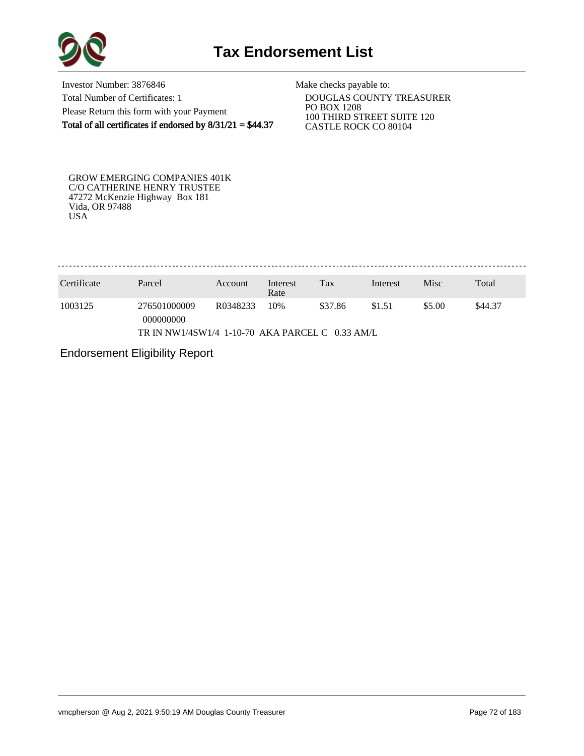

Investor Number: 3876846 Total Number of Certificates: 1 Please Return this form with your Payment Total of all certificates if endorsed by  $8/31/21 = $44.37$ 

Make checks payable to:

 DOUGLAS COUNTY TREASURER PO BOX 1208 100 THIRD STREET SUITE 120 CASTLE ROCK CO 80104

GROW EMERGING COMPANIES 401K C/O CATHERINE HENRY TRUSTEE 47272 McKenzie Highway Box 181 Vida, OR 97488 USA

. . . . . . . . . . . . . . . . .

| Certificate                                     | Parcel                    | Account  | Interest<br>Rate | Tax     | Interest | Misc   | Total   |  |  |
|-------------------------------------------------|---------------------------|----------|------------------|---------|----------|--------|---------|--|--|
| 1003125                                         | 276501000009<br>000000000 | R0348233 | 10%              | \$37.86 | \$1.51   | \$5.00 | \$44.37 |  |  |
| TR IN NW1/4SW1/4 1-10-70 AKA PARCEL C 0.33 AM/L |                           |          |                  |         |          |        |         |  |  |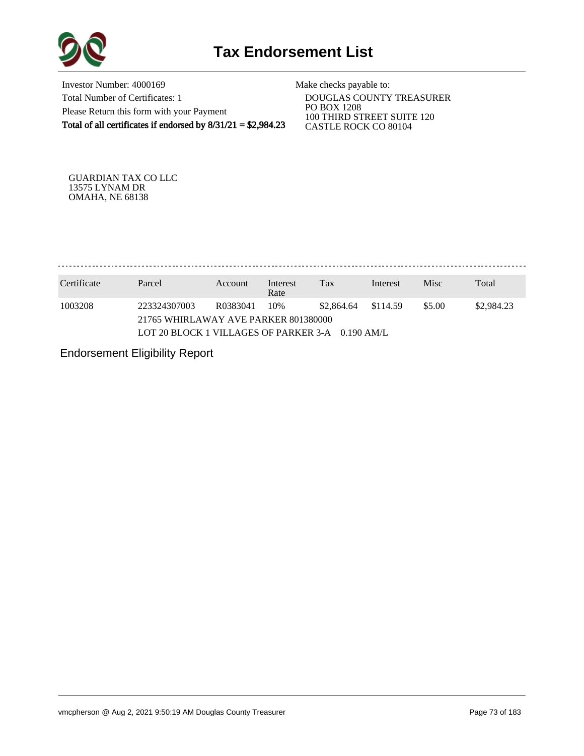

Investor Number: 4000169 Total Number of Certificates: 1 Please Return this form with your Payment Total of all certificates if endorsed by  $8/31/21 = $2,984.23$ 

Make checks payable to:

 DOUGLAS COUNTY TREASURER PO BOX 1208 100 THIRD STREET SUITE 120 CASTLE ROCK CO 80104

GUARDIAN TAX CO LLC 13575 LYNAM DR OMAHA, NE 68138

. . . . . . . . . . . . . . . .

| Certificate | Parcel                                           | Account  | Interest<br>Rate | Tax        | Interest | Misc   | Total      |
|-------------|--------------------------------------------------|----------|------------------|------------|----------|--------|------------|
| 1003208     | 223324307003                                     | R0383041 | 10%              | \$2,864.64 | \$114.59 | \$5.00 | \$2,984.23 |
|             | 21765 WHIRLAWAY AVE PARKER 801380000             |          |                  |            |          |        |            |
|             | LOT 20 BLOCK 1 VILLAGES OF PARKER 3-A 0.190 AM/L |          |                  |            |          |        |            |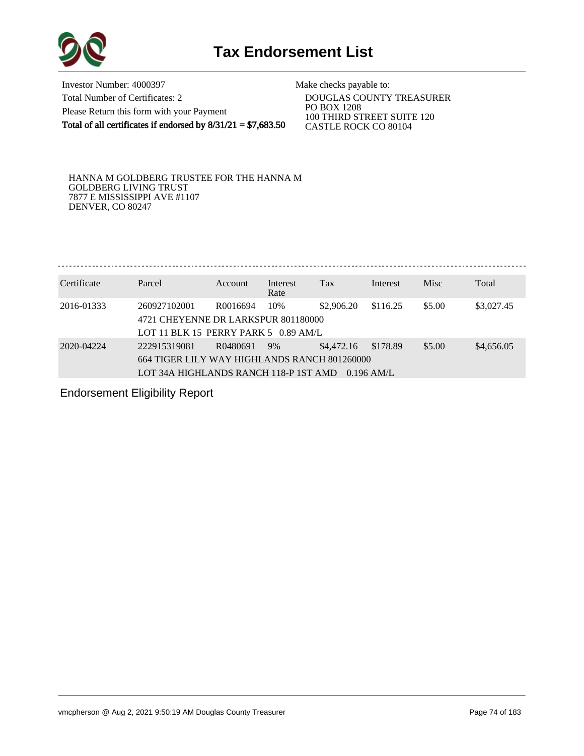

Investor Number: 4000397 Total Number of Certificates: 2 Please Return this form with your Payment Total of all certificates if endorsed by  $8/31/21 = $7,683.50$ 

Make checks payable to: DOUGLAS COUNTY TREASURER PO BOX 1208

 100 THIRD STREET SUITE 120 CASTLE ROCK CO 80104

HANNA M GOLDBERG TRUSTEE FOR THE HANNA M GOLDBERG LIVING TRUST 7877 E MISSISSIPPI AVE #1107 DENVER, CO 80247

. . . . . . . . . . . . . . . . . . . 

| Certificate | Parcel                                                                                                | <b>Account</b> | Interest<br>Rate | Tax        | Interest                 | <b>Misc</b> | Total      |
|-------------|-------------------------------------------------------------------------------------------------------|----------------|------------------|------------|--------------------------|-------------|------------|
| 2016-01333  | 260927102001<br>4721 CHEYENNE DR LARKSPUR 801180000<br>LOT 11 BLK 15 PERRY PARK 5 $0.89$ AM/L         | R0016694       | 10%              | \$2,906.20 | \$116.25                 | \$5.00      | \$3,027.45 |
| 2020-04224  | 222915319081<br>664 TIGER LILY WAY HIGHLANDS RANCH 801260000<br>LOT 34A HIGHLANDS RANCH 118-P 1ST AMD | R0480691       | 9%               | \$4,472.16 | \$178.89<br>$0.196$ AM/L | \$5.00      | \$4,656.05 |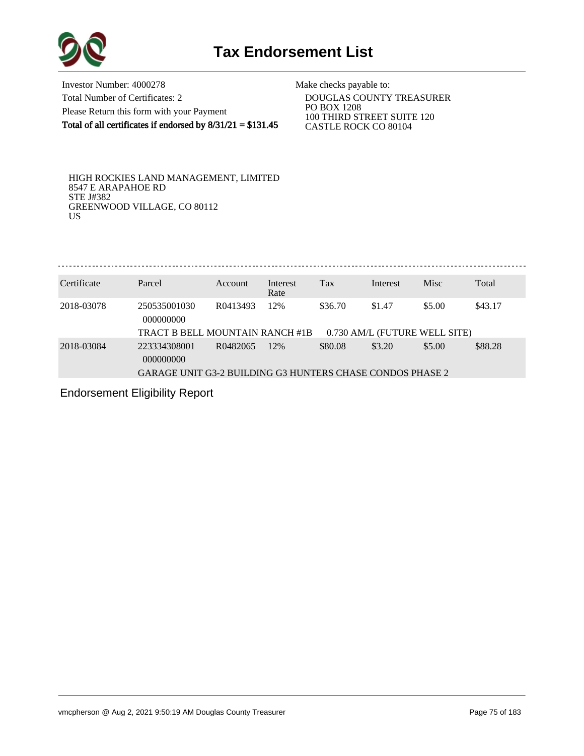

Investor Number: 4000278 Total Number of Certificates: 2 Please Return this form with your Payment Total of all certificates if endorsed by  $8/31/21 = $131.45$ 

Make checks payable to:

 DOUGLAS COUNTY TREASURER PO BOX 1208 100 THIRD STREET SUITE 120 CASTLE ROCK CO 80104

HIGH ROCKIES LAND MANAGEMENT, LIMITED 8547 E ARAPAHOE RD STE J#382 GREENWOOD VILLAGE, CO 80112 US

| Certificate | Parcel                                                           | Account              | Interest<br>Rate | Tax     | Interest | <b>Misc</b>                             | Total   |
|-------------|------------------------------------------------------------------|----------------------|------------------|---------|----------|-----------------------------------------|---------|
| 2018-03078  | 250535001030<br>000000000<br>TRACT B BELL MOUNTAIN RANCH #1B     | R <sub>0413493</sub> | 12%              | \$36.70 | \$1.47   | \$5.00<br>0.730 AM/L (FUTURE WELL SITE) | \$43.17 |
| 2018-03084  | 223334308001<br>000000000                                        | R0482065             | 12%              | \$80.08 | \$3.20   | \$5.00                                  | \$88.28 |
|             | <b>GARAGE UNIT G3-2 BUILDING G3 HUNTERS CHASE CONDOS PHASE 2</b> |                      |                  |         |          |                                         |         |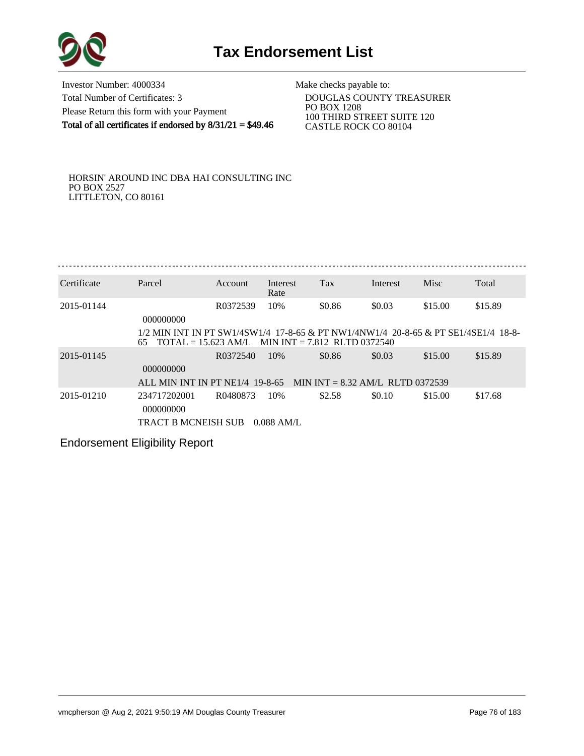

Investor Number: 4000334 Total Number of Certificates: 3 Please Return this form with your Payment Total of all certificates if endorsed by  $8/31/21 = $49.46$ 

Make checks payable to:

 DOUGLAS COUNTY TREASURER PO BOX 1208 100 THIRD STREET SUITE 120 CASTLE ROCK CO 80104

HORSIN' AROUND INC DBA HAI CONSULTING INC PO BOX 2527 LITTLETON, CO 80161

| Certificate | Parcel                                                                                                                                                        | Account  | Interest<br>Rate | Tax    | Interest | Misc    | Total   |
|-------------|---------------------------------------------------------------------------------------------------------------------------------------------------------------|----------|------------------|--------|----------|---------|---------|
| 2015-01144  | 000000000                                                                                                                                                     | R0372539 | 10%              | \$0.86 | \$0.03   | \$15.00 | \$15.89 |
|             | 1/2 MIN INT IN PT SW1/4SW1/4 17-8-65 & PT NW1/4NW1/4 20-8-65 & PT SE1/4SE1/4 18-8-<br>$\text{TOTAL} = 15.623 \text{ AM/L}$ MIN INT = 7.812 RLTD 0372540<br>65 |          |                  |        |          |         |         |
| 2015-01145  | 000000000                                                                                                                                                     | R0372540 | 10\%             | \$0.86 | \$0.03   | \$15.00 | \$15.89 |
|             | ALL MIN INT IN PT NE1/4 19-8-65 MIN INT = 8.32 AM/L RLTD 0372539                                                                                              |          |                  |        |          |         |         |
| 2015-01210  | 234717202001<br>000000000                                                                                                                                     | R0480873 | 10%              | \$2.58 | \$0.10   | \$15.00 | \$17.68 |
|             | TRACT B MCNEISH SUB                                                                                                                                           |          | $0.088$ AM/L     |        |          |         |         |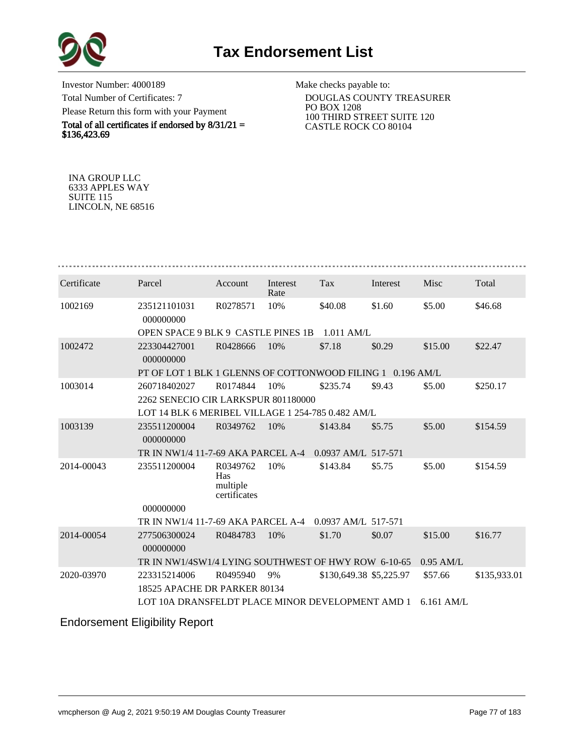

Investor Number: 4000189 Total Number of Certificates: 7 Please Return this form with your Payment

Total of all certificates if endorsed by  $8/31/21 =$ \$136,423.69

Make checks payable to:

 DOUGLAS COUNTY TREASURER PO BOX 1208 100 THIRD STREET SUITE 120 CASTLE ROCK CO 80104

INA GROUP LLC 6333 APPLES WAY SUITE 115 LINCOLN, NE 68516

| Certificate | Parcel                                                     | Account                                     | Interest<br>Rate | Tax                     | Interest | Misc         | Total        |
|-------------|------------------------------------------------------------|---------------------------------------------|------------------|-------------------------|----------|--------------|--------------|
| 1002169     | 235121101031<br>000000000                                  | R0278571                                    | 10%              | \$40.08                 | \$1.60   | \$5.00       | \$46.68      |
|             | OPEN SPACE 9 BLK 9 CASTLE PINES 1B                         |                                             |                  | $1.011$ AM/L            |          |              |              |
| 1002472     | 223304427001<br>000000000                                  | R0428666                                    | 10%              | \$7.18                  | \$0.29   | \$15.00      | \$22.47      |
|             | PT OF LOT 1 BLK 1 GLENNS OF COTTONWOOD FILING 1 0.196 AM/L |                                             |                  |                         |          |              |              |
| 1003014     | 260718402027                                               | R0174844                                    | 10%              | \$235.74                | \$9.43   | \$5.00       | \$250.17     |
|             | 2262 SENECIO CIR LARKSPUR 801180000                        |                                             |                  |                         |          |              |              |
|             | LOT 14 BLK 6 MERIBEL VILLAGE 1 254-785 0.482 AM/L          |                                             |                  |                         |          |              |              |
| 1003139     | 235511200004<br>000000000                                  | R0349762                                    | 10%              | \$143.84                | \$5.75   | \$5.00       | \$154.59     |
|             | TR IN NW1/4 11-7-69 AKA PARCEL A-4                         |                                             |                  | 0.0937 AM/L 517-571     |          |              |              |
| 2014-00043  | 235511200004                                               | R0349762<br>Has<br>multiple<br>certificates | 10%              | \$143.84                | \$5.75   | \$5.00       | \$154.59     |
|             | 000000000                                                  |                                             |                  |                         |          |              |              |
|             | TR IN NW1/4 11-7-69 AKA PARCEL A-4                         |                                             |                  | 0.0937 AM/L 517-571     |          |              |              |
| 2014-00054  | 277506300024<br>000000000                                  | R0484783                                    | 10%              | \$1.70                  | \$0.07   | \$15.00      | \$16.77      |
|             | TR IN NW1/4SW1/4 LYING SOUTHWEST OF HWY ROW 6-10-65        |                                             |                  |                         |          | $0.95$ AM/L  |              |
| 2020-03970  | 223315214006                                               | R0495940                                    | 9%               | \$130,649.38 \$5,225.97 |          | \$57.66      | \$135,933.01 |
|             | 18525 APACHE DR PARKER 80134                               |                                             |                  |                         |          |              |              |
|             | LOT 10A DRANSFELDT PLACE MINOR DEVELOPMENT AMD 1           |                                             |                  |                         |          | $6.161$ AM/L |              |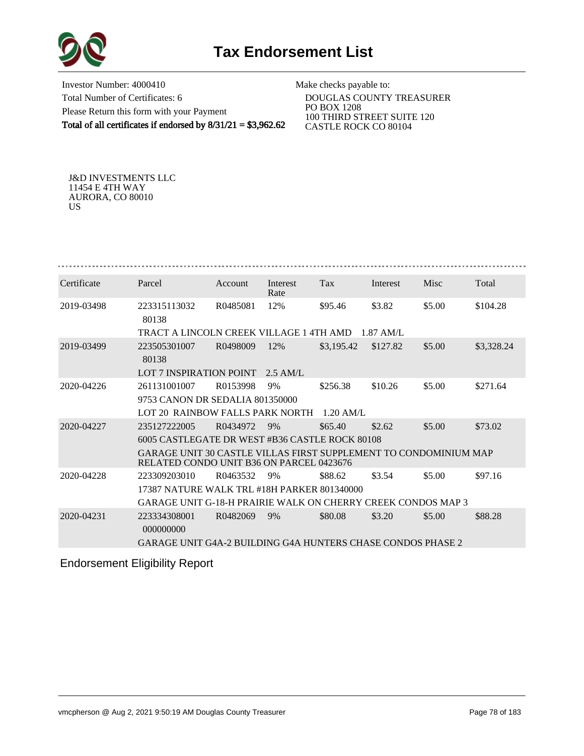

Investor Number: 4000410 Total Number of Certificates: 6 Please Return this form with your Payment Total of all certificates if endorsed by  $8/31/21 = $3,962.62$ 

Make checks payable to:

 DOUGLAS COUNTY TREASURER PO BOX 1208 100 THIRD STREET SUITE 120 CASTLE ROCK CO 80104

J&D INVESTMENTS LLC 11454 E 4TH WAY AURORA, CO 80010 US

| Certificate<br>Tax<br><b>Misc</b><br>Total<br>Parcel<br>Interest<br><b>Account</b><br>Interest<br>Rate<br>\$3.82<br>\$5.00<br>2019-03498<br>223315113032<br>R0485081<br>12%<br>\$95.46<br>\$104.28<br>80138<br>TRACT A LINCOLN CREEK VILLAGE 1 4TH AMD<br>$1.87$ AM/L<br>\$127.82<br>\$5.00<br>2019-03499<br>223505301007<br>R0498009<br>12%<br>\$3,195.42<br>\$3,328.24<br>80138 |  |  |  |  |
|-----------------------------------------------------------------------------------------------------------------------------------------------------------------------------------------------------------------------------------------------------------------------------------------------------------------------------------------------------------------------------------|--|--|--|--|
|                                                                                                                                                                                                                                                                                                                                                                                   |  |  |  |  |
|                                                                                                                                                                                                                                                                                                                                                                                   |  |  |  |  |
|                                                                                                                                                                                                                                                                                                                                                                                   |  |  |  |  |
|                                                                                                                                                                                                                                                                                                                                                                                   |  |  |  |  |
| <b>LOT 7 INSPIRATION POINT</b><br>$2.5$ AM/L                                                                                                                                                                                                                                                                                                                                      |  |  |  |  |
| \$5.00<br>2020-04226<br>261131001007<br>R0153998<br>9%<br>\$256.38<br>\$10.26<br>\$271.64                                                                                                                                                                                                                                                                                         |  |  |  |  |
| 9753 CANON DR SEDALIA 801350000                                                                                                                                                                                                                                                                                                                                                   |  |  |  |  |
| LOT 20 RAINBOW FALLS PARK NORTH<br>$1.20$ AM/L                                                                                                                                                                                                                                                                                                                                    |  |  |  |  |
| 2020-04227<br>235127222005<br>R0434972<br>9%<br>\$65.40<br>\$2.62<br>\$5.00<br>\$73.02                                                                                                                                                                                                                                                                                            |  |  |  |  |
| 6005 CASTLEGATE DR WEST #B36 CASTLE ROCK 80108                                                                                                                                                                                                                                                                                                                                    |  |  |  |  |
| <b>GARAGE UNIT 30 CASTLE VILLAS FIRST SUPPLEMENT TO CONDOMINIUM MAP</b><br>RELATED CONDO UNIT B36 ON PARCEL 0423676                                                                                                                                                                                                                                                               |  |  |  |  |
| R0463532<br>\$88.62<br>\$3.54<br>\$5.00<br>\$97.16<br>2020-04228<br>223309203010<br>9%                                                                                                                                                                                                                                                                                            |  |  |  |  |
| 17387 NATURE WALK TRL #18H PARKER 801340000                                                                                                                                                                                                                                                                                                                                       |  |  |  |  |
| GARAGE UNIT G-18-H PRAIRIE WALK ON CHERRY CREEK CONDOS MAP 3                                                                                                                                                                                                                                                                                                                      |  |  |  |  |
| \$88.28<br>2020-04231<br>223334308001<br>R0482069<br>\$80.08<br>\$3.20<br>\$5.00<br>9%<br>000000000                                                                                                                                                                                                                                                                               |  |  |  |  |
| GARAGE UNIT G4A-2 BUILDING G4A HUNTERS CHASE CONDOS PHASE 2                                                                                                                                                                                                                                                                                                                       |  |  |  |  |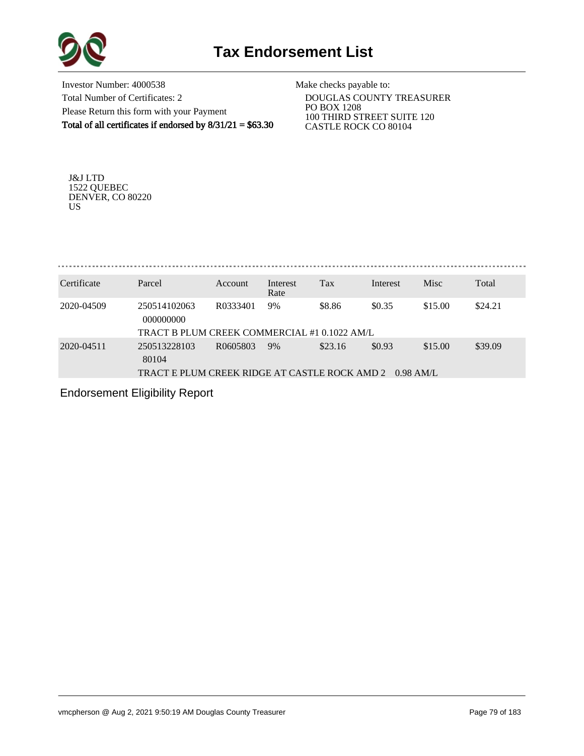

Investor Number: 4000538 Total Number of Certificates: 2 Please Return this form with your Payment Total of all certificates if endorsed by  $8/31/21 = $63.30$  Make checks payable to:

 DOUGLAS COUNTY TREASURER PO BOX 1208 100 THIRD STREET SUITE 120 CASTLE ROCK CO 80104

J&J LTD 1522 QUEBEC DENVER, CO 80220 US

| Certificate | Parcel                                        | Account  | Interest   | <b>Tax</b> | Interest    | <b>Misc</b> | Total   |
|-------------|-----------------------------------------------|----------|------------|------------|-------------|-------------|---------|
| 2020-04509  | 250514102063                                  | R0333401 | Rate<br>9% | \$8.86     | \$0.35      | \$15.00     | \$24.21 |
|             | 000000000                                     |          |            |            |             |             |         |
|             | TRACT B PLUM CREEK COMMERCIAL #1 0.1022 AM/L  |          |            |            |             |             |         |
| 2020-04511  | 250513228103<br>80104                         | R0605803 | 9%         | \$23.16    | \$0.93      | \$15.00     | \$39.09 |
|             | TRACT E PLUM CREEK RIDGE AT CASTLE ROCK AMD 2 |          |            |            | $0.98$ AM/L |             |         |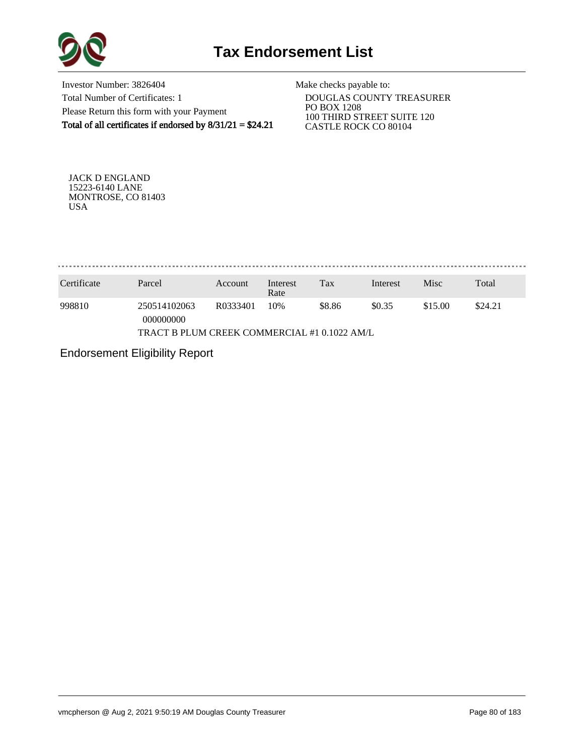

Investor Number: 3826404 Total Number of Certificates: 1 Please Return this form with your Payment Total of all certificates if endorsed by 8/31/21 = \$24.21

Make checks payable to:

 DOUGLAS COUNTY TREASURER PO BOX 1208 100 THIRD STREET SUITE 120 CASTLE ROCK CO 80104

JACK D ENGLAND 15223-6140 LANE MONTROSE, CO 81403 USA

. . . . . . . . . . . . . . . . . . . 

| Certificate | Parcel                                       | Account  | Interest<br>Rate | Tax    | Interest | Misc    | Total   |
|-------------|----------------------------------------------|----------|------------------|--------|----------|---------|---------|
| 998810      | 250514102063<br>000000000                    | R0333401 | 10%              | \$8.86 | \$0.35   | \$15.00 | \$24.21 |
|             | TRACT B PLUM CREEK COMMERCIAL #1 0.1022 AM/L |          |                  |        |          |         |         |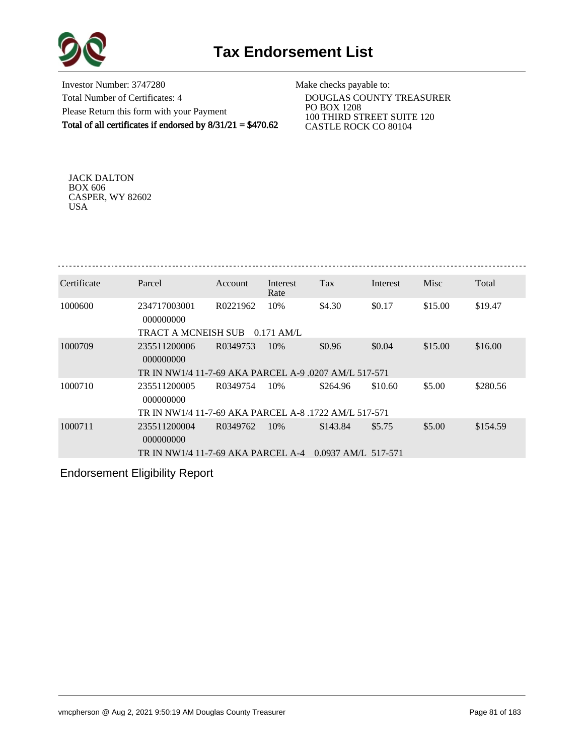

Investor Number: 3747280 Total Number of Certificates: 4 Please Return this form with your Payment Total of all certificates if endorsed by 8/31/21 = \$470.62

Make checks payable to:

 DOUGLAS COUNTY TREASURER PO BOX 1208 100 THIRD STREET SUITE 120 CASTLE ROCK CO 80104

JACK DALTON BOX 606 CASPER, WY 82602 USA

| Certificate | Parcel                                                | Account  | Interest<br>Rate | Tax                   | Interest | Misc    | Total    |
|-------------|-------------------------------------------------------|----------|------------------|-----------------------|----------|---------|----------|
| 1000600     | 234717003001<br>000000000                             | R0221962 | 10%              | \$4.30                | \$0.17   | \$15.00 | \$19.47  |
|             | TRACT A MCNEISH SUB                                   |          | $0.171$ AM/L.    |                       |          |         |          |
| 1000709     | 235511200006<br>000000000                             | R0349753 | 10%              | \$0.96                | \$0.04   | \$15.00 | \$16.00  |
|             | TR IN NW1/4 11-7-69 AKA PARCEL A-9 .0207 AM/L 517-571 |          |                  |                       |          |         |          |
| 1000710     | 235511200005<br>000000000                             | R0349754 | 10%              | \$264.96              | \$10.60  | \$5.00  | \$280.56 |
|             | TR IN NW1/4 11-7-69 AKA PARCEL A-8 .1722 AM/L 517-571 |          |                  |                       |          |         |          |
| 1000711     | 235511200004<br>000000000                             | R0349762 | 10%              | \$143.84              | \$5.75   | \$5.00  | \$154.59 |
|             | TR IN NW1/4 11-7-69 AKA PARCEL A-4                    |          |                  | $0.0937$ AM/L 517-571 |          |         |          |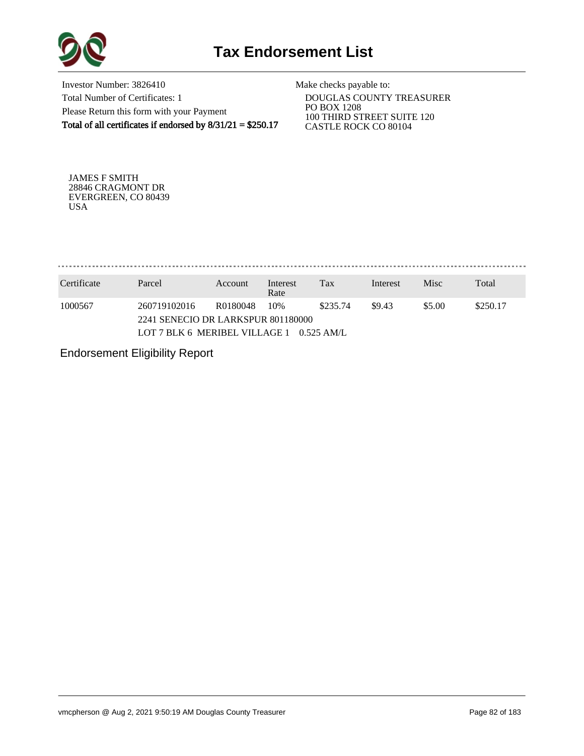

Investor Number: 3826410 Total Number of Certificates: 1 Please Return this form with your Payment Total of all certificates if endorsed by 8/31/21 = \$250.17

Make checks payable to:

 DOUGLAS COUNTY TREASURER PO BOX 1208 100 THIRD STREET SUITE 120 CASTLE ROCK CO 80104

JAMES F SMITH 28846 CRAGMONT DR EVERGREEN, CO 80439 USA

. . . . . . . . . . . . . . . . . 

| Certificate | Parcel                                                              | Account  | Interest<br>Rate | Tax           | Interest | <b>Misc</b> | Total    |
|-------------|---------------------------------------------------------------------|----------|------------------|---------------|----------|-------------|----------|
| 1000567     | 260719102016                                                        | R0180048 | 10%              | \$235.74      | \$9.43   | \$5.00      | \$250.17 |
|             | 2241 SENECIO DR LARKSPUR 801180000<br>LOT 7 BLK 6 MERIBEL VILLAGE 1 |          |                  | $-0.525$ AM/L |          |             |          |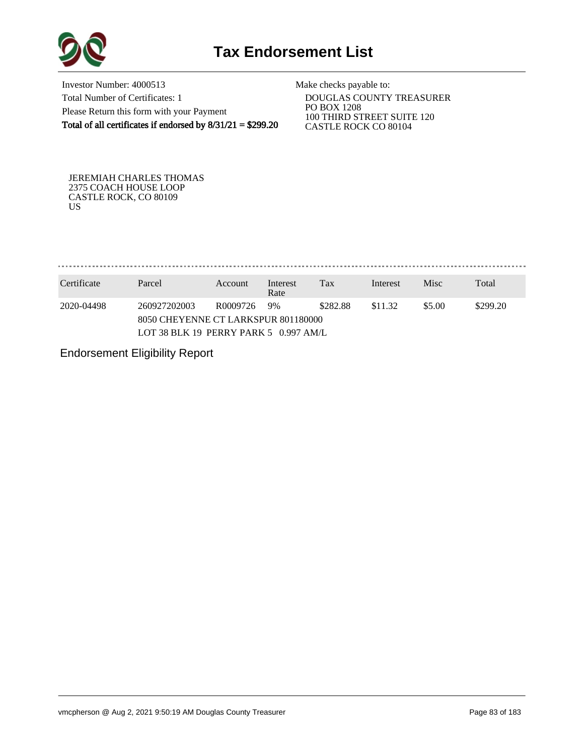

Investor Number: 4000513 Total Number of Certificates: 1 Please Return this form with your Payment Total of all certificates if endorsed by 8/31/21 = \$299.20

Make checks payable to:

 DOUGLAS COUNTY TREASURER PO BOX 1208 100 THIRD STREET SUITE 120 CASTLE ROCK CO 80104

JEREMIAH CHARLES THOMAS 2375 COACH HOUSE LOOP CASTLE ROCK, CO 80109 US

. . . . . . . . . . . . . . . . 

| Certificate | Parcel                                  | Account  | Interest<br>Rate | Tax      | Interest | <b>Misc</b> | Total    |
|-------------|-----------------------------------------|----------|------------------|----------|----------|-------------|----------|
| 2020-04498  | 260927202003                            | R0009726 | 9%               | \$282.88 | \$11.32  | \$5.00      | \$299.20 |
|             | 8050 CHEYENNE CT LARKSPUR 801180000     |          |                  |          |          |             |          |
|             | LOT 38 BLK 19 PERRY PARK 5 $0.997$ AM/L |          |                  |          |          |             |          |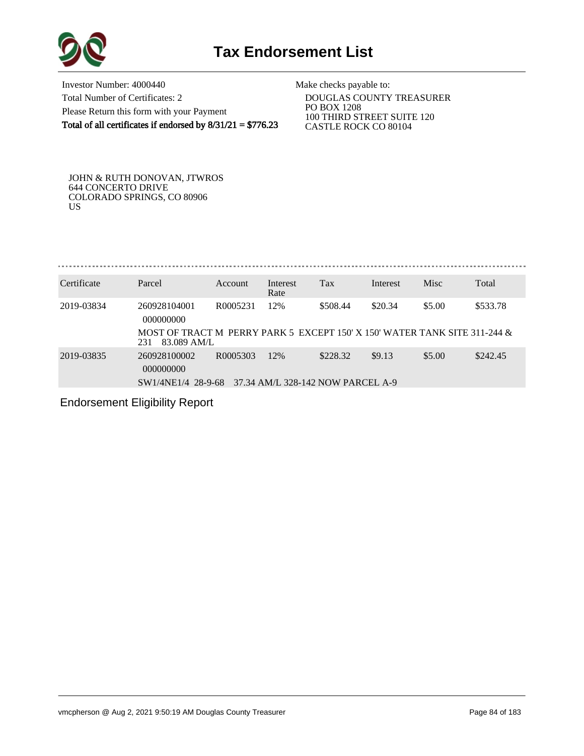

Investor Number: 4000440 Total Number of Certificates: 2 Please Return this form with your Payment Total of all certificates if endorsed by  $8/31/21 = $776.23$ 

Make checks payable to:

 DOUGLAS COUNTY TREASURER PO BOX 1208 100 THIRD STREET SUITE 120 CASTLE ROCK CO 80104

JOHN & RUTH DONOVAN, JTWROS 644 CONCERTO DRIVE COLORADO SPRINGS, CO 80906 US

| Certificate | Parcel                                                                                          | <b>Account</b> | Interest<br>Rate | Tax      | Interest | Misc   | Total    |
|-------------|-------------------------------------------------------------------------------------------------|----------------|------------------|----------|----------|--------|----------|
| 2019-03834  | 260928104001<br>000000000                                                                       | R0005231       | 12%              | \$508.44 | \$20.34  | \$5.00 | \$533.78 |
|             | MOST OF TRACT M PERRY PARK 5 EXCEPT 150' X 150' WATER TANK SITE 311-244 &<br>83.089 AM/L<br>231 |                |                  |          |          |        |          |
| 2019-03835  | 260928100002                                                                                    | R0005303       | 12%              | \$228.32 | \$9.13   | \$5.00 | \$242.45 |

 000000000 SW1/4NE1/4 28-9-68 37.34 AM/L 328-142 NOW PARCEL A-9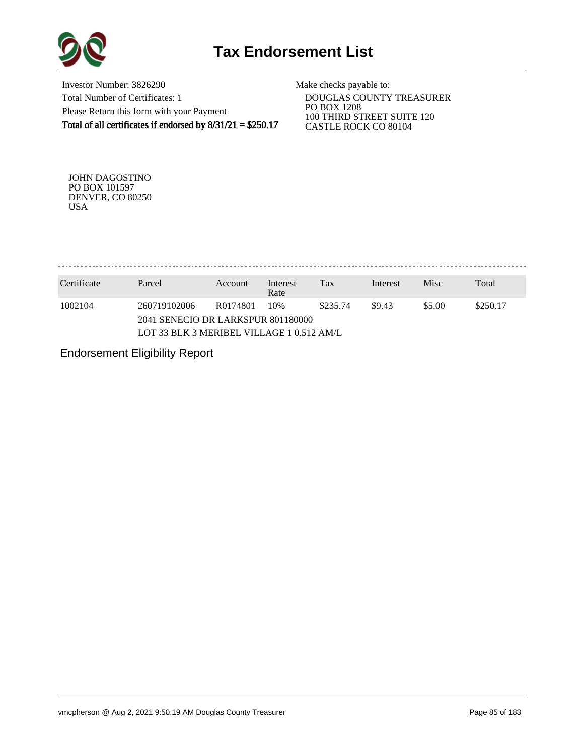

Investor Number: 3826290 Total Number of Certificates: 1 Please Return this form with your Payment Total of all certificates if endorsed by 8/31/21 = \$250.17

Make checks payable to:

 DOUGLAS COUNTY TREASURER PO BOX 1208 100 THIRD STREET SUITE 120 CASTLE ROCK CO 80104

JOHN DAGOSTINO PO BOX 101597 DENVER, CO 80250 USA

. . . . . . . . . . . . . . . . 

| Certificate | Parcel                                             | Account  | Interest<br>Rate | Tax      | Interest | <b>Misc</b> | Total    |  |
|-------------|----------------------------------------------------|----------|------------------|----------|----------|-------------|----------|--|
| 1002104     | 260719102006<br>2041 SENECIO DR LARKSPUR 801180000 | R0174801 | 10%              | \$235.74 | \$9.43   | \$5.00      | \$250.17 |  |
|             | LOT 33 BLK 3 MERIBEL VILLAGE 1 0.512 AM/L          |          |                  |          |          |             |          |  |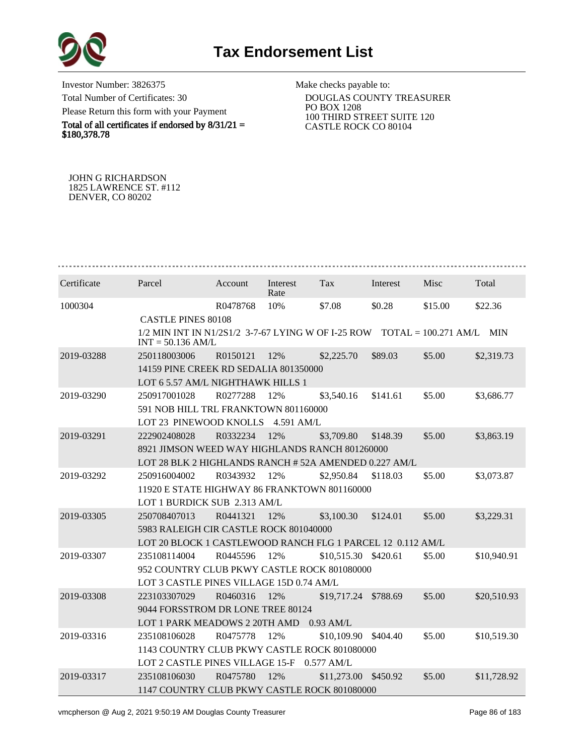

Investor Number: 3826375 Total Number of Certificates: 30 Please Return this form with your Payment

Total of all certificates if endorsed by  $8/31/21 =$ \$180,378.78

Make checks payable to:

 DOUGLAS COUNTY TREASURER PO BOX 1208 100 THIRD STREET SUITE 120 CASTLE ROCK CO 80104

JOHN G RICHARDSON 1825 LAWRENCE ST. #112 DENVER, CO 80202

| Certificate | Parcel                                                                                               | Account  | Interest<br>Rate | Tax                  | Interest | Misc    | Total       |
|-------------|------------------------------------------------------------------------------------------------------|----------|------------------|----------------------|----------|---------|-------------|
| 1000304     |                                                                                                      | R0478768 | 10%              | \$7.08               | \$0.28   | \$15.00 | \$22.36     |
|             | <b>CASTLE PINES 80108</b>                                                                            |          |                  |                      |          |         |             |
|             | $1/2$ MIN INT IN N1/2S1/2 3-7-67 LYING W OF I-25 ROW TOTAL = 100.271 AM/L MIN<br>$INT = 50.136$ AM/L |          |                  |                      |          |         |             |
| 2019-03288  | 250118003006                                                                                         | R0150121 | 12%              | \$2,225.70           | \$89.03  | \$5.00  | \$2,319.73  |
|             | 14159 PINE CREEK RD SEDALIA 801350000                                                                |          |                  |                      |          |         |             |
|             | LOT 6 5.57 AM/L NIGHTHAWK HILLS 1                                                                    |          |                  |                      |          |         |             |
| 2019-03290  | 250917001028                                                                                         | R0277288 | 12%              | \$3,540.16           | \$141.61 | \$5.00  | \$3,686.77  |
|             | 591 NOB HILL TRL FRANKTOWN 801160000                                                                 |          |                  |                      |          |         |             |
|             | LOT 23 PINEWOOD KNOLLS 4.591 AM/L                                                                    |          |                  |                      |          |         |             |
| 2019-03291  | 222902408028                                                                                         | R0332234 | 12%              | \$3,709.80           | \$148.39 | \$5.00  | \$3,863.19  |
|             | 8921 JIMSON WEED WAY HIGHLANDS RANCH 801260000                                                       |          |                  |                      |          |         |             |
|             | LOT 28 BLK 2 HIGHLANDS RANCH # 52A AMENDED 0.227 AM/L                                                |          |                  |                      |          |         |             |
| 2019-03292  | 250916004002                                                                                         | R0343932 | 12%              | \$2,950.84           | \$118.03 | \$5.00  | \$3,073.87  |
|             | 11920 E STATE HIGHWAY 86 FRANKTOWN 801160000                                                         |          |                  |                      |          |         |             |
|             | LOT 1 BURDICK SUB 2.313 AM/L                                                                         |          |                  |                      |          |         |             |
| 2019-03305  | 250708407013                                                                                         | R0441321 | 12%              | \$3,100.30           | \$124.01 | \$5.00  | \$3,229.31  |
|             | 5983 RALEIGH CIR CASTLE ROCK 801040000                                                               |          |                  |                      |          |         |             |
|             | LOT 20 BLOCK 1 CASTLEWOOD RANCH FLG 1 PARCEL 12 0.112 AM/L                                           |          |                  |                      |          |         |             |
| 2019-03307  | 235108114004                                                                                         | R0445596 | 12%              | \$10,515.30 \$420.61 |          | \$5.00  | \$10,940.91 |
|             | 952 COUNTRY CLUB PKWY CASTLE ROCK 801080000                                                          |          |                  |                      |          |         |             |
|             | LOT 3 CASTLE PINES VILLAGE 15D 0.74 AM/L                                                             |          |                  |                      |          |         |             |
| 2019-03308  | 223103307029                                                                                         | R0460316 | 12%              | \$19,717.24          | \$788.69 | \$5.00  | \$20,510.93 |
|             | 9044 FORSSTROM DR LONE TREE 80124                                                                    |          |                  |                      |          |         |             |
|             | LOT 1 PARK MEADOWS 2 20TH AMD                                                                        |          |                  | $0.93$ AM/L          |          |         |             |
| 2019-03316  | 235108106028                                                                                         | R0475778 | 12%              | \$10,109.90          | \$404.40 | \$5.00  | \$10,519.30 |
|             | 1143 COUNTRY CLUB PKWY CASTLE ROCK 801080000                                                         |          |                  |                      |          |         |             |
|             | LOT 2 CASTLE PINES VILLAGE 15-F                                                                      |          |                  | $0.577$ AM/L         |          |         |             |
| 2019-03317  | 235108106030                                                                                         | R0475780 | 12%              | \$11,273.00          | \$450.92 | \$5.00  | \$11,728.92 |
|             | 1147 COUNTRY CLUB PKWY CASTLE ROCK 801080000                                                         |          |                  |                      |          |         |             |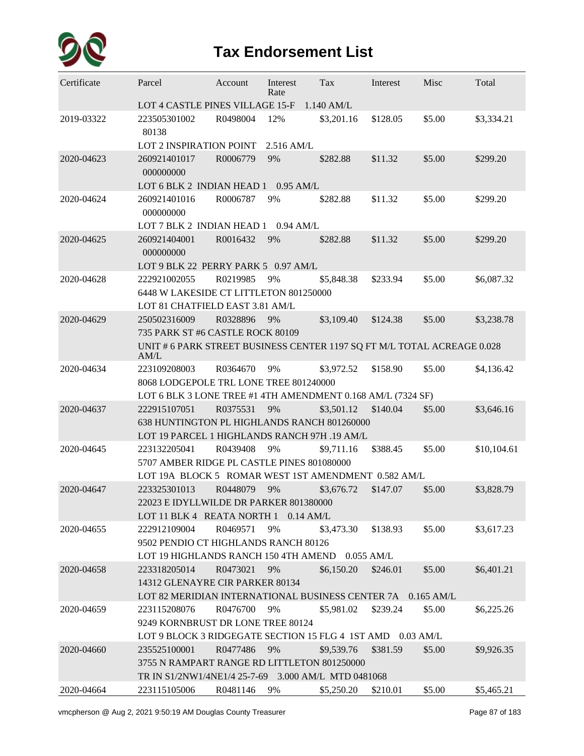

## **Tax Endorsement List**

| Certificate | Parcel                                                                    | Account     | Interest<br>Rate | Tax        | Interest | Misc   | Total       |
|-------------|---------------------------------------------------------------------------|-------------|------------------|------------|----------|--------|-------------|
|             | LOT 4 CASTLE PINES VILLAGE 15-F                                           |             |                  | 1.140 AM/L |          |        |             |
| 2019-03322  | 223505301002<br>80138                                                     | R0498004    | 12%              | \$3,201.16 | \$128.05 | \$5.00 | \$3,334.21  |
|             | <b>LOT 2 INSPIRATION POINT</b>                                            |             | $2.516$ AM/L     |            |          |        |             |
| 2020-04623  | 260921401017<br>000000000                                                 | R0006779    | 9%               | \$282.88   | \$11.32  | \$5.00 | \$299.20    |
|             | LOT 6 BLK 2 INDIAN HEAD 1 0.95 AM/L                                       |             |                  |            |          |        |             |
| 2020-04624  | 260921401016<br>000000000                                                 | R0006787    | 9%               | \$282.88   | \$11.32  | \$5.00 | \$299.20    |
|             | LOT 7 BLK 2 INDIAN HEAD 1                                                 |             | $0.94$ AM/L      |            |          |        |             |
| 2020-04625  | 260921404001<br>000000000                                                 | R0016432    | 9%               | \$282.88   | \$11.32  | \$5.00 | \$299.20    |
|             | LOT 9 BLK 22 PERRY PARK 5 0.97 AM/L                                       |             |                  |            |          |        |             |
| 2020-04628  | 222921002055                                                              | R0219985    | 9%               | \$5,848.38 | \$233.94 | \$5.00 | \$6,087.32  |
|             | 6448 W LAKESIDE CT LITTLETON 801250000<br>LOT 81 CHATFIELD EAST 3.81 AM/L |             |                  |            |          |        |             |
| 2020-04629  | 250502316009                                                              | R0328896    | 9%               | \$3,109.40 | \$124.38 | \$5.00 | \$3,238.78  |
|             | 735 PARK ST #6 CASTLE ROCK 80109                                          |             |                  |            |          |        |             |
|             | UNIT # 6 PARK STREET BUSINESS CENTER 1197 SQ FT M/L TOTAL ACREAGE 0.028   |             |                  |            |          |        |             |
|             | AM/L                                                                      |             |                  |            |          |        |             |
| 2020-04634  | 223109208003                                                              | R0364670    | 9%               | \$3,972.52 | \$158.90 | \$5.00 | \$4,136.42  |
|             | 8068 LODGEPOLE TRL LONE TREE 801240000                                    |             |                  |            |          |        |             |
|             | LOT 6 BLK 3 LONE TREE #1 4TH AMENDMENT 0.168 AM/L (7324 SF)               |             |                  |            |          |        |             |
| 2020-04637  | 222915107051                                                              | R0375531    | 9%               | \$3,501.12 | \$140.04 | \$5.00 | \$3,646.16  |
|             | 638 HUNTINGTON PL HIGHLANDS RANCH 801260000                               |             |                  |            |          |        |             |
|             | LOT 19 PARCEL 1 HIGHLANDS RANCH 97H .19 AM/L                              |             |                  |            |          |        |             |
| 2020-04645  | 223132205041                                                              | R0439408    | 9%               | \$9,711.16 | \$388.45 | \$5.00 | \$10,104.61 |
|             | 5707 AMBER RIDGE PL CASTLE PINES 801080000                                |             |                  |            |          |        |             |
|             | LOT 19A BLOCK 5 ROMAR WEST 1ST AMENDMENT 0.582 AM/L                       |             |                  |            |          |        |             |
| 2020-04647  | 223325301013                                                              | R0448079    | 9%               | \$3,676.72 | \$147.07 | \$5.00 | \$3,828.79  |
|             | 22023 E IDYLLWILDE DR PARKER 801380000                                    |             |                  |            |          |        |             |
|             | LOT 11 BLK 4 REATA NORTH 1                                                |             | $0.14$ AM/L      |            |          |        |             |
| 2020-04655  | 222912109004                                                              | R0469571    | 9%               | \$3,473.30 | \$138.93 | \$5.00 | \$3,617.23  |
|             | 9502 PENDIO CT HIGHLANDS RANCH 80126                                      |             |                  |            |          |        |             |
|             | LOT 19 HIGHLANDS RANCH 150 4TH AMEND 0.055 AM/L                           |             |                  |            |          |        |             |
| 2020-04658  | 223318205014                                                              | R0473021    | 9%               | \$6,150.20 | \$246.01 | \$5.00 | \$6,401.21  |
|             | 14312 GLENAYRE CIR PARKER 80134                                           |             |                  |            |          |        |             |
|             | LOT 82 MERIDIAN INTERNATIONAL BUSINESS CENTER 7A 0.165 AM/L               |             |                  |            |          |        |             |
| 2020-04659  | 223115208076                                                              | R0476700    | 9%               | \$5,981.02 | \$239.24 | \$5.00 | \$6,225.26  |
|             | 9249 KORNBRUST DR LONE TREE 80124                                         |             |                  |            |          |        |             |
|             | LOT 9 BLOCK 3 RIDGEGATE SECTION 15 FLG 4 1ST AMD 0.03 AM/L                |             |                  |            |          |        |             |
| 2020-04660  | 235525100001                                                              | R0477486    | 9%               | \$9,539.76 | \$381.59 | \$5.00 | \$9,926.35  |
|             | 3755 N RAMPART RANGE RD LITTLETON 801250000                               |             |                  |            |          |        |             |
| 2020-04664  | TR IN S1/2NW1/4NE1/4 25-7-69 3.000 AM/L MTD 0481068<br>223115105006       | R0481146 9% |                  | \$5,250.20 | \$210.01 | \$5.00 | \$5,465.21  |
|             |                                                                           |             |                  |            |          |        |             |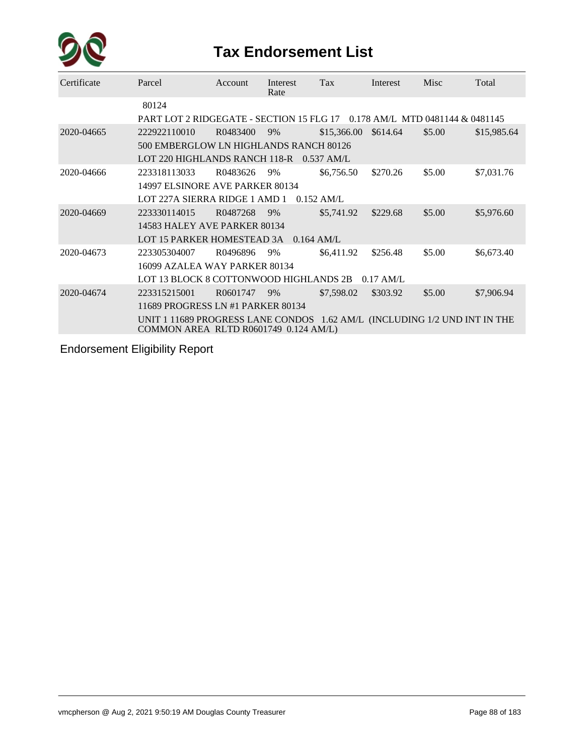

## **Tax Endorsement List**

| Certificate | Parcel                                                                                                             | <b>Account</b> | Interest<br>Rate | <b>Tax</b>   | Interest    | Misc   | Total       |  |  |  |
|-------------|--------------------------------------------------------------------------------------------------------------------|----------------|------------------|--------------|-------------|--------|-------------|--|--|--|
|             | 80124                                                                                                              |                |                  |              |             |        |             |  |  |  |
|             | PART LOT 2 RIDGEGATE - SECTION 15 FLG 17 0.178 AM/L MTD 0481144 & 0481145                                          |                |                  |              |             |        |             |  |  |  |
| 2020-04665  | 222922110010                                                                                                       | R0483400       | 9%               | \$15,366.00  | \$614.64    | \$5.00 | \$15,985.64 |  |  |  |
|             | 500 EMBERGLOW LN HIGHLANDS RANCH 80126                                                                             |                |                  |              |             |        |             |  |  |  |
|             | LOT 220 HIGHLANDS RANCH 118-R                                                                                      |                |                  | $0.537$ AM/L |             |        |             |  |  |  |
| 2020-04666  | 223318113033                                                                                                       | R0483626       | 9%               | \$6,756.50   | \$270.26    | \$5.00 | \$7,031.76  |  |  |  |
|             | 14997 ELSINORE AVE PARKER 80134                                                                                    |                |                  |              |             |        |             |  |  |  |
|             | LOT 227A SIERRA RIDGE 1 AMD 1                                                                                      |                |                  | $0.152$ AM/L |             |        |             |  |  |  |
| 2020-04669  | 223330114015                                                                                                       | R0487268       | 9%               | \$5,741.92   | \$229.68    | \$5.00 | \$5,976.60  |  |  |  |
|             | 14583 HALEY AVE PARKER 80134                                                                                       |                |                  |              |             |        |             |  |  |  |
|             | LOT 15 PARKER HOMESTEAD 3A                                                                                         |                | $0.164$ AM/L     |              |             |        |             |  |  |  |
| 2020-04673  | 223305304007                                                                                                       | R0496896       | 9%               | \$6,411.92   | \$256.48    | \$5.00 | \$6,673.40  |  |  |  |
|             | 16099 AZALEA WAY PARKER 80134                                                                                      |                |                  |              |             |        |             |  |  |  |
|             | LOT 13 BLOCK 8 COTTONWOOD HIGHLANDS 2B                                                                             |                |                  |              | $0.17$ AM/L |        |             |  |  |  |
| 2020-04674  | 223315215001                                                                                                       | R0601747       | 9%               | \$7,598.02   | \$303.92    | \$5.00 | \$7,906.94  |  |  |  |
|             | 11689 PROGRESS LN #1 PARKER 80134                                                                                  |                |                  |              |             |        |             |  |  |  |
|             | UNIT 1 11689 PROGRESS LANE CONDOS 1.62 AM/L (INCLUDING 1/2 UND INT IN THE<br>COMMON AREA RLTD R0601749 0.124 AM/L) |                |                  |              |             |        |             |  |  |  |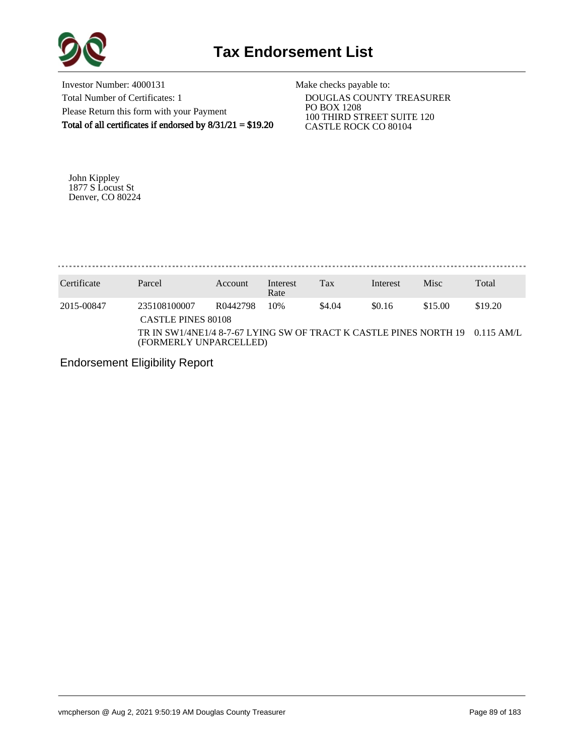

Investor Number: 4000131 Total Number of Certificates: 1 Please Return this form with your Payment Total of all certificates if endorsed by 8/31/21 = \$19.20

Make checks payable to:

 DOUGLAS COUNTY TREASURER PO BOX 1208 100 THIRD STREET SUITE 120 CASTLE ROCK CO 80104

John Kippley 1877 S Locust St Denver, CO 80224

. . . . . . . . . . . . . . . . 

| Certificate | Parcel                                                                                                 | Account  | Interest<br>Rate | Tax    | Interest | <b>Misc</b> | Total   |
|-------------|--------------------------------------------------------------------------------------------------------|----------|------------------|--------|----------|-------------|---------|
| 2015-00847  | 235108100007<br><b>CASTLE PINES 80108</b>                                                              | R0442798 | 10%              | \$4.04 | \$0.16   | \$15.00     | \$19.20 |
|             | TR IN SW1/4NE1/4 8-7-67 LYING SW OF TRACT K CASTLE PINES NORTH 19 0.115 AM/L<br>(FORMERLY UNPARCELLED) |          |                  |        |          |             |         |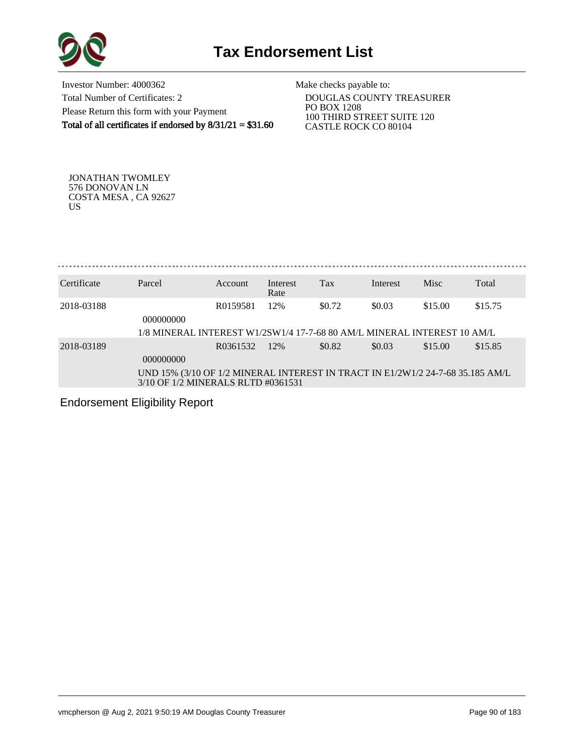

Investor Number: 4000362 Total Number of Certificates: 2 Please Return this form with your Payment Total of all certificates if endorsed by  $8/31/21 = $31.60$  Make checks payable to:

 DOUGLAS COUNTY TREASURER PO BOX 1208 100 THIRD STREET SUITE 120 CASTLE ROCK CO 80104

JONATHAN TWOMLEY 576 DONOVAN LN COSTA MESA , CA 92627 US

Certificate Parcel Account Interest Tax Interest Misc Total Rate 2018-03188 R0159581 12% \$0.72 \$0.03 \$15.00 \$15.75 000000000 1/8 MINERAL INTEREST W1/2SW1/4 17-7-68 80 AM/L MINERAL INTEREST 10 AM/L 2018-03189 R0361532 12% \$0.82 \$0.03 \$15.00 \$15.85 000000000 UND 15% (3/10 OF 1/2 MINERAL INTEREST IN TRACT IN E1/2W1/2 24-7-68 35.185 AM/L 3/10 OF 1/2 MINERALS RLTD #0361531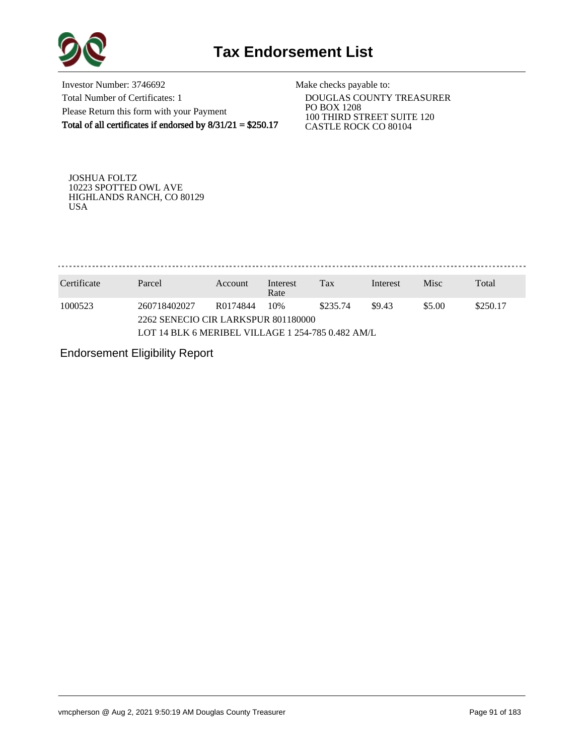

Investor Number: 3746692 Total Number of Certificates: 1 Please Return this form with your Payment Total of all certificates if endorsed by  $8/31/21 = $250.17$ 

Make checks payable to:

 DOUGLAS COUNTY TREASURER PO BOX 1208 100 THIRD STREET SUITE 120 CASTLE ROCK CO 80104

JOSHUA FOLTZ 10223 SPOTTED OWL AVE HIGHLANDS RANCH, CO 80129 USA

. . . . . . . . . . . . . . . 

| Certificate | Parcel                                            | Account  | Interest<br>Rate | Tax      | Interest | <b>Misc</b> | Total    |  |
|-------------|---------------------------------------------------|----------|------------------|----------|----------|-------------|----------|--|
| 1000523     | 260718402027                                      | R0174844 | 10%              | \$235.74 | \$9.43   | \$5.00      | \$250.17 |  |
|             | 2262 SENECIO CIR LARKSPUR 801180000               |          |                  |          |          |             |          |  |
|             | LOT 14 BLK 6 MERIBEL VILLAGE 1 254-785 0.482 AM/L |          |                  |          |          |             |          |  |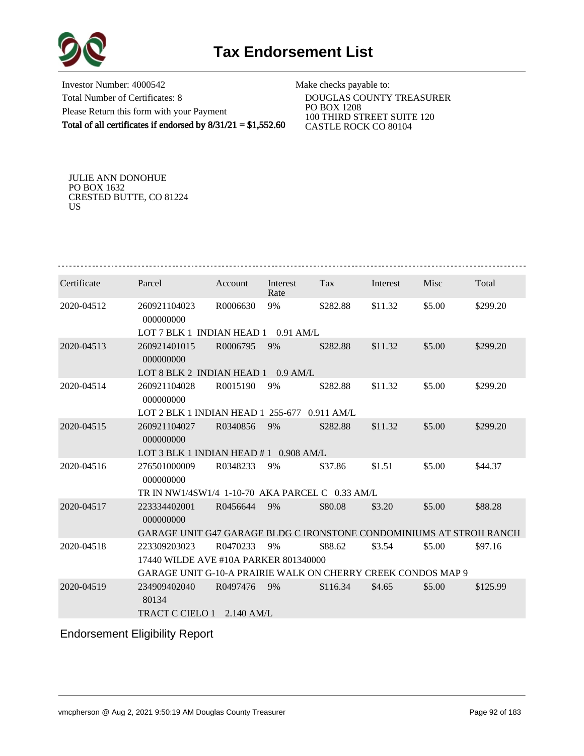

Investor Number: 4000542 Total Number of Certificates: 8 Please Return this form with your Payment Total of all certificates if endorsed by  $8/31/21 = $1,552.60$ 

Make checks payable to:

 DOUGLAS COUNTY TREASURER PO BOX 1208 100 THIRD STREET SUITE 120 CASTLE ROCK CO 80104

JULIE ANN DONOHUE PO BOX 1632 CRESTED BUTTE, CO 81224 US

| Certificate | Parcel                                                                     | Account      | Interest<br>Rate | Tax          | Interest | Misc   | Total    |
|-------------|----------------------------------------------------------------------------|--------------|------------------|--------------|----------|--------|----------|
| 2020-04512  | 260921104023<br>000000000                                                  | R0006630     | 9%               | \$282.88     | \$11.32  | \$5.00 | \$299.20 |
|             | LOT 7 BLK 1 INDIAN HEAD $1$ 0.91 AM/L                                      |              |                  |              |          |        |          |
| 2020-04513  | 260921401015<br>000000000                                                  | R0006795     | 9%               | \$282.88     | \$11.32  | \$5.00 | \$299.20 |
|             | LOT 8 BLK 2 INDIAN HEAD 1 0.9 AM/L                                         |              |                  |              |          |        |          |
| 2020-04514  | 260921104028<br>000000000                                                  | R0015190     | 9%               | \$282.88     | \$11.32  | \$5.00 | \$299.20 |
|             | LOT 2 BLK 1 INDIAN HEAD 1 255-677                                          |              |                  | $0.911$ AM/L |          |        |          |
| 2020-04515  | 260921104027<br>000000000                                                  | R0340856     | 9%               | \$282.88     | \$11.32  | \$5.00 | \$299.20 |
|             | LOT 3 BLK 1 INDIAN HEAD $#1$ 0.908 AM/L                                    |              |                  |              |          |        |          |
| 2020-04516  | 276501000009<br>000000000                                                  | R0348233     | 9%               | \$37.86      | \$1.51   | \$5.00 | \$44.37  |
|             | TR IN NW1/4SW1/4 1-10-70 AKA PARCEL C 0.33 AM/L                            |              |                  |              |          |        |          |
| 2020-04517  | 223334402001<br>000000000                                                  | R0456644     | 9%               | \$80.08      | \$3.20   | \$5.00 | \$88.28  |
|             | <b>GARAGE UNIT G47 GARAGE BLDG C IRONSTONE CONDOMINIUMS AT STROH RANCH</b> |              |                  |              |          |        |          |
| 2020-04518  | 223309203023                                                               | R0470233     | 9%               | \$88.62      | \$3.54   | \$5.00 | \$97.16  |
|             | 17440 WILDE AVE #10A PARKER 801340000                                      |              |                  |              |          |        |          |
|             | GARAGE UNIT G-10-A PRAIRIE WALK ON CHERRY CREEK CONDOS MAP 9               |              |                  |              |          |        |          |
| 2020-04519  | 234909402040<br>80134                                                      | R0497476     | 9%               | \$116.34     | \$4.65   | \$5.00 | \$125.99 |
|             | TRACT C CIELO 1                                                            | $2.140$ AM/L |                  |              |          |        |          |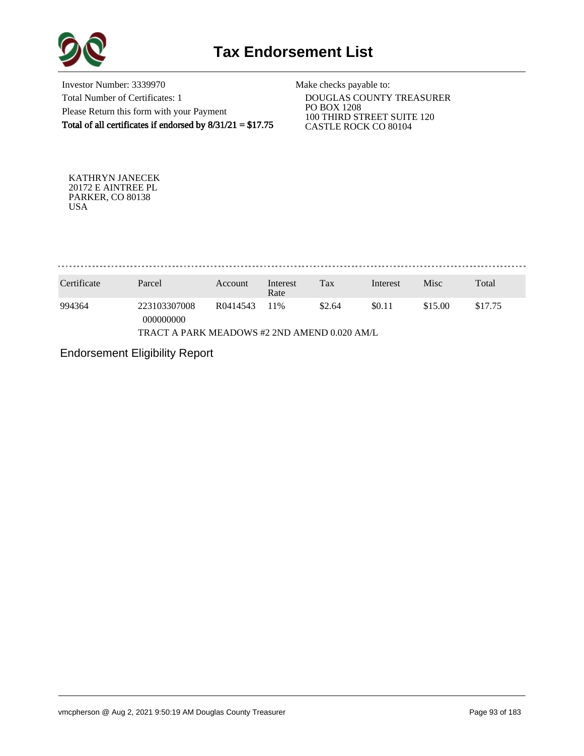

Investor Number: 3339970 Total Number of Certificates: 1 Please Return this form with your Payment Total of all certificates if endorsed by  $8/31/21 = $17.75$ 

Make checks payable to:

 DOUGLAS COUNTY TREASURER PO BOX 1208 100 THIRD STREET SUITE 120 CASTLE ROCK CO 80104

KATHRYN JANECEK 20172 E AINTREE PL PARKER, CO 80138 USA

. . . . . . . . . . . . . . . . . . . 

| Certificate                                  | Parcel                    | Account  | Interest<br>Rate | Tax    | Interest | Misc    | Total   |  |
|----------------------------------------------|---------------------------|----------|------------------|--------|----------|---------|---------|--|
| 994364                                       | 223103307008<br>000000000 | R0414543 | 11%              | \$2.64 | \$0.11   | \$15.00 | \$17.75 |  |
| TRACT A PARK MEADOWS #2 2ND AMEND 0.020 AM/L |                           |          |                  |        |          |         |         |  |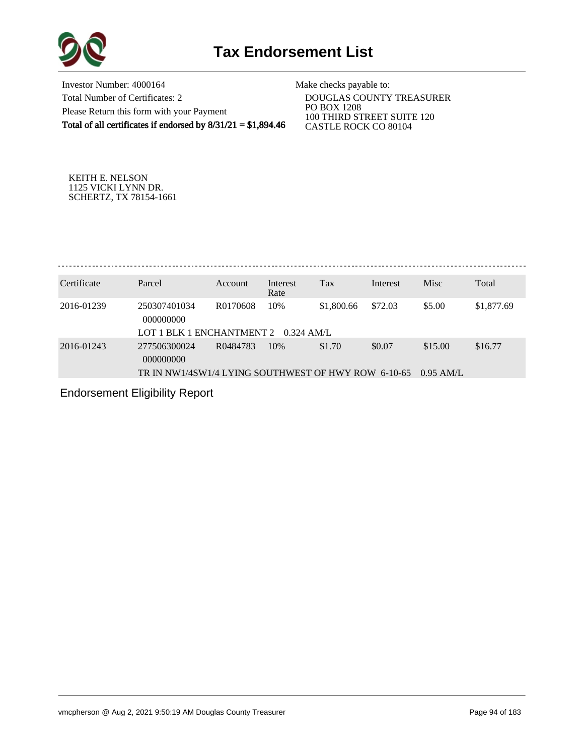

Investor Number: 4000164 Total Number of Certificates: 2 Please Return this form with your Payment Total of all certificates if endorsed by  $8/31/21 = $1,894.46$ 

Make checks payable to:

 DOUGLAS COUNTY TREASURER PO BOX 1208 100 THIRD STREET SUITE 120 CASTLE ROCK CO 80104

KEITH E. NELSON 1125 VICKI LYNN DR. SCHERTZ, TX 78154-1661

. . . . . . . . . . . . . . . . . . . 

| Certificate | Parcel                                              | Account  | Interest<br>Rate | Tax        | Interest | <b>Misc</b> | Total      |
|-------------|-----------------------------------------------------|----------|------------------|------------|----------|-------------|------------|
| 2016-01239  | 250307401034<br>000000000                           | R0170608 | 10%              | \$1,800.66 | \$72.03  | \$5.00      | \$1,877.69 |
|             | LOT 1 BLK 1 ENCHANTMENT 2                           |          | $0.324$ AM/L     |            |          |             |            |
| 2016-01243  | 277506300024<br>000000000                           | R0484783 | 10%              | \$1.70     | \$0.07   | \$15.00     | \$16.77    |
|             | TR IN NW1/4SW1/4 LYING SOUTHWEST OF HWY ROW 6-10-65 |          |                  |            |          | $0.95$ AM/L |            |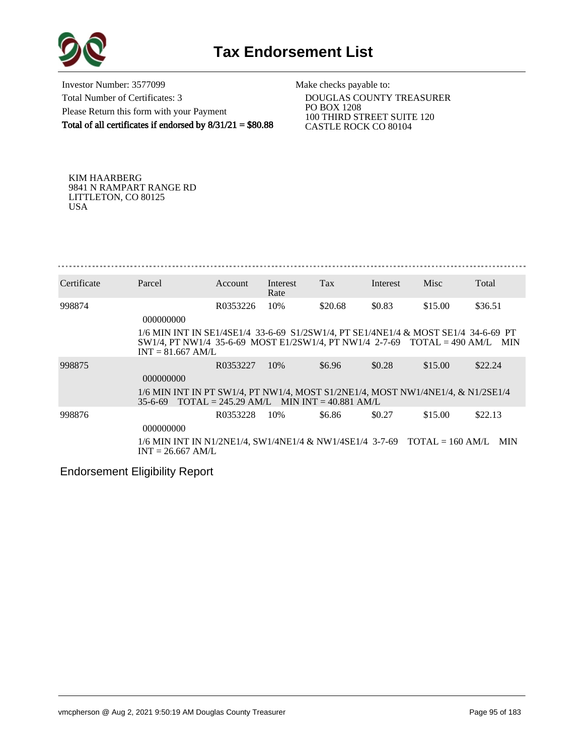

Investor Number: 3577099 Total Number of Certificates: 3 Please Return this form with your Payment Total of all certificates if endorsed by  $8/31/21 = $80.88$ 

Make checks payable to:

 DOUGLAS COUNTY TREASURER PO BOX 1208 100 THIRD STREET SUITE 120 CASTLE ROCK CO 80104

KIM HAARBERG 9841 N RAMPART RANGE RD LITTLETON, CO 80125 USA

| Certificate | Parcel                                                                                                                                                                                       | <b>Account</b> | Interest<br>Rate | Tax                                                        | Interest | <b>Misc</b> | Total      |
|-------------|----------------------------------------------------------------------------------------------------------------------------------------------------------------------------------------------|----------------|------------------|------------------------------------------------------------|----------|-------------|------------|
| 998874      | 000000000                                                                                                                                                                                    | R0353226       | 10%              | \$20.68                                                    | \$0.83   | \$15.00     | \$36.51    |
|             | 1/6 MIN INT IN SE1/4SE1/4 33-6-69 S1/2SW1/4, PT SE1/4NE1/4 & MOST SE1/4 34-6-69 PT<br>$SW1/4$ , PT NW1/4 35-6-69 MOST E1/2SW1/4, PT NW1/4 2-7-69 TOTAL = 490 AM/L MIN<br>$INT = 81.667$ AM/L |                |                  |                                                            |          |             |            |
| 998875      | 000000000                                                                                                                                                                                    | R0353227       | 10%              | \$6.96                                                     | \$0.28   | \$15.00     | \$22.24    |
|             | 1/6 MIN INT IN PT SW1/4, PT NW1/4, MOST S1/2NE1/4, MOST NW1/4NE1/4, & N1/2SE1/4<br>$35 - 6 - 69$                                                                                             |                |                  | $\text{TOTAL} = 245.29 \text{ AM/L}$ MIN INT = 40.881 AM/L |          |             |            |
| 998876      | 000000000                                                                                                                                                                                    | R0353228       | 10%              | \$6.86                                                     | \$0.27   | \$15.00     | \$22.13    |
|             | $1/6$ MIN INT IN N1/2NE1/4, SW1/4NE1/4 & NW1/4SE1/4 3-7-69 TOTAL = 160 AM/L<br>$INT = 26.667$ AM/L                                                                                           |                |                  |                                                            |          |             | <b>MIN</b> |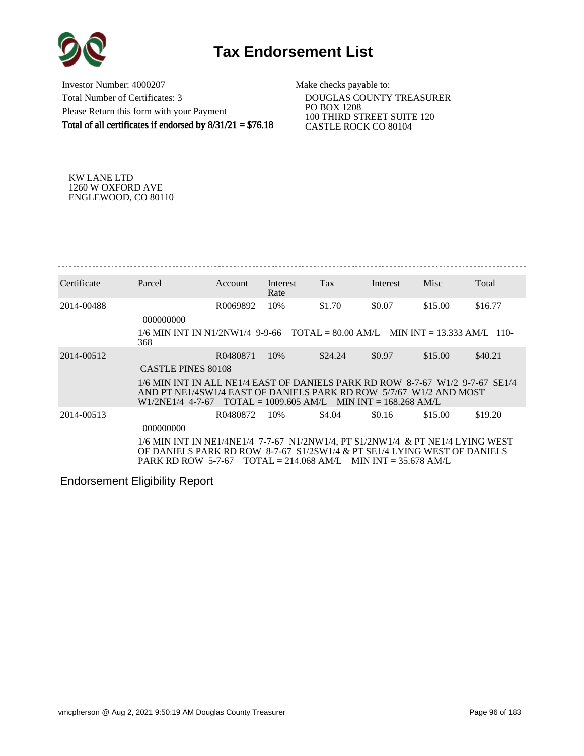

Investor Number: 4000207 Total Number of Certificates: 3 Please Return this form with your Payment Total of all certificates if endorsed by 8/31/21 = \$76.18 Make checks payable to:

 DOUGLAS COUNTY TREASURER PO BOX 1208 100 THIRD STREET SUITE 120 CASTLE ROCK CO 80104

KW LANE LTD 1260 W OXFORD AVE ENGLEWOOD, CO 80110

| Certificate | Parcel                                                                                                                                                                                            | Account  | Interest<br>Rate | Tax                                                           | Interest | <b>Misc</b> | Total   |
|-------------|---------------------------------------------------------------------------------------------------------------------------------------------------------------------------------------------------|----------|------------------|---------------------------------------------------------------|----------|-------------|---------|
| 2014-00488  | 000000000                                                                                                                                                                                         | R0069892 | 10%              | \$1.70                                                        | \$0.07   | \$15.00     | \$16.77 |
|             | $1/6$ MIN INT IN N1/2NW1/4 9-9-66 TOTAL = 80.00 AM/L MIN INT = 13.333 AM/L 110-<br>368                                                                                                            |          |                  |                                                               |          |             |         |
| 2014-00512  | <b>CASTLE PINES 80108</b>                                                                                                                                                                         | R0480871 | 10%              | \$24.24                                                       | \$0.97   | \$15.00     | \$40.21 |
|             | 1/6 MIN INT IN ALL NE1/4 EAST OF DANIELS PARK RD ROW 8-7-67 W1/2 9-7-67 SE1/4<br>AND PT NE1/4SW1/4 EAST OF DANIELS PARK RD ROW 5/7/67 W1/2 AND MOST<br>W <sub>1</sub> /2NE <sub>1</sub> /4 4-7-67 |          |                  | $\text{TOTAL} = 1009.605 \text{ AM/L}$ MIN INT = 168.268 AM/L |          |             |         |
| 2014-00513  | 000000000                                                                                                                                                                                         | R0480872 | 10%              | \$4.04                                                        | \$0.16   | \$15.00     | \$19.20 |
|             | 1/6 MIN INT IN NE1/4NE1/4 7-7-67 N1/2NW1/4, PT S1/2NW1/4 & PT NE1/4 LYING WEST<br>OF DANIELS PARK RD ROW 8-7-67 S1/2SW1/4 & PT SE1/4 LYING WEST OF DANIELS<br><b>PARK RD ROW 5-7-67</b>           |          |                  | $\text{TOTAL} = 214.068 \text{ AM/L}$ MIN INT = 35.678 AM/L   |          |             |         |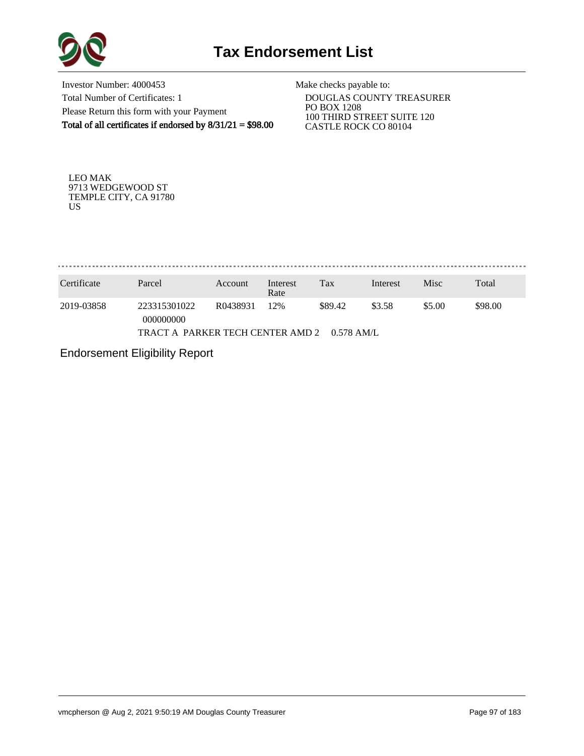

Investor Number: 4000453 Total Number of Certificates: 1 Please Return this form with your Payment Total of all certificates if endorsed by  $8/31/21 = $98.00$ 

Make checks payable to:

 DOUGLAS COUNTY TREASURER PO BOX 1208 100 THIRD STREET SUITE 120 CASTLE ROCK CO 80104

LEO MAK 9713 WEDGEWOOD ST TEMPLE CITY, CA 91780 US

. . . . . . . . . . . . . . . . . . . 

| Certificate                                 | Parcel                    | Account  | Interest<br>Rate | Tax     | Interest | Misc   | Total   |  |
|---------------------------------------------|---------------------------|----------|------------------|---------|----------|--------|---------|--|
| 2019-03858                                  | 223315301022<br>000000000 | R0438931 | 12%              | \$89.42 | \$3.58   | \$5.00 | \$98.00 |  |
| TRACT A PARKER TECH CENTER AMD 2 0.578 AM/L |                           |          |                  |         |          |        |         |  |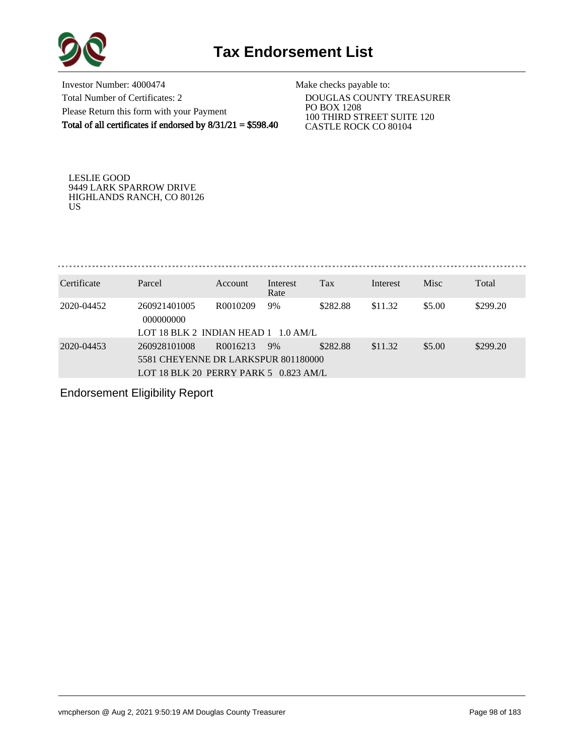

Investor Number: 4000474 Total Number of Certificates: 2 Please Return this form with your Payment Total of all certificates if endorsed by 8/31/21 = \$598.40

Make checks payable to:

 DOUGLAS COUNTY TREASURER PO BOX 1208 100 THIRD STREET SUITE 120 CASTLE ROCK CO 80104

LESLIE GOOD 9449 LARK SPARROW DRIVE HIGHLANDS RANCH, CO 80126 US

| P <sub>arce</sub> | ccoun | $\mathsf{R}\mathop{\mathsf{a}}\nolimits$ te | Tax | Interest | <b>Misc</b> | Total |
|-------------------|-------|---------------------------------------------|-----|----------|-------------|-------|

| 260921401005<br>2020-04452<br>000000000 |                                                                                            |    |          |         |        |          |
|-----------------------------------------|--------------------------------------------------------------------------------------------|----|----------|---------|--------|----------|
|                                         | R0010209<br>LOT 18 BLK 2 INDIAN HEAD $1 \cdot 1.0$ AM/L                                    | 9% | \$282.88 | \$11.32 | \$5.00 | \$299.20 |
| 2020-04453<br>260928101008              | R0016213<br>5581 CHEYENNE DR LARKSPUR 801180000<br>LOT 18 BLK 20 PERRY PARK 5 $0.823$ AM/L | 9% | \$282.88 | \$11.32 | \$5.00 | \$299.20 |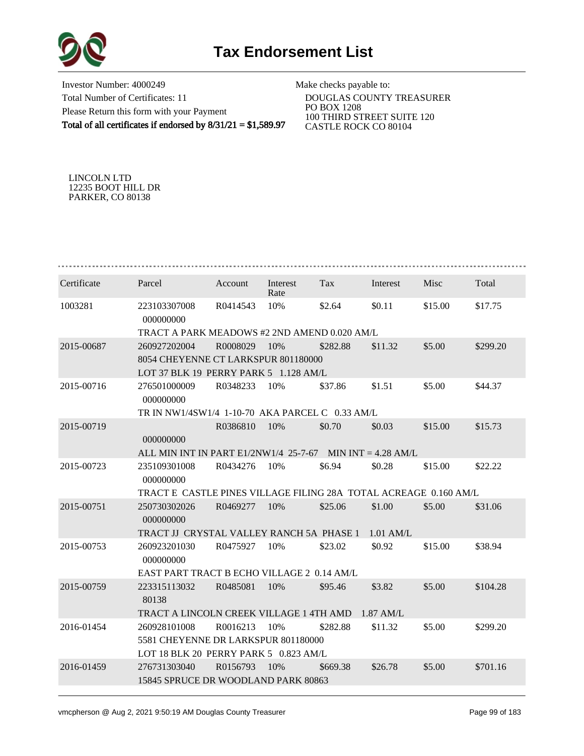

Investor Number: 4000249 Total Number of Certificates: 11 Please Return this form with your Payment Total of all certificates if endorsed by 8/31/21 = \$1,589.97 Make checks payable to:

 DOUGLAS COUNTY TREASURER PO BOX 1208 100 THIRD STREET SUITE 120 CASTLE ROCK CO 80104

LINCOLN LTD 12235 BOOT HILL DR PARKER, CO 80138

| Certificate | Parcel                                                           | Account  | Interest<br>Rate | Tax      | Interest    | Misc    | Total    |  |  |  |
|-------------|------------------------------------------------------------------|----------|------------------|----------|-------------|---------|----------|--|--|--|
| 1003281     | 223103307008<br>000000000                                        | R0414543 | 10%              | \$2.64   | \$0.11      | \$15.00 | \$17.75  |  |  |  |
|             | TRACT A PARK MEADOWS #2 2ND AMEND 0.020 AM/L                     |          |                  |          |             |         |          |  |  |  |
| 2015-00687  | 260927202004                                                     | R0008029 | 10%              | \$282.88 | \$11.32     | \$5.00  | \$299.20 |  |  |  |
|             | 8054 CHEYENNE CT LARKSPUR 801180000                              |          |                  |          |             |         |          |  |  |  |
|             | LOT 37 BLK 19 PERRY PARK 5 1.128 AM/L                            |          |                  |          |             |         |          |  |  |  |
| 2015-00716  | 276501000009<br>000000000                                        | R0348233 | 10%              | \$37.86  | \$1.51      | \$5.00  | \$44.37  |  |  |  |
|             | TR IN NW1/4SW1/4 1-10-70 AKA PARCEL C 0.33 AM/L                  |          |                  |          |             |         |          |  |  |  |
| 2015-00719  | 000000000                                                        | R0386810 | 10%              | \$0.70   | \$0.03      | \$15.00 | \$15.73  |  |  |  |
|             | ALL MIN INT IN PART $E1/2NW1/4$ 25-7-67 MIN INT = 4.28 AM/L      |          |                  |          |             |         |          |  |  |  |
| 2015-00723  | 235109301008<br>000000000                                        | R0434276 | 10%              | \$6.94   | \$0.28      | \$15.00 | \$22.22  |  |  |  |
|             | TRACT E CASTLE PINES VILLAGE FILING 28A TOTAL ACREAGE 0.160 AM/L |          |                  |          |             |         |          |  |  |  |
| 2015-00751  | 250730302026<br>000000000                                        | R0469277 | 10%              | \$25.06  | \$1.00      | \$5.00  | \$31.06  |  |  |  |
|             | TRACT JJ CRYSTAL VALLEY RANCH 5A PHASE 1                         |          |                  |          | $1.01$ AM/L |         |          |  |  |  |
| 2015-00753  | 260923201030<br>000000000                                        | R0475927 | 10%              | \$23.02  | \$0.92      | \$15.00 | \$38.94  |  |  |  |
|             | EAST PART TRACT B ECHO VILLAGE 2 0.14 AM/L                       |          |                  |          |             |         |          |  |  |  |
| 2015-00759  | 223315113032<br>80138                                            | R0485081 | 10%              | \$95.46  | \$3.82      | \$5.00  | \$104.28 |  |  |  |
|             | TRACT A LINCOLN CREEK VILLAGE 1 4TH AMD                          |          |                  |          | $1.87$ AM/L |         |          |  |  |  |
| 2016-01454  | 260928101008                                                     | R0016213 | 10%              | \$282.88 | \$11.32     | \$5.00  | \$299.20 |  |  |  |
|             | 5581 CHEYENNE DR LARKSPUR 801180000                              |          |                  |          |             |         |          |  |  |  |
|             | LOT 18 BLK 20 PERRY PARK 5 0.823 AM/L                            |          |                  |          |             |         |          |  |  |  |
| 2016-01459  | 276731303040                                                     | R0156793 | 10%              | \$669.38 | \$26.78     | \$5.00  | \$701.16 |  |  |  |
|             | 15845 SPRUCE DR WOODLAND PARK 80863                              |          |                  |          |             |         |          |  |  |  |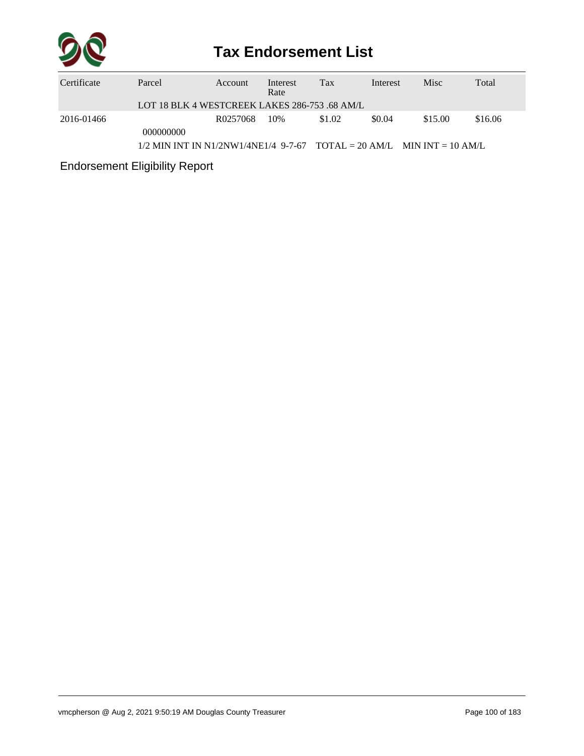

## **Tax Endorsement List**

| Certificate | Parcel                                                                   | Account  | Interest<br>Rate | Tax    | Interest | Misc    | Total   |  |  |  |
|-------------|--------------------------------------------------------------------------|----------|------------------|--------|----------|---------|---------|--|--|--|
|             | LOT 18 BLK 4 WESTCREEK LAKES 286-753 .68 AM/L                            |          |                  |        |          |         |         |  |  |  |
| 2016-01466  |                                                                          | R0257068 | 10%              | \$1.02 | \$0.04   | \$15.00 | \$16.06 |  |  |  |
|             | 000000000                                                                |          |                  |        |          |         |         |  |  |  |
|             | $1/2$ MIN INT IN N1/2NW1/4NE1/4 9-7-67 TOTAL = 20 AM/L MIN INT = 10 AM/L |          |                  |        |          |         |         |  |  |  |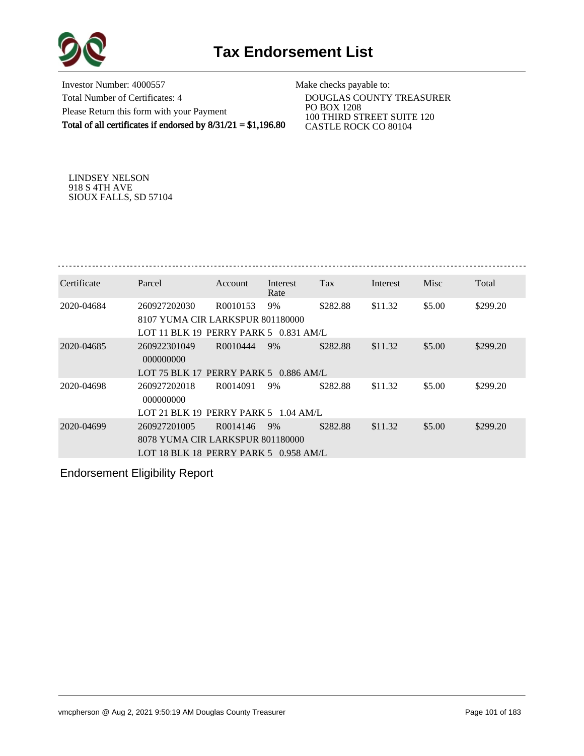

Investor Number: 4000557 Total Number of Certificates: 4 Please Return this form with your Payment Total of all certificates if endorsed by 8/31/21 = \$1,196.80

Make checks payable to:

 DOUGLAS COUNTY TREASURER PO BOX 1208 100 THIRD STREET SUITE 120 CASTLE ROCK CO 80104

LINDSEY NELSON 918 S 4TH AVE SIOUX FALLS, SD 57104

| Certificate | Parcel                                                                                      | <b>Account</b>       | Interest<br>Rate | Tax      | Interest | <b>Misc</b> | Total    |
|-------------|---------------------------------------------------------------------------------------------|----------------------|------------------|----------|----------|-------------|----------|
| 2020-04684  | 260927202030<br>8107 YUMA CIR LARKSPUR 801180000<br>LOT 11 BLK 19 PERRY PARK 5 0.831 AM/L   | R0010153             | 9%               | \$282.88 | \$11.32  | \$5.00      | \$299.20 |
| 2020-04685  | 260922301049<br>000000000<br>LOT 75 BLK 17 PERRY PARK 5 0.886 AM/L                          | R0010444             | 9%               | \$282.88 | \$11.32  | \$5.00      | \$299.20 |
| 2020-04698  | 260927202018<br>000000000<br>LOT 21 BLK 19 PERRY PARK 5 $-1.04$ AM/L                        | R <sub>0014091</sub> | 9%               | \$282.88 | \$11.32  | \$5.00      | \$299.20 |
| 2020-04699  | 260927201005<br>8078 YUMA CIR LARKSPUR 801180000<br>LOT 18 BLK 18 PERRY PARK 5 $0.958$ AM/L | R0014146             | 9%               | \$282.88 | \$11.32  | \$5.00      | \$299.20 |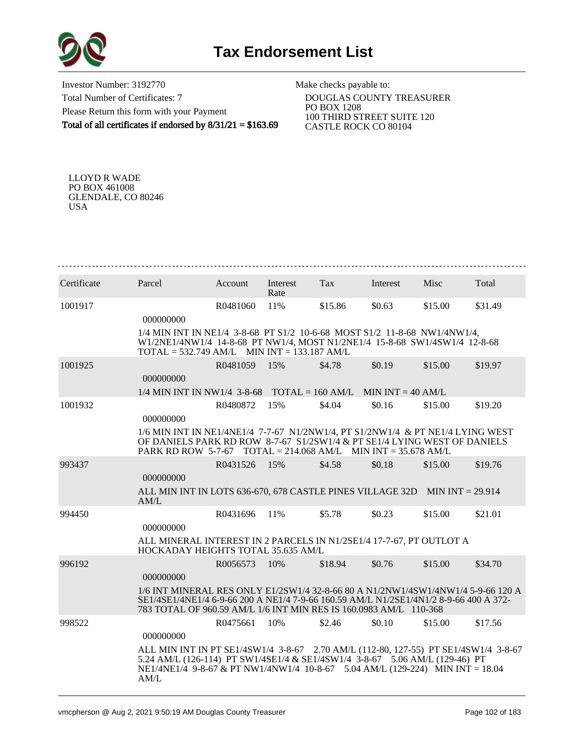

Investor Number: 3192770 Total Number of Certificates: 7 Please Return this form with your Payment Total of all certificates if endorsed by 8/31/21 = \$163.69

Make checks payable to:

 DOUGLAS COUNTY TREASURER PO BOX 1208 100 THIRD STREET SUITE 120 CASTLE ROCK CO 80104

LLOYD R WADE PO BOX 461008 GLENDALE, CO 80246 USA

| Certificate | Parcel                                                                                                                                                                                                                                                        | Account  | Interest<br>Rate | Tax     | Interest | Misc    | Total   |
|-------------|---------------------------------------------------------------------------------------------------------------------------------------------------------------------------------------------------------------------------------------------------------------|----------|------------------|---------|----------|---------|---------|
| 1001917     | 000000000                                                                                                                                                                                                                                                     | R0481060 | 11%              | \$15.86 | \$0.63   | \$15.00 | \$31.49 |
|             | 1/4 MIN INT IN NE1/4 3-8-68 PT S1/2 10-6-68 MOST S1/2 11-8-68 NW1/4NW1/4,<br>W1/2NE1/4NW1/4 14-8-68 PT NW1/4, MOST N1/2NE1/4 15-8-68 SW1/4SW1/4 12-8-68<br>$TOTAL = 532.749 AM/L$ MIN INT = 133.187 AM/L                                                      |          |                  |         |          |         |         |
| 1001925     | 000000000                                                                                                                                                                                                                                                     | R0481059 | 15%              | \$4.78  | \$0.19   | \$15.00 | \$19.97 |
|             | $1/4$ MIN INT IN NW1/4 3-8-68 TOTAL = 160 AM/L MIN INT = 40 AM/L                                                                                                                                                                                              |          |                  |         |          |         |         |
| 1001932     | 000000000                                                                                                                                                                                                                                                     | R0480872 | 15%              | \$4.04  | \$0.16   | \$15.00 | \$19.20 |
|             | 1/6 MIN INT IN NE1/4NE1/4 7-7-67 N1/2NW1/4, PT S1/2NW1/4 & PT NE1/4 LYING WEST<br>OF DANIELS PARK RD ROW 8-7-67 S1/2SW1/4 & PT SE1/4 LYING WEST OF DANIELS<br>PARK RD ROW 5-7-67 TOTAL = 214.068 AM/L MIN INT = 35.678 AM/L                                   |          |                  |         |          |         |         |
| 993437      | 000000000                                                                                                                                                                                                                                                     | R0431526 | 15%              | \$4.58  | \$0.18   | \$15.00 | \$19.76 |
|             | ALL MIN INT IN LOTS 636-670, 678 CASTLE PINES VILLAGE 32D MIN INT = 29.914<br>AM/L                                                                                                                                                                            |          |                  |         |          |         |         |
| 994450      | 000000000                                                                                                                                                                                                                                                     | R0431696 | 11%              | \$5.78  | \$0.23   | \$15.00 | \$21.01 |
|             | ALL MINERAL INTEREST IN 2 PARCELS IN N1/2SE1/4 17-7-67, PT OUTLOT A<br>HOCKADAY HEIGHTS TOTAL 35.635 AM/L                                                                                                                                                     |          |                  |         |          |         |         |
| 996192      | 000000000                                                                                                                                                                                                                                                     | R0056573 | 10%              | \$18.94 | \$0.76   | \$15.00 | \$34.70 |
|             | 1/6 INT MINERAL RES ONLY E1/2SW1/4 32-8-66 80 A N1/2NW1/4SW1/4NW1/4 5-9-66 120 A<br>SE1/4SE1/4NE1/4 6-9-66 200 A NE1/4 7-9-66 160.59 AM/L N1/2SE1/4N1/2 8-9-66 400 A 372-<br>783 TOTAL OF 960.59 AM/L 1/6 INT MIN RES IS 160.0983 AM/L 110-368                |          |                  |         |          |         |         |
| 998522      | 000000000                                                                                                                                                                                                                                                     | R0475661 | 10%              | \$2.46  | \$0.10   | \$15.00 | \$17.56 |
|             | ALL MIN INT IN PT SE1/4SW1/4 3-8-67 2.70 AM/L (112-80, 127-55) PT SE1/4SW1/4 3-8-67<br>5.24 AM/L (126-114) PT SW1/4SE1/4 & SE1/4SW1/4 3-8-67 5.06 AM/L (129-46) PT<br>$NE1/4NE1/4$ 9-8-67 & PT NW1/4NW1/4 10-8-67 5.04 AM/L (129-224) MIN INT = 18.04<br>AM/L |          |                  |         |          |         |         |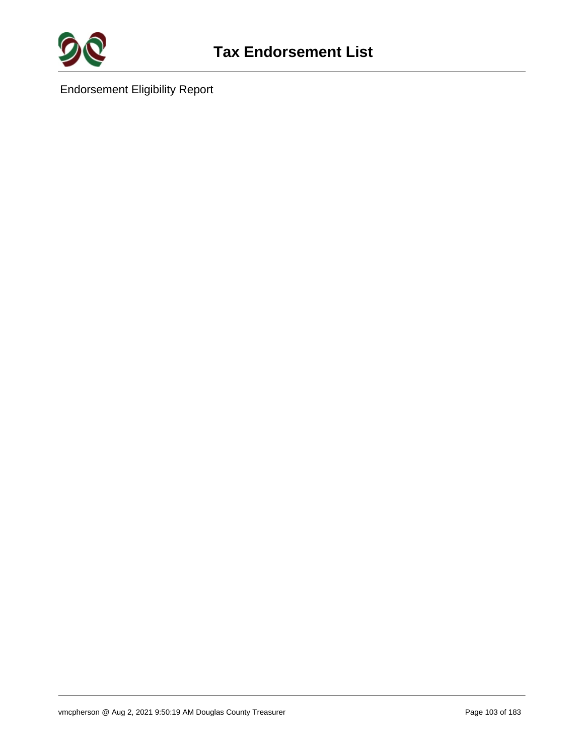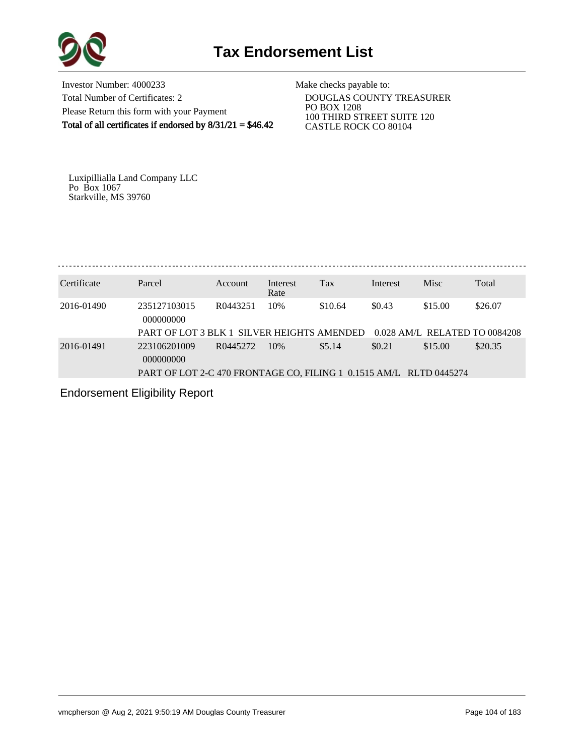

Investor Number: 4000233 Total Number of Certificates: 2 Please Return this form with your Payment Total of all certificates if endorsed by  $8/31/21 = $46.42$ 

Make checks payable to:

 DOUGLAS COUNTY TREASURER PO BOX 1208 100 THIRD STREET SUITE 120 CASTLE ROCK CO 80104

Luxipillialla Land Company LLC Po Box 1067 Starkville, MS 39760

. . . . . . . . . . . . . . . . . . . 

| Certificate | Parcel                                                             | <b>Account</b> | Interest<br>Rate | <b>Tax</b> | Interest | <b>Misc</b>                   | Total   |  |  |  |
|-------------|--------------------------------------------------------------------|----------------|------------------|------------|----------|-------------------------------|---------|--|--|--|
| 2016-01490  | 235127103015<br>000000000                                          | R0443251       | 10%              | \$10.64    | \$0.43   | \$15.00                       | \$26.07 |  |  |  |
|             | PART OF LOT 3 BLK 1 SILVER HEIGHTS AMENDED                         |                |                  |            |          | 0.028 AM/L RELATED TO 0084208 |         |  |  |  |
| 2016-01491  | 223106201009<br>000000000                                          | R0445272       | 10%              | \$5.14     | \$0.21   | \$15.00                       | \$20.35 |  |  |  |
|             | PART OF LOT 2-C 470 FRONTAGE CO, FILING 1 0.1515 AM/L RLTD 0445274 |                |                  |            |          |                               |         |  |  |  |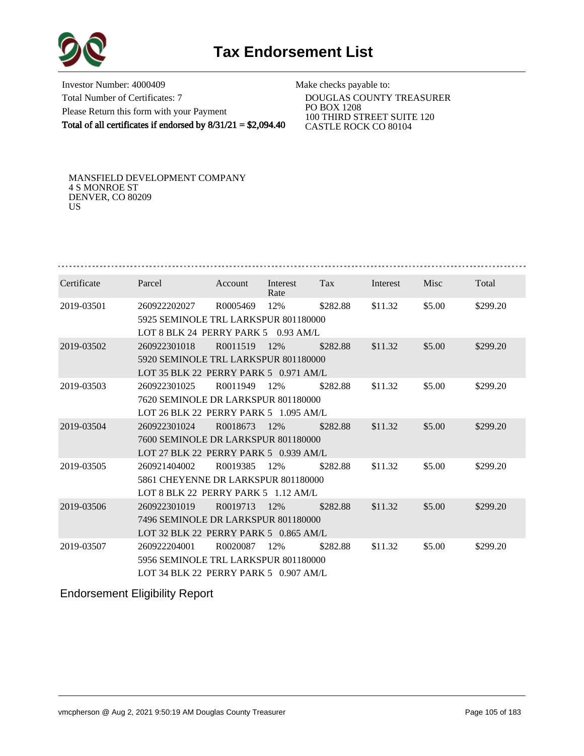

Investor Number: 4000409 Total Number of Certificates: 7 Please Return this form with your Payment Total of all certificates if endorsed by  $8/31/21 = $2,094.40$ 

Make checks payable to:

 DOUGLAS COUNTY TREASURER PO BOX 1208 100 THIRD STREET SUITE 120 CASTLE ROCK CO 80104

MANSFIELD DEVELOPMENT COMPANY 4 S MONROE ST DENVER, CO 80209 US

| Certificate | Parcel                                                                       | Account                              | Interest<br>Rate | Tax      | Interest | Misc   | Total    |  |  |  |  |  |
|-------------|------------------------------------------------------------------------------|--------------------------------------|------------------|----------|----------|--------|----------|--|--|--|--|--|
| 2019-03501  | 260922202027                                                                 | R0005469                             | 12%              | \$282.88 | \$11.32  | \$5.00 | \$299.20 |  |  |  |  |  |
|             | 5925 SEMINOLE TRL LARKSPUR 801180000                                         |                                      |                  |          |          |        |          |  |  |  |  |  |
|             | LOT 8 BLK 24 PERRY PARK 5<br>$0.93$ AM/L                                     |                                      |                  |          |          |        |          |  |  |  |  |  |
| 2019-03502  | 260922301018                                                                 | R0011519                             | 12%              | \$282.88 | \$11.32  | \$5.00 | \$299.20 |  |  |  |  |  |
|             |                                                                              | 5920 SEMINOLE TRL LARKSPUR 801180000 |                  |          |          |        |          |  |  |  |  |  |
|             | LOT 35 BLK 22 PERRY PARK 5 0.971 AM/L                                        |                                      |                  |          |          |        |          |  |  |  |  |  |
| 2019-03503  | 260922301025                                                                 | R <sub>0011949</sub>                 | 12%              | \$282.88 | \$11.32  | \$5.00 | \$299.20 |  |  |  |  |  |
|             | 7620 SEMINOLE DR LARKSPUR 801180000                                          |                                      |                  |          |          |        |          |  |  |  |  |  |
|             | LOT 26 BLK 22 PERRY PARK 5 1.095 AM/L                                        |                                      |                  |          |          |        |          |  |  |  |  |  |
| 2019-03504  | 260922301024                                                                 | R0018673                             | 12%              | \$282.88 | \$11.32  | \$5.00 | \$299.20 |  |  |  |  |  |
|             |                                                                              |                                      |                  |          |          |        |          |  |  |  |  |  |
|             | 7600 SEMINOLE DR LARKSPUR 801180000<br>LOT 27 BLK 22 PERRY PARK 5 0.939 AM/L |                                      |                  |          |          |        |          |  |  |  |  |  |
|             |                                                                              |                                      |                  |          |          |        |          |  |  |  |  |  |
| 2019-03505  | 260921404002                                                                 | R0019385                             | 12%              | \$282.88 | \$11.32  | \$5.00 | \$299.20 |  |  |  |  |  |
|             | 5861 CHEYENNE DR LARKSPUR 801180000                                          |                                      |                  |          |          |        |          |  |  |  |  |  |
|             | LOT 8 BLK 22 PERRY PARK 5 1.12 AM/L                                          |                                      |                  |          |          |        |          |  |  |  |  |  |
| 2019-03506  | 260922301019                                                                 | R0019713                             | 12%              | \$282.88 | \$11.32  | \$5.00 | \$299.20 |  |  |  |  |  |
|             | 7496 SEMINOLE DR LARKSPUR 801180000                                          |                                      |                  |          |          |        |          |  |  |  |  |  |
|             | LOT 32 BLK 22 PERRY PARK 5 0.865 AM/L                                        |                                      |                  |          |          |        |          |  |  |  |  |  |
| 2019-03507  | 260922204001                                                                 | R0020087                             | 12%              | \$282.88 | \$11.32  | \$5.00 | \$299.20 |  |  |  |  |  |
|             | 5956 SEMINOLE TRL LARKSPUR 801180000                                         |                                      |                  |          |          |        |          |  |  |  |  |  |
|             | LOT 34 BLK 22 PERRY PARK 5 0.907 AM/L                                        |                                      |                  |          |          |        |          |  |  |  |  |  |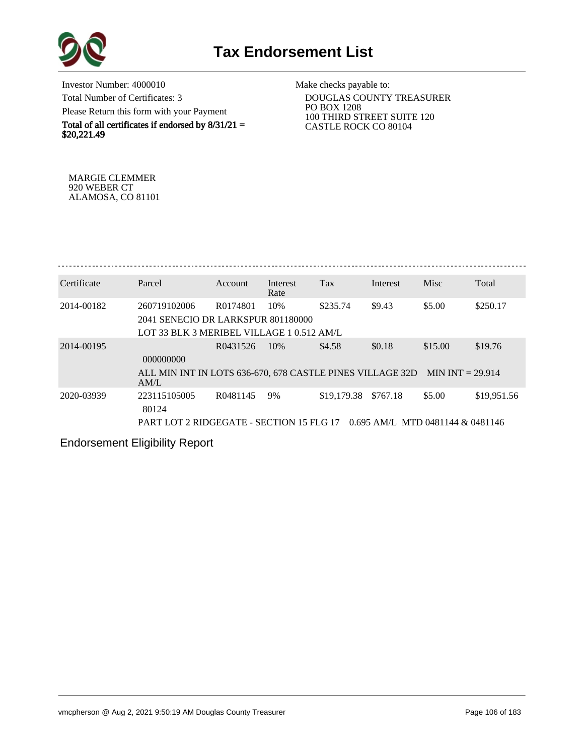

Investor Number: 4000010 Total Number of Certificates: 3 Please Return this form with your Payment

Total of all certificates if endorsed by  $8/31/21 =$ \$20,221.49

Make checks payable to:

 DOUGLAS COUNTY TREASURER PO BOX 1208 100 THIRD STREET SUITE 120 CASTLE ROCK CO 80104

MARGIE CLEMMER 920 WEBER CT ALAMOSA, CO 81101

| Certificate | Parcel                                                                                          | Account  | Interest<br>Rate | <b>Tax</b>  | Interest                                        | Misc                          | Total       |
|-------------|-------------------------------------------------------------------------------------------------|----------|------------------|-------------|-------------------------------------------------|-------------------------------|-------------|
| 2014-00182  | 260719102006<br>2041 SENECIO DR LARKSPUR 801180000<br>LOT 33 BLK 3 MERIBEL VILLAGE 1 0.512 AM/L | R0174801 | 10%              | \$235.74    | \$9.43                                          | \$5.00                        | \$250.17    |
| 2014-00195  | 000000000<br>ALL MIN INT IN LOTS 636-670, 678 CASTLE PINES VILLAGE 32D<br>AM/L                  | R0431526 | 10%              | \$4.58      | \$0.18                                          | \$15.00<br>MIN INT $= 29.914$ | \$19.76     |
| 2020-03939  | 223115105005<br>80124<br>PART LOT 2 RIDGEGATE - SECTION 15 FLG 17                               | R0481145 | 9%               | \$19,179.38 | \$767.18<br>$0.695$ AM/L, MTD 0481144 & 0481146 | \$5.00                        | \$19,951.56 |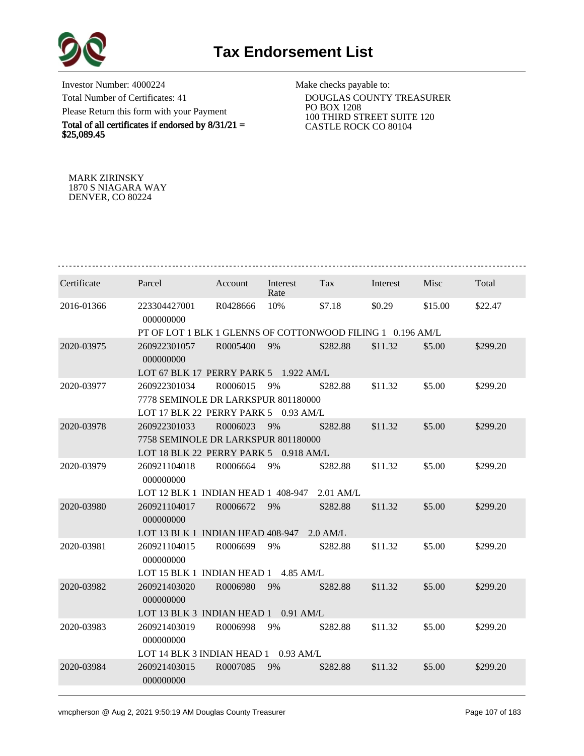

Investor Number: 4000224 Total Number of Certificates: 41 Please Return this form with your Payment

Total of all certificates if endorsed by  $8/31/21 =$ \$25,089.45

Make checks payable to:

 DOUGLAS COUNTY TREASURER PO BOX 1208 100 THIRD STREET SUITE 120 CASTLE ROCK CO 80104

MARK ZIRINSKY 1870 S NIAGARA WAY DENVER, CO 80224

| Certificate | Parcel                                                     | Account  | Interest<br>Rate | Tax         | Interest | Misc    | Total    |  |  |  |
|-------------|------------------------------------------------------------|----------|------------------|-------------|----------|---------|----------|--|--|--|
| 2016-01366  | 223304427001<br>000000000                                  | R0428666 | 10%              | \$7.18      | \$0.29   | \$15.00 | \$22.47  |  |  |  |
|             | PT OF LOT 1 BLK 1 GLENNS OF COTTONWOOD FILING 1 0.196 AM/L |          |                  |             |          |         |          |  |  |  |
| 2020-03975  | 260922301057<br>000000000                                  | R0005400 | 9%               | \$282.88    | \$11.32  | \$5.00  | \$299.20 |  |  |  |
|             | LOT 67 BLK 17 PERRY PARK 5 1.922 AM/L                      |          |                  |             |          |         |          |  |  |  |
| 2020-03977  | 260922301034                                               | R0006015 | 9%               | \$282.88    | \$11.32  | \$5.00  | \$299.20 |  |  |  |
|             | 7778 SEMINOLE DR LARKSPUR 801180000                        |          |                  |             |          |         |          |  |  |  |
|             | LOT 17 BLK 22 PERRY PARK 5                                 |          | $0.93$ AM/L      |             |          |         |          |  |  |  |
| 2020-03978  | 260922301033                                               | R0006023 | 9%               | \$282.88    | \$11.32  | \$5.00  | \$299.20 |  |  |  |
|             | 7758 SEMINOLE DR LARKSPUR 801180000                        |          |                  |             |          |         |          |  |  |  |
|             | LOT 18 BLK 22 PERRY PARK 5 0.918 AM/L                      |          |                  |             |          |         |          |  |  |  |
| 2020-03979  | 260921104018<br>000000000                                  | R0006664 | 9%               | \$282.88    | \$11.32  | \$5.00  | \$299.20 |  |  |  |
|             | LOT 12 BLK 1 INDIAN HEAD 1 408-947                         |          |                  | $2.01$ AM/L |          |         |          |  |  |  |
| 2020-03980  | 260921104017<br>000000000                                  | R0006672 | 9%               | \$282.88    | \$11.32  | \$5.00  | \$299.20 |  |  |  |
|             | LOT 13 BLK 1 INDIAN HEAD 408-947                           |          |                  | $2.0$ AM/L  |          |         |          |  |  |  |
| 2020-03981  | 260921104015<br>000000000                                  | R0006699 | 9%               | \$282.88    | \$11.32  | \$5.00  | \$299.20 |  |  |  |
|             | LOT 15 BLK 1 INDIAN HEAD 1                                 |          | $4.85$ AM/L      |             |          |         |          |  |  |  |
| 2020-03982  | 260921403020<br>000000000                                  | R0006980 | 9%               | \$282.88    | \$11.32  | \$5.00  | \$299.20 |  |  |  |
|             | LOT 13 BLK 3 INDIAN HEAD 1 0.91 AM/L                       |          |                  |             |          |         |          |  |  |  |
| 2020-03983  | 260921403019<br>000000000                                  | R0006998 | 9%               | \$282.88    | \$11.32  | \$5.00  | \$299.20 |  |  |  |
|             | LOT 14 BLK 3 INDIAN HEAD 1 0.93 AM/L                       |          |                  |             |          |         |          |  |  |  |
| 2020-03984  | 260921403015<br>000000000                                  | R0007085 | 9%               | \$282.88    | \$11.32  | \$5.00  | \$299.20 |  |  |  |
|             |                                                            |          |                  |             |          |         |          |  |  |  |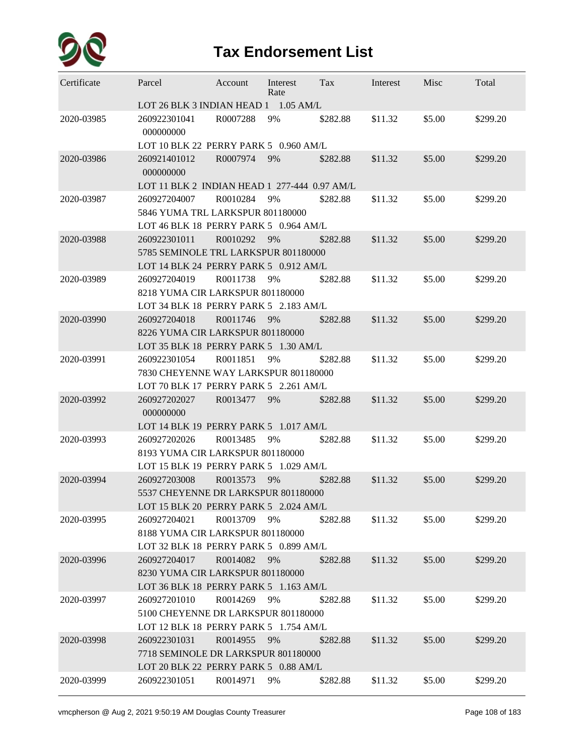

## **Tax Endorsement List**

| Certificate | Parcel                                                                        | Account     | Interest<br>Rate | Tax      | Interest | Misc   | Total    |  |  |  |  |
|-------------|-------------------------------------------------------------------------------|-------------|------------------|----------|----------|--------|----------|--|--|--|--|
|             | LOT 26 BLK 3 INDIAN HEAD 1 1.05 AM/L                                          |             |                  |          |          |        |          |  |  |  |  |
| 2020-03985  | 260922301041<br>000000000                                                     | R0007288    | 9%               | \$282.88 | \$11.32  | \$5.00 | \$299.20 |  |  |  |  |
|             | LOT 10 BLK 22 PERRY PARK 5 0.960 AM/L                                         |             |                  |          |          |        |          |  |  |  |  |
| 2020-03986  | 260921401012<br>000000000                                                     | R0007974    | 9%               | \$282.88 | \$11.32  | \$5.00 | \$299.20 |  |  |  |  |
|             | LOT 11 BLK 2 INDIAN HEAD 1 277-444 0.97 AM/L                                  |             |                  |          |          |        |          |  |  |  |  |
| 2020-03987  | 260927204007                                                                  | R0010284    | 9%               | \$282.88 | \$11.32  | \$5.00 | \$299.20 |  |  |  |  |
|             | 5846 YUMA TRL LARKSPUR 801180000                                              |             |                  |          |          |        |          |  |  |  |  |
| 2020-03988  | LOT 46 BLK 18 PERRY PARK 5 0.964 AM/L<br>260922301011                         | R0010292    | 9%               | \$282.88 | \$11.32  | \$5.00 | \$299.20 |  |  |  |  |
|             |                                                                               |             |                  |          |          |        |          |  |  |  |  |
|             | 5785 SEMINOLE TRL LARKSPUR 801180000<br>LOT 14 BLK 24 PERRY PARK 5 0.912 AM/L |             |                  |          |          |        |          |  |  |  |  |
| 2020-03989  | 260927204019                                                                  | R0011738    | 9%               | \$282.88 | \$11.32  | \$5.00 | \$299.20 |  |  |  |  |
|             | 8218 YUMA CIR LARKSPUR 801180000                                              |             |                  |          |          |        |          |  |  |  |  |
|             | LOT 34 BLK 18 PERRY PARK 5 2.183 AM/L                                         |             |                  |          |          |        |          |  |  |  |  |
| 2020-03990  | 260927204018                                                                  | R0011746    | 9%               | \$282.88 | \$11.32  | \$5.00 | \$299.20 |  |  |  |  |
|             | 8226 YUMA CIR LARKSPUR 801180000                                              |             |                  |          |          |        |          |  |  |  |  |
|             | LOT 35 BLK 18 PERRY PARK 5 1.30 AM/L                                          |             |                  |          |          |        |          |  |  |  |  |
| 2020-03991  | 260922301054                                                                  | R0011851    | 9%               | \$282.88 | \$11.32  | \$5.00 | \$299.20 |  |  |  |  |
|             | 7830 CHEYENNE WAY LARKSPUR 801180000                                          |             |                  |          |          |        |          |  |  |  |  |
|             | LOT 70 BLK 17 PERRY PARK 5 2.261 AM/L                                         |             |                  |          |          |        |          |  |  |  |  |
| 2020-03992  | 260927202027<br>000000000                                                     | R0013477    | 9%               | \$282.88 | \$11.32  | \$5.00 | \$299.20 |  |  |  |  |
|             | LOT 14 BLK 19 PERRY PARK 5 1.017 AM/L                                         |             |                  |          |          |        |          |  |  |  |  |
| 2020-03993  | 260927202026                                                                  | R0013485    | 9%               | \$282.88 | \$11.32  | \$5.00 | \$299.20 |  |  |  |  |
|             | 8193 YUMA CIR LARKSPUR 801180000                                              |             |                  |          |          |        |          |  |  |  |  |
|             | LOT 15 BLK 19 PERRY PARK 5 1.029 AM/L                                         |             |                  |          |          |        |          |  |  |  |  |
| 2020-03994  | 260927203008                                                                  | R0013573    | 9%               | \$282.88 | \$11.32  | \$5.00 | \$299.20 |  |  |  |  |
|             | 5537 CHEYENNE DR LARKSPUR 801180000                                           |             |                  |          |          |        |          |  |  |  |  |
|             | LOT 15 BLK 20 PERRY PARK 5 2.024 AM/L                                         |             |                  |          |          |        |          |  |  |  |  |
| 2020-03995  | 260927204021                                                                  | R0013709    | 9%               | \$282.88 | \$11.32  | \$5.00 | \$299.20 |  |  |  |  |
|             | 8188 YUMA CIR LARKSPUR 801180000                                              |             |                  |          |          |        |          |  |  |  |  |
|             | LOT 32 BLK 18 PERRY PARK 5 0.899 AM/L                                         |             |                  |          |          |        |          |  |  |  |  |
| 2020-03996  | 260927204017                                                                  | R0014082 9% |                  | \$282.88 | \$11.32  | \$5.00 | \$299.20 |  |  |  |  |
|             | 8230 YUMA CIR LARKSPUR 801180000<br>LOT 36 BLK 18 PERRY PARK 5 1.163 AM/L     |             |                  |          |          |        |          |  |  |  |  |
| 2020-03997  | 260927201010                                                                  | R0014269 9% |                  | \$282.88 | \$11.32  | \$5.00 | \$299.20 |  |  |  |  |
|             | 5100 CHEYENNE DR LARKSPUR 801180000                                           |             |                  |          |          |        |          |  |  |  |  |
|             | LOT 12 BLK 18 PERRY PARK 5 1.754 AM/L                                         |             |                  |          |          |        |          |  |  |  |  |
| 2020-03998  | 260922301031                                                                  | R0014955    | 9%               | \$282.88 | \$11.32  | \$5.00 | \$299.20 |  |  |  |  |
|             | 7718 SEMINOLE DR LARKSPUR 801180000                                           |             |                  |          |          |        |          |  |  |  |  |
|             | LOT 20 BLK 22 PERRY PARK 5 0.88 AM/L                                          |             |                  |          |          |        |          |  |  |  |  |
| 2020-03999  | 260922301051                                                                  | R0014971    | 9%               | \$282.88 | \$11.32  | \$5.00 | \$299.20 |  |  |  |  |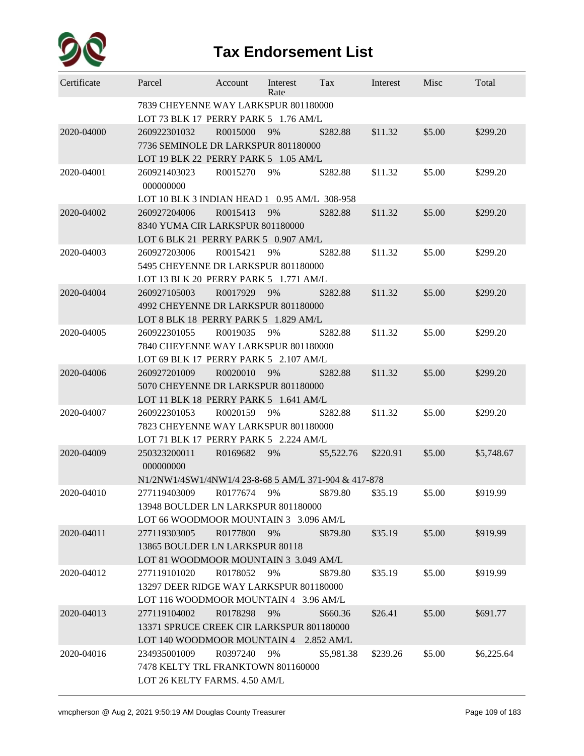

| Certificate | Parcel                                                                                              | Account  | Interest<br>Rate | Tax        | Interest | Misc   | Total      |
|-------------|-----------------------------------------------------------------------------------------------------|----------|------------------|------------|----------|--------|------------|
|             | 7839 CHEYENNE WAY LARKSPUR 801180000<br>LOT 73 BLK 17 PERRY PARK 5 1.76 AM/L                        |          |                  |            |          |        |            |
| 2020-04000  | 260922301032<br>7736 SEMINOLE DR LARKSPUR 801180000<br>LOT 19 BLK 22 PERRY PARK 5 1.05 AM/L         | R0015000 | 9%               | \$282.88   | \$11.32  | \$5.00 | \$299.20   |
| 2020-04001  | 260921403023<br>000000000<br>LOT 10 BLK 3 INDIAN HEAD 1 0.95 AM/L 308-958                           | R0015270 | 9%               | \$282.88   | \$11.32  | \$5.00 | \$299.20   |
| 2020-04002  | 260927204006<br>8340 YUMA CIR LARKSPUR 801180000<br>LOT 6 BLK 21 PERRY PARK 5 0.907 AM/L            | R0015413 | 9%               | \$282.88   | \$11.32  | \$5.00 | \$299.20   |
| 2020-04003  | 260927203006<br>5495 CHEYENNE DR LARKSPUR 801180000<br>LOT 13 BLK 20 PERRY PARK 5 1.771 AM/L        | R0015421 | 9%               | \$282.88   | \$11.32  | \$5.00 | \$299.20   |
| 2020-04004  | 260927105003<br>4992 CHEYENNE DR LARKSPUR 801180000<br>LOT 8 BLK 18 PERRY PARK 5 1.829 AM/L         | R0017929 | 9%               | \$282.88   | \$11.32  | \$5.00 | \$299.20   |
| 2020-04005  | 260922301055<br>7840 CHEYENNE WAY LARKSPUR 801180000<br>LOT 69 BLK 17 PERRY PARK 5 2.107 AM/L       | R0019035 | 9%               | \$282.88   | \$11.32  | \$5.00 | \$299.20   |
| 2020-04006  | 260927201009<br>5070 CHEYENNE DR LARKSPUR 801180000<br>LOT 11 BLK 18 PERRY PARK 5 1.641 AM/L        | R0020010 | 9%               | \$282.88   | \$11.32  | \$5.00 | \$299.20   |
| 2020-04007  | 260922301053<br>7823 CHEYENNE WAY LARKSPUR 801180000<br>LOT 71 BLK 17 PERRY PARK 5 2.224 AM/L       | R0020159 | 9%               | \$282.88   | \$11.32  | \$5.00 | \$299.20   |
| 2020-04009  | 250323200011<br>000000000<br>N1/2NW1/4SW1/4NW1/4 23-8-68 5 AM/L 371-904 & 417-878                   | R0169682 | 9%               | \$5,522.76 | \$220.91 | \$5.00 | \$5,748.67 |
| 2020-04010  | 277119403009<br>13948 BOULDER LN LARKSPUR 801180000<br>LOT 66 WOODMOOR MOUNTAIN 3 3.096 AM/L        | R0177674 | 9%               | \$879.80   | \$35.19  | \$5.00 | \$919.99   |
| 2020-04011  | 277119303005<br>13865 BOULDER LN LARKSPUR 80118<br>LOT 81 WOODMOOR MOUNTAIN 3 3.049 AM/L            | R0177800 | 9%               | \$879.80   | \$35.19  | \$5.00 | \$919.99   |
| 2020-04012  | 277119101020<br>13297 DEER RIDGE WAY LARKSPUR 801180000<br>LOT 116 WOODMOOR MOUNTAIN 4 3.96 AM/L    | R0178052 | 9%               | \$879.80   | \$35.19  | \$5.00 | \$919.99   |
| 2020-04013  | 277119104002<br>13371 SPRUCE CREEK CIR LARKSPUR 801180000<br>LOT 140 WOODMOOR MOUNTAIN 4 2.852 AM/L | R0178298 | 9%               | \$660.36   | \$26.41  | \$5.00 | \$691.77   |
| 2020-04016  | 234935001009<br>7478 KELTY TRL FRANKTOWN 801160000<br>LOT 26 KELTY FARMS. 4.50 AM/L                 | R0397240 | 9%               | \$5,981.38 | \$239.26 | \$5.00 | \$6,225.64 |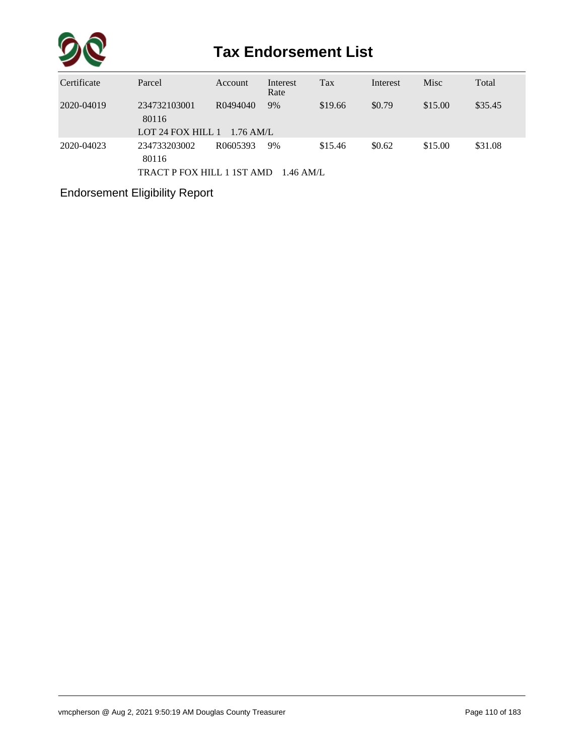

| Certificate | Parcel                                              | Account                 | Interest<br>Rate  | Tax     | Interest | Misc    | Total   |
|-------------|-----------------------------------------------------|-------------------------|-------------------|---------|----------|---------|---------|
| 2020-04019  | 234732103001<br>80116<br>LOT 24 FOX HILL 1          | R0494040<br>$1.76$ AM/L | 9%                | \$19.66 | \$0.79   | \$15.00 | \$35.45 |
| 2020-04023  | 234733203002<br>80116<br>TRACT P FOX HILL 1 1ST AMD | R0605393                | 9%<br>$1.46$ AM/L | \$15.46 | \$0.62   | \$15.00 | \$31.08 |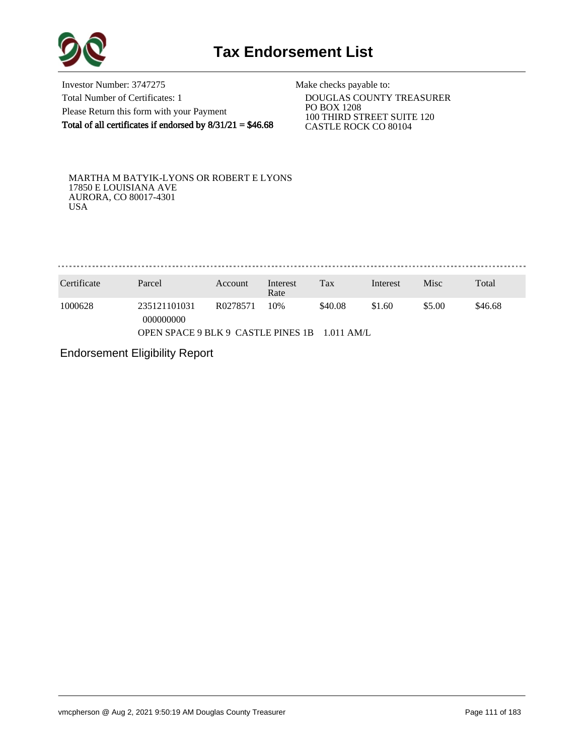

Investor Number: 3747275 Total Number of Certificates: 1 Please Return this form with your Payment Total of all certificates if endorsed by  $8/31/21 = $46.68$ 

Make checks payable to:

 DOUGLAS COUNTY TREASURER PO BOX 1208 100 THIRD STREET SUITE 120 CASTLE ROCK CO 80104

MARTHA M BATYIK-LYONS OR ROBERT E LYONS 17850 E LOUISIANA AVE AURORA, CO 80017-4301 USA

. . . . . . . . . . . . . . . . . . . 

| Certificate                                         | Parcel                    | Account  | Interest<br>Rate | Tax     | Interest | Misc   | Total   |
|-----------------------------------------------------|---------------------------|----------|------------------|---------|----------|--------|---------|
| 1000628                                             | 235121101031<br>000000000 | R0278571 | 10%              | \$40.08 | \$1.60   | \$5.00 | \$46.68 |
| OPEN SPACE 9 BLK 9 CASTLE PINES 1B<br>$-1.011$ AM/L |                           |          |                  |         |          |        |         |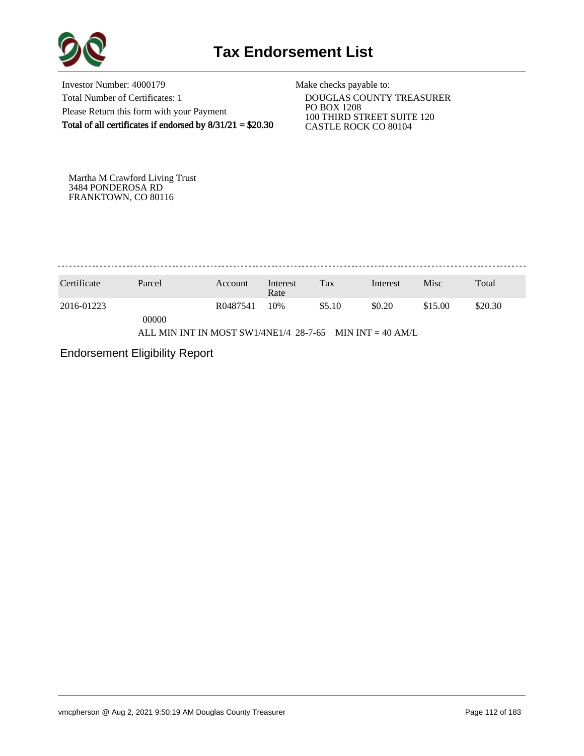

Investor Number: 4000179 Total Number of Certificates: 1 Please Return this form with your Payment Total of all certificates if endorsed by  $8/31/21 = $20.30$ 

Make checks payable to:

 DOUGLAS COUNTY TREASURER PO BOX 1208 100 THIRD STREET SUITE 120 CASTLE ROCK CO 80104

Martha M Crawford Living Trust 3484 PONDEROSA RD FRANKTOWN, CO 80116

. . . . . . . . . . . . . . . . . . . 

| Certificate | Parcel                                                   | Account  | Interest<br>Rate | Tax    | Interest | Misc    | Total   |
|-------------|----------------------------------------------------------|----------|------------------|--------|----------|---------|---------|
| 2016-01223  | 00000                                                    | R0487541 | 10%              | \$5.10 | \$0.20   | \$15.00 | \$20.30 |
|             | ALL MIN INT IN MOST SW1/4NE1/4 28-7-65 MIN INT = 40 AM/L |          |                  |        |          |         |         |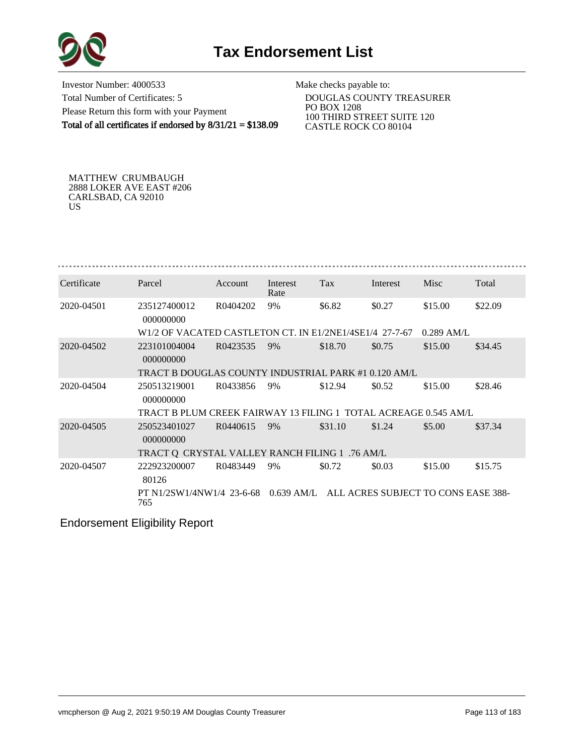



Investor Number: 4000533 Total Number of Certificates: 5 Please Return this form with your Payment Total of all certificates if endorsed by  $8/31/21 = $138.09$ 

Make checks payable to:

 DOUGLAS COUNTY TREASURER PO BOX 1208 100 THIRD STREET SUITE 120 CASTLE ROCK CO 80104

MATTHEW CRUMBAUGH 2888 LOKER AVE EAST #206 CARLSBAD, CA 92010 US

| Certificate | Parcel                                                                          | Account  | Interest<br>Rate | <b>Tax</b> | Interest | <b>Misc</b>  | Total   |
|-------------|---------------------------------------------------------------------------------|----------|------------------|------------|----------|--------------|---------|
| 2020-04501  | 235127400012<br>000000000                                                       | R0404202 | 9%               | \$6.82     | \$0.27   | \$15.00      | \$22.09 |
|             | W1/2 OF VACATED CASTLETON CT. IN E1/2NE1/4SE1/4 27-7-67                         |          |                  |            |          | $0.289$ AM/L |         |
| 2020-04502  | 223101004004<br>000000000                                                       | R0423535 | 9%               | \$18.70    | \$0.75   | \$15.00      | \$34.45 |
|             | TRACT B DOUGLAS COUNTY INDUSTRIAL PARK #1 0.120 AM/L                            |          |                  |            |          |              |         |
| 2020-04504  | 250513219001<br>000000000                                                       | R0433856 | 9%               | \$12.94    | \$0.52   | \$15.00      | \$28.46 |
|             | TRACT B PLUM CREEK FAIRWAY 13 FILING 1 TOTAL ACREAGE 0.545 AM/L                 |          |                  |            |          |              |         |
| 2020-04505  | 250523401027<br>000000000                                                       | R0440615 | 9%               | \$31.10    | \$1.24   | \$5.00       | \$37.34 |
|             | TRACT Q CRYSTAL VALLEY RANCH FILING 1 .76 AM/L                                  |          |                  |            |          |              |         |
| 2020-04507  | 222923200007<br>80126                                                           | R0483449 | 9%               | \$0.72     | \$0.03   | \$15.00      | \$15.75 |
|             | PT N1/2SW1/4NW1/4 23-6-68 0.639 AM/L ALL ACRES SUBJECT TO CONS EASE 388-<br>765 |          |                  |            |          |              |         |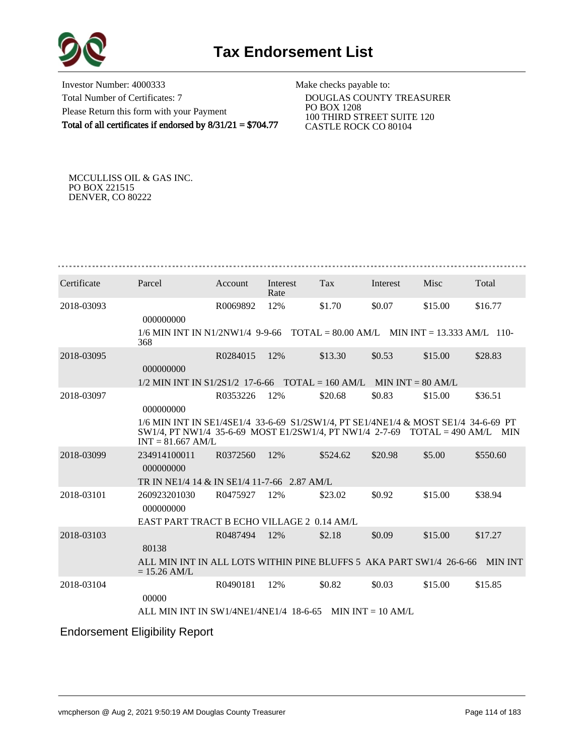

Investor Number: 4000333 Total Number of Certificates: 7 Please Return this form with your Payment Total of all certificates if endorsed by 8/31/21 = \$704.77

Make checks payable to:

 DOUGLAS COUNTY TREASURER PO BOX 1208 100 THIRD STREET SUITE 120 CASTLE ROCK CO 80104

MCCULLISS OIL & GAS INC. PO BOX 221515 DENVER, CO 80222

| Certificate | Parcel                                                                                                                                                                                       | Account  | Interest<br>Rate | <b>Tax</b> | Interest            | Misc    | Total          |
|-------------|----------------------------------------------------------------------------------------------------------------------------------------------------------------------------------------------|----------|------------------|------------|---------------------|---------|----------------|
| 2018-03093  | 000000000                                                                                                                                                                                    | R0069892 | 12%              | \$1.70     | \$0.07              | \$15.00 | \$16.77        |
|             | $1/6$ MIN INT IN N1/2NW1/4 9-9-66 TOTAL = 80.00 AM/L MIN INT = 13.333 AM/L 110-<br>368                                                                                                       |          |                  |            |                     |         |                |
| 2018-03095  | 000000000                                                                                                                                                                                    | R0284015 | 12%              | \$13.30    | \$0.53              | \$15.00 | \$28.83        |
|             | $1/2$ MIN INT IN S1/2S1/2 17-6-66 TOTAL = 160 AM/L                                                                                                                                           |          |                  |            | $MIN INT = 80 AM/L$ |         |                |
| 2018-03097  | 000000000                                                                                                                                                                                    | R0353226 | 12%              | \$20.68    | \$0.83              | \$15.00 | \$36.51        |
|             | 1/6 MIN INT IN SE1/4SE1/4 33-6-69 S1/2SW1/4, PT SE1/4NE1/4 & MOST SE1/4 34-6-69 PT<br>$SW1/4$ , PT NW1/4 35-6-69 MOST E1/2SW1/4, PT NW1/4 2-7-69 TOTAL = 490 AM/L MIN<br>$INT = 81.667$ AM/L |          |                  |            |                     |         |                |
| 2018-03099  | 234914100011<br>000000000                                                                                                                                                                    | R0372560 | 12%              | \$524.62   | \$20.98             | \$5.00  | \$550.60       |
|             | TR IN NE1/4 14 & IN SE1/4 11-7-66 2.87 AM/L                                                                                                                                                  |          |                  |            |                     |         |                |
| 2018-03101  | 260923201030<br>000000000                                                                                                                                                                    | R0475927 | 12%              | \$23.02    | \$0.92              | \$15.00 | \$38.94        |
|             | EAST PART TRACT B ECHO VILLAGE 2 0.14 AM/L                                                                                                                                                   |          |                  |            |                     |         |                |
| 2018-03103  | 80138                                                                                                                                                                                        | R0487494 | 12%              | \$2.18     | \$0.09              | \$15.00 | \$17.27        |
|             | ALL MIN INT IN ALL LOTS WITHIN PINE BLUFFS 5 AKA PART SW1/4 26-6-66<br>$= 15.26$ AM/L                                                                                                        |          |                  |            |                     |         | <b>MIN INT</b> |
| 2018-03104  | 00000                                                                                                                                                                                        | R0490181 | 12%              | \$0.82     | \$0.03              | \$15.00 | \$15.85        |
|             | ALL MIN INT IN SW1/4NE1/4NE1/4 18-6-65 MIN INT = 10 AM/L                                                                                                                                     |          |                  |            |                     |         |                |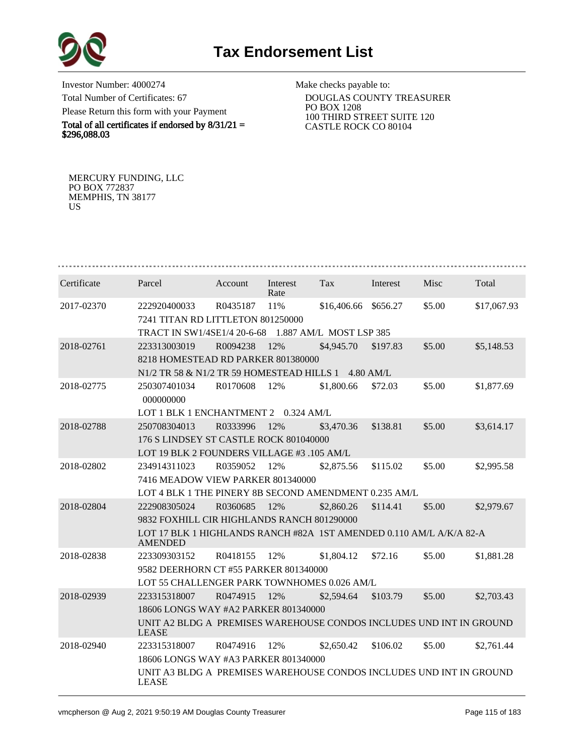

Investor Number: 4000274 Total Number of Certificates: 67 Please Return this form with your Payment

Total of all certificates if endorsed by  $8/31/21 =$ \$296,088.03

Make checks payable to:

 DOUGLAS COUNTY TREASURER PO BOX 1208 100 THIRD STREET SUITE 120 CASTLE ROCK CO 80104

MERCURY FUNDING, LLC PO BOX 772837 MEMPHIS, TN 38177 US

| Certificate | Parcel                                                                                | <b>Account</b> | Interest<br>Rate | Tax         | Interest            | Misc   | Total       |  |  |  |
|-------------|---------------------------------------------------------------------------------------|----------------|------------------|-------------|---------------------|--------|-------------|--|--|--|
| 2017-02370  | 222920400033                                                                          | R0435187       | 11%              | \$16,406.66 | \$656.27            | \$5.00 | \$17,067.93 |  |  |  |
|             | 7241 TITAN RD LITTLETON 801250000                                                     |                |                  |             |                     |        |             |  |  |  |
|             | TRACT IN SW1/4SE1/4 20-6-68<br>1.887 AM/L MOST LSP 385                                |                |                  |             |                     |        |             |  |  |  |
| 2018-02761  | 223313003019                                                                          | R0094238       | 12%              | \$4,945.70  | \$197.83            | \$5.00 | \$5,148.53  |  |  |  |
|             | 8218 HOMESTEAD RD PARKER 801380000                                                    |                |                  |             |                     |        |             |  |  |  |
|             | N <sub>1</sub> /2 TR 58 & N <sub>1</sub> /2 TR 59 HOMESTEAD HILLS 1                   |                |                  |             | $4.80 \text{ AM/L}$ |        |             |  |  |  |
| 2018-02775  | 250307401034                                                                          | R0170608       | 12%              | \$1,800.66  | \$72.03             | \$5.00 | \$1,877.69  |  |  |  |
|             | 000000000                                                                             |                |                  |             |                     |        |             |  |  |  |
|             | LOT 1 BLK 1 ENCHANTMENT 2 0.324 AM/L                                                  |                |                  |             |                     |        |             |  |  |  |
| 2018-02788  | 250708304013                                                                          | R0333996       | 12%              | \$3,470.36  | \$138.81            | \$5.00 | \$3,614.17  |  |  |  |
|             | 176 S LINDSEY ST CASTLE ROCK 801040000                                                |                |                  |             |                     |        |             |  |  |  |
|             | LOT 19 BLK 2 FOUNDERS VILLAGE #3 .105 AM/L                                            |                |                  |             |                     |        |             |  |  |  |
| 2018-02802  | 234914311023                                                                          | R0359052       | 12%              | \$2,875.56  | \$115.02            | \$5.00 | \$2,995.58  |  |  |  |
|             | 7416 MEADOW VIEW PARKER 801340000                                                     |                |                  |             |                     |        |             |  |  |  |
|             | LOT 4 BLK 1 THE PINERY 8B SECOND AMENDMENT 0.235 AM/L                                 |                |                  |             |                     |        |             |  |  |  |
| 2018-02804  | 222908305024                                                                          | R0360685       | 12%              | \$2,860.26  | \$114.41            | \$5.00 | \$2,979.67  |  |  |  |
|             | 9832 FOXHILL CIR HIGHLANDS RANCH 801290000                                            |                |                  |             |                     |        |             |  |  |  |
|             | LOT 17 BLK 1 HIGHLANDS RANCH #82A 1ST AMENDED 0.110 AM/L A/K/A 82-A<br><b>AMENDED</b> |                |                  |             |                     |        |             |  |  |  |
| 2018-02838  | 223309303152                                                                          | R0418155       | 12%              | \$1,804.12  | \$72.16             | \$5.00 | \$1,881.28  |  |  |  |
|             | 9582 DEERHORN CT #55 PARKER 801340000                                                 |                |                  |             |                     |        |             |  |  |  |
|             | LOT 55 CHALLENGER PARK TOWNHOMES 0.026 AM/L                                           |                |                  |             |                     |        |             |  |  |  |
| 2018-02939  | 223315318007                                                                          | R0474915       | 12%              | \$2,594.64  | \$103.79            | \$5.00 | \$2,703.43  |  |  |  |
|             | 18606 LONGS WAY #A2 PARKER 801340000                                                  |                |                  |             |                     |        |             |  |  |  |
|             | UNIT A2 BLDG A PREMISES WAREHOUSE CONDOS INCLUDES UND INT IN GROUND<br><b>LEASE</b>   |                |                  |             |                     |        |             |  |  |  |
| 2018-02940  | 223315318007                                                                          | R0474916       | 12%              | \$2,650.42  | \$106.02            | \$5.00 | \$2,761.44  |  |  |  |
|             | 18606 LONGS WAY #A3 PARKER 801340000                                                  |                |                  |             |                     |        |             |  |  |  |
|             | UNIT A3 BLDG A PREMISES WAREHOUSE CONDOS INCLUDES UND INT IN GROUND<br><b>LEASE</b>   |                |                  |             |                     |        |             |  |  |  |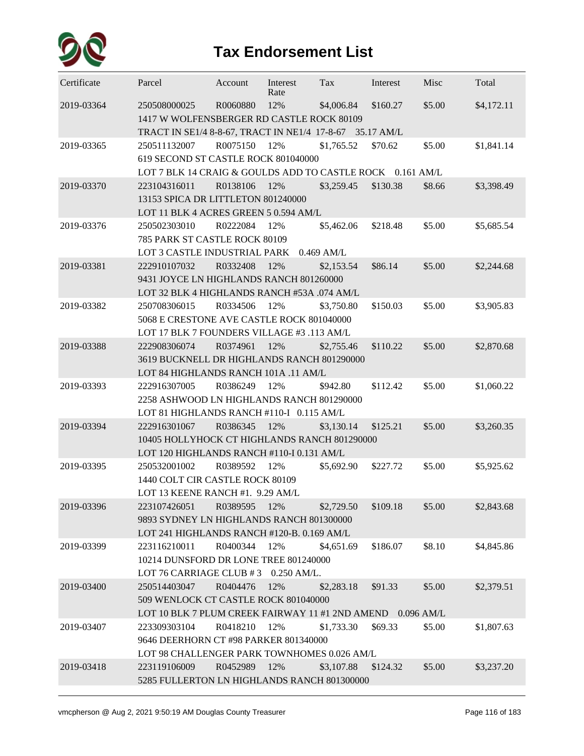

| Certificate | Parcel                                                     | Account      | Interest<br>Rate | Tax        | Interest | Misc   | Total      |  |  |  |
|-------------|------------------------------------------------------------|--------------|------------------|------------|----------|--------|------------|--|--|--|
| 2019-03364  | 250508000025                                               | R0060880     | 12%              | \$4,006.84 | \$160.27 | \$5.00 | \$4,172.11 |  |  |  |
|             | 1417 W WOLFENSBERGER RD CASTLE ROCK 80109                  |              |                  |            |          |        |            |  |  |  |
|             | TRACT IN SE1/4 8-8-67, TRACT IN NE1/4 17-8-67 35.17 AM/L   |              |                  |            |          |        |            |  |  |  |
| 2019-03365  | 250511132007                                               | R0075150     | 12%              | \$1,765.52 | \$70.62  | \$5.00 | \$1,841.14 |  |  |  |
|             | 619 SECOND ST CASTLE ROCK 801040000                        |              |                  |            |          |        |            |  |  |  |
|             | LOT 7 BLK 14 CRAIG & GOULDS ADD TO CASTLE ROCK 0.161 AM/L  |              |                  |            |          |        |            |  |  |  |
| 2019-03370  | 223104316011                                               | R0138106     | 12%              | \$3,259.45 | \$130.38 | \$8.66 | \$3,398.49 |  |  |  |
|             | 13153 SPICA DR LITTLETON 801240000                         |              |                  |            |          |        |            |  |  |  |
|             | LOT 11 BLK 4 ACRES GREEN 5 0.594 AM/L                      |              |                  |            |          |        |            |  |  |  |
| 2019-03376  | 250502303010                                               | R0222084     | 12%              | \$5,462.06 | \$218.48 | \$5.00 | \$5,685.54 |  |  |  |
|             | 785 PARK ST CASTLE ROCK 80109                              |              |                  |            |          |        |            |  |  |  |
|             | LOT 3 CASTLE INDUSTRIAL PARK 0.469 AM/L                    |              |                  |            |          |        |            |  |  |  |
| 2019-03381  | 222910107032                                               | R0332408     | 12%              | \$2,153.54 | \$86.14  | \$5.00 | \$2,244.68 |  |  |  |
|             | 9431 JOYCE LN HIGHLANDS RANCH 801260000                    |              |                  |            |          |        |            |  |  |  |
|             | LOT 32 BLK 4 HIGHLANDS RANCH #53A .074 AM/L                |              |                  |            |          |        |            |  |  |  |
| 2019-03382  | 250708306015                                               | R0334506     | 12%              | \$3,750.80 | \$150.03 | \$5.00 | \$3,905.83 |  |  |  |
|             | 5068 E CRESTONE AVE CASTLE ROCK 801040000                  |              |                  |            |          |        |            |  |  |  |
|             | LOT 17 BLK 7 FOUNDERS VILLAGE #3 .113 AM/L                 |              |                  |            |          |        |            |  |  |  |
| 2019-03388  | 222908306074                                               | R0374961     | 12%              | \$2,755.46 | \$110.22 | \$5.00 | \$2,870.68 |  |  |  |
|             | 3619 BUCKNELL DR HIGHLANDS RANCH 801290000                 |              |                  |            |          |        |            |  |  |  |
|             | LOT 84 HIGHLANDS RANCH 101A .11 AM/L                       |              |                  |            |          |        |            |  |  |  |
| 2019-03393  | 222916307005                                               | R0386249     | 12%              | \$942.80   | \$112.42 | \$5.00 | \$1,060.22 |  |  |  |
|             | 2258 ASHWOOD LN HIGHLANDS RANCH 801290000                  |              |                  |            |          |        |            |  |  |  |
|             | LOT 81 HIGHLANDS RANCH #110-I 0.115 AM/L                   |              |                  |            |          |        |            |  |  |  |
| 2019-03394  | 222916301067                                               | R0386345     | 12%              | \$3,130.14 | \$125.21 | \$5.00 | \$3,260.35 |  |  |  |
|             | 10405 HOLLYHOCK CT HIGHLANDS RANCH 801290000               |              |                  |            |          |        |            |  |  |  |
|             | LOT 120 HIGHLANDS RANCH #110-I 0.131 AM/L                  |              |                  |            |          |        |            |  |  |  |
| 2019-03395  | 250532001002                                               | R0389592     | 12%              | \$5,692.90 | \$227.72 | \$5.00 | \$5,925.62 |  |  |  |
|             | 1440 COLT CIR CASTLE ROCK 80109                            |              |                  |            |          |        |            |  |  |  |
|             | LOT 13 KEENE RANCH #1. 9.29 AM/L                           |              |                  |            |          |        |            |  |  |  |
| 2019-03396  | 223107426051                                               | R0389595 12% |                  | \$2,729.50 | \$109.18 | \$5.00 | \$2,843.68 |  |  |  |
|             | 9893 SYDNEY LN HIGHLANDS RANCH 801300000                   |              |                  |            |          |        |            |  |  |  |
|             | LOT 241 HIGHLANDS RANCH #120-B. 0.169 AM/L                 |              |                  |            |          |        |            |  |  |  |
| 2019-03399  | 223116210011                                               | R0400344     | 12%              | \$4,651.69 | \$186.07 | \$8.10 | \$4,845.86 |  |  |  |
|             | 10214 DUNSFORD DR LONE TREE 801240000                      |              |                  |            |          |        |            |  |  |  |
|             | LOT 76 CARRIAGE CLUB #3 0.250 AM/L.                        |              |                  |            |          |        |            |  |  |  |
| 2019-03400  | 250514403047                                               | R0404476     | 12%              | \$2,283.18 | \$91.33  | \$5.00 | \$2,379.51 |  |  |  |
|             | 509 WENLOCK CT CASTLE ROCK 801040000                       |              |                  |            |          |        |            |  |  |  |
|             | LOT 10 BLK 7 PLUM CREEK FAIRWAY 11 #1 2ND AMEND 0.096 AM/L |              |                  |            |          |        |            |  |  |  |
| 2019-03407  | 223309303104                                               | R0418210     | 12%              | \$1,733.30 | \$69.33  | \$5.00 | \$1,807.63 |  |  |  |
|             | 9646 DEERHORN CT #98 PARKER 801340000                      |              |                  |            |          |        |            |  |  |  |
|             | LOT 98 CHALLENGER PARK TOWNHOMES 0.026 AM/L                |              |                  |            |          |        |            |  |  |  |
| 2019-03418  | 223119106009                                               | R0452989     | 12%              | \$3,107.88 | \$124.32 | \$5.00 | \$3,237.20 |  |  |  |
|             | 5285 FULLERTON LN HIGHLANDS RANCH 801300000                |              |                  |            |          |        |            |  |  |  |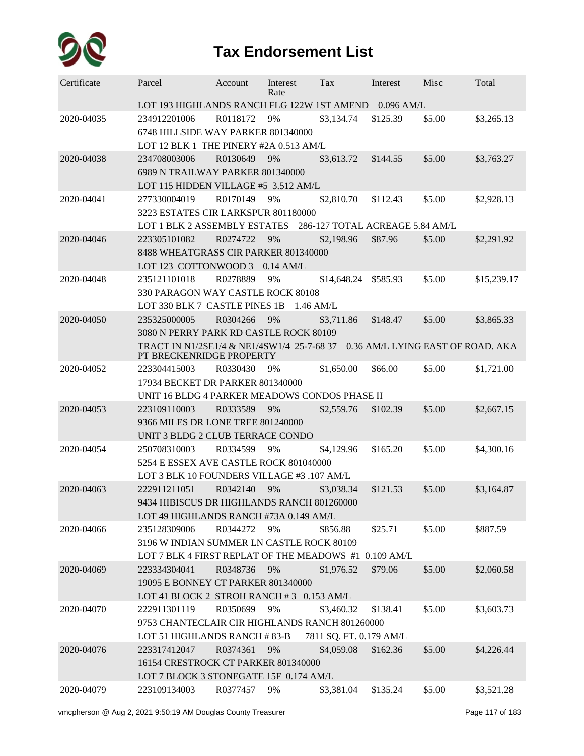

| Certificate | Parcel                                                                 | Account                          | Interest<br>Rate | Tax                     | Interest                          | Misc   | Total       |  |  |  |  |
|-------------|------------------------------------------------------------------------|----------------------------------|------------------|-------------------------|-----------------------------------|--------|-------------|--|--|--|--|
|             | LOT 193 HIGHLANDS RANCH FLG 122W 1ST AMEND                             |                                  |                  |                         | $0.096$ AM/L                      |        |             |  |  |  |  |
| 2020-04035  | 234912201006                                                           | R0118172                         | 9%               | \$3,134.74              | \$125.39                          | \$5.00 | \$3,265.13  |  |  |  |  |
|             | 6748 HILLSIDE WAY PARKER 801340000                                     |                                  |                  |                         |                                   |        |             |  |  |  |  |
|             | LOT 12 BLK 1 THE PINERY #2A 0.513 AM/L                                 |                                  |                  |                         |                                   |        |             |  |  |  |  |
| 2020-04038  | 234708003006                                                           | R0130649                         | 9%               | \$3,613.72              | \$144.55                          | \$5.00 | \$3,763.27  |  |  |  |  |
|             | 6989 N TRAILWAY PARKER 801340000                                       |                                  |                  |                         |                                   |        |             |  |  |  |  |
|             | LOT 115 HIDDEN VILLAGE #5 3.512 AM/L                                   |                                  |                  |                         |                                   |        |             |  |  |  |  |
| 2020-04041  | 277330004019                                                           | R0170149                         | 9%               | \$2,810.70              | \$112.43                          | \$5.00 | \$2,928.13  |  |  |  |  |
|             | 3223 ESTATES CIR LARKSPUR 801180000                                    |                                  |                  |                         |                                   |        |             |  |  |  |  |
|             | LOT 1 BLK 2 ASSEMBLY ESTATES                                           |                                  |                  |                         | 286-127 TOTAL ACREAGE 5.84 AM/L   |        |             |  |  |  |  |
| 2020-04046  | 223305101082                                                           | R0274722                         | 9%               | \$2,198.96              | \$87.96                           | \$5.00 | \$2,291.92  |  |  |  |  |
|             | 8488 WHEATGRASS CIR PARKER 801340000                                   |                                  |                  |                         |                                   |        |             |  |  |  |  |
|             | LOT 123 COTTONWOOD 3                                                   |                                  | $0.14$ AM/L      |                         |                                   |        |             |  |  |  |  |
| 2020-04048  | 235121101018                                                           | R0278889                         | 9%               | \$14,648.24             | \$585.93                          | \$5.00 | \$15,239.17 |  |  |  |  |
|             | 330 PARAGON WAY CASTLE ROCK 80108                                      |                                  |                  |                         |                                   |        |             |  |  |  |  |
|             | LOT 330 BLK 7 CASTLE PINES 1B                                          |                                  | $1.46$ AM/L      |                         |                                   |        |             |  |  |  |  |
| 2020-04050  | 235325000005                                                           | R0304266                         | 9%               | \$3,711.86              | \$148.47                          | \$5.00 | \$3,865.33  |  |  |  |  |
|             | 3080 N PERRY PARK RD CASTLE ROCK 80109                                 |                                  |                  |                         |                                   |        |             |  |  |  |  |
|             | TRACT IN N1/2SE1/4 & NE1/4SW1/4 25-7-68 37<br>PT BRECKENRIDGE PROPERTY |                                  |                  |                         | 0.36 AM/L LYING EAST OF ROAD. AKA |        |             |  |  |  |  |
| 2020-04052  | 223304415003                                                           | R0330430                         | 9%               | \$1,650.00              | \$66.00                           | \$5.00 | \$1,721.00  |  |  |  |  |
|             |                                                                        | 17934 BECKET DR PARKER 801340000 |                  |                         |                                   |        |             |  |  |  |  |
|             | UNIT 16 BLDG 4 PARKER MEADOWS CONDOS PHASE II                          |                                  |                  |                         |                                   |        |             |  |  |  |  |
| 2020-04053  | 223109110003                                                           | R0333589                         | 9%               | \$2,559.76              | \$102.39                          | \$5.00 | \$2,667.15  |  |  |  |  |
|             | 9366 MILES DR LONE TREE 801240000                                      |                                  |                  |                         |                                   |        |             |  |  |  |  |
|             | UNIT 3 BLDG 2 CLUB TERRACE CONDO                                       |                                  |                  |                         |                                   |        |             |  |  |  |  |
| 2020-04054  | 250708310003                                                           | R0334599                         | 9%               | \$4,129.96              | \$165.20                          | \$5.00 | \$4,300.16  |  |  |  |  |
|             | 5254 E ESSEX AVE CASTLE ROCK 801040000                                 |                                  |                  |                         |                                   |        |             |  |  |  |  |
|             | LOT 3 BLK 10 FOUNDERS VILLAGE #3 .107 AM/L                             |                                  |                  |                         |                                   |        |             |  |  |  |  |
| 2020-04063  | 222911211051                                                           | R0342140                         | 9%               | \$3,038.34              | \$121.53                          | \$5.00 | \$3,164.87  |  |  |  |  |
|             | 9434 HIBISCUS DR HIGHLANDS RANCH 801260000                             |                                  |                  |                         |                                   |        |             |  |  |  |  |
|             | LOT 49 HIGHLANDS RANCH #73A 0.149 AM/L                                 |                                  |                  |                         |                                   |        |             |  |  |  |  |
| 2020-04066  | 235128309006                                                           | R0344272                         | 9%               | \$856.88                | \$25.71                           | \$5.00 | \$887.59    |  |  |  |  |
|             | 3196 W INDIAN SUMMER LN CASTLE ROCK 80109                              |                                  |                  |                         |                                   |        |             |  |  |  |  |
|             | LOT 7 BLK 4 FIRST REPLAT OF THE MEADOWS #1 0.109 AM/L                  |                                  |                  |                         |                                   |        |             |  |  |  |  |
| 2020-04069  | 223334304041                                                           | R0348736                         | 9%               | \$1,976.52              | \$79.06                           | \$5.00 | \$2,060.58  |  |  |  |  |
|             | 19095 E BONNEY CT PARKER 801340000                                     |                                  |                  |                         |                                   |        |             |  |  |  |  |
|             | LOT 41 BLOCK 2 STROH RANCH #3 0.153 AM/L                               |                                  |                  |                         |                                   |        |             |  |  |  |  |
| 2020-04070  | 222911301119                                                           | R0350699                         | 9%               | \$3,460.32              | \$138.41                          | \$5.00 | \$3,603.73  |  |  |  |  |
|             | 9753 CHANTECLAIR CIR HIGHLANDS RANCH 801260000                         |                                  |                  |                         |                                   |        |             |  |  |  |  |
|             | LOT 51 HIGHLANDS RANCH # 83-B                                          |                                  |                  | 7811 SQ. FT. 0.179 AM/L |                                   |        |             |  |  |  |  |
| 2020-04076  | 223317412047                                                           | R0374361                         | 9%               | \$4,059.08              | \$162.36                          | \$5.00 | \$4,226.44  |  |  |  |  |
|             | 16154 CRESTROCK CT PARKER 801340000                                    |                                  |                  |                         |                                   |        |             |  |  |  |  |
|             | LOT 7 BLOCK 3 STONEGATE 15F 0.174 AM/L                                 |                                  |                  |                         |                                   |        |             |  |  |  |  |
| 2020-04079  | 223109134003                                                           | R0377457                         | 9%               | \$3,381.04              | \$135.24                          | \$5.00 | \$3,521.28  |  |  |  |  |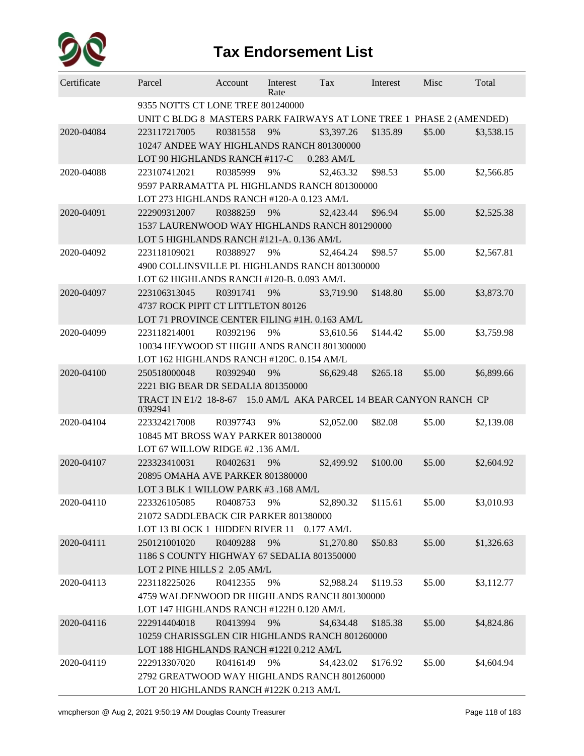

| Certificate | Parcel                                                                                                    | Account                                   | Interest<br>Rate | Tax          | Interest | Misc   | Total      |  |  |  |
|-------------|-----------------------------------------------------------------------------------------------------------|-------------------------------------------|------------------|--------------|----------|--------|------------|--|--|--|
|             | 9355 NOTTS CT LONE TREE 801240000<br>UNIT C BLDG 8 MASTERS PARK FAIRWAYS AT LONE TREE 1 PHASE 2 (AMENDED) |                                           |                  |              |          |        |            |  |  |  |
| 2020-04084  | 223117217005                                                                                              | R0381558                                  | 9%               | \$3,397.26   | \$135.89 | \$5.00 | \$3,538.15 |  |  |  |
|             | 10247 ANDEE WAY HIGHLANDS RANCH 801300000                                                                 |                                           |                  |              |          |        |            |  |  |  |
|             | LOT 90 HIGHLANDS RANCH #117-C                                                                             |                                           |                  | $0.283$ AM/L |          |        |            |  |  |  |
| 2020-04088  | 223107412021                                                                                              | R0385999                                  | 9%               | \$2,463.32   | \$98.53  | \$5.00 | \$2,566.85 |  |  |  |
|             | 9597 PARRAMATTA PL HIGHLANDS RANCH 801300000                                                              |                                           |                  |              |          |        |            |  |  |  |
|             |                                                                                                           | LOT 273 HIGHLANDS RANCH #120-A 0.123 AM/L |                  |              |          |        |            |  |  |  |
| 2020-04091  | 222909312007                                                                                              | R0388259                                  | 9%               | \$2,423.44   | \$96.94  | \$5.00 | \$2,525.38 |  |  |  |
|             | 1537 LAURENWOOD WAY HIGHLANDS RANCH 801290000                                                             |                                           |                  |              |          |        |            |  |  |  |
|             | LOT 5 HIGHLANDS RANCH #121-A. 0.136 AM/L                                                                  |                                           |                  |              |          |        |            |  |  |  |
| 2020-04092  | 223118109021                                                                                              | R0388927                                  | 9%               | \$2,464.24   | \$98.57  | \$5.00 | \$2,567.81 |  |  |  |
|             | 4900 COLLINSVILLE PL HIGHLANDS RANCH 801300000                                                            |                                           |                  |              |          |        |            |  |  |  |
|             | LOT 62 HIGHLANDS RANCH #120-B. 0.093 AM/L                                                                 |                                           |                  |              |          |        |            |  |  |  |
| 2020-04097  | 223106313045                                                                                              | R0391741                                  | 9%               | \$3,719.90   | \$148.80 | \$5.00 | \$3,873.70 |  |  |  |
|             | 4737 ROCK PIPIT CT LITTLETON 80126                                                                        |                                           |                  |              |          |        |            |  |  |  |
|             | LOT 71 PROVINCE CENTER FILING #1H. 0.163 AM/L                                                             |                                           |                  |              |          |        |            |  |  |  |
| 2020-04099  | 223118214001                                                                                              | R0392196                                  | 9%               | \$3,610.56   | \$144.42 | \$5.00 | \$3,759.98 |  |  |  |
|             | 10034 HEYWOOD ST HIGHLANDS RANCH 801300000                                                                |                                           |                  |              |          |        |            |  |  |  |
|             | LOT 162 HIGHLANDS RANCH #120C. 0.154 AM/L                                                                 |                                           |                  |              |          |        |            |  |  |  |
| 2020-04100  | 250518000048                                                                                              | R0392940                                  | 9%               | \$6,629.48   | \$265.18 | \$5.00 | \$6,899.66 |  |  |  |
|             | 2221 BIG BEAR DR SEDALIA 801350000                                                                        |                                           |                  |              |          |        |            |  |  |  |
|             | TRACT IN E1/2 18-8-67 15.0 AM/L AKA PARCEL 14 BEAR CANYON RANCH CP<br>0392941                             |                                           |                  |              |          |        |            |  |  |  |
| 2020-04104  | 223324217008                                                                                              | R0397743                                  | 9%               | \$2,052.00   | \$82.08  | \$5.00 | \$2,139.08 |  |  |  |
|             | 10845 MT BROSS WAY PARKER 801380000                                                                       |                                           |                  |              |          |        |            |  |  |  |
|             | LOT 67 WILLOW RIDGE #2 .136 AM/L                                                                          |                                           |                  |              |          |        |            |  |  |  |
| 2020-04107  | 223323410031                                                                                              | R0402631                                  | 9%               | \$2,499.92   | \$100.00 | \$5.00 | \$2,604.92 |  |  |  |
|             | 20895 OMAHA AVE PARKER 801380000                                                                          |                                           |                  |              |          |        |            |  |  |  |
|             | LOT 3 BLK 1 WILLOW PARK #3 .168 AM/L                                                                      |                                           |                  |              |          |        |            |  |  |  |
| 2020-04110  | 223326105085 R0408753                                                                                     |                                           | 9%               | \$2,890.32   | \$115.61 | \$5.00 | \$3,010.93 |  |  |  |
|             | 21072 SADDLEBACK CIR PARKER 801380000                                                                     |                                           |                  |              |          |        |            |  |  |  |
|             | LOT 13 BLOCK 1 HIDDEN RIVER 11 0.177 AM/L                                                                 |                                           |                  |              |          |        |            |  |  |  |
| 2020-04111  | 250121001020                                                                                              | R0409288                                  | 9%               | \$1,270.80   | \$50.83  | \$5.00 | \$1,326.63 |  |  |  |
|             | 1186 S COUNTY HIGHWAY 67 SEDALIA 801350000                                                                |                                           |                  |              |          |        |            |  |  |  |
|             | LOT 2 PINE HILLS 2 2.05 AM/L                                                                              |                                           |                  |              |          |        |            |  |  |  |
| 2020-04113  | 223118225026                                                                                              | R0412355                                  | 9%               | \$2,988.24   | \$119.53 | \$5.00 | \$3,112.77 |  |  |  |
|             | 4759 WALDENWOOD DR HIGHLANDS RANCH 801300000                                                              |                                           |                  |              |          |        |            |  |  |  |
|             | LOT 147 HIGHLANDS RANCH #122H 0.120 AM/L                                                                  |                                           |                  |              |          |        |            |  |  |  |
| 2020-04116  | 222914404018                                                                                              | R0413994                                  | 9%               | \$4,634.48   | \$185.38 | \$5.00 | \$4,824.86 |  |  |  |
|             | 10259 CHARISSGLEN CIR HIGHLANDS RANCH 801260000                                                           |                                           |                  |              |          |        |            |  |  |  |
|             | LOT 188 HIGHLANDS RANCH #122I 0.212 AM/L                                                                  |                                           |                  |              |          |        |            |  |  |  |
| 2020-04119  | 222913307020                                                                                              | R0416149                                  | 9%               | \$4,423.02   | \$176.92 | \$5.00 | \$4,604.94 |  |  |  |
|             | 2792 GREATWOOD WAY HIGHLANDS RANCH 801260000                                                              |                                           |                  |              |          |        |            |  |  |  |
|             | LOT 20 HIGHLANDS RANCH #122K 0.213 AM/L                                                                   |                                           |                  |              |          |        |            |  |  |  |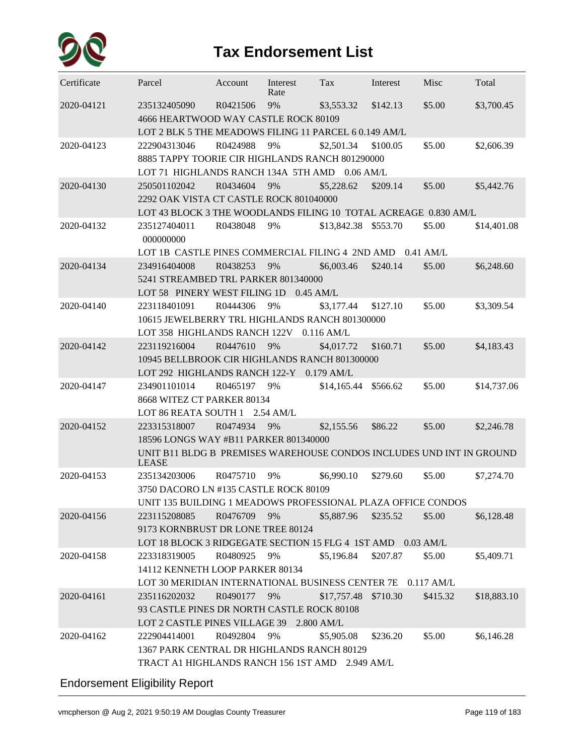

| Certificate | Parcel                                                                        | Account  | Interest<br>Rate | Tax                  | Interest | Misc     | Total       |  |  |  |  |
|-------------|-------------------------------------------------------------------------------|----------|------------------|----------------------|----------|----------|-------------|--|--|--|--|
| 2020-04121  | 235132405090<br>4666 HEARTWOOD WAY CASTLE ROCK 80109                          | R0421506 | 9%               | \$3,553.32           | \$142.13 | \$5.00   | \$3,700.45  |  |  |  |  |
|             | LOT 2 BLK 5 THE MEADOWS FILING 11 PARCEL 6 0.149 AM/L                         |          |                  |                      |          |          |             |  |  |  |  |
| 2020-04123  | 222904313046                                                                  | R0424988 | 9%               | \$2,501.34           | \$100.05 | \$5.00   | \$2,606.39  |  |  |  |  |
|             | 8885 TAPPY TOORIE CIR HIGHLANDS RANCH 801290000                               |          |                  |                      |          |          |             |  |  |  |  |
|             | LOT 71 HIGHLANDS RANCH 134A 5TH AMD 0.06 AM/L                                 |          |                  |                      |          |          |             |  |  |  |  |
| 2020-04130  | 250501102042                                                                  | R0434604 | 9%               | \$5,228.62           | \$209.14 | \$5.00   | \$5,442.76  |  |  |  |  |
|             | 2292 OAK VISTA CT CASTLE ROCK 801040000                                       |          |                  |                      |          |          |             |  |  |  |  |
|             | LOT 43 BLOCK 3 THE WOODLANDS FILING 10 TOTAL ACREAGE 0.830 AM/L               |          |                  |                      |          |          |             |  |  |  |  |
| 2020-04132  | 235127404011<br>000000000                                                     | R0438048 | 9%               | \$13,842.38 \$553.70 |          | \$5.00   | \$14,401.08 |  |  |  |  |
|             | LOT 1B CASTLE PINES COMMERCIAL FILING 4 2ND AMD 0.41 AM/L                     |          |                  |                      |          |          |             |  |  |  |  |
| 2020-04134  | 234916404008                                                                  | R0438253 | 9%               | \$6,003.46           | \$240.14 | \$5.00   | \$6,248.60  |  |  |  |  |
|             | 5241 STREAMBED TRL PARKER 801340000                                           |          |                  |                      |          |          |             |  |  |  |  |
|             | LOT 58 PINERY WEST FILING 1D 0.45 AM/L                                        |          |                  |                      |          |          |             |  |  |  |  |
| 2020-04140  | 223118401091                                                                  | R0444306 | 9%               | \$3,177.44           | \$127.10 | \$5.00   | \$3,309.54  |  |  |  |  |
|             | 10615 JEWELBERRY TRL HIGHLANDS RANCH 801300000                                |          |                  |                      |          |          |             |  |  |  |  |
|             | LOT 358 HIGHLANDS RANCH 122V 0.116 AM/L                                       |          |                  |                      |          |          |             |  |  |  |  |
| 2020-04142  | 223119216004                                                                  | R0447610 | 9%               | \$4,017.72           | \$160.71 | \$5.00   | \$4,183.43  |  |  |  |  |
|             | 10945 BELLBROOK CIR HIGHLANDS RANCH 801300000                                 |          |                  |                      |          |          |             |  |  |  |  |
|             | LOT 292 HIGHLANDS RANCH 122-Y 0.179 AM/L                                      |          |                  |                      |          |          |             |  |  |  |  |
| 2020-04147  | 234901101014                                                                  | R0465197 | 9%               | \$14,165.44          | \$566.62 | \$5.00   | \$14,737.06 |  |  |  |  |
|             | 8668 WITEZ CT PARKER 80134                                                    |          |                  |                      |          |          |             |  |  |  |  |
|             | LOT 86 REATA SOUTH 1 2.54 AM/L                                                |          |                  |                      |          |          |             |  |  |  |  |
| 2020-04152  | 223315318007                                                                  | R0474934 | 9%               | \$2,155.56           | \$86.22  | \$5.00   | \$2,246.78  |  |  |  |  |
|             | 18596 LONGS WAY #B11 PARKER 801340000                                         |          |                  |                      |          |          |             |  |  |  |  |
|             | UNIT B11 BLDG B PREMISES WAREHOUSE CONDOS INCLUDES UND INT IN GROUND<br>LEASE |          |                  |                      |          |          |             |  |  |  |  |
| 2020-04153  | 235134203006                                                                  | R0475710 | 9%               | \$6,990.10           | \$279.60 | \$5.00   | \$7,274.70  |  |  |  |  |
|             | 3750 DACORO LN #135 CASTLE ROCK 80109                                         |          |                  |                      |          |          |             |  |  |  |  |
|             | UNIT 135 BUILDING 1 MEADOWS PROFESSIONAL PLAZA OFFICE CONDOS                  |          |                  |                      |          |          |             |  |  |  |  |
| 2020-04156  | 223115208085                                                                  | R0476709 | 9%               | \$5,887.96           | \$235.52 | \$5.00   | \$6,128.48  |  |  |  |  |
|             | 9173 KORNBRUST DR LONE TREE 80124                                             |          |                  |                      |          |          |             |  |  |  |  |
|             | LOT 18 BLOCK 3 RIDGEGATE SECTION 15 FLG 4 1ST AMD 0.03 AM/L                   |          |                  |                      |          |          |             |  |  |  |  |
| 2020-04158  | 223318319005                                                                  | R0480925 | 9%               | \$5,196.84           | \$207.87 | \$5.00   | \$5,409.71  |  |  |  |  |
|             | 14112 KENNETH LOOP PARKER 80134                                               |          |                  |                      |          |          |             |  |  |  |  |
|             | LOT 30 MERIDIAN INTERNATIONAL BUSINESS CENTER 7E 0.117 AM/L                   |          |                  |                      |          |          |             |  |  |  |  |
| 2020-04161  | 235116202032                                                                  | R0490177 | 9%               | \$17,757.48 \$710.30 |          | \$415.32 | \$18,883.10 |  |  |  |  |
|             | 93 CASTLE PINES DR NORTH CASTLE ROCK 80108                                    |          |                  |                      |          |          |             |  |  |  |  |
|             | LOT 2 CASTLE PINES VILLAGE 39 2.800 AM/L                                      |          |                  |                      |          |          |             |  |  |  |  |
| 2020-04162  | 222904414001                                                                  | R0492804 | 9%               | \$5,905.08           | \$236.20 | \$5.00   | \$6,146.28  |  |  |  |  |
|             | 1367 PARK CENTRAL DR HIGHLANDS RANCH 80129                                    |          |                  |                      |          |          |             |  |  |  |  |
|             | TRACT A1 HIGHLANDS RANCH 156 1ST AMD 2.949 AM/L                               |          |                  |                      |          |          |             |  |  |  |  |
|             |                                                                               |          |                  |                      |          |          |             |  |  |  |  |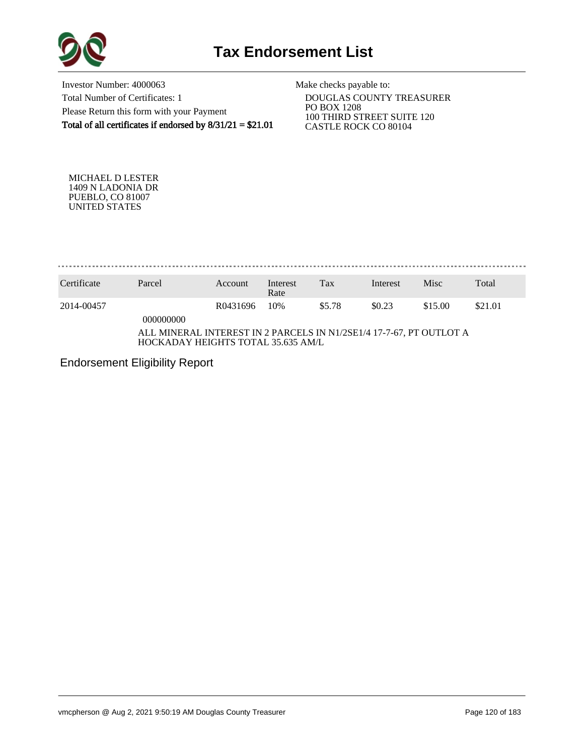

Investor Number: 4000063 Total Number of Certificates: 1 Please Return this form with your Payment Total of all certificates if endorsed by  $8/31/21 = $21.01$ 

Make checks payable to:

 DOUGLAS COUNTY TREASURER PO BOX 1208 100 THIRD STREET SUITE 120 CASTLE ROCK CO 80104

MICHAEL D LESTER 1409 N LADONIA DR PUEBLO, CO 81007 UNITED STATES

. . . . . . . . . . . . . . . .

| Certificate                                                                                               | Parcel    | Account  | Interest<br>Rate | Tax    | Interest | Misc    | Total   |
|-----------------------------------------------------------------------------------------------------------|-----------|----------|------------------|--------|----------|---------|---------|
| 2014-00457                                                                                                | 000000000 | R0431696 | 10%              | \$5.78 | \$0.23   | \$15.00 | \$21.01 |
| ALL MINERAL INTEREST IN 2 PARCELS IN N1/2SE1/4 17-7-67, PT OUTLOT A<br>HOCKADAY HEIGHTS TOTAL 35.635 AM/L |           |          |                  |        |          |         |         |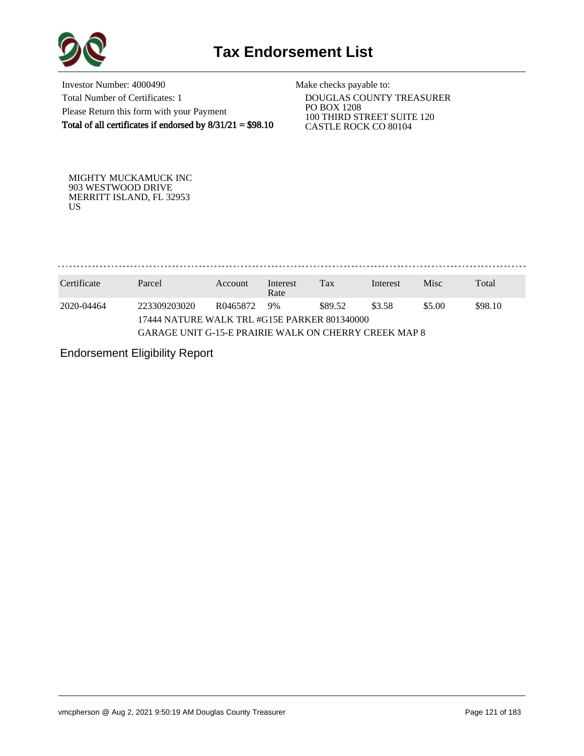

Investor Number: 4000490 Total Number of Certificates: 1 Please Return this form with your Payment Total of all certificates if endorsed by  $8/31/21 = $98.10$ 

Make checks payable to:

 DOUGLAS COUNTY TREASURER PO BOX 1208 100 THIRD STREET SUITE 120 CASTLE ROCK CO 80104

MIGHTY MUCKAMUCK INC 903 WESTWOOD DRIVE MERRITT ISLAND, FL 32953 US

. . . . . . . . . . . . . . . 

| Certificate | Parcel                                                | Account                                                  | Interest<br>Rate | Tax | Interest | <b>Misc</b> | Total |  |  |  |
|-------------|-------------------------------------------------------|----------------------------------------------------------|------------------|-----|----------|-------------|-------|--|--|--|
| 2020-04464  | 223309203020                                          | \$98.10<br>\$5.00<br>\$89.52<br>\$3.58<br>9%<br>R0465872 |                  |     |          |             |       |  |  |  |
|             | 17444 NATURE WALK TRL #G15E PARKER 801340000          |                                                          |                  |     |          |             |       |  |  |  |
|             | GARAGE UNIT G-15-E PRAIRIE WALK ON CHERRY CREEK MAP 8 |                                                          |                  |     |          |             |       |  |  |  |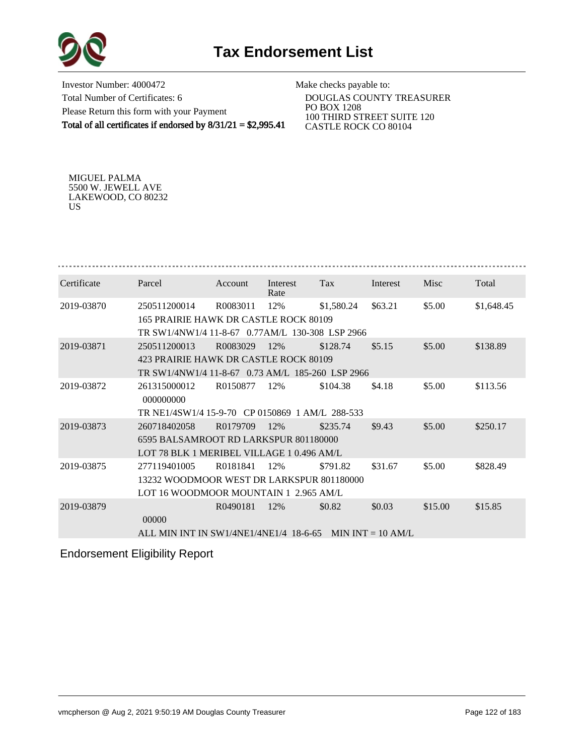



Investor Number: 4000472 Total Number of Certificates: 6 Please Return this form with your Payment Total of all certificates if endorsed by 8/31/21 = \$2,995.41

Make checks payable to:

 DOUGLAS COUNTY TREASURER PO BOX 1208 100 THIRD STREET SUITE 120 CASTLE ROCK CO 80104

MIGUEL PALMA 5500 W. JEWELL AVE LAKEWOOD, CO 80232 US

| Certificate | Parcel                                           | Account  | Interest<br>Rate | Tax        | Interest            | Misc    | Total      |  |  |  |
|-------------|--------------------------------------------------|----------|------------------|------------|---------------------|---------|------------|--|--|--|
| 2019-03870  | 250511200014                                     | R0083011 | 12%              | \$1,580.24 | \$63.21             | \$5.00  | \$1,648.45 |  |  |  |
|             | 165 PRAIRIE HAWK DR CASTLE ROCK 80109            |          |                  |            |                     |         |            |  |  |  |
|             | TR SW1/4NW1/4 11-8-67 0.77AM/L 130-308 LSP 2966  |          |                  |            |                     |         |            |  |  |  |
| 2019-03871  | 250511200013                                     | R0083029 | 12%              | \$128.74   | \$5.15              | \$5.00  | \$138.89   |  |  |  |
|             | 423 PRAIRIE HAWK DR CASTLE ROCK 80109            |          |                  |            |                     |         |            |  |  |  |
|             | TR SW1/4NW1/4 11-8-67 0.73 AM/L 185-260 LSP 2966 |          |                  |            |                     |         |            |  |  |  |
| 2019-03872  | 261315000012<br>000000000                        | R0150877 | 12%              | \$104.38   | \$4.18              | \$5.00  | \$113.56   |  |  |  |
|             | TR NE1/4SW1/4 15-9-70 CP 0150869 1 AM/L 288-533  |          |                  |            |                     |         |            |  |  |  |
| 2019-03873  | 260718402058                                     | R0179709 | 12%              | \$235.74   | \$9.43              | \$5.00  | \$250.17   |  |  |  |
|             | 6595 BALSAMROOT RD LARKSPUR 801180000            |          |                  |            |                     |         |            |  |  |  |
|             | LOT 78 BLK 1 MERIBEL VILLAGE 1 0.496 AM/L        |          |                  |            |                     |         |            |  |  |  |
| 2019-03875  | 277119401005                                     | R0181841 | 12%              | \$791.82   | \$31.67             | \$5.00  | \$828.49   |  |  |  |
|             | 13232 WOODMOOR WEST DR LARKSPUR 801180000        |          |                  |            |                     |         |            |  |  |  |
|             | LOT 16 WOODMOOR MOUNTAIN 1 2.965 AM/L            |          |                  |            |                     |         |            |  |  |  |
| 2019-03879  | 00000                                            | R0490181 | 12%              | \$0.82     | \$0.03              | \$15.00 | \$15.85    |  |  |  |
|             | ALL MIN INT IN SW1/4NE1/4NE1/4 18-6-65           |          |                  |            | MIN INT $= 10$ AM/L |         |            |  |  |  |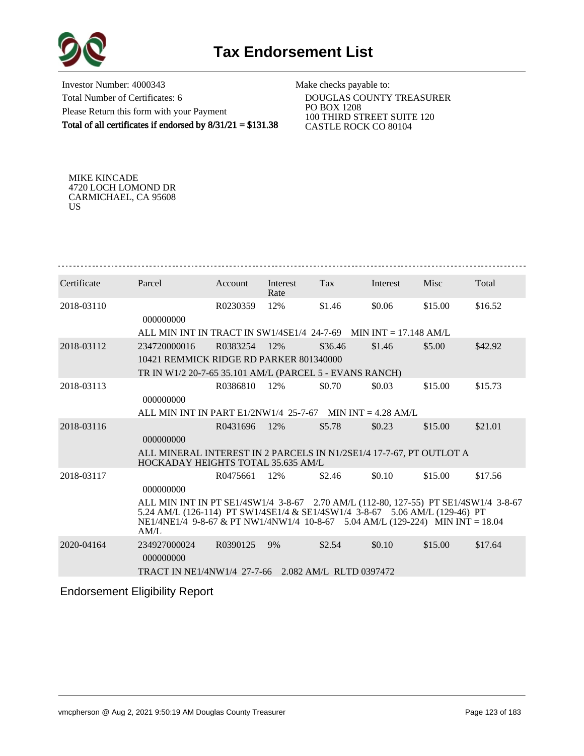



Investor Number: 4000343 Total Number of Certificates: 6 Please Return this form with your Payment Total of all certificates if endorsed by 8/31/21 = \$131.38

Make checks payable to:

 DOUGLAS COUNTY TREASURER PO BOX 1208 100 THIRD STREET SUITE 120 CASTLE ROCK CO 80104

MIKE KINCADE 4720 LOCH LOMOND DR CARMICHAEL, CA 95608 US

| Certificate | Parcel                                                                                                                                                                                                                                                                   | Account  | Interest<br>Rate | <b>Tax</b> | Interest | Misc    | Total   |  |
|-------------|--------------------------------------------------------------------------------------------------------------------------------------------------------------------------------------------------------------------------------------------------------------------------|----------|------------------|------------|----------|---------|---------|--|
| 2018-03110  | 000000000                                                                                                                                                                                                                                                                | R0230359 | 12%              | \$1.46     | \$0.06   | \$15.00 | \$16.52 |  |
|             | ALL MIN INT IN TRACT IN SW1/4SE1/4 24-7-69 MIN INT = 17.148 AM/L                                                                                                                                                                                                         |          |                  |            |          |         |         |  |
| 2018-03112  | 234720000016                                                                                                                                                                                                                                                             | R0383254 | 12%              | \$36.46    | \$1.46   | \$5.00  | \$42.92 |  |
|             | 10421 REMMICK RIDGE RD PARKER 801340000                                                                                                                                                                                                                                  |          |                  |            |          |         |         |  |
|             | TR IN W1/2 20-7-65 35.101 AM/L (PARCEL 5 - EVANS RANCH)                                                                                                                                                                                                                  |          |                  |            |          |         |         |  |
| 2018-03113  | 000000000                                                                                                                                                                                                                                                                | R0386810 | 12%              | \$0.70     | \$0.03   | \$15.00 | \$15.73 |  |
|             | ALL MIN INT IN PART $E1/2NW1/4$ 25-7-67 MIN INT = 4.28 AM/L                                                                                                                                                                                                              |          |                  |            |          |         |         |  |
| 2018-03116  | 000000000                                                                                                                                                                                                                                                                | R0431696 | 12%              | \$5.78     | \$0.23   | \$15.00 | \$21.01 |  |
|             | ALL MINERAL INTEREST IN 2 PARCELS IN N1/2SE1/4 17-7-67, PT OUTLOT A<br>HOCKADAY HEIGHTS TOTAL 35.635 AM/L                                                                                                                                                                |          |                  |            |          |         |         |  |
| 2018-03117  |                                                                                                                                                                                                                                                                          | R0475661 | 12%              | \$2.46     | \$0.10   | \$15.00 | \$17.56 |  |
|             | 000000000<br>ALL MIN INT IN PT SE1/4SW1/4 3-8-67 2.70 AM/L (112-80, 127-55) PT SE1/4SW1/4 3-8-67<br>5.24 AM/L (126-114) PT SW1/4SE1/4 & SE1/4SW1/4 3-8-67 5.06 AM/L (129-46) PT<br>NE1/4NE1/4 9-8-67 & PT NW1/4NW1/4 10-8-67 5.04 AM/L (129-224) MIN INT = 18.04<br>AM/L |          |                  |            |          |         |         |  |
| 2020-04164  | 234927000024<br>000000000                                                                                                                                                                                                                                                | R0390125 | 9%               | \$2.54     | \$0.10   | \$15.00 | \$17.64 |  |
|             | TRACT IN NE1/4NW1/4 27-7-66 2.082 AM/L RLTD 0397472                                                                                                                                                                                                                      |          |                  |            |          |         |         |  |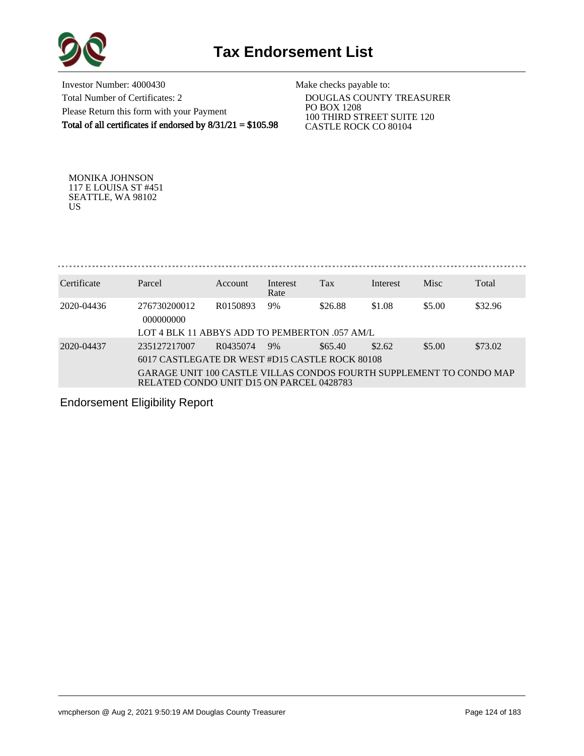

Investor Number: 4000430 Total Number of Certificates: 2 Please Return this form with your Payment Total of all certificates if endorsed by  $8/31/21 = $105.98$ 

Make checks payable to:

 DOUGLAS COUNTY TREASURER PO BOX 1208 100 THIRD STREET SUITE 120 CASTLE ROCK CO 80104

MONIKA JOHNSON 117 E LOUISA ST #451 SEATTLE, WA 98102 US

. . . . . . . . . . . . . . . . . . . 

| Certificate | Parcel                                                                                                          | Account  | Interest<br>Rate | Tax     | Interest | <b>Misc</b> | Total   |
|-------------|-----------------------------------------------------------------------------------------------------------------|----------|------------------|---------|----------|-------------|---------|
| 2020-04436  | 276730200012<br>000000000                                                                                       | R0150893 | 9%               | \$26.88 | \$1.08   | \$5.00      | \$32.96 |
|             | LOT 4 BLK 11 ABBYS ADD TO PEMBERTON 057 AM/L                                                                    |          |                  |         |          |             |         |
| 2020-04437  | 235127217007                                                                                                    | R0435074 | 9%               | \$65.40 | \$2.62   | \$5.00      | \$73.02 |
|             | 6017 CASTLEGATE DR WEST #D15 CASTLE ROCK 80108                                                                  |          |                  |         |          |             |         |
|             | GARAGE UNIT 100 CASTLE VILLAS CONDOS FOURTH SUPPLEMENT TO CONDO MAP<br>RELATED CONDO UNIT D15 ON PARCEL 0428783 |          |                  |         |          |             |         |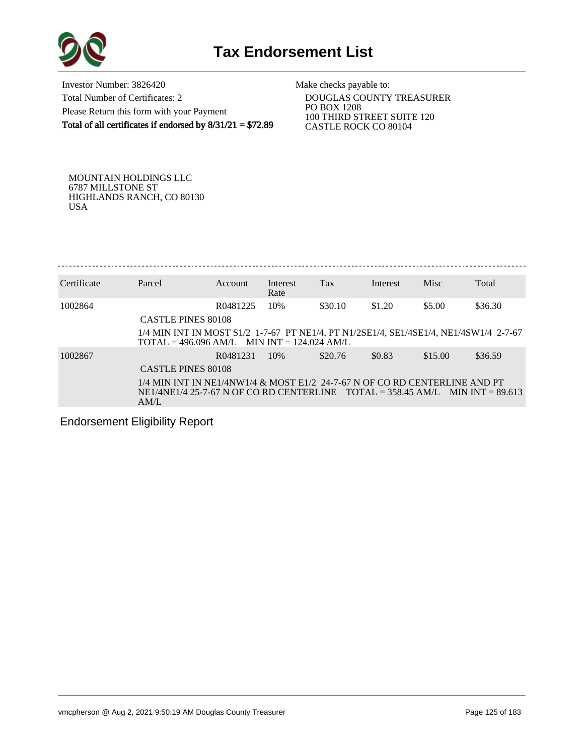

Investor Number: 3826420 Total Number of Certificates: 2 Please Return this form with your Payment Total of all certificates if endorsed by  $8/31/21 = $72.89$  Make checks payable to:

 DOUGLAS COUNTY TREASURER PO BOX 1208 100 THIRD STREET SUITE 120 CASTLE ROCK CO 80104

MOUNTAIN HOLDINGS LLC 6787 MILLSTONE ST HIGHLANDS RANCH, CO 80130 USA

Certificate Parcel Account Interest Tax Interest Misc Total Rate 1002864 R0481225 10% \$30.10 \$1.20 \$5.00 \$36.30 CASTLE PINES 80108 1/4 MIN INT IN MOST S1/2 1-7-67 PT NE1/4, PT N1/2SE1/4, SE1/4SE1/4, NE1/4SW1/4 2-7-67  $TOTAL = 496.096 AM/L$  MIN INT = 124.024 AM/L 1002867 R0481231 10% \$20.76 \$0.83 \$15.00 \$36.59 CASTLE PINES 80108 1/4 MIN INT IN NE1/4NW1/4 & MOST E1/2 24-7-67 N OF CO RD CENTERLINE AND PT NE1/4NE1/4 25-7-67 N OF CO RD CENTERLINE TOTAL = 358.45 AM/L MIN INT = 89.613 AM/L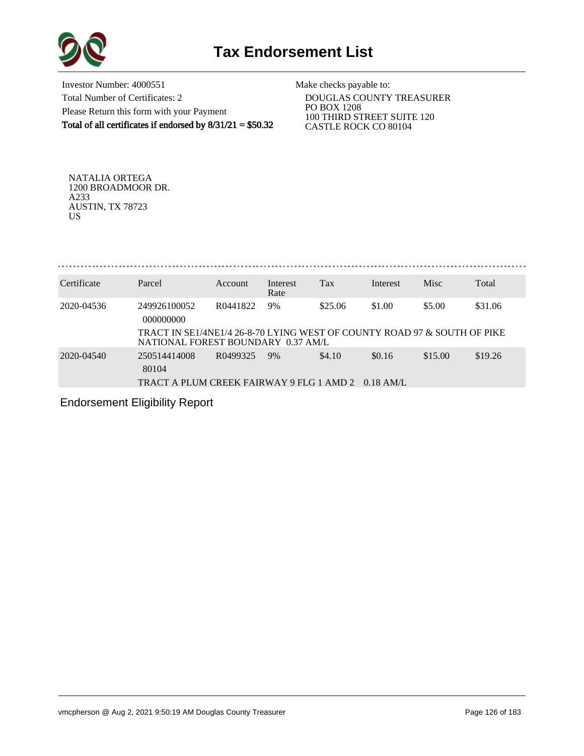

Investor Number: 4000551 Total Number of Certificates: 2 Please Return this form with your Payment Total of all certificates if endorsed by 8/31/21 = \$50.32

Make checks payable to:

 DOUGLAS COUNTY TREASURER PO BOX 1208 100 THIRD STREET SUITE 120 CASTLE ROCK CO 80104

NATALIA ORTEGA 1200 BROADMOOR DR. A233 AUSTIN, TX 78723 US

. . . . . . . . . . . . . . . .

| Certificate | Parcel                                                                                                | Account  | Interest<br>Rate | Tax     | Interest    | Misc    | Total   |
|-------------|-------------------------------------------------------------------------------------------------------|----------|------------------|---------|-------------|---------|---------|
| 2020-04536  | 249926100052<br>000000000<br>TRACT IN SE1/4NE1/4 26-8-70 LYING WEST OF COUNTY ROAD 97 & SOUTH OF PIKE | R0441822 | 9%               | \$25.06 | \$1.00      | \$5.00  | \$31.06 |
|             | NATIONAL FOREST BOUNDARY 0.37 AM/L                                                                    |          |                  |         |             |         |         |
| 2020-04540  | 250514414008<br>80104                                                                                 | R0499325 | 9%               | \$4.10  | \$0.16      | \$15.00 | \$19.26 |
|             | TRACT A PLUM CREEK FAIRWAY 9 FLG 1 AMD 2                                                              |          |                  |         | $0.18$ AM/L |         |         |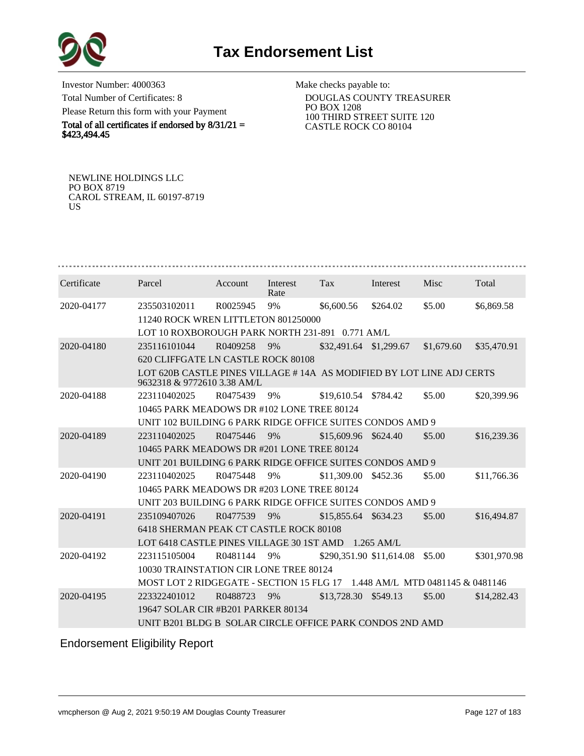

Investor Number: 4000363 Total Number of Certificates: 8 Please Return this form with your Payment

Total of all certificates if endorsed by  $8/31/21 =$ \$423,494.45

Make checks payable to:

 DOUGLAS COUNTY TREASURER PO BOX 1208 100 THIRD STREET SUITE 120 CASTLE ROCK CO 80104

NEWLINE HOLDINGS LLC PO BOX 8719 CAROL STREAM, IL 60197-8719 US

| Certificate | Parcel                                                                                              | Account                                    | Interest<br>Rate | Tax                      | Interest | Misc       | Total        |  |  |  |
|-------------|-----------------------------------------------------------------------------------------------------|--------------------------------------------|------------------|--------------------------|----------|------------|--------------|--|--|--|
| 2020-04177  | 235503102011                                                                                        | R0025945                                   | 9%               | \$6,600.56               | \$264.02 | \$5.00     | \$6,869.58   |  |  |  |
|             | 11240 ROCK WREN LITTLETON 801250000                                                                 |                                            |                  |                          |          |            |              |  |  |  |
|             | LOT 10 ROXBOROUGH PARK NORTH 231-891 0.771 AM/L                                                     |                                            |                  |                          |          |            |              |  |  |  |
| 2020-04180  | 235116101044                                                                                        | R0409258                                   | 9%               | \$32,491.64 \$1,299.67   |          | \$1,679.60 | \$35,470.91  |  |  |  |
|             | 620 CLIFFGATE LN CASTLE ROCK 80108                                                                  |                                            |                  |                          |          |            |              |  |  |  |
|             | LOT 620B CASTLE PINES VILLAGE #14A AS MODIFIED BY LOT LINE ADJ CERTS<br>9632318 & 9772610 3.38 AM/L |                                            |                  |                          |          |            |              |  |  |  |
| 2020-04188  | 223110402025                                                                                        | R0475439                                   | 9%               | \$19,610.54 \$784.42     |          | \$5.00     | \$20,399.96  |  |  |  |
|             | 10465 PARK MEADOWS DR #102 LONE TREE 80124                                                          |                                            |                  |                          |          |            |              |  |  |  |
|             | UNIT 102 BUILDING 6 PARK RIDGE OFFICE SUITES CONDOS AMD 9                                           |                                            |                  |                          |          |            |              |  |  |  |
| 2020-04189  | 223110402025                                                                                        | R0475446                                   | 9%               | \$15,609.96              | \$624.40 | \$5.00     | \$16,239.36  |  |  |  |
|             | 10465 PARK MEADOWS DR #201 LONE TREE 80124                                                          |                                            |                  |                          |          |            |              |  |  |  |
|             | UNIT 201 BUILDING 6 PARK RIDGE OFFICE SUITES CONDOS AMD 9                                           |                                            |                  |                          |          |            |              |  |  |  |
| 2020-04190  | 223110402025                                                                                        | R0475448                                   | 9%               | \$11,309.00              | \$452.36 | \$5.00     | \$11,766.36  |  |  |  |
|             |                                                                                                     | 10465 PARK MEADOWS DR #203 LONE TREE 80124 |                  |                          |          |            |              |  |  |  |
|             | UNIT 203 BUILDING 6 PARK RIDGE OFFICE SUITES CONDOS AMD 9                                           |                                            |                  |                          |          |            |              |  |  |  |
| 2020-04191  | 235109407026                                                                                        | R0477539                                   | 9%               | \$15,855.64 \$634.23     |          | \$5.00     | \$16,494.87  |  |  |  |
|             | 6418 SHERMAN PEAK CT CASTLE ROCK 80108                                                              |                                            |                  |                          |          |            |              |  |  |  |
|             | LOT 6418 CASTLE PINES VILLAGE 30 1ST AMD 1.265 AM/L                                                 |                                            |                  |                          |          |            |              |  |  |  |
| 2020-04192  | 223115105004                                                                                        | R0481144                                   | 9%               | \$290,351.90 \$11,614.08 |          | \$5.00     | \$301,970.98 |  |  |  |
|             | 10030 TRAINSTATION CIR LONE TREE 80124                                                              |                                            |                  |                          |          |            |              |  |  |  |
|             | MOST LOT 2 RIDGEGATE - SECTION 15 FLG 17 1.448 AM/L MTD 0481145 & 0481146                           |                                            |                  |                          |          |            |              |  |  |  |
| 2020-04195  | 223322401012                                                                                        | R0488723                                   | 9%               | \$13,728.30 \$549.13     |          | \$5.00     | \$14,282.43  |  |  |  |
|             | 19647 SOLAR CIR #B201 PARKER 80134                                                                  |                                            |                  |                          |          |            |              |  |  |  |
|             | UNIT B201 BLDG B SOLAR CIRCLE OFFICE PARK CONDOS 2ND AMD                                            |                                            |                  |                          |          |            |              |  |  |  |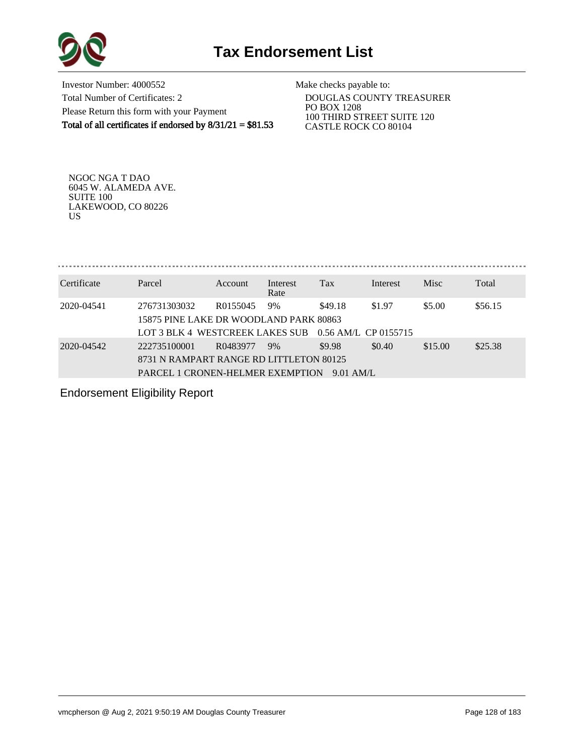

Investor Number: 4000552 Total Number of Certificates: 2 Please Return this form with your Payment Total of all certificates if endorsed by  $8/31/21 = $81.53$  Make checks payable to:

 DOUGLAS COUNTY TREASURER PO BOX 1208 100 THIRD STREET SUITE 120 CASTLE ROCK CO 80104

NGOC NGA T DAO 6045 W. ALAMEDA AVE. SUITE 100 LAKEWOOD, CO 80226 US

Certificate Parcel Account Interest Tax Interest Misc Total Rate 2020-04541 276731303032 R0155045 9% \$49.18 \$1.97 \$5.00 \$56.15 15875 PINE LAKE DR WOODLAND PARK 80863 LOT 3 BLK 4 WESTCREEK LAKES SUB 0.56 AM/L CP 0155715 2020-04542 222735100001 R0483977 9% \$9.98 \$0.40 \$15.00 \$25.38 8731 N RAMPART RANGE RD LITTLETON 80125 PARCEL 1 CRONEN-HELMER EXEMPTION 9.01 AM/L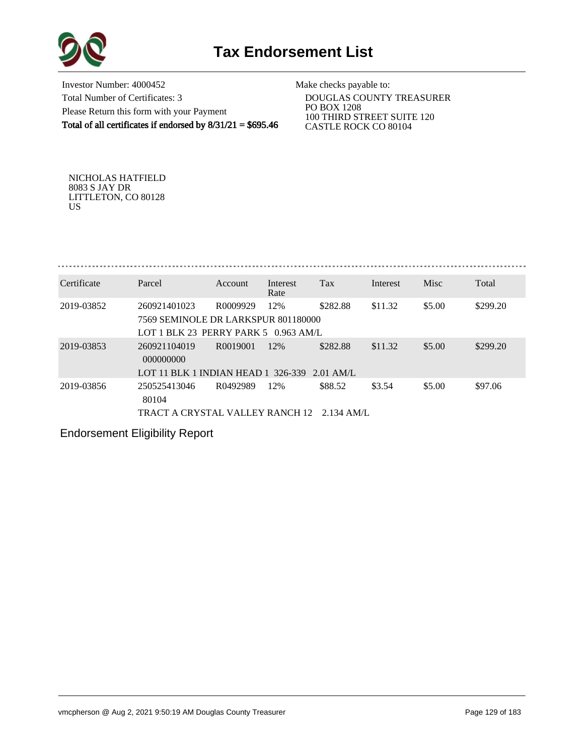



Investor Number: 4000452 Total Number of Certificates: 3 Please Return this form with your Payment Total of all certificates if endorsed by  $8/31/21 = $695.46$ 

Make checks payable to:

 DOUGLAS COUNTY TREASURER PO BOX 1208 100 THIRD STREET SUITE 120 CASTLE ROCK CO 80104

NICHOLAS HATFIELD 8083 S JAY DR LITTLETON, CO 80128 US

| Certificate | Parcel                                 | Account                           | Interest | Tax         | Interest | Misc   | Total    |  |  |  |  |
|-------------|----------------------------------------|-----------------------------------|----------|-------------|----------|--------|----------|--|--|--|--|
|             |                                        |                                   | Rate     |             |          |        |          |  |  |  |  |
| 2019-03852  | 260921401023                           | R0009929                          | 12%      | \$282.88    | \$11.32  | \$5.00 | \$299.20 |  |  |  |  |
|             | 7569 SEMINOLE DR LARKSPUR 801180000    |                                   |          |             |          |        |          |  |  |  |  |
|             | LOT 1 BLK 23 PERRY PARK 5 $0.963$ AM/L |                                   |          |             |          |        |          |  |  |  |  |
| 2019-03853  | 260921104019                           | R <sub>00</sub> 19 <sub>001</sub> | 12%      | \$282.88    | \$11.32  | \$5.00 | \$299.20 |  |  |  |  |
|             | 000000000                              |                                   |          |             |          |        |          |  |  |  |  |
|             | LOT 11 BLK 1 INDIAN HEAD 1 $326-339$   |                                   |          | $2.01$ AM/L |          |        |          |  |  |  |  |
| 2019-03856  | 250525413046                           | R0492989                          | 12%      | \$88.52     | \$3.54   | \$5.00 | \$97.06  |  |  |  |  |
|             | 80104                                  |                                   |          |             |          |        |          |  |  |  |  |
|             | TRACT A CRYSTAL VALLEY RANCH 12        |                                   |          | -2.134 AM/L |          |        |          |  |  |  |  |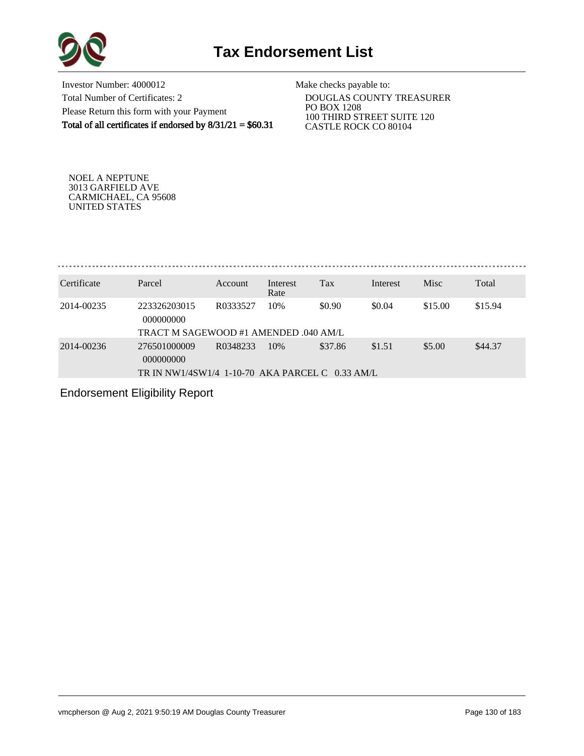

Investor Number: 4000012 Total Number of Certificates: 2 Please Return this form with your Payment Total of all certificates if endorsed by  $8/31/21 = $60.31$ 

Make checks payable to:

 DOUGLAS COUNTY TREASURER PO BOX 1208 100 THIRD STREET SUITE 120 CASTLE ROCK CO 80104

NOEL A NEPTUNE 3013 GARFIELD AVE CARMICHAEL, CA 95608 UNITED STATES

. . . . . . . . . . . . . . . . . . 

| Certificate | Parcel                                          | Account  | Interest<br>Rate | Tax     | Interest | <b>Misc</b> | Total   |
|-------------|-------------------------------------------------|----------|------------------|---------|----------|-------------|---------|
| 2014-00235  | 223326203015<br>000000000                       | R0333527 | 10%              | \$0.90  | \$0.04   | \$15.00     | \$15.94 |
|             | TRACT M SAGEWOOD #1 AMENDED .040 AM/L           |          |                  |         |          |             |         |
| 2014-00236  | 276501000009<br>000000000                       | R0348233 | 10%              | \$37.86 | \$1.51   | \$5.00      | \$44.37 |
|             | TR IN NW1/4SW1/4 1-10-70 AKA PARCEL C 0.33 AM/L |          |                  |         |          |             |         |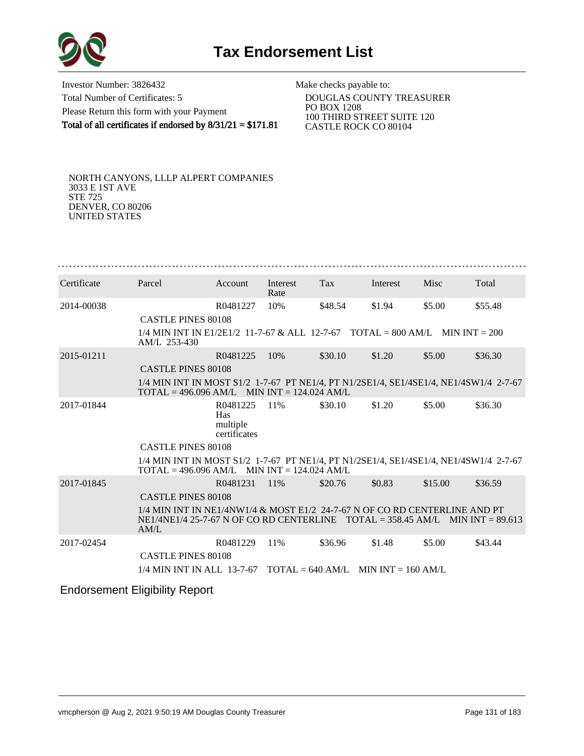

Investor Number: 3826432 Total Number of Certificates: 5 Please Return this form with your Payment Total of all certificates if endorsed by 8/31/21 = \$171.81

Make checks payable to:

 DOUGLAS COUNTY TREASURER PO BOX 1208 100 THIRD STREET SUITE 120 CASTLE ROCK CO 80104

NORTH CANYONS, LLLP ALPERT COMPANIES 3033 E 1ST AVE STE 725 DENVER, CO 80206 UNITED STATES

| Certificate | Parcel                                                                                                                                                                  | Account                                     | Interest<br>Rate | Tax                                                  | Interest | Misc    | Total   |
|-------------|-------------------------------------------------------------------------------------------------------------------------------------------------------------------------|---------------------------------------------|------------------|------------------------------------------------------|----------|---------|---------|
| 2014-00038  |                                                                                                                                                                         | R0481227                                    | 10%              | \$48.54                                              | \$1.94   | \$5.00  | \$55.48 |
|             | <b>CASTLE PINES 80108</b>                                                                                                                                               |                                             |                  |                                                      |          |         |         |
|             | $1/4$ MIN INT IN E1/2E1/2 11-7-67 & ALL 12-7-67 TOTAL = 800 AM/L MIN INT = 200<br>AM/L 253-430                                                                          |                                             |                  |                                                      |          |         |         |
| 2015-01211  |                                                                                                                                                                         | R0481225                                    | 10%              | \$30.10                                              | \$1.20   | \$5.00  | \$36.30 |
|             | <b>CASTLE PINES 80108</b>                                                                                                                                               |                                             |                  |                                                      |          |         |         |
|             | 1/4 MIN INT IN MOST S1/2 1-7-67 PT NE1/4, PT N1/2SE1/4, SE1/4SE1/4, NE1/4SW1/4 2-7-67<br>$\text{TOTAL} = 496.096 \text{ AM/L}$ MIN INT = 124.024 AM/L                   |                                             |                  |                                                      |          |         |         |
| 2017-01844  |                                                                                                                                                                         | R0481225<br>Has<br>multiple<br>certificates | 11%              | \$30.10                                              | \$1.20   | \$5.00  | \$36.30 |
|             | <b>CASTLE PINES 80108</b>                                                                                                                                               |                                             |                  |                                                      |          |         |         |
|             | 1/4 MIN INT IN MOST S1/2 1-7-67 PT NE1/4, PT N1/2SE1/4, SE1/4SE1/4, NE1/4SW1/4 2-7-67<br>$\text{TOTAL} = 496.096 \text{ AM/L}$ MIN INT = 124.024 AM/L                   |                                             |                  |                                                      |          |         |         |
| 2017-01845  |                                                                                                                                                                         | R0481231                                    | 11\%             | \$20.76                                              | \$0.83   | \$15.00 | \$36.59 |
|             | <b>CASTLE PINES 80108</b>                                                                                                                                               |                                             |                  |                                                      |          |         |         |
|             | 1/4 MIN INT IN NE1/4NW1/4 & MOST E1/2 24-7-67 N OF CO RD CENTERLINE AND PT<br>$NE1/4NE1/4$ 25-7-67 N OF CO RD CENTERLINE $TOTAL = 358.45$ AM/L MIN INT = 89.613<br>AM/L |                                             |                  |                                                      |          |         |         |
| 2017-02454  |                                                                                                                                                                         | R0481229                                    | 11%              | \$36.96                                              | \$1.48   | \$5.00  | \$43.44 |
|             | <b>CASTLE PINES 80108</b>                                                                                                                                               |                                             |                  |                                                      |          |         |         |
|             | 1/4 MIN INT IN ALL 13-7-67                                                                                                                                              |                                             |                  | $\text{TOTAI} = 640 \text{ AM/L}$ MIN INT = 160 AM/L |          |         |         |
|             | .                                                                                                                                                                       |                                             |                  |                                                      |          |         |         |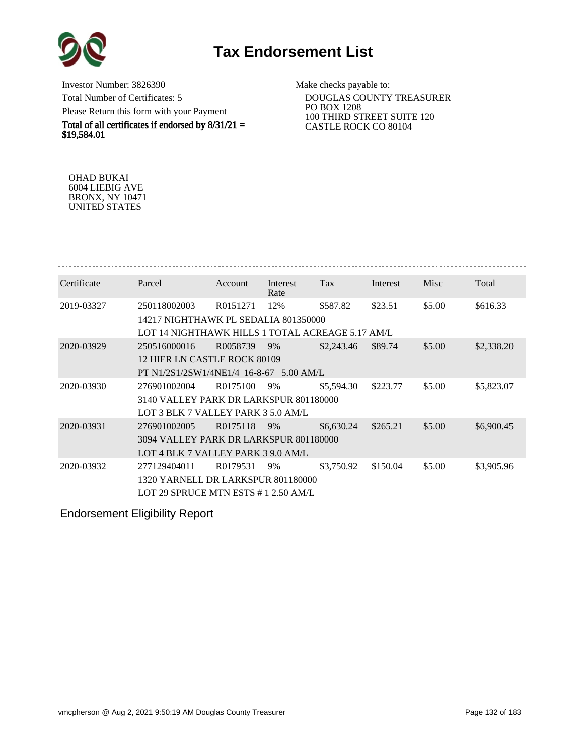

Investor Number: 3826390 Total Number of Certificates: 5 Please Return this form with your Payment

Total of all certificates if endorsed by  $8/31/21 =$ \$19,584.01

Make checks payable to:

 DOUGLAS COUNTY TREASURER PO BOX 1208 100 THIRD STREET SUITE 120 CASTLE ROCK CO 80104

OHAD BUKAI 6004 LIEBIG AVE BRONX, NY 10471 UNITED STATES

| Certificate | Parcel                                                                                                   | Account  | Interest<br>Rate | Tax        | Interest | Misc   | Total      |
|-------------|----------------------------------------------------------------------------------------------------------|----------|------------------|------------|----------|--------|------------|
| 2019-03327  | 250118002003<br>14217 NIGHTHAWK PL SEDALIA 801350000<br>LOT 14 NIGHTHAWK HILLS 1 TOTAL ACREAGE 5.17 AM/L | R0151271 | 12%              | \$587.82   | \$23.51  | \$5.00 | \$616.33   |
| 2020-03929  | 250516000016<br>12 HIER LN CASTLE ROCK 80109<br>PT N1/2S1/2SW1/4NE1/4 16-8-67 5.00 AM/L                  | R0058739 | 9%               | \$2,243.46 | \$89.74  | \$5.00 | \$2,338.20 |
| 2020-03930  | 276901002004<br>3140 VALLEY PARK DR LARKSPUR 801180000<br>LOT 3 BLK 7 VALLEY PARK 3 5.0 AM/L             | R0175100 | 9%               | \$5,594.30 | \$223.77 | \$5.00 | \$5,823.07 |
| 2020-03931  | 276901002005<br>3094 VALLEY PARK DR LARKSPUR 801180000<br>LOT 4 BLK 7 VALLEY PARK 3 9.0 AM/L             | R0175118 | 9%               | \$6,630.24 | \$265.21 | \$5.00 | \$6,900.45 |
| 2020-03932  | 277129404011<br>1320 YARNELL DR LARKSPUR 801180000<br>LOT 29 SPRUCE MTN ESTS #1 2.50 AM/L                | R0179531 | 9%               | \$3,750.92 | \$150.04 | \$5.00 | \$3,905.96 |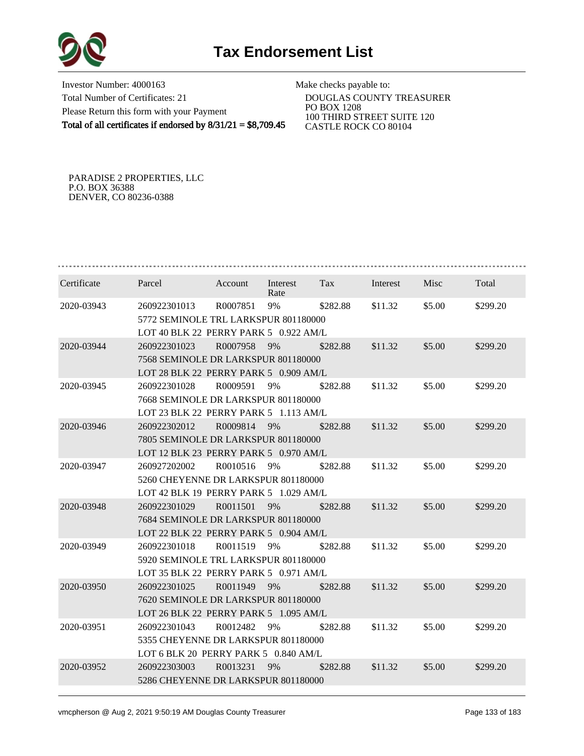

Investor Number: 4000163 Total Number of Certificates: 21 Please Return this form with your Payment Total of all certificates if endorsed by 8/31/21 = \$8,709.45

Make checks payable to:

 DOUGLAS COUNTY TREASURER PO BOX 1208 100 THIRD STREET SUITE 120 CASTLE ROCK CO 80104

PARADISE 2 PROPERTIES, LLC P.O. BOX 36388 DENVER, CO 80236-0388

| Certificate | Parcel                                | Account  | Interest<br>Rate | Tax      | Interest | Misc   | Total    |  |  |  |
|-------------|---------------------------------------|----------|------------------|----------|----------|--------|----------|--|--|--|
| 2020-03943  | 260922301013                          | R0007851 | 9%               | \$282.88 | \$11.32  | \$5.00 | \$299.20 |  |  |  |
|             | 5772 SEMINOLE TRL LARKSPUR 801180000  |          |                  |          |          |        |          |  |  |  |
|             | LOT 40 BLK 22 PERRY PARK 5 0.922 AM/L |          |                  |          |          |        |          |  |  |  |
| 2020-03944  | 260922301023                          | R0007958 | 9%               | \$282.88 | \$11.32  | \$5.00 | \$299.20 |  |  |  |
|             | 7568 SEMINOLE DR LARKSPUR 801180000   |          |                  |          |          |        |          |  |  |  |
|             | LOT 28 BLK 22 PERRY PARK 5 0.909 AM/L |          |                  |          |          |        |          |  |  |  |
| 2020-03945  | 260922301028                          | R0009591 | 9%               | \$282.88 | \$11.32  | \$5.00 | \$299.20 |  |  |  |
|             | 7668 SEMINOLE DR LARKSPUR 801180000   |          |                  |          |          |        |          |  |  |  |
|             | LOT 23 BLK 22 PERRY PARK 5 1.113 AM/L |          |                  |          |          |        |          |  |  |  |
| 2020-03946  | 260922302012                          | R0009814 | 9%               | \$282.88 | \$11.32  | \$5.00 | \$299.20 |  |  |  |
|             | 7805 SEMINOLE DR LARKSPUR 801180000   |          |                  |          |          |        |          |  |  |  |
|             | LOT 12 BLK 23 PERRY PARK 5 0.970 AM/L |          |                  |          |          |        |          |  |  |  |
| 2020-03947  | 260927202002                          | R0010516 | 9%               | \$282.88 | \$11.32  | \$5.00 | \$299.20 |  |  |  |
|             | 5260 CHEYENNE DR LARKSPUR 801180000   |          |                  |          |          |        |          |  |  |  |
|             | LOT 42 BLK 19 PERRY PARK 5 1.029 AM/L |          |                  |          |          |        |          |  |  |  |
| 2020-03948  | 260922301029                          | R0011501 | 9%               | \$282.88 | \$11.32  | \$5.00 | \$299.20 |  |  |  |
|             | 7684 SEMINOLE DR LARKSPUR 801180000   |          |                  |          |          |        |          |  |  |  |
|             | LOT 22 BLK 22 PERRY PARK 5 0.904 AM/L |          |                  |          |          |        |          |  |  |  |
| 2020-03949  | 260922301018                          | R0011519 | 9%               | \$282.88 | \$11.32  | \$5.00 | \$299.20 |  |  |  |
|             | 5920 SEMINOLE TRL LARKSPUR 801180000  |          |                  |          |          |        |          |  |  |  |
|             | LOT 35 BLK 22 PERRY PARK 5 0.971 AM/L |          |                  |          |          |        |          |  |  |  |
| 2020-03950  | 260922301025                          | R0011949 | 9%               | \$282.88 | \$11.32  | \$5.00 | \$299.20 |  |  |  |
|             | 7620 SEMINOLE DR LARKSPUR 801180000   |          |                  |          |          |        |          |  |  |  |
|             | LOT 26 BLK 22 PERRY PARK 5 1.095 AM/L |          |                  |          |          |        |          |  |  |  |
| 2020-03951  | 260922301043                          | R0012482 | 9%               | \$282.88 | \$11.32  | \$5.00 | \$299.20 |  |  |  |
|             | 5355 CHEYENNE DR LARKSPUR 801180000   |          |                  |          |          |        |          |  |  |  |
|             | LOT 6 BLK 20 PERRY PARK 5 0.840 AM/L  |          |                  |          |          |        |          |  |  |  |
| 2020-03952  | 260922303003                          | R0013231 | 9%               | \$282.88 | \$11.32  | \$5.00 | \$299.20 |  |  |  |
|             | 5286 CHEYENNE DR LARKSPUR 801180000   |          |                  |          |          |        |          |  |  |  |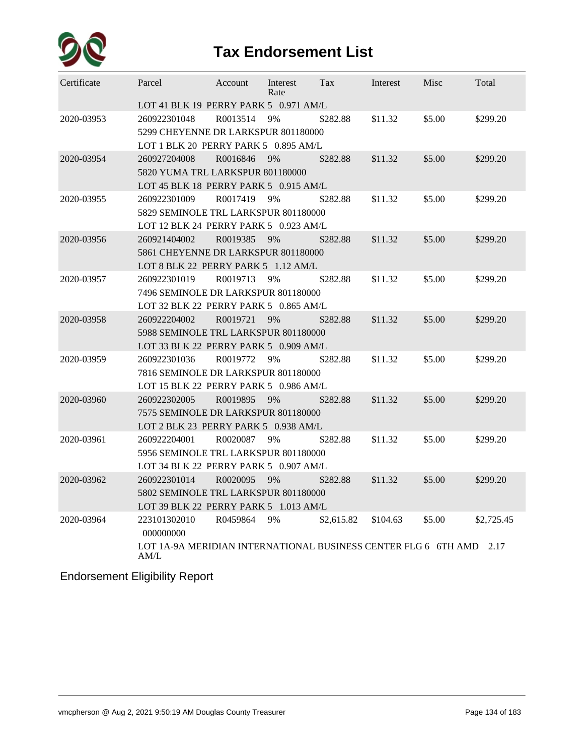

| Certificate | Parcel                                                                      | Account  | Interest<br>Rate | Tax        | Interest | Misc   | Total      |  |  |  |  |
|-------------|-----------------------------------------------------------------------------|----------|------------------|------------|----------|--------|------------|--|--|--|--|
|             | LOT 41 BLK 19 PERRY PARK 5 0.971 AM/L                                       |          |                  |            |          |        |            |  |  |  |  |
| 2020-03953  | 260922301048                                                                | R0013514 | 9%               | \$282.88   | \$11.32  | \$5.00 | \$299.20   |  |  |  |  |
|             | 5299 CHEYENNE DR LARKSPUR 801180000                                         |          |                  |            |          |        |            |  |  |  |  |
|             | LOT 1 BLK 20 PERRY PARK 5 0.895 AM/L                                        |          |                  |            |          |        |            |  |  |  |  |
| 2020-03954  | 260927204008                                                                | R0016846 | 9%               | \$282.88   | \$11.32  | \$5.00 | \$299.20   |  |  |  |  |
|             | 5820 YUMA TRL LARKSPUR 801180000                                            |          |                  |            |          |        |            |  |  |  |  |
|             | LOT 45 BLK 18 PERRY PARK 5 0.915 AM/L                                       |          |                  |            |          |        |            |  |  |  |  |
| 2020-03955  | 260922301009                                                                | R0017419 | 9%               | \$282.88   | \$11.32  | \$5.00 | \$299.20   |  |  |  |  |
|             | 5829 SEMINOLE TRL LARKSPUR 801180000                                        |          |                  |            |          |        |            |  |  |  |  |
|             | LOT 12 BLK 24 PERRY PARK 5 0.923 AM/L                                       |          |                  |            |          |        |            |  |  |  |  |
| 2020-03956  | 260921404002                                                                | R0019385 | 9%               | \$282.88   | \$11.32  | \$5.00 | \$299.20   |  |  |  |  |
|             | 5861 CHEYENNE DR LARKSPUR 801180000                                         |          |                  |            |          |        |            |  |  |  |  |
|             | LOT 8 BLK 22 PERRY PARK 5 1.12 AM/L                                         |          |                  |            |          |        |            |  |  |  |  |
| 2020-03957  | 260922301019                                                                | R0019713 | 9%               | \$282.88   | \$11.32  | \$5.00 | \$299.20   |  |  |  |  |
|             | 7496 SEMINOLE DR LARKSPUR 801180000                                         |          |                  |            |          |        |            |  |  |  |  |
|             | LOT 32 BLK 22 PERRY PARK 5 0.865 AM/L                                       |          |                  |            |          |        |            |  |  |  |  |
| 2020-03958  | 260922204002                                                                | R0019721 | 9%               | \$282.88   | \$11.32  | \$5.00 | \$299.20   |  |  |  |  |
|             | 5988 SEMINOLE TRL LARKSPUR 801180000                                        |          |                  |            |          |        |            |  |  |  |  |
|             | LOT 33 BLK 22 PERRY PARK 5 0.909 AM/L                                       |          |                  |            |          |        |            |  |  |  |  |
| 2020-03959  | 260922301036                                                                | R0019772 | 9%               | \$282.88   | \$11.32  | \$5.00 | \$299.20   |  |  |  |  |
|             | 7816 SEMINOLE DR LARKSPUR 801180000                                         |          |                  |            |          |        |            |  |  |  |  |
|             | LOT 15 BLK 22 PERRY PARK 5 0.986 AM/L                                       |          |                  |            |          |        |            |  |  |  |  |
| 2020-03960  | 260922302005                                                                | R0019895 | 9%               | \$282.88   | \$11.32  | \$5.00 | \$299.20   |  |  |  |  |
|             | 7575 SEMINOLE DR LARKSPUR 801180000                                         |          |                  |            |          |        |            |  |  |  |  |
|             | LOT 2 BLK 23 PERRY PARK 5 0.938 AM/L                                        |          |                  |            |          |        |            |  |  |  |  |
| 2020-03961  | 260922204001                                                                | R0020087 | 9%               | \$282.88   | \$11.32  | \$5.00 | \$299.20   |  |  |  |  |
|             | 5956 SEMINOLE TRL LARKSPUR 801180000                                        |          |                  |            |          |        |            |  |  |  |  |
|             | LOT 34 BLK 22 PERRY PARK 5 0.907 AM/L                                       |          |                  |            |          |        |            |  |  |  |  |
| 2020-03962  | 260922301014                                                                | R0020095 | 9%               | \$282.88   | \$11.32  | \$5.00 | \$299.20   |  |  |  |  |
|             | 5802 SEMINOLE TRL LARKSPUR 801180000                                        |          |                  |            |          |        |            |  |  |  |  |
|             | LOT 39 BLK 22 PERRY PARK 5 1.013 AM/L                                       |          |                  |            |          |        |            |  |  |  |  |
| 2020-03964  | 223101302010                                                                | R0459864 | 9%               | \$2,615.82 | \$104.63 | \$5.00 | \$2,725.45 |  |  |  |  |
|             | 000000000                                                                   |          |                  |            |          |        |            |  |  |  |  |
|             | LOT 1A-9A MERIDIAN INTERNATIONAL BUSINESS CENTER FLG 6 6TH AMD 2.17<br>AM/L |          |                  |            |          |        |            |  |  |  |  |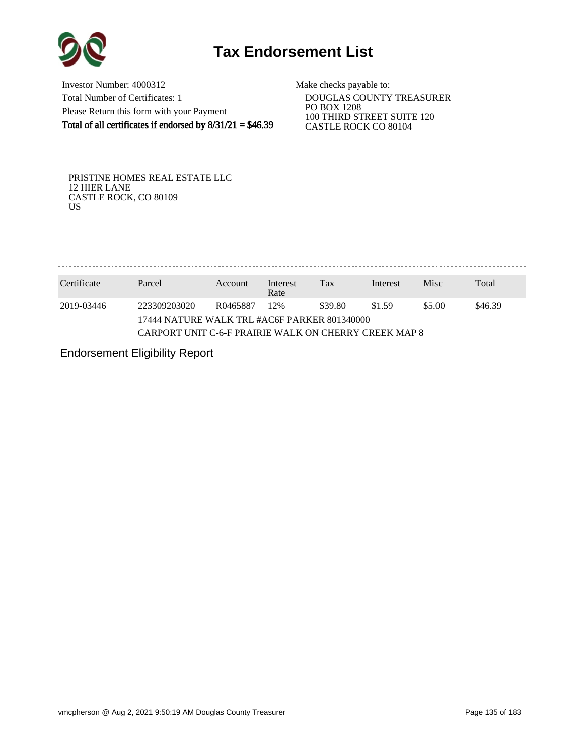

Investor Number: 4000312 Total Number of Certificates: 1 Please Return this form with your Payment Total of all certificates if endorsed by  $8/31/21 = $46.39$ 

Make checks payable to:

 DOUGLAS COUNTY TREASURER PO BOX 1208 100 THIRD STREET SUITE 120 CASTLE ROCK CO 80104

PRISTINE HOMES REAL ESTATE LLC 12 HIER LANE CASTLE ROCK, CO 80109 US

. . . . . . . . . . . . . . . . 

| Certificate | Parcel                                                | Account  | Interest<br>Rate | Tax     | Interest | <b>Misc</b> | Total   |  |  |
|-------------|-------------------------------------------------------|----------|------------------|---------|----------|-------------|---------|--|--|
| 2019-03446  | 223309203020                                          | R0465887 | 12%              | \$39.80 | \$1.59   | \$5.00      | \$46.39 |  |  |
|             | 17444 NATURE WALK TRL #AC6F PARKER 801340000          |          |                  |         |          |             |         |  |  |
|             | CARPORT UNIT C-6-F PRAIRIE WALK ON CHERRY CREEK MAP 8 |          |                  |         |          |             |         |  |  |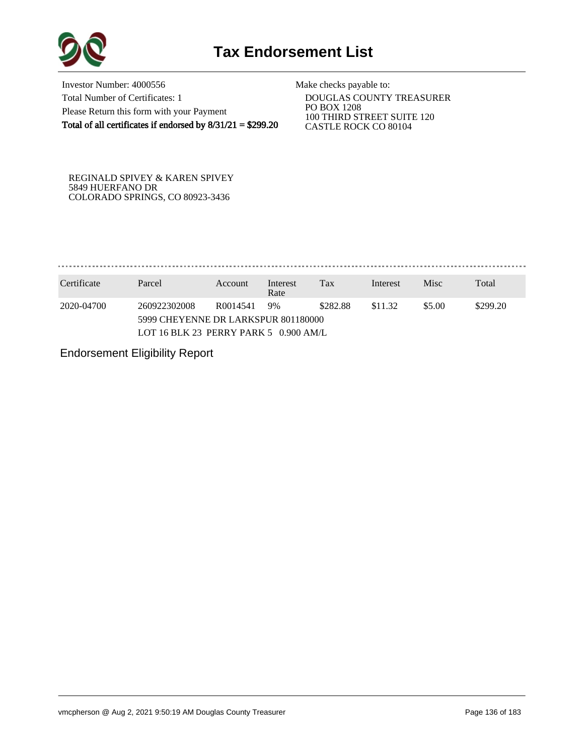

Investor Number: 4000556 Total Number of Certificates: 1 Please Return this form with your Payment Total of all certificates if endorsed by 8/31/21 = \$299.20

Make checks payable to:

 DOUGLAS COUNTY TREASURER PO BOX 1208 100 THIRD STREET SUITE 120 CASTLE ROCK CO 80104

REGINALD SPIVEY & KAREN SPIVEY 5849 HUERFANO DR COLORADO SPRINGS, CO 80923-3436

. . . . . . . . . . . . . . . . . 

| Certificate | Parcel                                  | Account              | Interest<br>Rate | Tax      | Interest | <b>Misc</b> | Total    |  |  |
|-------------|-----------------------------------------|----------------------|------------------|----------|----------|-------------|----------|--|--|
| 2020-04700  | 260922302008                            | R <sub>0014541</sub> | 9%               | \$282.88 | \$11.32  | \$5.00      | \$299.20 |  |  |
|             | 5999 CHEYENNE DR LARKSPUR 801180000     |                      |                  |          |          |             |          |  |  |
|             | LOT 16 BLK 23 PERRY PARK 5 $0.900$ AM/L |                      |                  |          |          |             |          |  |  |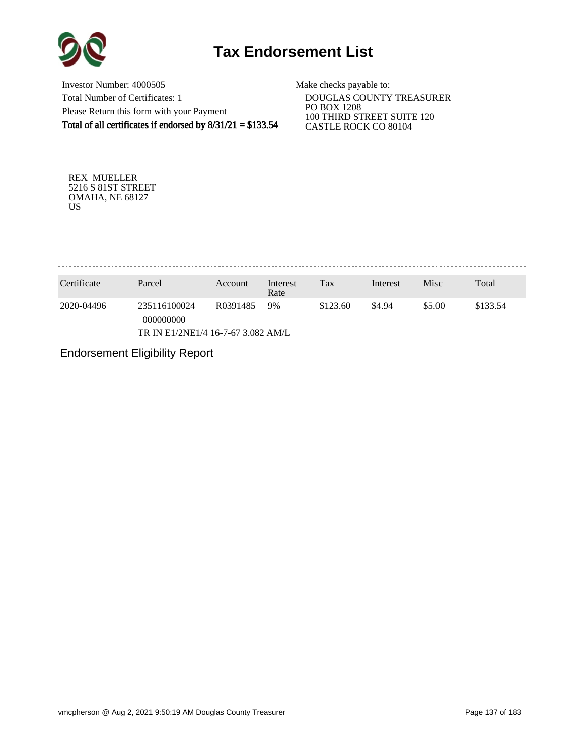

Investor Number: 4000505 Total Number of Certificates: 1 Please Return this form with your Payment Total of all certificates if endorsed by 8/31/21 = \$133.54

Make checks payable to:

 DOUGLAS COUNTY TREASURER PO BOX 1208 100 THIRD STREET SUITE 120 CASTLE ROCK CO 80104

REX MUELLER 5216 S 81ST STREET OMAHA, NE 68127 US

. . . . . . . . . . . . . . . . . 

| Certificate                        | Parcel                    | Account               | Interest<br>Rate | Tax      | Interest | Misc   | Total    |
|------------------------------------|---------------------------|-----------------------|------------------|----------|----------|--------|----------|
| 2020-04496                         | 235116100024<br>000000000 | R <sub>0</sub> 391485 | 9%               | \$123.60 | \$4.94   | \$5.00 | \$133.54 |
| TR IN E1/2NE1/4 16-7-67 3.082 AM/L |                           |                       |                  |          |          |        |          |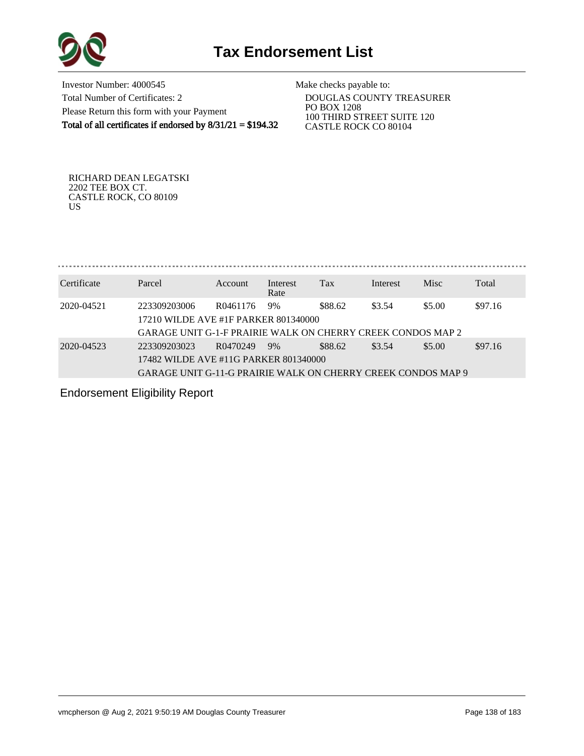

Investor Number: 4000545 Total Number of Certificates: 2 Please Return this form with your Payment Total of all certificates if endorsed by  $8/31/21 = $194.32$ 

Make checks payable to:

 DOUGLAS COUNTY TREASURER PO BOX 1208 100 THIRD STREET SUITE 120 CASTLE ROCK CO 80104

RICHARD DEAN LEGATSKI 2202 TEE BOX CT. CASTLE ROCK, CO 80109 US

Certificate Parcel Account Interest Interest Misc Total

| Certificate | r alcei                                                            | Account  | merest<br>Rate | 1 ал    | merest | <b>IVLISC</b> | i otal  |
|-------------|--------------------------------------------------------------------|----------|----------------|---------|--------|---------------|---------|
| 2020-04521  | 223309203006                                                       | R0461176 | 9%             | \$88.62 | \$3.54 | \$5.00        | \$97.16 |
|             | 17210 WILDE AVE #1F PARKER 801340000                               |          |                |         |        |               |         |
|             | <b>GARAGE UNIT G-1-F PRAIRIE WALK ON CHERRY CREEK CONDOS MAP 2</b> |          |                |         |        |               |         |
| 2020-04523  | 223309203023                                                       | R0470249 | 9%             | \$88.62 | \$3.54 | \$5.00        | \$97.16 |
|             | 17482 WILDE AVE #11G PARKER 801340000                              |          |                |         |        |               |         |
|             | GARAGE UNIT G-11-G PRAIRIE WALK ON CHERRY CREEK CONDOS MAP 9       |          |                |         |        |               |         |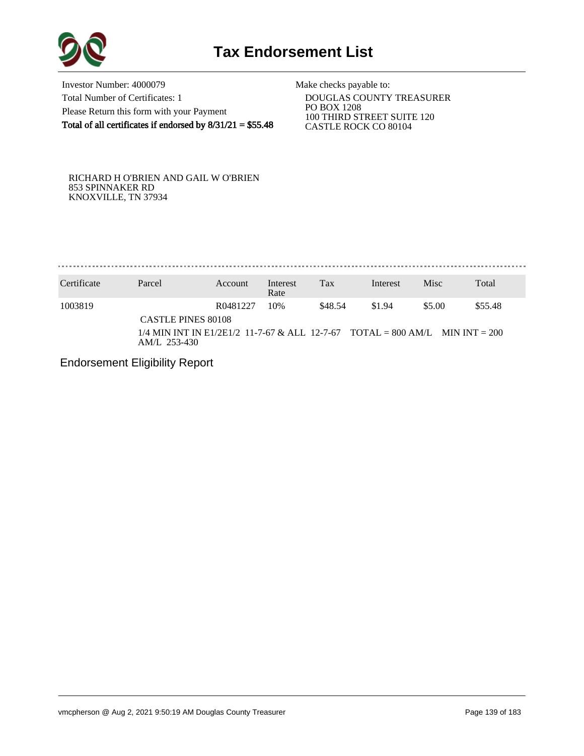

Investor Number: 4000079 Total Number of Certificates: 1 Please Return this form with your Payment Total of all certificates if endorsed by  $8/31/21 = $55.48$ 

Make checks payable to:

 DOUGLAS COUNTY TREASURER PO BOX 1208 100 THIRD STREET SUITE 120 CASTLE ROCK CO 80104

RICHARD H O'BRIEN AND GAIL W O'BRIEN 853 SPINNAKER RD KNOXVILLE, TN 37934

. . . . . . . . . . . . . . . . . . . . . . . . . . . . . . . . . . . . .

| Certificate | Parcel                                                                                                                      | Account  | Interest<br>Rate | Tax     | Interest | Misc   | Total   |
|-------------|-----------------------------------------------------------------------------------------------------------------------------|----------|------------------|---------|----------|--------|---------|
| 1003819     | <b>CASTLE PINES 80108</b><br>$1/4$ MIN INT IN E1/2E1/2 11-7-67 & ALL 12-7-67 TOTAL = 800 AM/L MIN INT = 200<br>AM/L 253-430 | R0481227 | 10%              | \$48.54 | \$1.94   | \$5.00 | \$55.48 |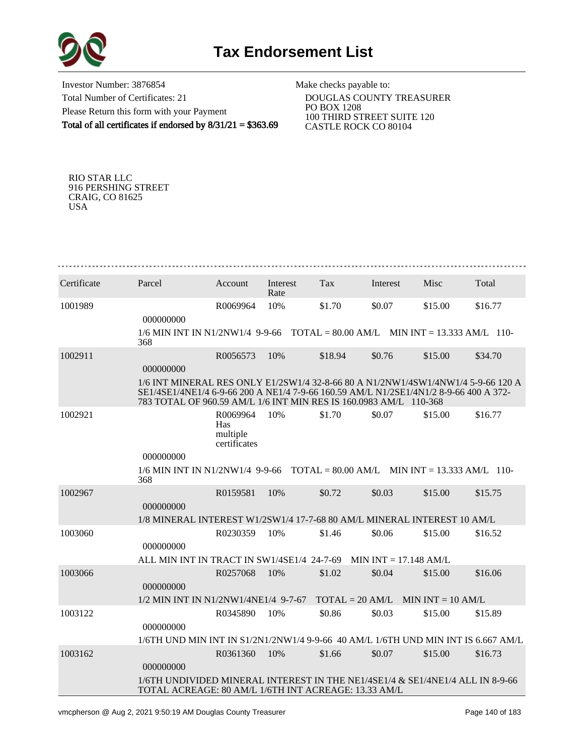

Investor Number: 3876854 Total Number of Certificates: 21 Please Return this form with your Payment Total of all certificates if endorsed by 8/31/21 = \$363.69 Make checks payable to:

 DOUGLAS COUNTY TREASURER PO BOX 1208 100 THIRD STREET SUITE 120 CASTLE ROCK CO 80104

RIO STAR LLC 916 PERSHING STREET CRAIG, CO 81625 USA

| Certificate | Parcel                                                                                                                                                                                                                                         | Account                                     | Interest<br>Rate | Tax               | Interest                | Misc                | Total   |
|-------------|------------------------------------------------------------------------------------------------------------------------------------------------------------------------------------------------------------------------------------------------|---------------------------------------------|------------------|-------------------|-------------------------|---------------------|---------|
| 1001989     | 000000000                                                                                                                                                                                                                                      | R0069964                                    | 10%              | \$1.70            | \$0.07                  | \$15.00             | \$16.77 |
|             | $1/6$ MIN INT IN N1/2NW1/4 9-9-66 TOTAL = 80.00 AM/L MIN INT = 13.333 AM/L 110-<br>368                                                                                                                                                         |                                             |                  |                   |                         |                     |         |
| 1002911     | 000000000                                                                                                                                                                                                                                      | R0056573                                    | 10%              | \$18.94           | \$0.76                  | \$15.00             | \$34.70 |
|             | 1/6 INT MINERAL RES ONLY E1/2SW1/4 32-8-66 80 A N1/2NW1/4SW1/4NW1/4 5-9-66 120 A<br>SE1/4SE1/4NE1/4 6-9-66 200 A NE1/4 7-9-66 160.59 AM/L N1/2SE1/4N1/2 8-9-66 400 A 372-<br>783 TOTAL OF 960.59 AM/L 1/6 INT MIN RES IS 160.0983 AM/L 110-368 |                                             |                  |                   |                         |                     |         |
| 1002921     |                                                                                                                                                                                                                                                | R0069964<br>Has<br>multiple<br>certificates | 10%              | \$1.70            | \$0.07                  | \$15.00             | \$16.77 |
|             | 000000000                                                                                                                                                                                                                                      |                                             |                  |                   |                         |                     |         |
|             | $1/6$ MIN INT IN N1/2NW1/4 9-9-66 TOTAL = 80.00 AM/L MIN INT = 13.333 AM/L 110-<br>368                                                                                                                                                         |                                             |                  |                   |                         |                     |         |
| 1002967     |                                                                                                                                                                                                                                                | R0159581                                    | 10%              | \$0.72            | \$0.03                  | \$15.00             | \$15.75 |
|             | 000000000                                                                                                                                                                                                                                      |                                             |                  |                   |                         |                     |         |
|             | 1/8 MINERAL INTEREST W1/2SW1/4 17-7-68 80 AM/L MINERAL INTEREST 10 AM/L                                                                                                                                                                        |                                             |                  |                   |                         |                     |         |
| 1003060     | 000000000                                                                                                                                                                                                                                      | R0230359                                    | 10%              | \$1.46            | \$0.06                  | \$15.00             | \$16.52 |
|             | ALL MIN INT IN TRACT IN SW1/4SE1/4 24-7-69                                                                                                                                                                                                     |                                             |                  |                   | MIN INT $= 17.148$ AM/L |                     |         |
| 1003066     | 000000000                                                                                                                                                                                                                                      | R0257068                                    | 10%              | \$1.02            | \$0.04                  | \$15.00             | \$16.06 |
|             | 1/2 MIN INT IN N1/2NW1/4NE1/4 9-7-67                                                                                                                                                                                                           |                                             |                  | $TOTAL = 20 AM/L$ |                         | $MIN INT = 10 AM/L$ |         |
| 1003122     |                                                                                                                                                                                                                                                | R0345890                                    | 10%              | \$0.86            | \$0.03                  | \$15.00             | \$15.89 |
|             | 000000000<br>1/6TH UND MIN INT IN S1/2N1/2NW1/4 9-9-66 40 AM/L 1/6TH UND MIN INT IS 6.667 AM/L                                                                                                                                                 |                                             |                  |                   |                         |                     |         |
| 1003162     |                                                                                                                                                                                                                                                | R0361360                                    | 10%              | \$1.66            | \$0.07                  | \$15.00             | \$16.73 |
|             | 000000000                                                                                                                                                                                                                                      |                                             |                  |                   |                         |                     |         |
|             | 1/6TH UNDIVIDED MINERAL INTEREST IN THE NE1/4SE1/4 & SE1/4NE1/4 ALL IN 8-9-66<br>TOTAL ACREAGE: 80 AM/L 1/6TH INT ACREAGE: 13.33 AM/L                                                                                                          |                                             |                  |                   |                         |                     |         |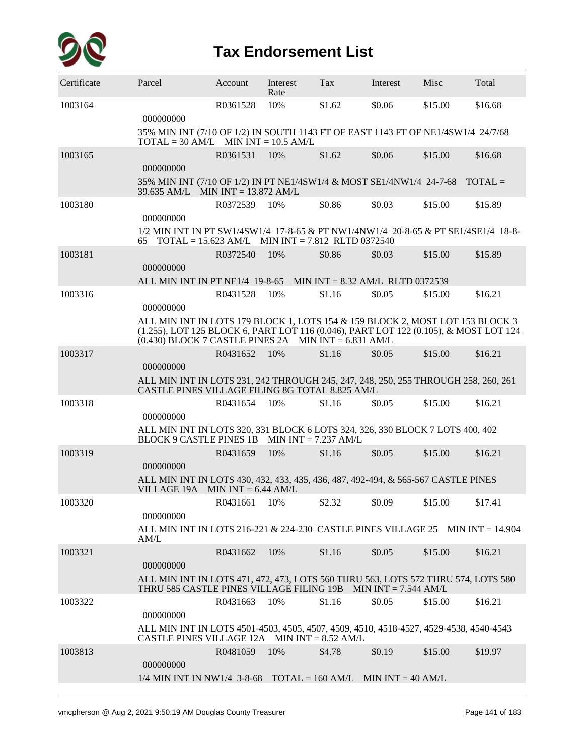

| Certificate | Parcel                                                                                                                                                                                                                          | Account      | Interest<br>Rate | Tax    | Interest | Misc    | Total   |
|-------------|---------------------------------------------------------------------------------------------------------------------------------------------------------------------------------------------------------------------------------|--------------|------------------|--------|----------|---------|---------|
| 1003164     | 000000000                                                                                                                                                                                                                       | R0361528     | 10%              | \$1.62 | \$0.06   | \$15.00 | \$16.68 |
|             | 35% MIN INT (7/10 OF 1/2) IN SOUTH 1143 FT OF EAST 1143 FT OF NE1/4SW1/4 24/7/68<br>$\text{TOTAL} = 30 \text{ AM/L}$ MIN $\text{INT} = 10.5 \text{ AM/L}$                                                                       |              |                  |        |          |         |         |
| 1003165     | 000000000                                                                                                                                                                                                                       | R0361531     | 10%              | \$1.62 | \$0.06   | \$15.00 | \$16.68 |
|             | 35% MIN INT (7/10 OF 1/2) IN PT NE1/4SW1/4 & MOST SE1/4NW1/4 24-7-68 TOTAL =<br>39.635 AM/L MIN INT = 13.872 AM/L                                                                                                               |              |                  |        |          |         |         |
| 1003180     | 000000000                                                                                                                                                                                                                       | R0372539     | 10%              | \$0.86 | \$0.03   | \$15.00 | \$15.89 |
|             | 1/2 MIN INT IN PT SW1/4SW1/4 17-8-65 & PT NW1/4NW1/4 20-8-65 & PT SE1/4SE1/4 18-8-<br>$\text{TOTAL} = 15.623 \text{ AM/L}$ MIN INT = 7.812 RLTD 0372540<br>65                                                                   |              |                  |        |          |         |         |
| 1003181     | 000000000                                                                                                                                                                                                                       | R0372540     | 10%              | \$0.86 | \$0.03   | \$15.00 | \$15.89 |
|             | ALL MIN INT IN PT NE1/4 19-8-65 MIN INT = 8.32 AM/L RLTD 0372539                                                                                                                                                                |              |                  |        |          |         |         |
| 1003316     | 000000000                                                                                                                                                                                                                       | R0431528     | 10%              | \$1.16 | \$0.05   | \$15.00 | \$16.21 |
|             | ALL MIN INT IN LOTS 179 BLOCK 1, LOTS 154 & 159 BLOCK 2, MOST LOT 153 BLOCK 3<br>(1.255), LOT 125 BLOCK 6, PART LOT 116 (0.046), PART LOT 122 (0.105), & MOST LOT 124<br>$(0.430)$ BLOCK 7 CASTLE PINES 2A MIN INT = 6.831 AM/L |              |                  |        |          |         |         |
| 1003317     | 000000000                                                                                                                                                                                                                       | R0431652     | 10%              | \$1.16 | \$0.05   | \$15.00 | \$16.21 |
|             | ALL MIN INT IN LOTS 231, 242 THROUGH 245, 247, 248, 250, 255 THROUGH 258, 260, 261<br>CASTLE PINES VILLAGE FILING 8G TOTAL 8.825 AM/L                                                                                           |              |                  |        |          |         |         |
| 1003318     | 000000000                                                                                                                                                                                                                       | R0431654     | 10%              | \$1.16 | \$0.05   | \$15.00 | \$16.21 |
|             | ALL MIN INT IN LOTS 320, 331 BLOCK 6 LOTS 324, 326, 330 BLOCK 7 LOTS 400, 402<br>BLOCK 9 CASTLE PINES 1B MIN INT = 7.237 AM/L                                                                                                   |              |                  |        |          |         |         |
| 1003319     | 000000000                                                                                                                                                                                                                       | R0431659     | 10%              | \$1.16 | \$0.05   | \$15.00 | \$16.21 |
|             | ALL MIN INT IN LOTS 430, 432, 433, 435, 436, 487, 492-494, & 565-567 CASTLE PINES<br>VILLAGE 19A MIN INT = $6.44$ AM/L                                                                                                          |              |                  |        |          |         |         |
| 1003320     | 000000000                                                                                                                                                                                                                       | R0431661 10% |                  | \$2.32 | \$0.09   | \$15.00 | \$17.41 |
|             | ALL MIN INT IN LOTS 216-221 & 224-230 CASTLE PINES VILLAGE 25 MIN INT = $14.904$<br>AM/L                                                                                                                                        |              |                  |        |          |         |         |
| 1003321     | 000000000                                                                                                                                                                                                                       | R0431662     | 10%              | \$1.16 | \$0.05   | \$15.00 | \$16.21 |
|             | ALL MIN INT IN LOTS 471, 472, 473, LOTS 560 THRU 563, LOTS 572 THRU 574, LOTS 580<br>THRU 585 CASTLE PINES VILLAGE FILING 19B MIN INT = 7.544 AM/L                                                                              |              |                  |        |          |         |         |
| 1003322     | 000000000                                                                                                                                                                                                                       | R0431663     | 10%              | \$1.16 | \$0.05   | \$15.00 | \$16.21 |
|             | ALL MIN INT IN LOTS 4501-4503, 4505, 4507, 4509, 4510, 4518-4527, 4529-4538, 4540-4543<br>CASTLE PINES VILLAGE 12A MIN INT = $8.52$ AM/L                                                                                        |              |                  |        |          |         |         |
| 1003813     | 000000000                                                                                                                                                                                                                       | R0481059     | 10%              | \$4.78 | \$0.19   | \$15.00 | \$19.97 |
|             | $1/4$ MIN INT IN NW1/4 3-8-68 TOTAL = 160 AM/L MIN INT = 40 AM/L                                                                                                                                                                |              |                  |        |          |         |         |
|             |                                                                                                                                                                                                                                 |              |                  |        |          |         |         |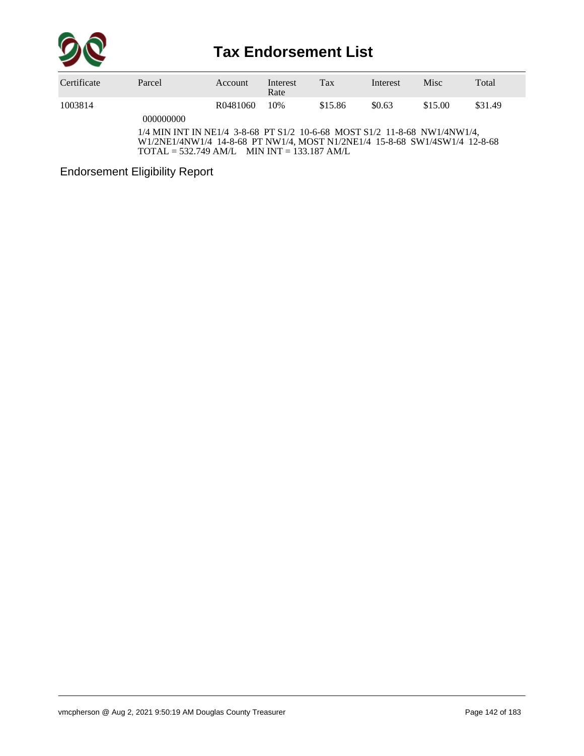

| Certificate | Parcel                                                                   | Account  | Interest<br>Rate | Tax     | Interest | <b>Misc</b> | Total   |
|-------------|--------------------------------------------------------------------------|----------|------------------|---------|----------|-------------|---------|
| 1003814     |                                                                          | R0481060 | 10%              | \$15.86 | \$0.63   | \$15.00     | \$31.49 |
|             | 000000000                                                                |          |                  |         |          |             |         |
|             | 1/4 MIN INT IN NE1/4 3.8.68 PT S1/2 10.6.68 MOST S1/2 11.8.68 NW1/4NW1/4 |          |                  |         |          |             |         |

-68 PT S1/2 10-6-68 MOST S1/2 11-8-68 NW1/4NW1/4, W1/2NE1/4NW1/4 14-8-68 PT NW1/4, MOST N1/2NE1/4 15-8-68 SW1/4SW1/4 12-8-68 TOTAL = 532.749 AM/L MIN INT = 133.187 AM/L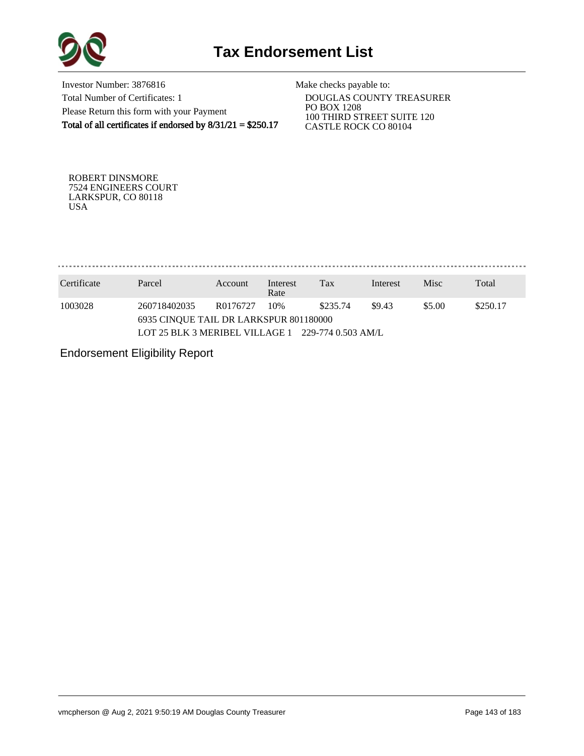

Investor Number: 3876816 Total Number of Certificates: 1 Please Return this form with your Payment Total of all certificates if endorsed by  $8/31/21 = $250.17$ 

Make checks payable to:

 DOUGLAS COUNTY TREASURER PO BOX 1208 100 THIRD STREET SUITE 120 CASTLE ROCK CO 80104

ROBERT DINSMORE 7524 ENGINEERS COURT LARKSPUR, CO 80118 USA

. . . . . . . . . . . . . . . . . 

| Certificate | Parcel                                                 | Account  | Interest<br>Rate | Tax      | Interest | <b>Misc</b>        | Total |  |  |  |
|-------------|--------------------------------------------------------|----------|------------------|----------|----------|--------------------|-------|--|--|--|
| 1003028     | 260718402035<br>6935 CINOUE TAIL DR LARKSPUR 801180000 | R0176727 | 10%              | \$235.74 | \$9.43   | \$5.00<br>\$250.17 |       |  |  |  |
|             | LOT 25 BLK 3 MERIBEL VILLAGE 1 229-774 0.503 AM/L      |          |                  |          |          |                    |       |  |  |  |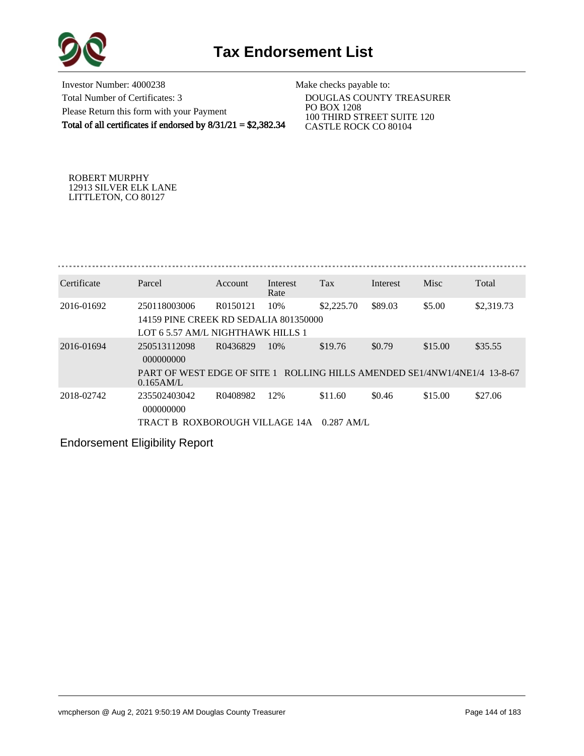

Investor Number: 4000238 Total Number of Certificates: 3 Please Return this form with your Payment Total of all certificates if endorsed by  $8/31/21 = $2,382.34$ 

Make checks payable to:

 DOUGLAS COUNTY TREASURER PO BOX 1208 100 THIRD STREET SUITE 120 CASTLE ROCK CO 80104

ROBERT MURPHY 12913 SILVER ELK LANE LITTLETON, CO 80127

| Certificate | Parcel                                                                                     | Account  | Interest<br>Rate | Tax          | Interest | Misc    | Total      |
|-------------|--------------------------------------------------------------------------------------------|----------|------------------|--------------|----------|---------|------------|
| 2016-01692  | 250118003006<br>14159 PINE CREEK RD SEDALIA 801350000<br>LOT 6.5.57 AM/L NIGHTHAWK HILLS 1 | R0150121 | 10%              | \$2,225.70   | \$89.03  | \$5.00  | \$2,319.73 |
| 2016-01694  | 250513112098<br>000000000                                                                  | R0436829 | 10\%             | \$19.76      | \$0.79   | \$15.00 | \$35.55    |
|             | PART OF WEST EDGE OF SITE 1 ROLLING HILLS AMENDED SE1/4NW1/4NE1/4 13-8-67<br>$0.165$ AM/L  |          |                  |              |          |         |            |
| 2018-02742  | 235502403042<br>000000000                                                                  | R0408982 | 12%              | \$11.60      | \$0.46   | \$15.00 | \$27.06    |
|             | TRACT B ROXBOROUGH VILLAGE 14A                                                             |          |                  | $0.287$ AM/L |          |         |            |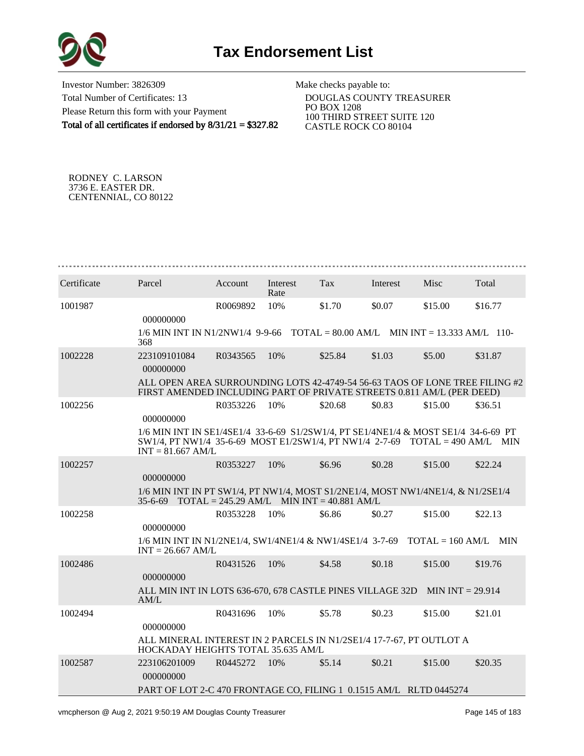

Investor Number: 3826309 Total Number of Certificates: 13 Please Return this form with your Payment Total of all certificates if endorsed by 8/31/21 = \$327.82

Make checks payable to:

 DOUGLAS COUNTY TREASURER PO BOX 1208 100 THIRD STREET SUITE 120 CASTLE ROCK CO 80104

RODNEY C. LARSON 3736 E. EASTER DR. CENTENNIAL, CO 80122

| Certificate | Parcel                                                                                                                                                                                       | Account  | Interest<br>Rate | Tax                                         | Interest | Misc    | Total   |
|-------------|----------------------------------------------------------------------------------------------------------------------------------------------------------------------------------------------|----------|------------------|---------------------------------------------|----------|---------|---------|
| 1001987     | 000000000                                                                                                                                                                                    | R0069892 | 10%              | \$1.70                                      | \$0.07   | \$15.00 | \$16.77 |
|             | $1/6$ MIN INT IN N1/2NW1/4 9-9-66 TOTAL = 80.00 AM/L MIN INT = 13.333 AM/L 110-<br>368                                                                                                       |          |                  |                                             |          |         |         |
| 1002228     | 223109101084<br>000000000                                                                                                                                                                    | R0343565 | 10%              | \$25.84                                     | \$1.03   | \$5.00  | \$31.87 |
|             | ALL OPEN AREA SURROUNDING LOTS 42-4749-54 56-63 TAOS OF LONE TREE FILING #2<br>FIRST AMENDED INCLUDING PART OF PRIVATE STREETS 0.811 AM/L (PER DEED)                                         |          |                  |                                             |          |         |         |
| 1002256     | 000000000                                                                                                                                                                                    | R0353226 | 10%              | \$20.68                                     | \$0.83   | \$15.00 | \$36.51 |
|             | 1/6 MIN INT IN SE1/4SE1/4 33-6-69 S1/2SW1/4, PT SE1/4NE1/4 & MOST SE1/4 34-6-69 PT<br>$SW1/4$ , PT NW1/4 35-6-69 MOST E1/2SW1/4, PT NW1/4 2-7-69 TOTAL = 490 AM/L MIN<br>$INT = 81.667$ AM/L |          |                  |                                             |          |         |         |
| 1002257     | 000000000                                                                                                                                                                                    | R0353227 | 10%              | \$6.96                                      | \$0.28   | \$15.00 | \$22.24 |
|             | 1/6 MIN INT IN PT SW1/4, PT NW1/4, MOST S1/2NE1/4, MOST NW1/4NE1/4, & N1/2SE1/4<br>$35 - 6 - 69$                                                                                             |          |                  | $TOTAL = 245.29 AM/L$ MIN INT = 40.881 AM/L |          |         |         |
| 1002258     | 000000000                                                                                                                                                                                    | R0353228 | 10%              | \$6.86                                      | \$0.27   | \$15.00 | \$22.13 |
|             | 1/6 MIN INT IN N1/2NE1/4, SW1/4NE1/4 & NW1/4SE1/4 3-7-69 TOTAL = 160 AM/L MIN<br>$INT = 26.667$ AM/L                                                                                         |          |                  |                                             |          |         |         |
| 1002486     | 000000000                                                                                                                                                                                    | R0431526 | 10%              | \$4.58                                      | \$0.18   | \$15.00 | \$19.76 |
|             | ALL MIN INT IN LOTS 636-670, 678 CASTLE PINES VILLAGE 32D MIN INT = 29.914<br>AM/L                                                                                                           |          |                  |                                             |          |         |         |
| 1002494     | 000000000                                                                                                                                                                                    | R0431696 | 10%              | \$5.78                                      | \$0.23   | \$15.00 | \$21.01 |
|             | ALL MINERAL INTEREST IN 2 PARCELS IN N1/2SE1/4 17-7-67, PT OUTLOT A<br>HOCKADAY HEIGHTS TOTAL 35.635 AM/L                                                                                    |          |                  |                                             |          |         |         |
| 1002587     | 223106201009<br>000000000                                                                                                                                                                    | R0445272 | 10%              | \$5.14                                      | \$0.21   | \$15.00 | \$20.35 |
|             | PART OF LOT 2-C 470 FRONTAGE CO, FILING 1 0.1515 AM/L RLTD 0445274                                                                                                                           |          |                  |                                             |          |         |         |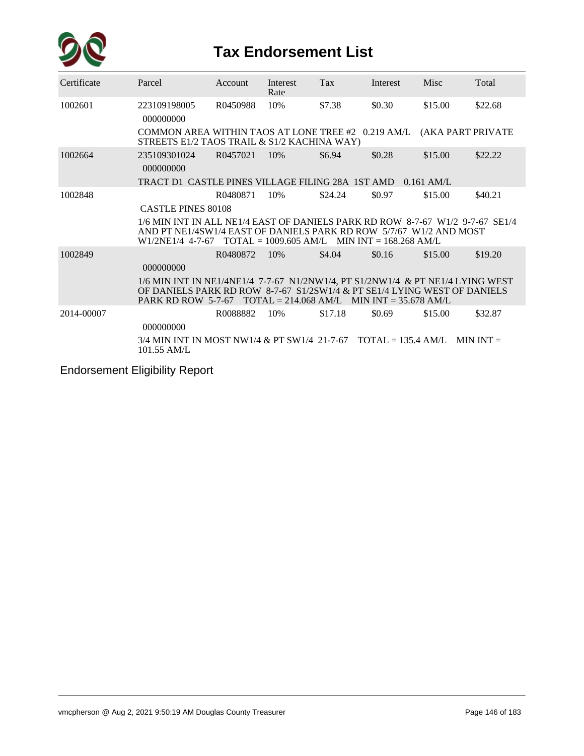

| Certificate | Parcel                                                                                                                                                                                                                      | Account  | Interest<br>Rate                                              | Tax     | Interest | Misc              | Total   |
|-------------|-----------------------------------------------------------------------------------------------------------------------------------------------------------------------------------------------------------------------------|----------|---------------------------------------------------------------|---------|----------|-------------------|---------|
| 1002601     | 223109198005<br>000000000                                                                                                                                                                                                   | R0450988 | 10%                                                           | \$7.38  | \$0.30   | \$15.00           | \$22.68 |
|             | COMMON AREA WITHIN TAOS AT LONE TREE #2 0.219 AM/L<br>STREETS E1/2 TAOS TRAIL & S1/2 KACHINA WAY)                                                                                                                           |          |                                                               |         |          | (AKA PART PRIVATE |         |
| 1002664     | 235109301024<br>000000000                                                                                                                                                                                                   | R0457021 | 10%                                                           | \$6.94  | \$0.28   | \$15.00           | \$22.22 |
|             | TRACT D1_CASTLE PINES VILLAGE FILING 28A_1ST AMD = 0.161 AM/L                                                                                                                                                               |          |                                                               |         |          |                   |         |
| 1002848     |                                                                                                                                                                                                                             | R0480871 | 10%                                                           | \$24.24 | \$0.97   | \$15.00           | \$40.21 |
|             | <b>CASTLE PINES 80108</b>                                                                                                                                                                                                   |          |                                                               |         |          |                   |         |
|             | 1/6 MIN INT IN ALL NE1/4 EAST OF DANIELS PARK RD ROW 8-7-67 W1/2 9-7-67 SE1/4<br>AND PT NE1/4SW1/4 EAST OF DANIELS PARK RD ROW 5/7/67 W1/2 AND MOST<br>W1/2NE1/4 4-7-67                                                     |          | $\text{TOTAL} = 1009.605 \text{ AM/L}$ MIN INT = 168.268 AM/L |         |          |                   |         |
| 1002849     | 000000000                                                                                                                                                                                                                   | R0480872 | 10%                                                           | \$4.04  | \$0.16   | \$15.00           | \$19.20 |
|             | 1/6 MIN INT IN NE1/4NE1/4 7-7-67 N1/2NW1/4, PT S1/2NW1/4 & PT NE1/4 LYING WEST<br>OF DANIELS PARK RD ROW 8-7-67 S1/2SW1/4 & PT SE1/4 LYING WEST OF DANIELS<br>PARK RD ROW 5-7-67 TOTAL = 214.068 AM/L MIN INT = 35.678 AM/L |          |                                                               |         |          |                   |         |
| 2014-00007  | 000000000                                                                                                                                                                                                                   | R0088882 | 10%                                                           | \$17.18 | \$0.69   | \$15.00           | \$32.87 |
|             | $3/4$ MIN INT IN MOST NW1/4 & PT SW1/4 21-7-67 TOTAL = 135.4 AM/L MIN INT =<br>101.55 AM/L                                                                                                                                  |          |                                                               |         |          |                   |         |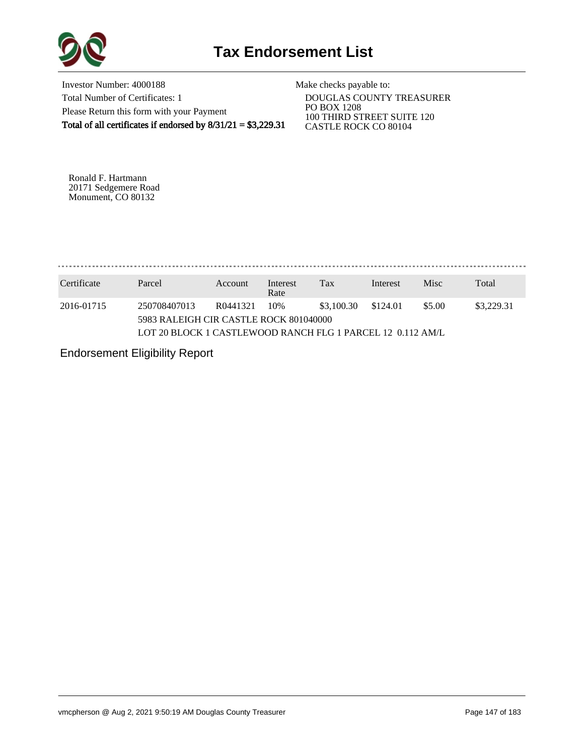

Investor Number: 4000188 Total Number of Certificates: 1 Please Return this form with your Payment Total of all certificates if endorsed by  $8/31/21 = $3,229.31$ 

Make checks payable to:

 DOUGLAS COUNTY TREASURER PO BOX 1208 100 THIRD STREET SUITE 120 CASTLE ROCK CO 80104

Ronald F. Hartmann 20171 Sedgemere Road Monument, CO 80132

. . . . . . . . . . . . . . . . . . . 

| Certificate | Parcel                                                     | Account  | Interest<br>Rate | Tax        | Interest | Misc   | Total      |  |  |  |
|-------------|------------------------------------------------------------|----------|------------------|------------|----------|--------|------------|--|--|--|
| 2016-01715  | 250708407013                                               | R0441321 | 10%              | \$3,100.30 | \$124.01 | \$5.00 | \$3,229.31 |  |  |  |
|             | 5983 RALEIGH CIR CASTLE ROCK 801040000                     |          |                  |            |          |        |            |  |  |  |
|             | LOT 20 BLOCK 1 CASTLEWOOD RANCH FLG 1 PARCEL 12 0.112 AM/L |          |                  |            |          |        |            |  |  |  |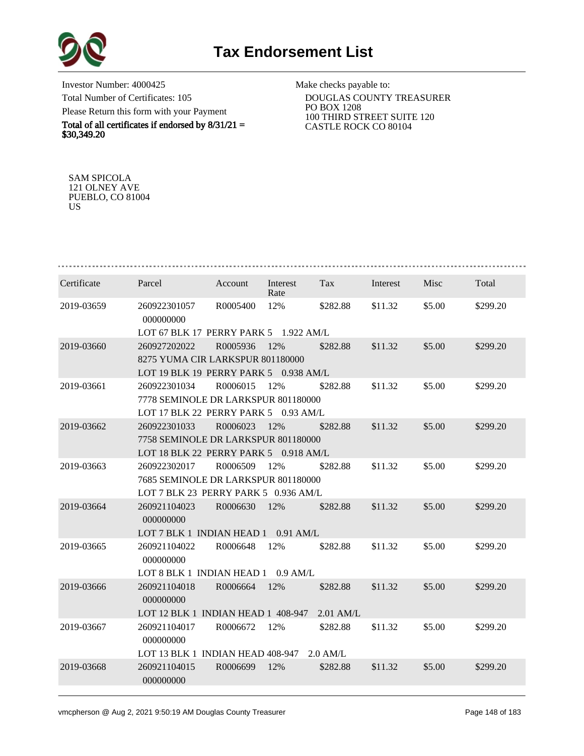

Investor Number: 4000425 Total Number of Certificates: 105 Please Return this form with your Payment

Total of all certificates if endorsed by  $8/31/21 =$ \$30,349.20

Make checks payable to:

 DOUGLAS COUNTY TREASURER PO BOX 1208 100 THIRD STREET SUITE 120 CASTLE ROCK CO 80104

SAM SPICOLA 121 OLNEY AVE PUEBLO, CO 81004 US

| Certificate | Parcel                                | Account  | Interest<br>Rate | Tax         | Interest | Misc   | Total    |  |  |  |  |
|-------------|---------------------------------------|----------|------------------|-------------|----------|--------|----------|--|--|--|--|
| 2019-03659  | 260922301057<br>000000000             | R0005400 | 12%              | \$282.88    | \$11.32  | \$5.00 | \$299.20 |  |  |  |  |
|             | LOT 67 BLK 17 PERRY PARK 5 1.922 AM/L |          |                  |             |          |        |          |  |  |  |  |
| 2019-03660  | 260927202022                          | R0005936 | 12%              | \$282.88    | \$11.32  | \$5.00 | \$299.20 |  |  |  |  |
|             | 8275 YUMA CIR LARKSPUR 801180000      |          |                  |             |          |        |          |  |  |  |  |
|             | LOT 19 BLK 19 PERRY PARK 5 0.938 AM/L |          |                  |             |          |        |          |  |  |  |  |
| 2019-03661  | 260922301034                          | R0006015 | 12%              | \$282.88    | \$11.32  | \$5.00 | \$299.20 |  |  |  |  |
|             | 7778 SEMINOLE DR LARKSPUR 801180000   |          |                  |             |          |        |          |  |  |  |  |
|             | LOT 17 BLK 22 PERRY PARK 5 0.93 AM/L  |          |                  |             |          |        |          |  |  |  |  |
| 2019-03662  | 260922301033                          | R0006023 | 12%              | \$282.88    | \$11.32  | \$5.00 | \$299.20 |  |  |  |  |
|             | 7758 SEMINOLE DR LARKSPUR 801180000   |          |                  |             |          |        |          |  |  |  |  |
|             | LOT 18 BLK 22 PERRY PARK 5 0.918 AM/L |          |                  |             |          |        |          |  |  |  |  |
| 2019-03663  | 260922302017                          | R0006509 | 12%              | \$282.88    | \$11.32  | \$5.00 | \$299.20 |  |  |  |  |
|             | 7685 SEMINOLE DR LARKSPUR 801180000   |          |                  |             |          |        |          |  |  |  |  |
|             | LOT 7 BLK 23 PERRY PARK 5 0.936 AM/L  |          |                  |             |          |        |          |  |  |  |  |
| 2019-03664  | 260921104023<br>000000000             | R0006630 | 12%              | \$282.88    | \$11.32  | \$5.00 | \$299.20 |  |  |  |  |
|             | LOT 7 BLK 1 INDIAN HEAD 1 0.91 AM/L   |          |                  |             |          |        |          |  |  |  |  |
| 2019-03665  | 260921104022<br>000000000             | R0006648 | 12%              | \$282.88    | \$11.32  | \$5.00 | \$299.20 |  |  |  |  |
|             | LOT 8 BLK 1 INDIAN HEAD 1 0.9 AM/L    |          |                  |             |          |        |          |  |  |  |  |
| 2019-03666  | 260921104018<br>000000000             | R0006664 | 12%              | \$282.88    | \$11.32  | \$5.00 | \$299.20 |  |  |  |  |
|             | LOT 12 BLK 1 INDIAN HEAD 1 408-947    |          |                  | $2.01$ AM/L |          |        |          |  |  |  |  |
| 2019-03667  | 260921104017<br>000000000             | R0006672 | 12%              | \$282.88    | \$11.32  | \$5.00 | \$299.20 |  |  |  |  |
|             | LOT 13 BLK 1 INDIAN HEAD 408-947      |          |                  | $2.0$ AM/L  |          |        |          |  |  |  |  |
| 2019-03668  | 260921104015<br>000000000             | R0006699 | 12%              | \$282.88    | \$11.32  | \$5.00 | \$299.20 |  |  |  |  |
|             |                                       |          |                  |             |          |        |          |  |  |  |  |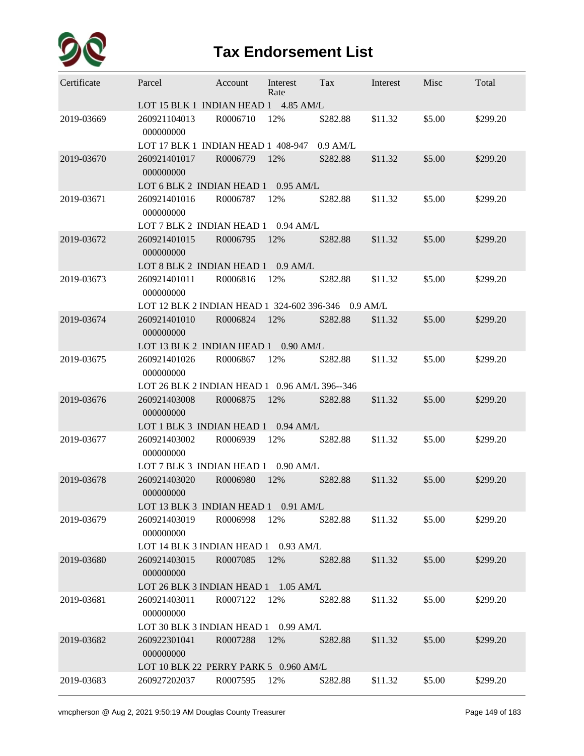

| Certificate | Parcel                                                           | Account  | Interest<br>Rate | Tax        | Interest | Misc   | Total    |
|-------------|------------------------------------------------------------------|----------|------------------|------------|----------|--------|----------|
|             | LOT 15 BLK 1 INDIAN HEAD 1 4.85 AM/L                             |          |                  |            |          |        |          |
| 2019-03669  | 260921104013<br>000000000                                        | R0006710 | 12%              | \$282.88   | \$11.32  | \$5.00 | \$299.20 |
|             | LOT 17 BLK 1 INDIAN HEAD 1 408-947                               |          |                  | $0.9$ AM/L |          |        |          |
| 2019-03670  | 260921401017<br>000000000                                        | R0006779 | 12%              | \$282.88   | \$11.32  | \$5.00 | \$299.20 |
|             | LOT 6 BLK 2 INDIAN HEAD 1                                        |          | $0.95$ AM/L      |            |          |        |          |
| 2019-03671  | 260921401016<br>000000000                                        | R0006787 | 12%              | \$282.88   | \$11.32  | \$5.00 | \$299.20 |
|             | LOT 7 BLK 2 INDIAN HEAD 1                                        |          | $0.94$ AM/L      |            |          |        |          |
| 2019-03672  | 260921401015<br>000000000                                        | R0006795 | 12%              | \$282.88   | \$11.32  | \$5.00 | \$299.20 |
|             | LOT 8 BLK 2 INDIAN HEAD 1                                        |          | $0.9$ AM/L       |            |          |        |          |
| 2019-03673  | 260921401011                                                     | R0006816 | 12%              | \$282.88   | \$11.32  | \$5.00 | \$299.20 |
|             | 000000000<br>LOT 12 BLK 2 INDIAN HEAD 1 324-602 396-346 0.9 AM/L |          |                  |            |          |        |          |
| 2019-03674  | 260921401010                                                     | R0006824 | 12%              | \$282.88   | \$11.32  | \$5.00 | \$299.20 |
|             | 000000000<br>LOT 13 BLK 2 INDIAN HEAD 1                          |          | $0.90$ AM/L      |            |          |        |          |
| 2019-03675  | 260921401026                                                     | R0006867 | 12%              | \$282.88   | \$11.32  | \$5.00 | \$299.20 |
|             | 000000000<br>LOT 26 BLK 2 INDIAN HEAD 1 0.96 AM/L 396--346       |          |                  |            |          |        |          |
| 2019-03676  | 260921403008                                                     | R0006875 | 12%              | \$282.88   | \$11.32  | \$5.00 | \$299.20 |
|             | 000000000                                                        |          |                  |            |          |        |          |
|             | LOT 1 BLK 3 INDIAN HEAD 1                                        |          | $0.94$ AM/L      |            |          |        |          |
| 2019-03677  | 260921403002<br>000000000                                        | R0006939 | 12%              | \$282.88   | \$11.32  | \$5.00 | \$299.20 |
|             | LOT 7 BLK 3 INDIAN HEAD 1                                        |          | $0.90$ AM/L      |            |          |        |          |
| 2019-03678  | 260921403020<br>000000000                                        | R0006980 | 12%              | \$282.88   | \$11.32  | \$5.00 | \$299.20 |
|             | LOT 13 BLK 3 INDIAN HEAD 1                                       |          | 0.91 AM/L        |            |          |        |          |
| 2019-03679  | 260921403019<br>000000000                                        | R0006998 | 12%              | \$282.88   | \$11.32  | \$5.00 | \$299.20 |
|             | LOT 14 BLK 3 INDIAN HEAD 1 0.93 AM/L                             |          |                  |            |          |        |          |
| 2019-03680  | 260921403015<br>000000000                                        | R0007085 | 12%              | \$282.88   | \$11.32  | \$5.00 | \$299.20 |
|             | LOT 26 BLK 3 INDIAN HEAD 1 1.05 AM/L                             |          |                  |            |          |        |          |
| 2019-03681  | 260921403011<br>000000000                                        | R0007122 | 12%              | \$282.88   | \$11.32  | \$5.00 | \$299.20 |
|             | LOT 30 BLK 3 INDIAN HEAD 1 0.99 AM/L                             |          |                  |            |          |        |          |
| 2019-03682  | 260922301041<br>000000000                                        | R0007288 | 12%              | \$282.88   | \$11.32  | \$5.00 | \$299.20 |
|             | LOT 10 BLK 22 PERRY PARK 5 0.960 AM/L                            |          |                  |            |          |        |          |
| 2019-03683  | 260927202037                                                     | R0007595 | 12%              | \$282.88   | \$11.32  | \$5.00 | \$299.20 |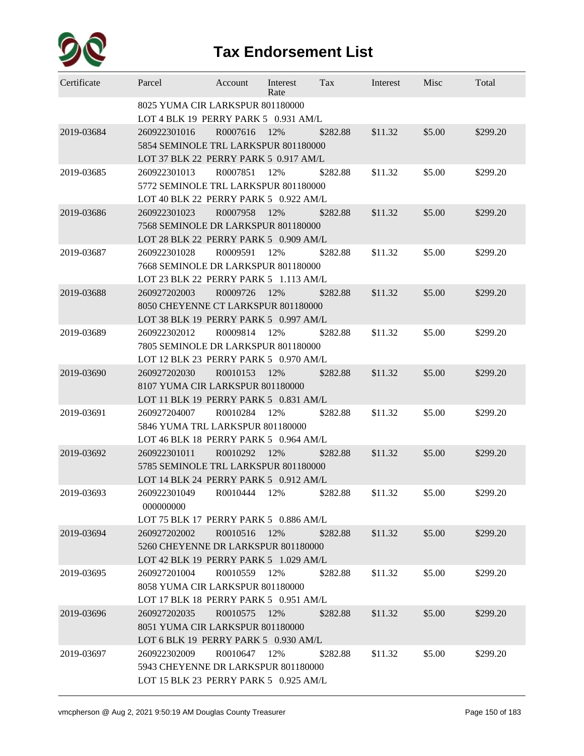

| Certificate | Parcel                                                                                        | Account      | Interest<br>Rate | Tax      | Interest | Misc   | Total    |
|-------------|-----------------------------------------------------------------------------------------------|--------------|------------------|----------|----------|--------|----------|
|             | 8025 YUMA CIR LARKSPUR 801180000<br>LOT 4 BLK 19 PERRY PARK 5 0.931 AM/L                      |              |                  |          |          |        |          |
| 2019-03684  | 260922301016<br>5854 SEMINOLE TRL LARKSPUR 801180000<br>LOT 37 BLK 22 PERRY PARK 5 0.917 AM/L | R0007616     | 12%              | \$282.88 | \$11.32  | \$5.00 | \$299.20 |
| 2019-03685  | 260922301013<br>5772 SEMINOLE TRL LARKSPUR 801180000<br>LOT 40 BLK 22 PERRY PARK 5 0.922 AM/L | R0007851     | 12%              | \$282.88 | \$11.32  | \$5.00 | \$299.20 |
| 2019-03686  | 260922301023<br>7568 SEMINOLE DR LARKSPUR 801180000<br>LOT 28 BLK 22 PERRY PARK 5 0.909 AM/L  | R0007958     | 12%              | \$282.88 | \$11.32  | \$5.00 | \$299.20 |
| 2019-03687  | 260922301028<br>7668 SEMINOLE DR LARKSPUR 801180000<br>LOT 23 BLK 22 PERRY PARK 5 1.113 AM/L  | R0009591     | 12%              | \$282.88 | \$11.32  | \$5.00 | \$299.20 |
| 2019-03688  | 260927202003<br>8050 CHEYENNE CT LARKSPUR 801180000<br>LOT 38 BLK 19 PERRY PARK 5 0.997 AM/L  | R0009726     | 12%              | \$282.88 | \$11.32  | \$5.00 | \$299.20 |
| 2019-03689  | 260922302012<br>7805 SEMINOLE DR LARKSPUR 801180000<br>LOT 12 BLK 23 PERRY PARK 5 0.970 AM/L  | R0009814     | 12%              | \$282.88 | \$11.32  | \$5.00 | \$299.20 |
| 2019-03690  | 260927202030<br>8107 YUMA CIR LARKSPUR 801180000<br>LOT 11 BLK 19 PERRY PARK 5 0.831 AM/L     | R0010153     | 12%              | \$282.88 | \$11.32  | \$5.00 | \$299.20 |
| 2019-03691  | 260927204007<br>5846 YUMA TRL LARKSPUR 801180000<br>LOT 46 BLK 18 PERRY PARK 5 0.964 AM/L     | R0010284     | 12%              | \$282.88 | \$11.32  | \$5.00 | \$299.20 |
| 2019-03692  | 260922301011<br>5785 SEMINOLE TRL LARKSPUR 801180000<br>LOT 14 BLK 24 PERRY PARK 5 0.912 AM/L | R0010292     | 12%              | \$282.88 | \$11.32  | \$5.00 | \$299.20 |
| 2019-03693  | 260922301049<br>000000000<br>LOT 75 BLK 17 PERRY PARK 5 0.886 AM/L                            | R0010444     | 12%              | \$282.88 | \$11.32  | \$5.00 | \$299.20 |
| 2019-03694  | 260927202002<br>5260 CHEYENNE DR LARKSPUR 801180000<br>LOT 42 BLK 19 PERRY PARK 5 1.029 AM/L  | R0010516     | 12%              | \$282.88 | \$11.32  | \$5.00 | \$299.20 |
| 2019-03695  | 260927201004<br>8058 YUMA CIR LARKSPUR 801180000<br>LOT 17 BLK 18 PERRY PARK 5 0.951 AM/L     | R0010559 12% |                  | \$282.88 | \$11.32  | \$5.00 | \$299.20 |
| 2019-03696  | 260927202035<br>8051 YUMA CIR LARKSPUR 801180000<br>LOT 6 BLK 19 PERRY PARK 5 0.930 AM/L      | R0010575     | 12%              | \$282.88 | \$11.32  | \$5.00 | \$299.20 |
| 2019-03697  | 260922302009<br>5943 CHEYENNE DR LARKSPUR 801180000<br>LOT 15 BLK 23 PERRY PARK 5 0.925 AM/L  | R0010647     | 12%              | \$282.88 | \$11.32  | \$5.00 | \$299.20 |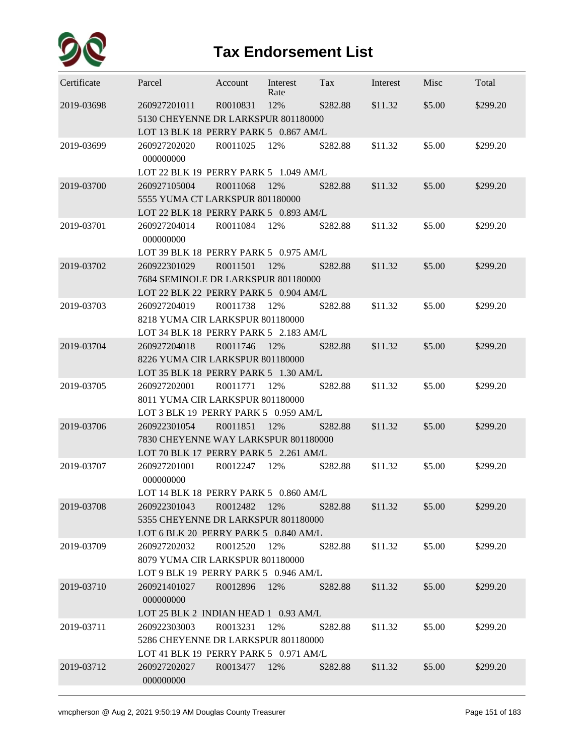

| Certificate | Parcel                                                                                                                               | Account      | Interest<br>Rate | Tax      | Interest | Misc   | Total    |
|-------------|--------------------------------------------------------------------------------------------------------------------------------------|--------------|------------------|----------|----------|--------|----------|
| 2019-03698  | 260927201011<br>5130 CHEYENNE DR LARKSPUR 801180000<br>LOT 13 BLK 18 PERRY PARK 5 0.867 AM/L                                         | R0010831     | 12%              | \$282.88 | \$11.32  | \$5.00 | \$299.20 |
| 2019-03699  | 260927202020<br>000000000                                                                                                            | R0011025     | 12%              | \$282.88 | \$11.32  | \$5.00 | \$299.20 |
|             | LOT 22 BLK 19 PERRY PARK 5 1.049 AM/L                                                                                                |              |                  |          |          |        |          |
| 2019-03700  | 260927105004<br>5555 YUMA CT LARKSPUR 801180000<br>LOT 22 BLK 18 PERRY PARK 5 0.893 AM/L                                             | R0011068     | 12%              | \$282.88 | \$11.32  | \$5.00 | \$299.20 |
| 2019-03701  | 260927204014<br>000000000                                                                                                            | R0011084     | 12%              | \$282.88 | \$11.32  | \$5.00 | \$299.20 |
| 2019-03702  | LOT 39 BLK 18 PERRY PARK 5 0.975 AM/L<br>260922301029<br>7684 SEMINOLE DR LARKSPUR 801180000                                         | R0011501     | 12%              | \$282.88 | \$11.32  | \$5.00 | \$299.20 |
|             | LOT 22 BLK 22 PERRY PARK 5 0.904 AM/L<br>260927204019                                                                                | R0011738     |                  |          |          | \$5.00 |          |
| 2019-03703  | 8218 YUMA CIR LARKSPUR 801180000<br>LOT 34 BLK 18 PERRY PARK 5 2.183 AM/L                                                            |              | 12%              | \$282.88 | \$11.32  |        | \$299.20 |
| 2019-03704  | 260927204018<br>8226 YUMA CIR LARKSPUR 801180000<br>LOT 35 BLK 18 PERRY PARK 5 1.30 AM/L                                             | R0011746     | 12%              | \$282.88 | \$11.32  | \$5.00 | \$299.20 |
| 2019-03705  | 260927202001<br>8011 YUMA CIR LARKSPUR 801180000                                                                                     | R0011771     | 12%              | \$282.88 | \$11.32  | \$5.00 | \$299.20 |
|             | LOT 3 BLK 19 PERRY PARK 5 0.959 AM/L                                                                                                 |              |                  |          |          |        |          |
| 2019-03706  | 260922301054<br>7830 CHEYENNE WAY LARKSPUR 801180000<br>LOT 70 BLK 17 PERRY PARK 5 2.261 AM/L                                        | R0011851     | 12%              | \$282.88 | \$11.32  | \$5.00 | \$299.20 |
| 2019-03707  | 260927201001<br>000000000<br>LOT 14 BLK 18 PERRY PARK 5 0.860 AM/L                                                                   | R0012247     | 12%              | \$282.88 | \$11.32  | \$5.00 | \$299.20 |
| 2019-03708  | 260922301043<br>5355 CHEYENNE DR LARKSPUR 801180000<br>LOT 6 BLK 20 PERRY PARK 5 0.840 AM/L                                          | R0012482     | 12%              | \$282.88 | \$11.32  | \$5.00 | \$299.20 |
| 2019-03709  | 260927202032<br>8079 YUMA CIR LARKSPUR 801180000<br>LOT 9 BLK 19 PERRY PARK 5 0.946 AM/L                                             | R0012520     | 12%              | \$282.88 | \$11.32  | \$5.00 | \$299.20 |
| 2019-03710  | 260921401027<br>000000000                                                                                                            | R0012896 12% |                  | \$282.88 | \$11.32  | \$5.00 | \$299.20 |
| 2019-03711  | LOT 25 BLK 2 INDIAN HEAD 1 0.93 AM/L<br>260922303003<br>5286 CHEYENNE DR LARKSPUR 801180000<br>LOT 41 BLK 19 PERRY PARK 5 0.971 AM/L | R0013231     | 12%              | \$282.88 | \$11.32  | \$5.00 | \$299.20 |
| 2019-03712  | 260927202027<br>000000000                                                                                                            | R0013477 12% |                  | \$282.88 | \$11.32  | \$5.00 | \$299.20 |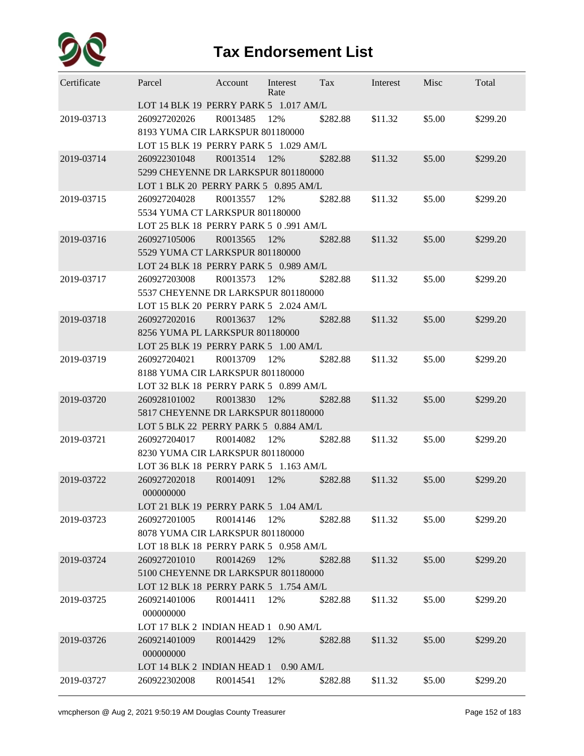

| Certificate | Parcel                                | Account  | Interest<br>Rate | Tax      | Interest | Misc   | Total    |  |  |  |  |
|-------------|---------------------------------------|----------|------------------|----------|----------|--------|----------|--|--|--|--|
|             | LOT 14 BLK 19 PERRY PARK 5 1.017 AM/L |          |                  |          |          |        |          |  |  |  |  |
| 2019-03713  | 260927202026                          | R0013485 | 12%              | \$282.88 | \$11.32  | \$5.00 | \$299.20 |  |  |  |  |
|             | 8193 YUMA CIR LARKSPUR 801180000      |          |                  |          |          |        |          |  |  |  |  |
|             | LOT 15 BLK 19 PERRY PARK 5 1.029 AM/L |          |                  |          |          |        |          |  |  |  |  |
| 2019-03714  | 260922301048                          | R0013514 | 12%              | \$282.88 | \$11.32  | \$5.00 | \$299.20 |  |  |  |  |
|             | 5299 CHEYENNE DR LARKSPUR 801180000   |          |                  |          |          |        |          |  |  |  |  |
|             | LOT 1 BLK 20 PERRY PARK 5 0.895 AM/L  |          |                  |          |          |        |          |  |  |  |  |
| 2019-03715  | 260927204028                          | R0013557 | 12%              | \$282.88 | \$11.32  | \$5.00 | \$299.20 |  |  |  |  |
|             | 5534 YUMA CT LARKSPUR 801180000       |          |                  |          |          |        |          |  |  |  |  |
|             | LOT 25 BLK 18 PERRY PARK 5 0.991 AM/L |          |                  |          |          |        |          |  |  |  |  |
| 2019-03716  | 260927105006                          | R0013565 | 12%              | \$282.88 | \$11.32  | \$5.00 | \$299.20 |  |  |  |  |
|             | 5529 YUMA CT LARKSPUR 801180000       |          |                  |          |          |        |          |  |  |  |  |
|             | LOT 24 BLK 18 PERRY PARK 5 0.989 AM/L |          |                  |          |          |        |          |  |  |  |  |
| 2019-03717  | 260927203008                          | R0013573 | 12%              | \$282.88 | \$11.32  | \$5.00 | \$299.20 |  |  |  |  |
|             | 5537 CHEYENNE DR LARKSPUR 801180000   |          |                  |          |          |        |          |  |  |  |  |
|             | LOT 15 BLK 20 PERRY PARK 5 2.024 AM/L |          |                  |          |          |        |          |  |  |  |  |
| 2019-03718  | 260927202016                          | R0013637 | 12%              | \$282.88 | \$11.32  | \$5.00 | \$299.20 |  |  |  |  |
|             | 8256 YUMA PL LARKSPUR 801180000       |          |                  |          |          |        |          |  |  |  |  |
|             | LOT 25 BLK 19 PERRY PARK 5 1.00 AM/L  |          |                  |          |          |        |          |  |  |  |  |
| 2019-03719  | 260927204021                          | R0013709 | 12%              | \$282.88 | \$11.32  | \$5.00 | \$299.20 |  |  |  |  |
|             | 8188 YUMA CIR LARKSPUR 801180000      |          |                  |          |          |        |          |  |  |  |  |
|             | LOT 32 BLK 18 PERRY PARK 5 0.899 AM/L |          |                  |          |          |        |          |  |  |  |  |
| 2019-03720  | 260928101002                          | R0013830 | 12%              | \$282.88 | \$11.32  | \$5.00 | \$299.20 |  |  |  |  |
|             | 5817 CHEYENNE DR LARKSPUR 801180000   |          |                  |          |          |        |          |  |  |  |  |
|             | LOT 5 BLK 22 PERRY PARK 5 0.884 AM/L  |          |                  |          |          |        |          |  |  |  |  |
| 2019-03721  | 260927204017                          | R0014082 | 12%              | \$282.88 | \$11.32  | \$5.00 | \$299.20 |  |  |  |  |
|             | 8230 YUMA CIR LARKSPUR 801180000      |          |                  |          |          |        |          |  |  |  |  |
|             | LOT 36 BLK 18 PERRY PARK 5 1.163 AM/L |          |                  |          |          |        |          |  |  |  |  |
| 2019-03722  | 260927202018<br>000000000             | R0014091 | 12%              | \$282.88 | \$11.32  | \$5.00 | \$299.20 |  |  |  |  |
|             | LOT 21 BLK 19 PERRY PARK 5 1.04 AM/L  |          |                  |          |          |        |          |  |  |  |  |
| 2019-03723  | 260927201005                          | R0014146 | 12%              | \$282.88 | \$11.32  | \$5.00 | \$299.20 |  |  |  |  |
|             | 8078 YUMA CIR LARKSPUR 801180000      |          |                  |          |          |        |          |  |  |  |  |
|             | LOT 18 BLK 18 PERRY PARK 5 0.958 AM/L |          |                  |          |          |        |          |  |  |  |  |
| 2019-03724  | 260927201010                          | R0014269 | 12%              | \$282.88 | \$11.32  | \$5.00 | \$299.20 |  |  |  |  |
|             | 5100 CHEYENNE DR LARKSPUR 801180000   |          |                  |          |          |        |          |  |  |  |  |
|             | LOT 12 BLK 18 PERRY PARK 5 1.754 AM/L |          |                  |          |          |        |          |  |  |  |  |
| 2019-03725  | 260921401006                          | R0014411 | 12%              | \$282.88 | \$11.32  | \$5.00 | \$299.20 |  |  |  |  |
|             | 000000000                             |          |                  |          |          |        |          |  |  |  |  |
|             | LOT 17 BLK 2 INDIAN HEAD 1 0.90 AM/L  |          |                  |          |          |        |          |  |  |  |  |
| 2019-03726  | 260921401009                          | R0014429 | 12%              | \$282.88 | \$11.32  | \$5.00 | \$299.20 |  |  |  |  |
|             | 000000000                             |          |                  |          |          |        |          |  |  |  |  |
|             | LOT 14 BLK 2 INDIAN HEAD 1 0.90 AM/L  |          |                  |          |          |        |          |  |  |  |  |
| 2019-03727  | 260922302008                          | R0014541 | 12%              | \$282.88 | \$11.32  | \$5.00 | \$299.20 |  |  |  |  |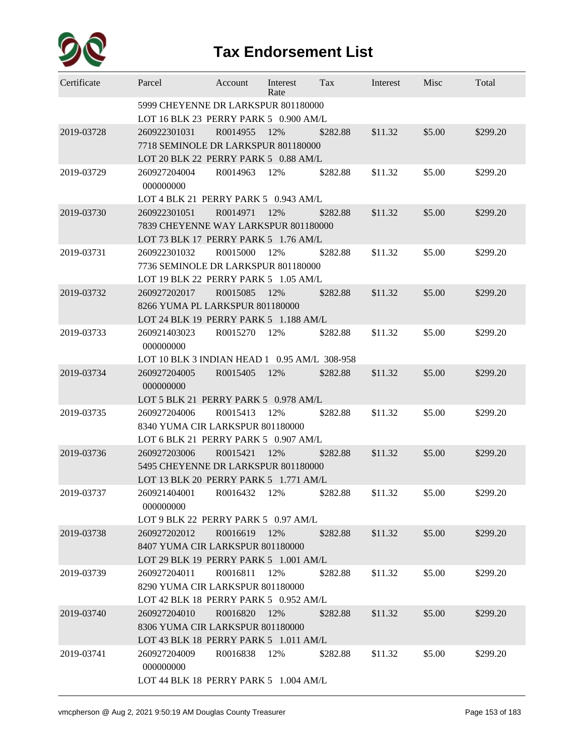

| Certificate | Parcel                                                                                       | Account  | Interest<br>Rate | Tax      | Interest | Misc   | Total    |
|-------------|----------------------------------------------------------------------------------------------|----------|------------------|----------|----------|--------|----------|
|             | 5999 CHEYENNE DR LARKSPUR 801180000<br>LOT 16 BLK 23 PERRY PARK 5 0.900 AM/L                 |          |                  |          |          |        |          |
| 2019-03728  | 260922301031<br>7718 SEMINOLE DR LARKSPUR 801180000<br>LOT 20 BLK 22 PERRY PARK 5 0.88 AM/L  | R0014955 | 12%              | \$282.88 | \$11.32  | \$5.00 | \$299.20 |
| 2019-03729  | 260927204004<br>000000000<br>LOT 4 BLK 21 PERRY PARK 5 0.943 AM/L                            | R0014963 | 12%              | \$282.88 | \$11.32  | \$5.00 | \$299.20 |
| 2019-03730  | 260922301051<br>7839 CHEYENNE WAY LARKSPUR 801180000<br>LOT 73 BLK 17 PERRY PARK 5 1.76 AM/L | R0014971 | 12%              | \$282.88 | \$11.32  | \$5.00 | \$299.20 |
| 2019-03731  | 260922301032<br>7736 SEMINOLE DR LARKSPUR 801180000<br>LOT 19 BLK 22 PERRY PARK 5 1.05 AM/L  | R0015000 | 12%              | \$282.88 | \$11.32  | \$5.00 | \$299.20 |
| 2019-03732  | 260927202017<br>8266 YUMA PL LARKSPUR 801180000<br>LOT 24 BLK 19 PERRY PARK 5 1.188 AM/L     | R0015085 | 12%              | \$282.88 | \$11.32  | \$5.00 | \$299.20 |
| 2019-03733  | 260921403023<br>000000000<br>LOT 10 BLK 3 INDIAN HEAD 1 0.95 AM/L 308-958                    | R0015270 | 12%              | \$282.88 | \$11.32  | \$5.00 | \$299.20 |
| 2019-03734  | 260927204005<br>000000000<br>LOT 5 BLK 21 PERRY PARK 5 0.978 AM/L                            | R0015405 | 12%              | \$282.88 | \$11.32  | \$5.00 | \$299.20 |
| 2019-03735  | 260927204006<br>8340 YUMA CIR LARKSPUR 801180000<br>LOT 6 BLK 21 PERRY PARK 5 0.907 AM/L     | R0015413 | 12%              | \$282.88 | \$11.32  | \$5.00 | \$299.20 |
| 2019-03736  | 260927203006<br>5495 CHEYENNE DR LARKSPUR 801180000<br>LOT 13 BLK 20 PERRY PARK 5 1.771 AM/L | R0015421 | 12%              | \$282.88 | \$11.32  | \$5.00 | \$299.20 |
| 2019-03737  | 260921404001<br>000000000<br>LOT 9 BLK 22 PERRY PARK 5 0.97 AM/L                             | R0016432 | 12%              | \$282.88 | \$11.32  | \$5.00 | \$299.20 |
| 2019-03738  | 260927202012<br>8407 YUMA CIR LARKSPUR 801180000<br>LOT 29 BLK 19 PERRY PARK 5 1.001 AM/L    | R0016619 | 12%              | \$282.88 | \$11.32  | \$5.00 | \$299.20 |
| 2019-03739  | 260927204011<br>8290 YUMA CIR LARKSPUR 801180000<br>LOT 42 BLK 18 PERRY PARK 5 0.952 AM/L    | R0016811 | 12%              | \$282.88 | \$11.32  | \$5.00 | \$299.20 |
| 2019-03740  | 260927204010<br>8306 YUMA CIR LARKSPUR 801180000<br>LOT 43 BLK 18 PERRY PARK 5 1.011 AM/L    | R0016820 | 12%              | \$282.88 | \$11.32  | \$5.00 | \$299.20 |
| 2019-03741  | 260927204009<br>000000000<br>LOT 44 BLK 18 PERRY PARK 5 1.004 AM/L                           | R0016838 | 12%              | \$282.88 | \$11.32  | \$5.00 | \$299.20 |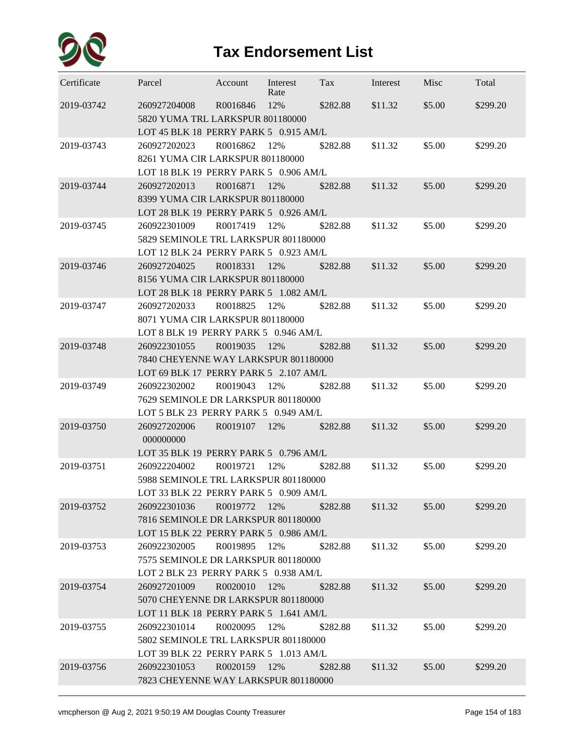

| 2019-03742<br>260927204008<br>R0016846<br>12%<br>\$282.88<br>\$11.32<br>\$5.00<br>\$299.20<br>5820 YUMA TRL LARKSPUR 801180000<br>LOT 45 BLK 18 PERRY PARK 5 0.915 AM/L<br>260927202023<br>R0016862<br>\$5.00<br>2019-03743<br>12%<br>\$282.88<br>\$11.32<br>\$299.20<br>8261 YUMA CIR LARKSPUR 801180000<br>LOT 18 BLK 19 PERRY PARK 5 0.906 AM/L<br>2019-03744<br>\$5.00<br>260927202013<br>R0016871<br>12%<br>\$282.88<br>\$11.32<br>\$299.20<br>8399 YUMA CIR LARKSPUR 801180000<br>LOT 28 BLK 19 PERRY PARK 5 0.926 AM/L<br>260922301009<br>R0017419<br>2019-03745<br>12%<br>\$282.88<br>\$11.32<br>\$5.00<br>\$299.20<br>5829 SEMINOLE TRL LARKSPUR 801180000<br>LOT 12 BLK 24 PERRY PARK 5 0.923 AM/L<br>2019-03746<br>\$5.00<br>260927204025<br>R0018331<br>12%<br>\$282.88<br>\$11.32<br>\$299.20<br>8156 YUMA CIR LARKSPUR 801180000<br>LOT 28 BLK 18 PERRY PARK 5 1.082 AM/L<br>2019-03747<br>260927202033<br>R0018825<br>12%<br>\$282.88<br>\$11.32<br>\$5.00<br>\$299.20<br>8071 YUMA CIR LARKSPUR 801180000<br>LOT 8 BLK 19 PERRY PARK 5 0.946 AM/L<br>2019-03748<br>\$11.32<br>\$5.00<br>260922301055<br>R0019035<br>12%<br>\$282.88<br>\$299.20<br>7840 CHEYENNE WAY LARKSPUR 801180000<br>LOT 69 BLK 17 PERRY PARK 5 2.107 AM/L<br>2019-03749<br>260922302002<br>R0019043<br>\$5.00<br>12%<br>\$282.88<br>\$11.32<br>\$299.20<br>7629 SEMINOLE DR LARKSPUR 801180000<br>LOT 5 BLK 23 PERRY PARK 5 0.949 AM/L<br>2019-03750<br>\$11.32<br>\$5.00<br>260927202006<br>R0019107<br>12%<br>\$282.88<br>\$299.20<br>000000000<br>LOT 35 BLK 19 PERRY PARK 5 0.796 AM/L<br>2019-03751<br>R0019721<br>\$5.00<br>260922204002<br>12%<br>\$282.88<br>\$11.32<br>\$299.20<br>5988 SEMINOLE TRL LARKSPUR 801180000<br>LOT 33 BLK 22 PERRY PARK 5 0.909 AM/L<br>2019-03752<br>260922301036<br>R0019772<br>\$5.00<br>\$299.20<br>12%<br>\$282.88<br>\$11.32<br>7816 SEMINOLE DR LARKSPUR 801180000<br>LOT 15 BLK 22 PERRY PARK 5 0.986 AM/L<br>\$5.00<br>2019-03753<br>260922302005<br>R0019895<br>12%<br>\$282.88<br>\$11.32<br>\$299.20<br>7575 SEMINOLE DR LARKSPUR 801180000<br>LOT 2 BLK 23 PERRY PARK 5 0.938 AM/L<br>\$5.00<br>2019-03754<br>260927201009<br>R0020010<br>12%<br>\$11.32<br>\$299.20<br>\$282.88<br>5070 CHEYENNE DR LARKSPUR 801180000<br>LOT 11 BLK 18 PERRY PARK 5 1.641 AM/L<br>2019-03755<br>260922301014<br>R0020095<br>12%<br>\$11.32<br>\$5.00<br>\$299.20<br>\$282.88<br>5802 SEMINOLE TRL LARKSPUR 801180000<br>LOT 39 BLK 22 PERRY PARK 5 1.013 AM/L<br>2019-03756<br>\$11.32<br>\$5.00<br>260922301053<br>R0020159 12%<br>\$299.20<br>\$282.88<br>7823 CHEYENNE WAY LARKSPUR 801180000 | Certificate | Parcel | Account | Interest<br>Rate | Tax | Interest | Misc | Total |
|-----------------------------------------------------------------------------------------------------------------------------------------------------------------------------------------------------------------------------------------------------------------------------------------------------------------------------------------------------------------------------------------------------------------------------------------------------------------------------------------------------------------------------------------------------------------------------------------------------------------------------------------------------------------------------------------------------------------------------------------------------------------------------------------------------------------------------------------------------------------------------------------------------------------------------------------------------------------------------------------------------------------------------------------------------------------------------------------------------------------------------------------------------------------------------------------------------------------------------------------------------------------------------------------------------------------------------------------------------------------------------------------------------------------------------------------------------------------------------------------------------------------------------------------------------------------------------------------------------------------------------------------------------------------------------------------------------------------------------------------------------------------------------------------------------------------------------------------------------------------------------------------------------------------------------------------------------------------------------------------------------------------------------------------------------------------------------------------------------------------------------------------------------------------------------------------------------------------------------------------------------------------------------------------------------------------------------------------------------------------------------------------------------------------------------------------------------------------------------------------------------------------------------------------------------------------------------------------------------------------------------|-------------|--------|---------|------------------|-----|----------|------|-------|
|                                                                                                                                                                                                                                                                                                                                                                                                                                                                                                                                                                                                                                                                                                                                                                                                                                                                                                                                                                                                                                                                                                                                                                                                                                                                                                                                                                                                                                                                                                                                                                                                                                                                                                                                                                                                                                                                                                                                                                                                                                                                                                                                                                                                                                                                                                                                                                                                                                                                                                                                                                                                                             |             |        |         |                  |     |          |      |       |
|                                                                                                                                                                                                                                                                                                                                                                                                                                                                                                                                                                                                                                                                                                                                                                                                                                                                                                                                                                                                                                                                                                                                                                                                                                                                                                                                                                                                                                                                                                                                                                                                                                                                                                                                                                                                                                                                                                                                                                                                                                                                                                                                                                                                                                                                                                                                                                                                                                                                                                                                                                                                                             |             |        |         |                  |     |          |      |       |
|                                                                                                                                                                                                                                                                                                                                                                                                                                                                                                                                                                                                                                                                                                                                                                                                                                                                                                                                                                                                                                                                                                                                                                                                                                                                                                                                                                                                                                                                                                                                                                                                                                                                                                                                                                                                                                                                                                                                                                                                                                                                                                                                                                                                                                                                                                                                                                                                                                                                                                                                                                                                                             |             |        |         |                  |     |          |      |       |
|                                                                                                                                                                                                                                                                                                                                                                                                                                                                                                                                                                                                                                                                                                                                                                                                                                                                                                                                                                                                                                                                                                                                                                                                                                                                                                                                                                                                                                                                                                                                                                                                                                                                                                                                                                                                                                                                                                                                                                                                                                                                                                                                                                                                                                                                                                                                                                                                                                                                                                                                                                                                                             |             |        |         |                  |     |          |      |       |
|                                                                                                                                                                                                                                                                                                                                                                                                                                                                                                                                                                                                                                                                                                                                                                                                                                                                                                                                                                                                                                                                                                                                                                                                                                                                                                                                                                                                                                                                                                                                                                                                                                                                                                                                                                                                                                                                                                                                                                                                                                                                                                                                                                                                                                                                                                                                                                                                                                                                                                                                                                                                                             |             |        |         |                  |     |          |      |       |
|                                                                                                                                                                                                                                                                                                                                                                                                                                                                                                                                                                                                                                                                                                                                                                                                                                                                                                                                                                                                                                                                                                                                                                                                                                                                                                                                                                                                                                                                                                                                                                                                                                                                                                                                                                                                                                                                                                                                                                                                                                                                                                                                                                                                                                                                                                                                                                                                                                                                                                                                                                                                                             |             |        |         |                  |     |          |      |       |
|                                                                                                                                                                                                                                                                                                                                                                                                                                                                                                                                                                                                                                                                                                                                                                                                                                                                                                                                                                                                                                                                                                                                                                                                                                                                                                                                                                                                                                                                                                                                                                                                                                                                                                                                                                                                                                                                                                                                                                                                                                                                                                                                                                                                                                                                                                                                                                                                                                                                                                                                                                                                                             |             |        |         |                  |     |          |      |       |
|                                                                                                                                                                                                                                                                                                                                                                                                                                                                                                                                                                                                                                                                                                                                                                                                                                                                                                                                                                                                                                                                                                                                                                                                                                                                                                                                                                                                                                                                                                                                                                                                                                                                                                                                                                                                                                                                                                                                                                                                                                                                                                                                                                                                                                                                                                                                                                                                                                                                                                                                                                                                                             |             |        |         |                  |     |          |      |       |
|                                                                                                                                                                                                                                                                                                                                                                                                                                                                                                                                                                                                                                                                                                                                                                                                                                                                                                                                                                                                                                                                                                                                                                                                                                                                                                                                                                                                                                                                                                                                                                                                                                                                                                                                                                                                                                                                                                                                                                                                                                                                                                                                                                                                                                                                                                                                                                                                                                                                                                                                                                                                                             |             |        |         |                  |     |          |      |       |
|                                                                                                                                                                                                                                                                                                                                                                                                                                                                                                                                                                                                                                                                                                                                                                                                                                                                                                                                                                                                                                                                                                                                                                                                                                                                                                                                                                                                                                                                                                                                                                                                                                                                                                                                                                                                                                                                                                                                                                                                                                                                                                                                                                                                                                                                                                                                                                                                                                                                                                                                                                                                                             |             |        |         |                  |     |          |      |       |
|                                                                                                                                                                                                                                                                                                                                                                                                                                                                                                                                                                                                                                                                                                                                                                                                                                                                                                                                                                                                                                                                                                                                                                                                                                                                                                                                                                                                                                                                                                                                                                                                                                                                                                                                                                                                                                                                                                                                                                                                                                                                                                                                                                                                                                                                                                                                                                                                                                                                                                                                                                                                                             |             |        |         |                  |     |          |      |       |
|                                                                                                                                                                                                                                                                                                                                                                                                                                                                                                                                                                                                                                                                                                                                                                                                                                                                                                                                                                                                                                                                                                                                                                                                                                                                                                                                                                                                                                                                                                                                                                                                                                                                                                                                                                                                                                                                                                                                                                                                                                                                                                                                                                                                                                                                                                                                                                                                                                                                                                                                                                                                                             |             |        |         |                  |     |          |      |       |
|                                                                                                                                                                                                                                                                                                                                                                                                                                                                                                                                                                                                                                                                                                                                                                                                                                                                                                                                                                                                                                                                                                                                                                                                                                                                                                                                                                                                                                                                                                                                                                                                                                                                                                                                                                                                                                                                                                                                                                                                                                                                                                                                                                                                                                                                                                                                                                                                                                                                                                                                                                                                                             |             |        |         |                  |     |          |      |       |
|                                                                                                                                                                                                                                                                                                                                                                                                                                                                                                                                                                                                                                                                                                                                                                                                                                                                                                                                                                                                                                                                                                                                                                                                                                                                                                                                                                                                                                                                                                                                                                                                                                                                                                                                                                                                                                                                                                                                                                                                                                                                                                                                                                                                                                                                                                                                                                                                                                                                                                                                                                                                                             |             |        |         |                  |     |          |      |       |
|                                                                                                                                                                                                                                                                                                                                                                                                                                                                                                                                                                                                                                                                                                                                                                                                                                                                                                                                                                                                                                                                                                                                                                                                                                                                                                                                                                                                                                                                                                                                                                                                                                                                                                                                                                                                                                                                                                                                                                                                                                                                                                                                                                                                                                                                                                                                                                                                                                                                                                                                                                                                                             |             |        |         |                  |     |          |      |       |
|                                                                                                                                                                                                                                                                                                                                                                                                                                                                                                                                                                                                                                                                                                                                                                                                                                                                                                                                                                                                                                                                                                                                                                                                                                                                                                                                                                                                                                                                                                                                                                                                                                                                                                                                                                                                                                                                                                                                                                                                                                                                                                                                                                                                                                                                                                                                                                                                                                                                                                                                                                                                                             |             |        |         |                  |     |          |      |       |
|                                                                                                                                                                                                                                                                                                                                                                                                                                                                                                                                                                                                                                                                                                                                                                                                                                                                                                                                                                                                                                                                                                                                                                                                                                                                                                                                                                                                                                                                                                                                                                                                                                                                                                                                                                                                                                                                                                                                                                                                                                                                                                                                                                                                                                                                                                                                                                                                                                                                                                                                                                                                                             |             |        |         |                  |     |          |      |       |
|                                                                                                                                                                                                                                                                                                                                                                                                                                                                                                                                                                                                                                                                                                                                                                                                                                                                                                                                                                                                                                                                                                                                                                                                                                                                                                                                                                                                                                                                                                                                                                                                                                                                                                                                                                                                                                                                                                                                                                                                                                                                                                                                                                                                                                                                                                                                                                                                                                                                                                                                                                                                                             |             |        |         |                  |     |          |      |       |
|                                                                                                                                                                                                                                                                                                                                                                                                                                                                                                                                                                                                                                                                                                                                                                                                                                                                                                                                                                                                                                                                                                                                                                                                                                                                                                                                                                                                                                                                                                                                                                                                                                                                                                                                                                                                                                                                                                                                                                                                                                                                                                                                                                                                                                                                                                                                                                                                                                                                                                                                                                                                                             |             |        |         |                  |     |          |      |       |
|                                                                                                                                                                                                                                                                                                                                                                                                                                                                                                                                                                                                                                                                                                                                                                                                                                                                                                                                                                                                                                                                                                                                                                                                                                                                                                                                                                                                                                                                                                                                                                                                                                                                                                                                                                                                                                                                                                                                                                                                                                                                                                                                                                                                                                                                                                                                                                                                                                                                                                                                                                                                                             |             |        |         |                  |     |          |      |       |
|                                                                                                                                                                                                                                                                                                                                                                                                                                                                                                                                                                                                                                                                                                                                                                                                                                                                                                                                                                                                                                                                                                                                                                                                                                                                                                                                                                                                                                                                                                                                                                                                                                                                                                                                                                                                                                                                                                                                                                                                                                                                                                                                                                                                                                                                                                                                                                                                                                                                                                                                                                                                                             |             |        |         |                  |     |          |      |       |
|                                                                                                                                                                                                                                                                                                                                                                                                                                                                                                                                                                                                                                                                                                                                                                                                                                                                                                                                                                                                                                                                                                                                                                                                                                                                                                                                                                                                                                                                                                                                                                                                                                                                                                                                                                                                                                                                                                                                                                                                                                                                                                                                                                                                                                                                                                                                                                                                                                                                                                                                                                                                                             |             |        |         |                  |     |          |      |       |
|                                                                                                                                                                                                                                                                                                                                                                                                                                                                                                                                                                                                                                                                                                                                                                                                                                                                                                                                                                                                                                                                                                                                                                                                                                                                                                                                                                                                                                                                                                                                                                                                                                                                                                                                                                                                                                                                                                                                                                                                                                                                                                                                                                                                                                                                                                                                                                                                                                                                                                                                                                                                                             |             |        |         |                  |     |          |      |       |
|                                                                                                                                                                                                                                                                                                                                                                                                                                                                                                                                                                                                                                                                                                                                                                                                                                                                                                                                                                                                                                                                                                                                                                                                                                                                                                                                                                                                                                                                                                                                                                                                                                                                                                                                                                                                                                                                                                                                                                                                                                                                                                                                                                                                                                                                                                                                                                                                                                                                                                                                                                                                                             |             |        |         |                  |     |          |      |       |
|                                                                                                                                                                                                                                                                                                                                                                                                                                                                                                                                                                                                                                                                                                                                                                                                                                                                                                                                                                                                                                                                                                                                                                                                                                                                                                                                                                                                                                                                                                                                                                                                                                                                                                                                                                                                                                                                                                                                                                                                                                                                                                                                                                                                                                                                                                                                                                                                                                                                                                                                                                                                                             |             |        |         |                  |     |          |      |       |
|                                                                                                                                                                                                                                                                                                                                                                                                                                                                                                                                                                                                                                                                                                                                                                                                                                                                                                                                                                                                                                                                                                                                                                                                                                                                                                                                                                                                                                                                                                                                                                                                                                                                                                                                                                                                                                                                                                                                                                                                                                                                                                                                                                                                                                                                                                                                                                                                                                                                                                                                                                                                                             |             |        |         |                  |     |          |      |       |
|                                                                                                                                                                                                                                                                                                                                                                                                                                                                                                                                                                                                                                                                                                                                                                                                                                                                                                                                                                                                                                                                                                                                                                                                                                                                                                                                                                                                                                                                                                                                                                                                                                                                                                                                                                                                                                                                                                                                                                                                                                                                                                                                                                                                                                                                                                                                                                                                                                                                                                                                                                                                                             |             |        |         |                  |     |          |      |       |
|                                                                                                                                                                                                                                                                                                                                                                                                                                                                                                                                                                                                                                                                                                                                                                                                                                                                                                                                                                                                                                                                                                                                                                                                                                                                                                                                                                                                                                                                                                                                                                                                                                                                                                                                                                                                                                                                                                                                                                                                                                                                                                                                                                                                                                                                                                                                                                                                                                                                                                                                                                                                                             |             |        |         |                  |     |          |      |       |
|                                                                                                                                                                                                                                                                                                                                                                                                                                                                                                                                                                                                                                                                                                                                                                                                                                                                                                                                                                                                                                                                                                                                                                                                                                                                                                                                                                                                                                                                                                                                                                                                                                                                                                                                                                                                                                                                                                                                                                                                                                                                                                                                                                                                                                                                                                                                                                                                                                                                                                                                                                                                                             |             |        |         |                  |     |          |      |       |
|                                                                                                                                                                                                                                                                                                                                                                                                                                                                                                                                                                                                                                                                                                                                                                                                                                                                                                                                                                                                                                                                                                                                                                                                                                                                                                                                                                                                                                                                                                                                                                                                                                                                                                                                                                                                                                                                                                                                                                                                                                                                                                                                                                                                                                                                                                                                                                                                                                                                                                                                                                                                                             |             |        |         |                  |     |          |      |       |
|                                                                                                                                                                                                                                                                                                                                                                                                                                                                                                                                                                                                                                                                                                                                                                                                                                                                                                                                                                                                                                                                                                                                                                                                                                                                                                                                                                                                                                                                                                                                                                                                                                                                                                                                                                                                                                                                                                                                                                                                                                                                                                                                                                                                                                                                                                                                                                                                                                                                                                                                                                                                                             |             |        |         |                  |     |          |      |       |
|                                                                                                                                                                                                                                                                                                                                                                                                                                                                                                                                                                                                                                                                                                                                                                                                                                                                                                                                                                                                                                                                                                                                                                                                                                                                                                                                                                                                                                                                                                                                                                                                                                                                                                                                                                                                                                                                                                                                                                                                                                                                                                                                                                                                                                                                                                                                                                                                                                                                                                                                                                                                                             |             |        |         |                  |     |          |      |       |
|                                                                                                                                                                                                                                                                                                                                                                                                                                                                                                                                                                                                                                                                                                                                                                                                                                                                                                                                                                                                                                                                                                                                                                                                                                                                                                                                                                                                                                                                                                                                                                                                                                                                                                                                                                                                                                                                                                                                                                                                                                                                                                                                                                                                                                                                                                                                                                                                                                                                                                                                                                                                                             |             |        |         |                  |     |          |      |       |
|                                                                                                                                                                                                                                                                                                                                                                                                                                                                                                                                                                                                                                                                                                                                                                                                                                                                                                                                                                                                                                                                                                                                                                                                                                                                                                                                                                                                                                                                                                                                                                                                                                                                                                                                                                                                                                                                                                                                                                                                                                                                                                                                                                                                                                                                                                                                                                                                                                                                                                                                                                                                                             |             |        |         |                  |     |          |      |       |
|                                                                                                                                                                                                                                                                                                                                                                                                                                                                                                                                                                                                                                                                                                                                                                                                                                                                                                                                                                                                                                                                                                                                                                                                                                                                                                                                                                                                                                                                                                                                                                                                                                                                                                                                                                                                                                                                                                                                                                                                                                                                                                                                                                                                                                                                                                                                                                                                                                                                                                                                                                                                                             |             |        |         |                  |     |          |      |       |
|                                                                                                                                                                                                                                                                                                                                                                                                                                                                                                                                                                                                                                                                                                                                                                                                                                                                                                                                                                                                                                                                                                                                                                                                                                                                                                                                                                                                                                                                                                                                                                                                                                                                                                                                                                                                                                                                                                                                                                                                                                                                                                                                                                                                                                                                                                                                                                                                                                                                                                                                                                                                                             |             |        |         |                  |     |          |      |       |
|                                                                                                                                                                                                                                                                                                                                                                                                                                                                                                                                                                                                                                                                                                                                                                                                                                                                                                                                                                                                                                                                                                                                                                                                                                                                                                                                                                                                                                                                                                                                                                                                                                                                                                                                                                                                                                                                                                                                                                                                                                                                                                                                                                                                                                                                                                                                                                                                                                                                                                                                                                                                                             |             |        |         |                  |     |          |      |       |
|                                                                                                                                                                                                                                                                                                                                                                                                                                                                                                                                                                                                                                                                                                                                                                                                                                                                                                                                                                                                                                                                                                                                                                                                                                                                                                                                                                                                                                                                                                                                                                                                                                                                                                                                                                                                                                                                                                                                                                                                                                                                                                                                                                                                                                                                                                                                                                                                                                                                                                                                                                                                                             |             |        |         |                  |     |          |      |       |
|                                                                                                                                                                                                                                                                                                                                                                                                                                                                                                                                                                                                                                                                                                                                                                                                                                                                                                                                                                                                                                                                                                                                                                                                                                                                                                                                                                                                                                                                                                                                                                                                                                                                                                                                                                                                                                                                                                                                                                                                                                                                                                                                                                                                                                                                                                                                                                                                                                                                                                                                                                                                                             |             |        |         |                  |     |          |      |       |
|                                                                                                                                                                                                                                                                                                                                                                                                                                                                                                                                                                                                                                                                                                                                                                                                                                                                                                                                                                                                                                                                                                                                                                                                                                                                                                                                                                                                                                                                                                                                                                                                                                                                                                                                                                                                                                                                                                                                                                                                                                                                                                                                                                                                                                                                                                                                                                                                                                                                                                                                                                                                                             |             |        |         |                  |     |          |      |       |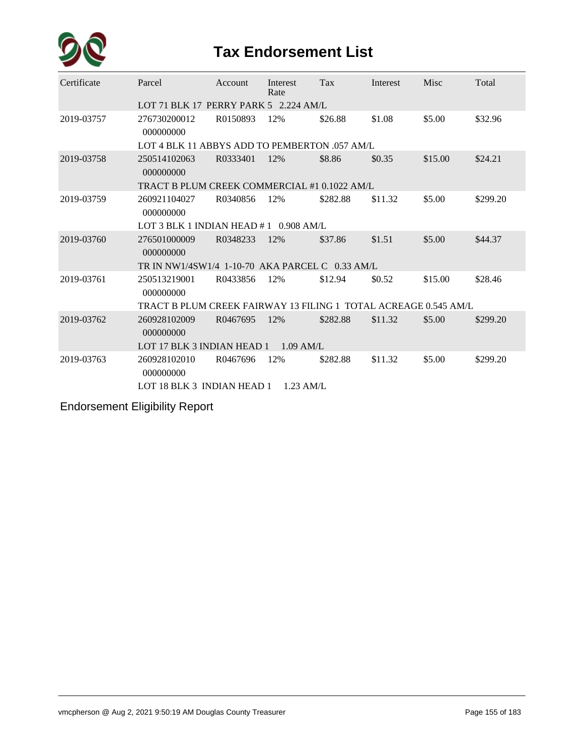

| Certificate | Parcel                                                          | Account  | Interest<br>Rate | Tax      | Interest | Misc    | Total    |
|-------------|-----------------------------------------------------------------|----------|------------------|----------|----------|---------|----------|
|             | LOT 71 BLK 17 PERRY PARK 5 2.224 AM/L                           |          |                  |          |          |         |          |
| 2019-03757  | 276730200012<br>000000000                                       | R0150893 | 12%              | \$26.88  | \$1.08   | \$5.00  | \$32.96  |
|             | LOT 4 BLK 11 ABBYS ADD TO PEMBERTON .057 AM/L                   |          |                  |          |          |         |          |
| 2019-03758  | 250514102063<br>000000000                                       | R0333401 | 12%              | \$8.86   | \$0.35   | \$15.00 | \$24.21  |
|             | TRACT B PLUM CREEK COMMERCIAL #1 0.1022 AM/L                    |          |                  |          |          |         |          |
| 2019-03759  | 260921104027<br>000000000                                       | R0340856 | 12%              | \$282.88 | \$11.32  | \$5.00  | \$299.20 |
|             | LOT 3 BLK 1 INDIAN HEAD $#1$ 0.908 AM/L                         |          |                  |          |          |         |          |
| 2019-03760  | 276501000009<br>000000000                                       | R0348233 | 12%              | \$37.86  | \$1.51   | \$5.00  | \$44.37  |
|             | TR IN NW1/4SW1/4 1-10-70 AKA PARCEL C 0.33 AM/L                 |          |                  |          |          |         |          |
| 2019-03761  | 250513219001<br>000000000                                       | R0433856 | 12%              | \$12.94  | \$0.52   | \$15.00 | \$28.46  |
|             | TRACT B PLUM CREEK FAIRWAY 13 FILING 1 TOTAL ACREAGE 0.545 AM/L |          |                  |          |          |         |          |
| 2019-03762  | 260928102009<br>000000000                                       | R0467695 | 12%              | \$282.88 | \$11.32  | \$5.00  | \$299.20 |
|             | LOT 17 BLK 3 INDIAN HEAD 1                                      |          | $1.09$ AM/L      |          |          |         |          |
| 2019-03763  | 260928102010<br>000000000                                       | R0467696 | 12%              | \$282.88 | \$11.32  | \$5.00  | \$299.20 |
|             | LOT 18 BLK 3 INDIAN HEAD 1                                      |          | $1.23$ AM/L      |          |          |         |          |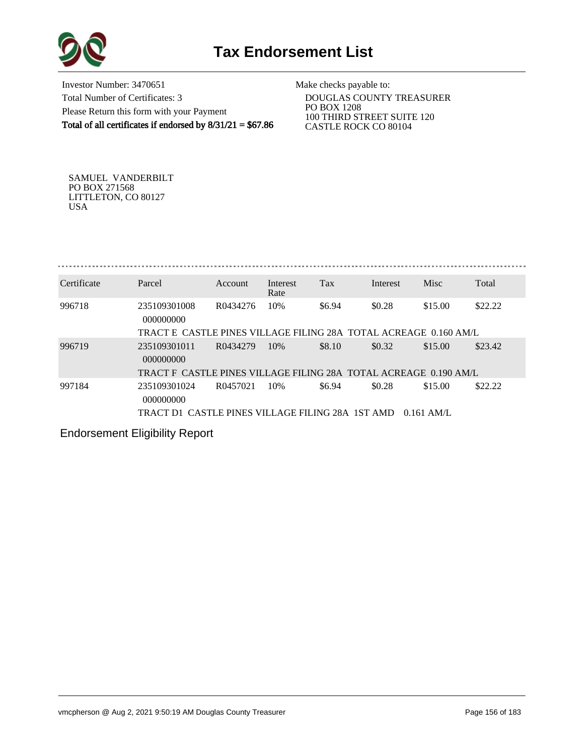

Investor Number: 3470651 Total Number of Certificates: 3 Please Return this form with your Payment Total of all certificates if endorsed by  $8/31/21 = $67.86$ 

Make checks payable to:

 DOUGLAS COUNTY TREASURER PO BOX 1208 100 THIRD STREET SUITE 120 CASTLE ROCK CO 80104

SAMUEL VANDERBILT PO BOX 271568 LITTLETON, CO 80127 USA

| Certificate | Parcel                    | Account  | Interest<br>Rate | Tax    | Interest | Misc    | Total   |
|-------------|---------------------------|----------|------------------|--------|----------|---------|---------|
| 996718      | 235109301008<br>000000000 | R0434276 | 10%              | \$6.94 | \$0.28   | \$15.00 | \$22.22 |

#### TRACT E CASTLE PINES VILLAGE FILING 28A TOTAL ACREAGE 0.160 AM/L

| 996719 | 235109301011                                                     | R0434279 | 10% | \$8.10 | \$0.32 | \$15.00 | \$23.42 |
|--------|------------------------------------------------------------------|----------|-----|--------|--------|---------|---------|
|        | 000000000                                                        |          |     |        |        |         |         |
|        | TRACT F CASTLE PINES VILLAGE FILING 28A TOTAL ACREAGE 0.190 AM/L |          |     |        |        |         |         |
| 997184 | 235109301024                                                     | R0457021 | 10% | \$6.94 | \$0.28 | \$15.00 | \$22.22 |
|        | 000000000                                                        |          |     |        |        |         |         |
|        | TRACT D1 CASTLE PINES VILLAGE FILING 28A 1ST AMD 0.161 AM/L      |          |     |        |        |         |         |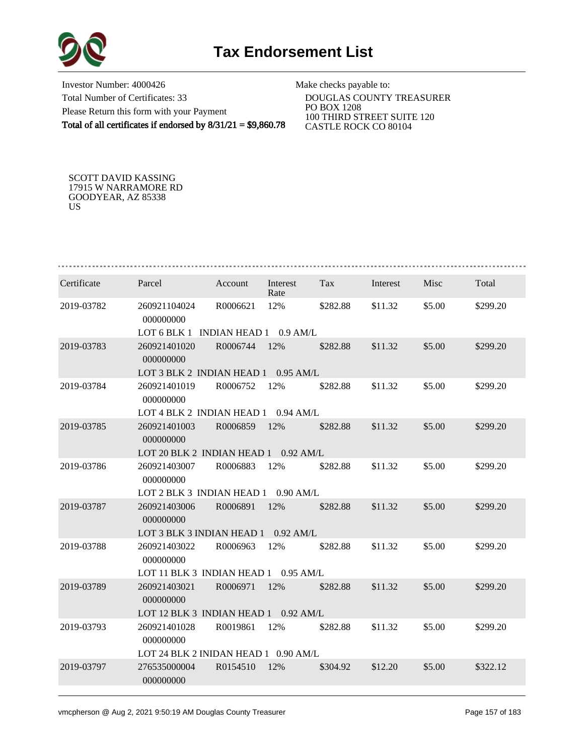

Investor Number: 4000426 Total Number of Certificates: 33 Please Return this form with your Payment Total of all certificates if endorsed by 8/31/21 = \$9,860.78

Make checks payable to:

 DOUGLAS COUNTY TREASURER PO BOX 1208 100 THIRD STREET SUITE 120 CASTLE ROCK CO 80104

SCOTT DAVID KASSING 17915 W NARRAMORE RD GOODYEAR, AZ 85338 US

| Certificate | Parcel                               | Account              | Interest<br>Rate | Tax      | Interest | Misc   | Total    |
|-------------|--------------------------------------|----------------------|------------------|----------|----------|--------|----------|
| 2019-03782  | 260921104024<br>000000000            | R0006621             | 12%              | \$282.88 | \$11.32  | \$5.00 | \$299.20 |
|             | LOT 6 BLK 1                          | <b>INDIAN HEAD 1</b> | $0.9$ AM/L       |          |          |        |          |
| 2019-03783  | 260921401020<br>000000000            | R0006744             | 12%              | \$282.88 | \$11.32  | \$5.00 | \$299.20 |
|             | LOT 3 BLK 2 INDIAN HEAD 1            |                      | $0.95$ AM/L      |          |          |        |          |
| 2019-03784  | 260921401019<br>000000000            | R0006752             | 12%              | \$282.88 | \$11.32  | \$5.00 | \$299.20 |
|             | LOT 4 BLK 2 INDIAN HEAD 1            |                      | $0.94$ AM/L      |          |          |        |          |
| 2019-03785  | 260921401003<br>000000000            | R0006859             | 12%              | \$282.88 | \$11.32  | \$5.00 | \$299.20 |
|             | LOT 20 BLK 2 INDIAN HEAD 1           |                      | $0.92$ AM/L      |          |          |        |          |
| 2019-03786  | 260921403007<br>000000000            | R0006883             | 12%              | \$282.88 | \$11.32  | \$5.00 | \$299.20 |
|             | LOT 2 BLK 3 INDIAN HEAD 1            |                      | $0.90$ AM/L      |          |          |        |          |
| 2019-03787  | 260921403006<br>000000000            | R0006891             | 12%              | \$282.88 | \$11.32  | \$5.00 | \$299.20 |
|             | LOT 3 BLK 3 INDIAN HEAD 1            |                      | $0.92$ AM/L      |          |          |        |          |
| 2019-03788  | 260921403022<br>000000000            | R0006963             | 12%              | \$282.88 | \$11.32  | \$5.00 | \$299.20 |
|             | LOT 11 BLK 3 INDIAN HEAD 1           |                      | $0.95$ AM/L      |          |          |        |          |
| 2019-03789  | 260921403021<br>000000000            | R0006971             | 12%              | \$282.88 | \$11.32  | \$5.00 | \$299.20 |
|             | LOT 12 BLK 3 INDIAN HEAD 1           |                      | $0.92$ AM/L      |          |          |        |          |
| 2019-03793  | 260921401028<br>000000000            | R0019861             | 12%              | \$282.88 | \$11.32  | \$5.00 | \$299.20 |
|             | LOT 24 BLK 2 INIDAN HEAD 1 0.90 AM/L |                      |                  |          |          |        |          |
| 2019-03797  | 276535000004<br>000000000            | R0154510             | 12%              | \$304.92 | \$12.20  | \$5.00 | \$322.12 |
|             |                                      |                      |                  |          |          |        |          |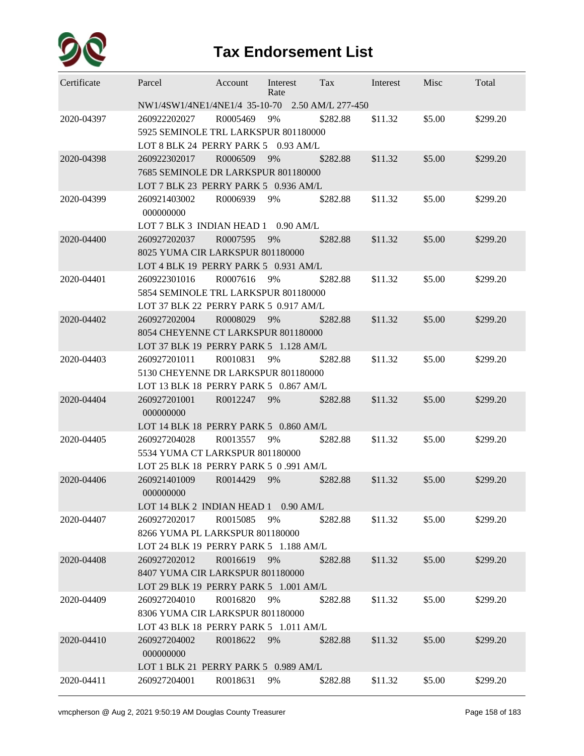

| Certificate | Parcel                                                                       | Account  | Interest<br>Rate | Tax      | Interest | Misc   | Total    |  |  |  |  |  |
|-------------|------------------------------------------------------------------------------|----------|------------------|----------|----------|--------|----------|--|--|--|--|--|
|             | NW1/4SW1/4NE1/4NE1/4 35-10-70 2.50 AM/L 277-450                              |          |                  |          |          |        |          |  |  |  |  |  |
| 2020-04397  | 260922202027<br>5925 SEMINOLE TRL LARKSPUR 801180000                         | R0005469 | 9%               | \$282.88 | \$11.32  | \$5.00 | \$299.20 |  |  |  |  |  |
|             | LOT 8 BLK 24 PERRY PARK 5<br>$0.93$ AM/L                                     |          |                  |          |          |        |          |  |  |  |  |  |
| 2020-04398  | 260922302017                                                                 | R0006509 | 9%               | \$282.88 | \$11.32  | \$5.00 | \$299.20 |  |  |  |  |  |
|             | 7685 SEMINOLE DR LARKSPUR 801180000                                          |          |                  |          |          |        |          |  |  |  |  |  |
|             | LOT 7 BLK 23 PERRY PARK 5 0.936 AM/L                                         |          |                  |          |          |        |          |  |  |  |  |  |
| 2020-04399  | 260921403002<br>000000000                                                    | R0006939 | 9%               | \$282.88 | \$11.32  | \$5.00 | \$299.20 |  |  |  |  |  |
|             | LOT 7 BLK 3 INDIAN HEAD 1 0.90 AM/L                                          |          |                  |          |          |        |          |  |  |  |  |  |
| 2020-04400  | 260927202037                                                                 | R0007595 | 9%               | \$282.88 | \$11.32  | \$5.00 | \$299.20 |  |  |  |  |  |
|             | 8025 YUMA CIR LARKSPUR 801180000                                             |          |                  |          |          |        |          |  |  |  |  |  |
|             | LOT 4 BLK 19 PERRY PARK 5 0.931 AM/L                                         |          |                  |          |          |        |          |  |  |  |  |  |
| 2020-04401  | 260922301016                                                                 | R0007616 | 9%               | \$282.88 | \$11.32  | \$5.00 | \$299.20 |  |  |  |  |  |
|             | 5854 SEMINOLE TRL LARKSPUR 801180000                                         |          |                  |          |          |        |          |  |  |  |  |  |
|             | LOT 37 BLK 22 PERRY PARK 5 0.917 AM/L                                        |          |                  |          |          |        |          |  |  |  |  |  |
| 2020-04402  | 260927202004                                                                 | R0008029 | 9%               | \$282.88 | \$11.32  | \$5.00 | \$299.20 |  |  |  |  |  |
|             | 8054 CHEYENNE CT LARKSPUR 801180000<br>LOT 37 BLK 19 PERRY PARK 5 1.128 AM/L |          |                  |          |          |        |          |  |  |  |  |  |
| 2020-04403  | 260927201011                                                                 | R0010831 | 9%               | \$282.88 | \$11.32  | \$5.00 | \$299.20 |  |  |  |  |  |
|             | 5130 CHEYENNE DR LARKSPUR 801180000                                          |          |                  |          |          |        |          |  |  |  |  |  |
|             | LOT 13 BLK 18 PERRY PARK 5 0.867 AM/L                                        |          |                  |          |          |        |          |  |  |  |  |  |
| 2020-04404  | 260927201001                                                                 | R0012247 | 9%               | \$282.88 | \$11.32  | \$5.00 | \$299.20 |  |  |  |  |  |
|             | 000000000                                                                    |          |                  |          |          |        |          |  |  |  |  |  |
|             | LOT 14 BLK 18 PERRY PARK 5 0.860 AM/L                                        |          |                  |          |          |        |          |  |  |  |  |  |
| 2020-04405  | 260927204028                                                                 | R0013557 | 9%               | \$282.88 | \$11.32  | \$5.00 | \$299.20 |  |  |  |  |  |
|             | 5534 YUMA CT LARKSPUR 801180000                                              |          |                  |          |          |        |          |  |  |  |  |  |
|             | LOT 25 BLK 18 PERRY PARK 5 0.991 AM/L                                        |          |                  |          |          |        |          |  |  |  |  |  |
| 2020-04406  | 260921401009<br>000000000                                                    | R0014429 | 9%               | \$282.88 | \$11.32  | \$5.00 | \$299.20 |  |  |  |  |  |
|             | LOT 14 BLK 2 INDIAN HEAD 1 0.90 AM/L                                         |          |                  |          |          |        |          |  |  |  |  |  |
| 2020-04407  | 260927202017                                                                 | R0015085 | 9%               | \$282.88 | \$11.32  | \$5.00 | \$299.20 |  |  |  |  |  |
|             | 8266 YUMA PL LARKSPUR 801180000                                              |          |                  |          |          |        |          |  |  |  |  |  |
|             | LOT 24 BLK 19 PERRY PARK 5 1.188 AM/L                                        |          |                  |          |          |        |          |  |  |  |  |  |
| 2020-04408  | 260927202012                                                                 | R0016619 | 9%               | \$282.88 | \$11.32  | \$5.00 | \$299.20 |  |  |  |  |  |
|             | 8407 YUMA CIR LARKSPUR 801180000                                             |          |                  |          |          |        |          |  |  |  |  |  |
|             | LOT 29 BLK 19 PERRY PARK 5 1.001 AM/L                                        |          |                  |          |          |        |          |  |  |  |  |  |
| 2020-04409  | 260927204010                                                                 | R0016820 | 9%               | \$282.88 | \$11.32  | \$5.00 | \$299.20 |  |  |  |  |  |
|             | 8306 YUMA CIR LARKSPUR 801180000                                             |          |                  |          |          |        |          |  |  |  |  |  |
|             | LOT 43 BLK 18 PERRY PARK 5 1.011 AM/L                                        |          |                  |          |          |        |          |  |  |  |  |  |
| 2020-04410  | 260927204002                                                                 | R0018622 | 9%               | \$282.88 | \$11.32  | \$5.00 | \$299.20 |  |  |  |  |  |
|             | 000000000                                                                    |          |                  |          |          |        |          |  |  |  |  |  |
|             | LOT 1 BLK 21 PERRY PARK 5 0.989 AM/L                                         |          |                  |          |          |        |          |  |  |  |  |  |
| 2020-04411  | 260927204001                                                                 | R0018631 | 9%               | \$282.88 | \$11.32  | \$5.00 | \$299.20 |  |  |  |  |  |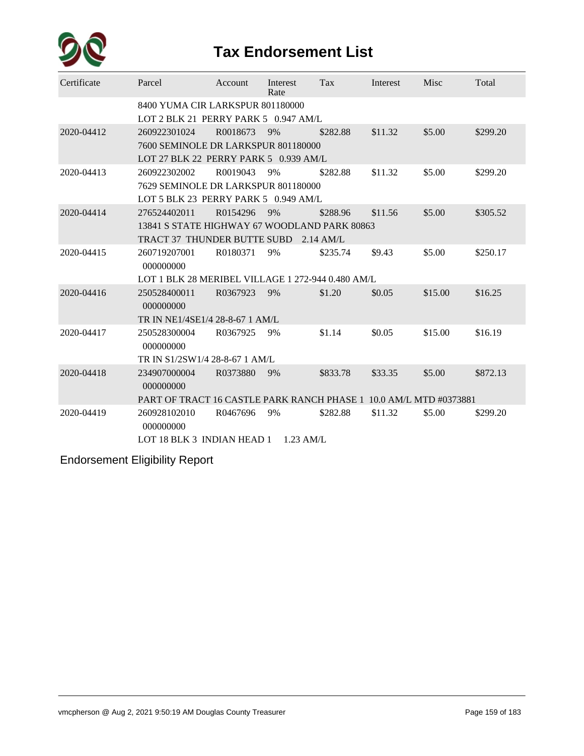

| Certificate | Parcel                                                            | Account  | Interest<br>Rate | <b>Tax</b>  | Interest | Misc    | Total    |  |  |  |  |  |
|-------------|-------------------------------------------------------------------|----------|------------------|-------------|----------|---------|----------|--|--|--|--|--|
|             | 8400 YUMA CIR LARKSPUR 801180000                                  |          |                  |             |          |         |          |  |  |  |  |  |
|             | LOT 2 BLK 21 PERRY PARK 5 0.947 AM/L                              |          |                  |             |          |         |          |  |  |  |  |  |
| 2020-04412  | 260922301024                                                      | R0018673 | 9%               | \$282.88    | \$11.32  | \$5.00  | \$299.20 |  |  |  |  |  |
|             | 7600 SEMINOLE DR LARKSPUR 801180000                               |          |                  |             |          |         |          |  |  |  |  |  |
|             | LOT 27 BLK 22 PERRY PARK 5 0.939 AM/L                             |          |                  |             |          |         |          |  |  |  |  |  |
| 2020-04413  | 260922302002                                                      | R0019043 | 9%               | \$282.88    | \$11.32  | \$5.00  | \$299.20 |  |  |  |  |  |
|             | 7629 SEMINOLE DR LARKSPUR 801180000                               |          |                  |             |          |         |          |  |  |  |  |  |
|             | LOT 5 BLK 23 PERRY PARK 5 0.949 AM/L                              |          |                  |             |          |         |          |  |  |  |  |  |
| 2020-04414  | 276524402011                                                      | R0154296 | 9%               | \$288.96    | \$11.56  | \$5.00  | \$305.52 |  |  |  |  |  |
|             | 13841 S STATE HIGHWAY 67 WOODLAND PARK 80863                      |          |                  |             |          |         |          |  |  |  |  |  |
|             | TRACT 37 THUNDER BUTTE SUBD                                       |          |                  | $2.14$ AM/L |          |         |          |  |  |  |  |  |
| 2020-04415  | 260719207001<br>000000000                                         | R0180371 | 9%               | \$235.74    | \$9.43   | \$5.00  | \$250.17 |  |  |  |  |  |
|             | LOT 1 BLK 28 MERIBEL VILLAGE 1 272-944 0.480 AM/L                 |          |                  |             |          |         |          |  |  |  |  |  |
| 2020-04416  | 250528400011<br>000000000                                         | R0367923 | 9%               | \$1.20      | \$0.05   | \$15.00 | \$16.25  |  |  |  |  |  |
|             | TR IN NE1/4SE1/4 28-8-67 1 AM/L                                   |          |                  |             |          |         |          |  |  |  |  |  |
| 2020-04417  | 250528300004<br>000000000                                         | R0367925 | 9%               | \$1.14      | \$0.05   | \$15.00 | \$16.19  |  |  |  |  |  |
|             | TR IN S1/2SW1/4 28-8-67 1 AM/L                                    |          |                  |             |          |         |          |  |  |  |  |  |
| 2020-04418  | 234907000004<br>000000000                                         | R0373880 | - 9%             | \$833.78    | \$33.35  | \$5.00  | \$872.13 |  |  |  |  |  |
|             | PART OF TRACT 16 CASTLE PARK RANCH PHASE 1 10.0 AM/L MTD #0373881 |          |                  |             |          |         |          |  |  |  |  |  |
| 2020-04419  | 260928102010<br>000000000                                         | R0467696 | 9%               | \$282.88    | \$11.32  | \$5.00  | \$299.20 |  |  |  |  |  |
|             | LOT 18 BLK 3 INDIAN HEAD 1 1.23 AM/L                              |          |                  |             |          |         |          |  |  |  |  |  |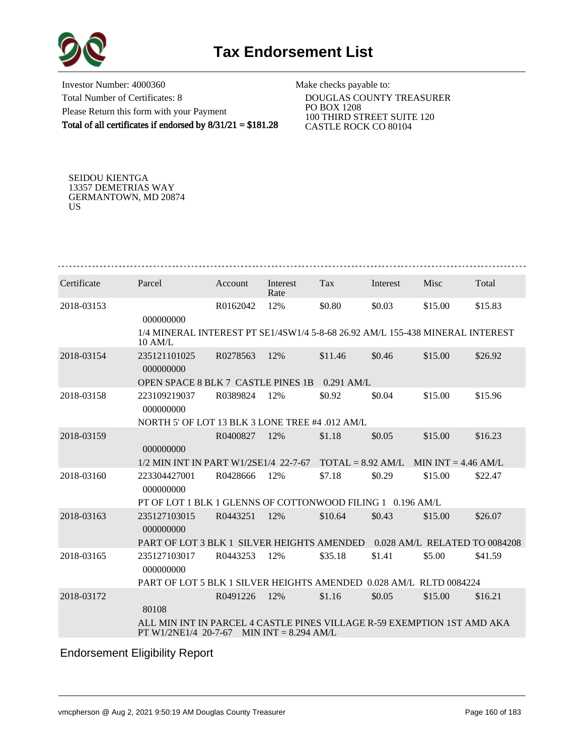

Investor Number: 4000360 Total Number of Certificates: 8 Please Return this form with your Payment Total of all certificates if endorsed by 8/31/21 = \$181.28

Make checks payable to:

 DOUGLAS COUNTY TREASURER PO BOX 1208 100 THIRD STREET SUITE 120 CASTLE ROCK CO 80104

SEIDOU KIENTGA 13357 DEMETRIAS WAY GERMANTOWN, MD 20874 US

| Certificate | Parcel                                                                                          | Account  | Interest<br>Rate       | Tax                 | Interest | Misc                          | Total   |
|-------------|-------------------------------------------------------------------------------------------------|----------|------------------------|---------------------|----------|-------------------------------|---------|
| 2018-03153  | 000000000                                                                                       | R0162042 | 12%                    | \$0.80              | \$0.03   | \$15.00                       | \$15.83 |
|             | 1/4 MINERAL INTEREST PT SE1/4SW1/4 5-8-68 26.92 AM/L 155-438 MINERAL INTEREST<br>10 AM/L        |          |                        |                     |          |                               |         |
| 2018-03154  | 235121101025<br>000000000                                                                       | R0278563 | 12%                    | \$11.46             | \$0.46   | \$15.00                       | \$26.92 |
|             | OPEN SPACE 8 BLK 7 CASTLE PINES 1B                                                              |          |                        | $0.291$ AM/L        |          |                               |         |
| 2018-03158  | 223109219037<br>000000000                                                                       | R0389824 | 12%                    | \$0.92              | \$0.04   | \$15.00                       | \$15.96 |
|             | NORTH 5' OF LOT 13 BLK 3 LONE TREE #4 .012 AM/L                                                 |          |                        |                     |          |                               |         |
| 2018-03159  | 000000000                                                                                       | R0400827 | 12%                    | \$1.18              | \$0.05   | \$15.00                       | \$16.23 |
|             | 1/2 MIN INT IN PART W1/2SE1/4 22-7-67                                                           |          |                        | $TOTAL = 8.92 AM/L$ |          | MIN INT = $4.46$ AM/L         |         |
| 2018-03160  | 223304427001<br>000000000                                                                       | R0428666 | 12%                    | \$7.18              | \$0.29   | \$15.00                       | \$22.47 |
|             | PT OF LOT 1 BLK 1 GLENNS OF COTTONWOOD FILING 1 0.196 AM/L                                      |          |                        |                     |          |                               |         |
| 2018-03163  | 235127103015<br>000000000                                                                       | R0443251 | 12%                    | \$10.64             | \$0.43   | \$15.00                       | \$26.07 |
|             | PART OF LOT 3 BLK 1 SILVER HEIGHTS AMENDED                                                      |          |                        |                     |          | 0.028 AM/L RELATED TO 0084208 |         |
| 2018-03165  | 235127103017<br>000000000                                                                       | R0443253 | 12%                    | \$35.18             | \$1.41   | \$5.00                        | \$41.59 |
|             | PART OF LOT 5 BLK 1 SILVER HEIGHTS AMENDED 0.028 AM/L RLTD 0084224                              |          |                        |                     |          |                               |         |
| 2018-03172  | 80108                                                                                           | R0491226 | 12%                    | \$1.16              | \$0.05   | \$15.00                       | \$16.21 |
|             | ALL MIN INT IN PARCEL 4 CASTLE PINES VILLAGE R-59 EXEMPTION 1ST AMD AKA<br>PT W1/2NE1/4 20-7-67 |          | MIN INT $= 8.294$ AM/L |                     |          |                               |         |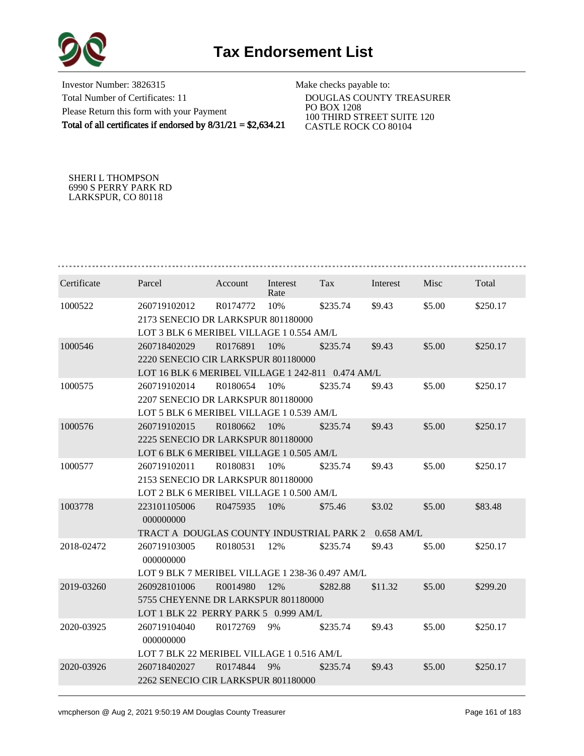

Investor Number: 3826315 Total Number of Certificates: 11 Please Return this form with your Payment Total of all certificates if endorsed by 8/31/21 = \$2,634.21

Make checks payable to:

 DOUGLAS COUNTY TREASURER PO BOX 1208 100 THIRD STREET SUITE 120 CASTLE ROCK CO 80104

SHERI L THOMPSON 6990 S PERRY PARK RD LARKSPUR, CO 80118

| Certificate | Parcel                                              | Account  | Interest<br>Rate | Tax      | Interest | Misc   | Total    |  |  |  |  |
|-------------|-----------------------------------------------------|----------|------------------|----------|----------|--------|----------|--|--|--|--|
| 1000522     | 260719102012                                        | R0174772 | 10%              | \$235.74 | \$9.43   | \$5.00 | \$250.17 |  |  |  |  |
|             | 2173 SENECIO DR LARKSPUR 801180000                  |          |                  |          |          |        |          |  |  |  |  |
|             | LOT 3 BLK 6 MERIBEL VILLAGE 1 0.554 AM/L            |          |                  |          |          |        |          |  |  |  |  |
| 1000546     | 260718402029                                        | R0176891 | 10%              | \$235.74 | \$9.43   | \$5.00 | \$250.17 |  |  |  |  |
|             | 2220 SENECIO CIR LARKSPUR 801180000                 |          |                  |          |          |        |          |  |  |  |  |
|             | LOT 16 BLK 6 MERIBEL VILLAGE 1 242-811 0.474 AM/L   |          |                  |          |          |        |          |  |  |  |  |
| 1000575     | 260719102014                                        | R0180654 | 10%              | \$235.74 | \$9.43   | \$5.00 | \$250.17 |  |  |  |  |
|             | 2207 SENECIO DR LARKSPUR 801180000                  |          |                  |          |          |        |          |  |  |  |  |
|             | LOT 5 BLK 6 MERIBEL VILLAGE 1 0.539 AM/L            |          |                  |          |          |        |          |  |  |  |  |
| 1000576     | 260719102015                                        | R0180662 | 10%              | \$235.74 | \$9.43   | \$5.00 | \$250.17 |  |  |  |  |
|             | 2225 SENECIO DR LARKSPUR 801180000                  |          |                  |          |          |        |          |  |  |  |  |
|             | LOT 6 BLK 6 MERIBEL VILLAGE 1 0.505 AM/L            |          |                  |          |          |        |          |  |  |  |  |
| 1000577     | 260719102011                                        | R0180831 | 10%              | \$235.74 | \$9.43   | \$5.00 | \$250.17 |  |  |  |  |
|             | 2153 SENECIO DR LARKSPUR 801180000                  |          |                  |          |          |        |          |  |  |  |  |
|             | LOT 2 BLK 6 MERIBEL VILLAGE 1 0.500 AM/L            |          |                  |          |          |        |          |  |  |  |  |
| 1003778     | 223101105006<br>000000000                           | R0475935 | 10%              | \$75.46  | \$3.02   | \$5.00 | \$83.48  |  |  |  |  |
|             | TRACT A DOUGLAS COUNTY INDUSTRIAL PARK 2 0.658 AM/L |          |                  |          |          |        |          |  |  |  |  |
| 2018-02472  | 260719103005<br>000000000                           | R0180531 | 12%              | \$235.74 | \$9.43   | \$5.00 | \$250.17 |  |  |  |  |
|             | LOT 9 BLK 7 MERIBEL VILLAGE 1 238-36 0.497 AM/L     |          |                  |          |          |        |          |  |  |  |  |
| 2019-03260  | 260928101006                                        | R0014980 | 12%              | \$282.88 | \$11.32  | \$5.00 | \$299.20 |  |  |  |  |
|             | 5755 CHEYENNE DR LARKSPUR 801180000                 |          |                  |          |          |        |          |  |  |  |  |
|             | LOT 1 BLK 22 PERRY PARK 5 0.999 AM/L                |          |                  |          |          |        |          |  |  |  |  |
| 2020-03925  | 260719104040<br>000000000                           | R0172769 | 9%               | \$235.74 | \$9.43   | \$5.00 | \$250.17 |  |  |  |  |
|             | LOT 7 BLK 22 MERIBEL VILLAGE 1 0.516 AM/L           |          |                  |          |          |        |          |  |  |  |  |
| 2020-03926  | 260718402027                                        | R0174844 | 9%               | \$235.74 | \$9.43   | \$5.00 | \$250.17 |  |  |  |  |
|             | 2262 SENECIO CIR LARKSPUR 801180000                 |          |                  |          |          |        |          |  |  |  |  |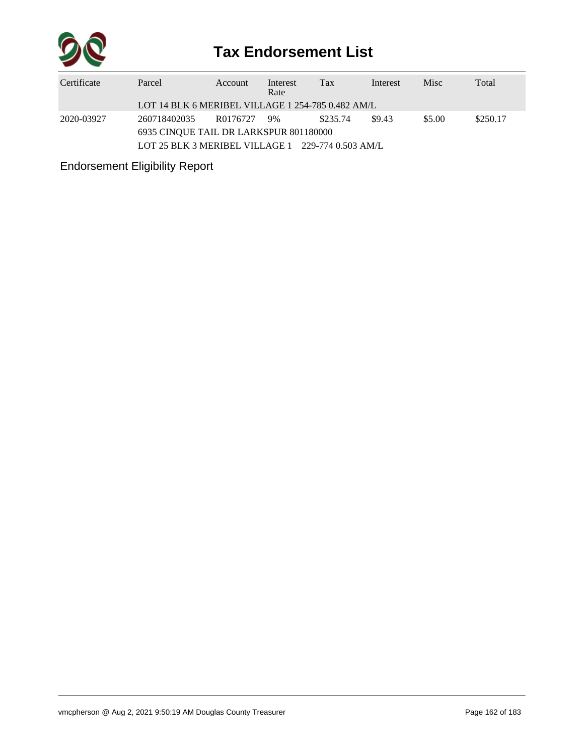

| Certificate | Parcel                                                        | <b>Account</b> | Interest<br>Rate | Tax      | Interest | <b>Misc</b> | Total    |  |  |  |
|-------------|---------------------------------------------------------------|----------------|------------------|----------|----------|-------------|----------|--|--|--|
|             | LOT 14 BLK 6 MERIBEL VILLAGE 1 254-785 0.482 AM/L             |                |                  |          |          |             |          |  |  |  |
| 2020-03927  | 260718402035                                                  | R0176727       | 9%               | \$235.74 | \$9.43   | \$5.00      | \$250.17 |  |  |  |
|             | 6935 CINQUE TAIL DR LARKSPUR 801180000                        |                |                  |          |          |             |          |  |  |  |
|             | LOT 25 BLK 3 MERIBEL VILLAGE $1 \quad 229-774\; 0.503\;$ AM/L |                |                  |          |          |             |          |  |  |  |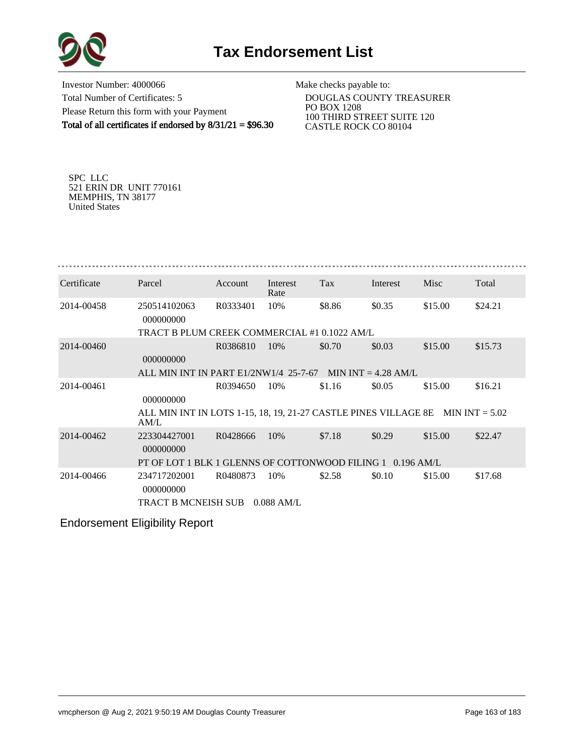

Investor Number: 4000066 Total Number of Certificates: 5 Please Return this form with your Payment Total of all certificates if endorsed by  $8/31/21 = $96.30$ 

Make checks payable to:

 DOUGLAS COUNTY TREASURER PO BOX 1208 100 THIRD STREET SUITE 120 CASTLE ROCK CO 80104

SPC LLC 521 ERIN DR UNIT 770161 MEMPHIS, TN 38177 United States

| Certificate | Parcel                                                                                   | Account  | Interest<br>Rate | Tax    | Interest | Misc    | Total   |
|-------------|------------------------------------------------------------------------------------------|----------|------------------|--------|----------|---------|---------|
| 2014-00458  | 250514102063<br>000000000                                                                | R0333401 | 10%              | \$8.86 | \$0.35   | \$15.00 | \$24.21 |
|             | TRACT B PLUM CREEK COMMERCIAL #1 0.1022 AM/L                                             |          |                  |        |          |         |         |
| 2014-00460  | 000000000                                                                                | R0386810 | 10%              | \$0.70 | \$0.03   | \$15.00 | \$15.73 |
|             | ALL MIN INT IN PART $E1/2NW1/4$ 25-7-67 MIN INT = 4.28 AM/L                              |          |                  |        |          |         |         |
| 2014-00461  | 000000000                                                                                | R0394650 | 10%              | \$1.16 | \$0.05   | \$15.00 | \$16.21 |
|             | ALL MIN INT IN LOTS 1-15, 18, 19, 21-27 CASTLE PINES VILLAGE 8E MIN INT $= 5.02$<br>AM/L |          |                  |        |          |         |         |
| 2014-00462  | 223304427001<br>000000000                                                                | R0428666 | 10%              | \$7.18 | \$0.29   | \$15.00 | \$22.47 |
|             | PT OF LOT 1 BLK 1 GLENNS OF COTTONWOOD FILING 1 0.196 AM/L                               |          |                  |        |          |         |         |
| 2014-00466  | 234717202001<br>000000000                                                                | R0480873 | 10%              | \$2.58 | \$0.10   | \$15.00 | \$17.68 |
|             | <b>TRACT B MCNEISH SUB</b>                                                               |          | $0.088$ AM/L     |        |          |         |         |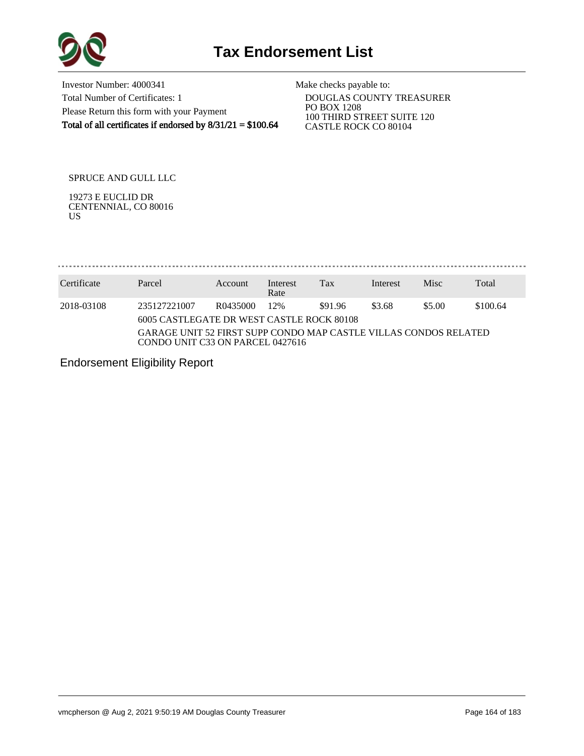

Investor Number: 4000341 Total Number of Certificates: 1 Please Return this form with your Payment Total of all certificates if endorsed by  $8/31/21 = $100.64$ 

Make checks payable to:

 DOUGLAS COUNTY TREASURER PO BOX 1208 100 THIRD STREET SUITE 120 CASTLE ROCK CO 80104

SPRUCE AND GULL LLC

19273 E EUCLID DR CENTENNIAL, CO 80016 US

........................ . . . . . . . . . . . . . .

| Certificate | Parcel                                                                                               | Account  | Interest<br>Rate | Tax     | Interest | <b>Misc</b> | Total    |
|-------------|------------------------------------------------------------------------------------------------------|----------|------------------|---------|----------|-------------|----------|
| 2018-03108  | 235127221007<br>6005 CASTLEGATE DR WEST CASTLE ROCK 80108                                            | R0435000 | 12%              | \$91.96 | \$3.68   | \$5.00      | \$100.64 |
|             | GARAGE UNIT 52 FIRST SUPP CONDO MAP CASTLE VILLAS CONDOS RELATED<br>CONDO UNIT C33 ON PARCEL 0427616 |          |                  |         |          |             |          |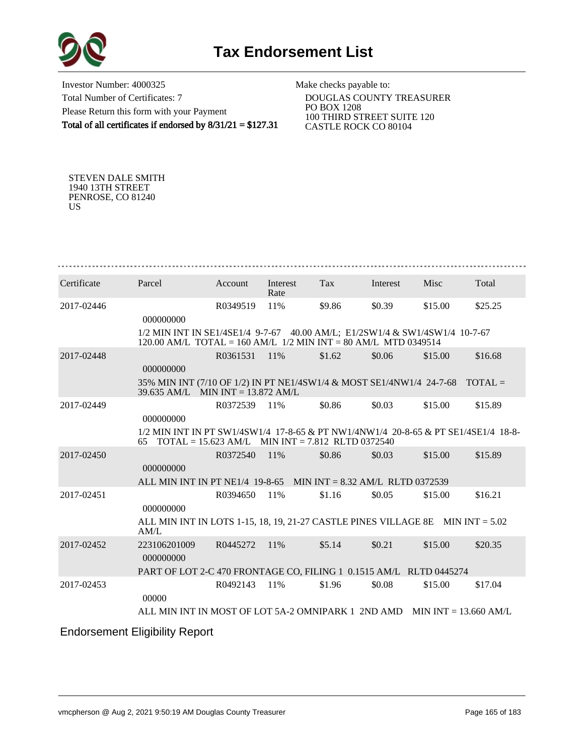

Investor Number: 4000325 Total Number of Certificates: 7 Please Return this form with your Payment Total of all certificates if endorsed by 8/31/21 = \$127.31

Make checks payable to:

 DOUGLAS COUNTY TREASURER PO BOX 1208 100 THIRD STREET SUITE 120 CASTLE ROCK CO 80104

STEVEN DALE SMITH 1940 13TH STREET PENROSE, CO 81240 US

| Certificate | Parcel                                                                                                                                          | Account  | Interest<br>Rate | Tax    | Interest | Misc    | Total   |
|-------------|-------------------------------------------------------------------------------------------------------------------------------------------------|----------|------------------|--------|----------|---------|---------|
| 2017-02446  | 000000000                                                                                                                                       | R0349519 | 11%              | \$9.86 | \$0.39   | \$15.00 | \$25.25 |
|             | 1/2 MIN INT IN SE1/4SE1/4 9-7-67 40.00 AM/L; E1/2SW1/4 & SW1/4SW1/4 10-7-67<br>120.00 AM/L TOTAL = 160 AM/L $1/2$ MIN INT = 80 AM/L MTD 0349514 |          |                  |        |          |         |         |
| 2017-02448  | 000000000                                                                                                                                       | R0361531 | 11%              | \$1.62 | \$0.06   | \$15.00 | \$16.68 |
|             | 35% MIN INT (7/10 OF 1/2) IN PT NE1/4SW1/4 & MOST SE1/4NW1/4 24-7-68 TOTAL =<br>39.635 AM/L MIN INT = 13.872 AM/L                               |          |                  |        |          |         |         |
| 2017-02449  | 000000000                                                                                                                                       | R0372539 | 11%              | \$0.86 | \$0.03   | \$15.00 | \$15.89 |
|             | 1/2 MIN INT IN PT SW1/4SW1/4 17-8-65 & PT NW1/4NW1/4 20-8-65 & PT SE1/4SE1/4 18-8-<br>$TOTAL = 15.623 AM/L$ MIN INT = 7.812 RLTD 0372540<br>65  |          |                  |        |          |         |         |
| 2017-02450  | 000000000                                                                                                                                       | R0372540 | 11%              | \$0.86 | \$0.03   | \$15.00 | \$15.89 |
|             | ALL MIN INT IN PT NE1/4 19-8-65 MIN INT = 8.32 AM/L RLTD 0372539                                                                                |          |                  |        |          |         |         |
| 2017-02451  | 000000000                                                                                                                                       | R0394650 | 11%              | \$1.16 | \$0.05   | \$15.00 | \$16.21 |
|             | ALL MIN INT IN LOTS 1-15, 18, 19, 21-27 CASTLE PINES VILLAGE 8E MIN INT $= 5.02$<br>AM/L                                                        |          |                  |        |          |         |         |
| 2017-02452  | 223106201009<br>000000000                                                                                                                       | R0445272 | 11%              | \$5.14 | \$0.21   | \$15.00 | \$20.35 |
|             | PART OF LOT 2-C 470 FRONTAGE CO, FILING 1 0.1515 AM/L RLTD 0445274                                                                              |          |                  |        |          |         |         |
| 2017-02453  | 00000                                                                                                                                           | R0492143 | 11%              | \$1.96 | \$0.08   | \$15.00 | \$17.04 |
|             | ALL MIN INT IN MOST OF LOT 5A-2 OMNIPARK 1 2ND AMD MIN INT = 13.660 AM/L                                                                        |          |                  |        |          |         |         |
|             | <b>Endorsement Eligibility Report</b>                                                                                                           |          |                  |        |          |         |         |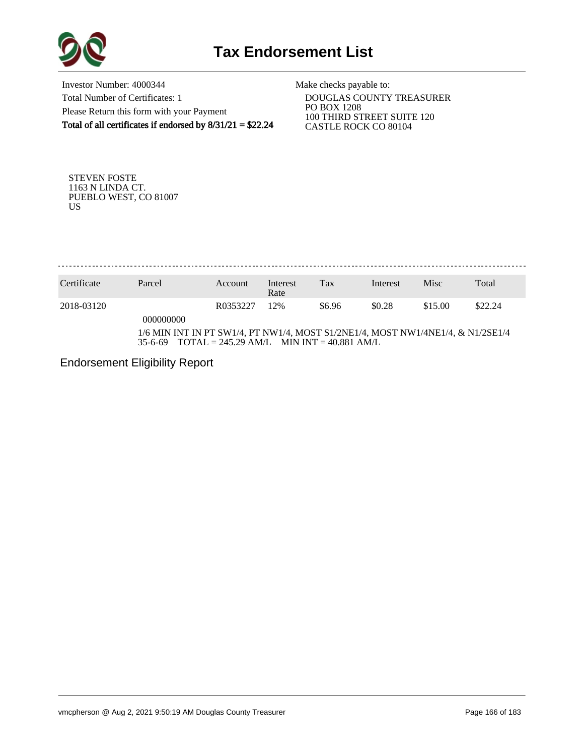

Investor Number: 4000344 Total Number of Certificates: 1 Please Return this form with your Payment Total of all certificates if endorsed by 8/31/21 = \$22.24

Make checks payable to:

 DOUGLAS COUNTY TREASURER PO BOX 1208 100 THIRD STREET SUITE 120 CASTLE ROCK CO 80104

STEVEN FOSTE 1163 N LINDA CT. PUEBLO WEST, CO 81007 US

. . . . . . . . . . . . . .

| Certificate | Parcel                                                                                     | Account  | Interest<br>Rate | Tax                                                        | Interest | Misc    | Total   |
|-------------|--------------------------------------------------------------------------------------------|----------|------------------|------------------------------------------------------------|----------|---------|---------|
| 2018-03120  | 000000000                                                                                  | R0353227 | 12%              | \$6.96                                                     | \$0.28   | \$15.00 | \$22.24 |
|             | 1/6 MIN INT IN PT SW1/4, PT NW1/4, MOST S1/2NE1/4, MOST NW1/4NE1/4, & N1/2SE1/4<br>35-6-69 |          |                  | $\text{TOTAL} = 245.29 \text{ AM/L}$ MIN INT = 40.881 AM/L |          |         |         |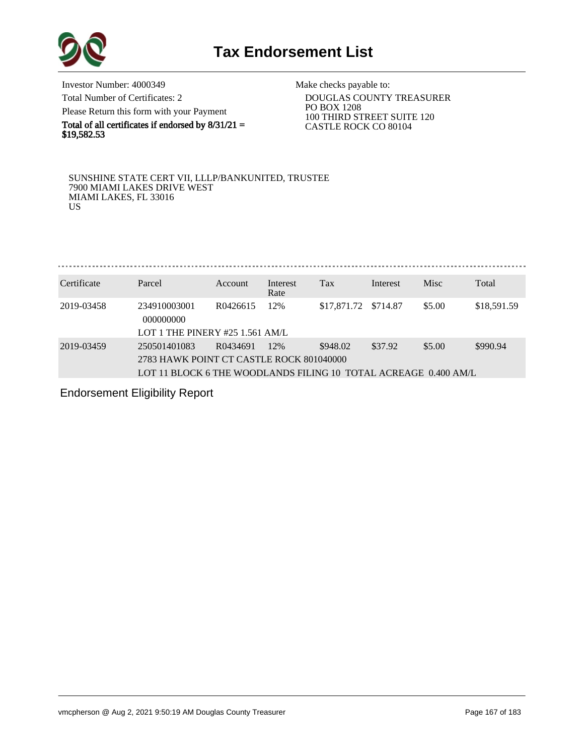

Investor Number: 4000349 Total Number of Certificates: 2 Please Return this form with your Payment

Total of all certificates if endorsed by  $8/31/21 =$ 

\$19,582.53

Make checks payable to:

 DOUGLAS COUNTY TREASURER PO BOX 1208 100 THIRD STREET SUITE 120 CASTLE ROCK CO 80104

SUNSHINE STATE CERT VII, LLLP/BANKUNITED, TRUSTEE 7900 MIAMI LAKES DRIVE WEST MIAMI LAKES, FL 33016 US

Certificate Parcel Account Interest Tax Interest Misc Total

|            |                                                                 |          | Rate |                      |         |        |             |
|------------|-----------------------------------------------------------------|----------|------|----------------------|---------|--------|-------------|
| 2019-03458 | 234910003001<br>000000000<br>LOT 1 THE PINERY #25 1.561 AM/L    | R0426615 | 12%  | \$17,871.72 \$714.87 |         | \$5.00 | \$18,591.59 |
|            |                                                                 |          |      |                      |         |        |             |
| 2019-03459 | 250501401083                                                    | R0434691 | 12%  | \$948.02             | \$37.92 | \$5.00 | \$990.94    |
|            | 2783 HAWK POINT CT CASTLE ROCK 801040000                        |          |      |                      |         |        |             |
|            | LOT 11 BLOCK 6 THE WOODLANDS FILING 10 TOTAL ACREAGE 0.400 AM/L |          |      |                      |         |        |             |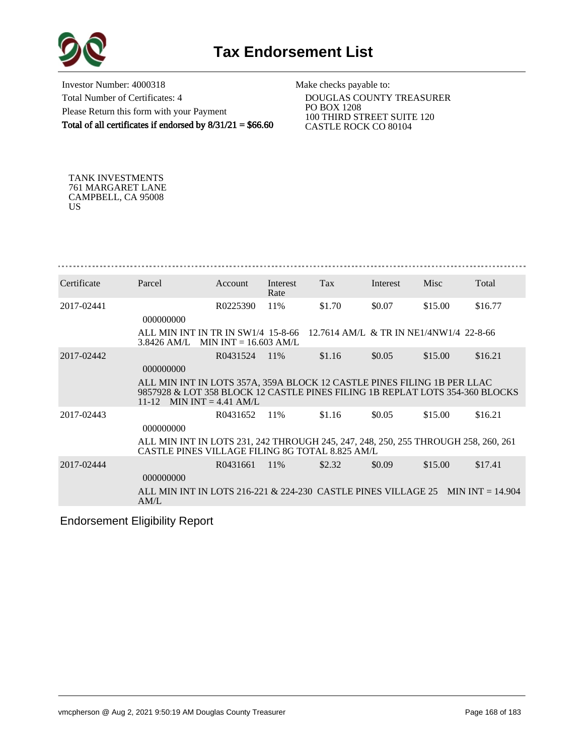

Investor Number: 4000318 Total Number of Certificates: 4 Please Return this form with your Payment Total of all certificates if endorsed by  $8/31/21 = $66.60$ 

Make checks payable to:

 DOUGLAS COUNTY TREASURER PO BOX 1208 100 THIRD STREET SUITE 120 CASTLE ROCK CO 80104

TANK INVESTMENTS 761 MARGARET LANE CAMPBELL, CA 95008 US

| Certificate | Parcel                                                                                                                                                                               | Account  | Interest<br>Rate | Tax                                     | Interest | Misc    | Total   |
|-------------|--------------------------------------------------------------------------------------------------------------------------------------------------------------------------------------|----------|------------------|-----------------------------------------|----------|---------|---------|
| 2017-02441  | 000000000                                                                                                                                                                            | R0225390 | 11%              | \$1.70                                  | \$0.07   | \$15.00 | \$16.77 |
|             | ALL MIN INT IN TR IN SW1/4 15-8-66<br>$3.8426$ AM/L MIN INT = 16.603 AM/L                                                                                                            |          |                  | 12.7614 AM/L & TR IN NE1/4NW1/4 22-8-66 |          |         |         |
| 2017-02442  | 000000000                                                                                                                                                                            | R0431524 | 11\%             | \$1.16                                  | \$0.05   | \$15.00 | \$16.21 |
|             | ALL MIN INT IN LOTS 357A, 359A BLOCK 12 CASTLE PINES FILING 1B PER LLAC<br>9857928 & LOT 358 BLOCK 12 CASTLE PINES FILING 1B REPLAT LOTS 354-360 BLOCKS<br>11-12 MIN INT = 4.41 AM/L |          |                  |                                         |          |         |         |
| 2017-02443  | 000000000                                                                                                                                                                            | R0431652 | 11%              | \$1.16                                  | \$0.05   | \$15.00 | \$16.21 |
|             | ALL MIN INT IN LOTS 231, 242 THROUGH 245, 247, 248, 250, 255 THROUGH 258, 260, 261<br>CASTLE PINES VILLAGE FILING 8G TOTAL 8.825 AM/L                                                |          |                  |                                         |          |         |         |
| 2017-02444  | 000000000                                                                                                                                                                            | R0431661 | 11\%             | \$2.32                                  | \$0.09   | \$15.00 | \$17.41 |
|             | ALL MIN INT IN LOTS 216-221 & 224-230 CASTLE PINES VILLAGE 25 MIN INT = 14.904<br>AM/L                                                                                               |          |                  |                                         |          |         |         |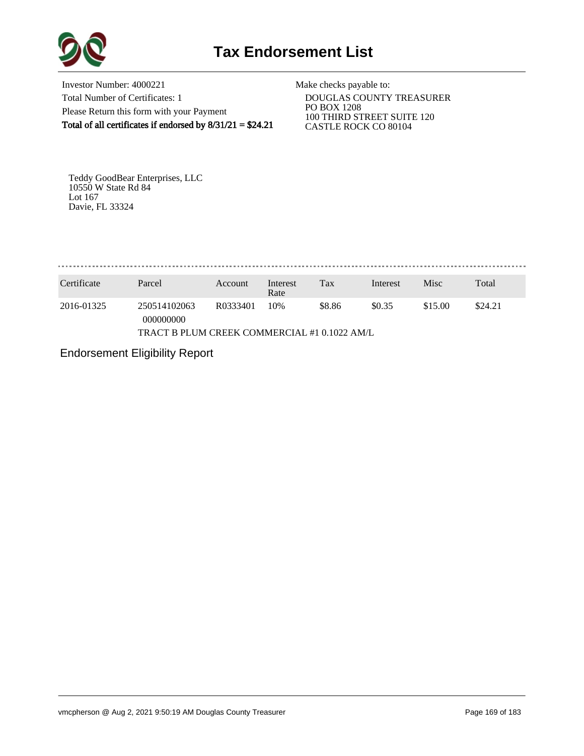

Investor Number: 4000221 Total Number of Certificates: 1 Please Return this form with your Payment Total of all certificates if endorsed by  $8/31/21 = $24.21$ 

Make checks payable to:

 DOUGLAS COUNTY TREASURER PO BOX 1208 100 THIRD STREET SUITE 120 CASTLE ROCK CO 80104

Teddy GoodBear Enterprises, LLC 10550 W State Rd 84 Lot 167 Davie, FL 33324

. . . . . . . . . . . . . . . . . . . 

| Certificate                                  | Parcel                    | Account  | Interest<br>Rate | Tax    | Interest | Misc    | Total   |  |
|----------------------------------------------|---------------------------|----------|------------------|--------|----------|---------|---------|--|
| 2016-01325                                   | 250514102063<br>000000000 | R0333401 | 10%              | \$8.86 | \$0.35   | \$15.00 | \$24.21 |  |
| TRACT B PLUM CREEK COMMERCIAL #1 0.1022 AM/L |                           |          |                  |        |          |         |         |  |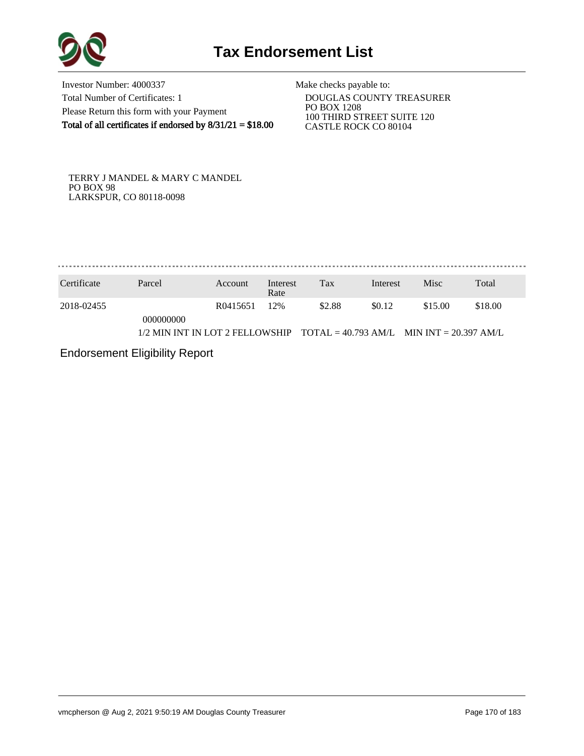

Investor Number: 4000337 Total Number of Certificates: 1 Please Return this form with your Payment Total of all certificates if endorsed by  $8/31/21 = $18.00$ 

Make checks payable to:

 DOUGLAS COUNTY TREASURER PO BOX 1208 100 THIRD STREET SUITE 120 CASTLE ROCK CO 80104

TERRY J MANDEL & MARY C MANDEL PO BOX 98 LARKSPUR, CO 80118-0098

. . . . . . . . . . . . . . . . 

| Certificate | Parcel                                                                      | Account  | Interest<br>Rate | Tax    | Interest | Misc    | Total   |
|-------------|-----------------------------------------------------------------------------|----------|------------------|--------|----------|---------|---------|
| 2018-02455  | 000000000                                                                   | R0415651 | 12%              | \$2.88 | \$0.12   | \$15.00 | \$18.00 |
|             | $1/2$ MIN INT IN LOT 2 FELLOWSHIP TOTAL = 40.793 AM/L MIN INT = 20.397 AM/L |          |                  |        |          |         |         |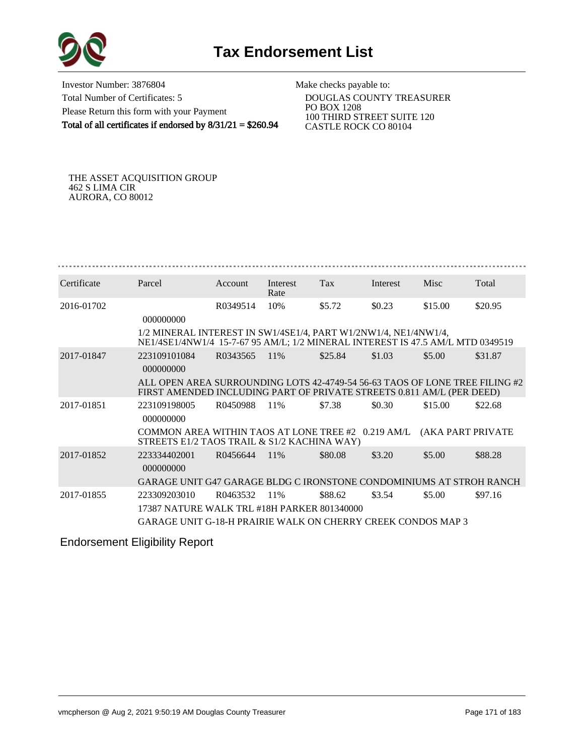

Investor Number: 3876804 Total Number of Certificates: 5 Please Return this form with your Payment Total of all certificates if endorsed by 8/31/21 = \$260.94

Make checks payable to:

 DOUGLAS COUNTY TREASURER PO BOX 1208 100 THIRD STREET SUITE 120 CASTLE ROCK CO 80104

THE ASSET ACQUISITION GROUP 462 S LIMA CIR AURORA, CO 80012

| Certificate | Parcel                                                                                                                                               | <b>Account</b> | Interest<br>Rate | Tax     | Interest | <b>Misc</b>       | Total   |
|-------------|------------------------------------------------------------------------------------------------------------------------------------------------------|----------------|------------------|---------|----------|-------------------|---------|
| 2016-01702  | 000000000                                                                                                                                            | R0349514       | 10%              | \$5.72  | \$0.23   | \$15.00           | \$20.95 |
|             | 1/2 MINERAL INTEREST IN SW1/4SE1/4, PART W1/2NW1/4, NE1/4NW1/4,<br>NE1/4SE1/4NW1/4 15-7-67 95 AM/L; 1/2 MINERAL INTEREST IS 47.5 AM/L MTD 0349519    |                |                  |         |          |                   |         |
| 2017-01847  | 223109101084<br>000000000                                                                                                                            | R0343565       | 11\%             | \$25.84 | \$1.03   | \$5.00            | \$31.87 |
|             | ALL OPEN AREA SURROUNDING LOTS 42-4749-54 56-63 TAOS OF LONE TREE FILING #2<br>FIRST AMENDED INCLUDING PART OF PRIVATE STREETS 0.811 AM/L (PER DEED) |                |                  |         |          |                   |         |
| 2017-01851  | 223109198005<br>000000000                                                                                                                            | R0450988       | 11%              | \$7.38  | \$0.30   | \$15.00           | \$22.68 |
|             | COMMON AREA WITHIN TAOS AT LONE TREE #2 0.219 AM/L<br>STREETS E1/2 TAOS TRAIL & S1/2 KACHINA WAY)                                                    |                |                  |         |          | (AKA PART PRIVATE |         |
| 2017-01852  | 223334402001<br>000000000                                                                                                                            | R0456644       | 11\%             | \$80.08 | \$3.20   | \$5.00            | \$88.28 |
|             | GARAGE UNIT G47 GARAGE BLDG C IRONSTONE CONDOMINIUMS AT STROH RANCH                                                                                  |                |                  |         |          |                   |         |
| 2017-01855  | 223309203010                                                                                                                                         | R0463532       | 11%              | \$88.62 | \$3.54   | \$5.00            | \$97.16 |
|             | 17387 NATURE WALK TRL #18H PARKER 801340000                                                                                                          |                |                  |         |          |                   |         |
|             | GARAGE UNIT G-18-H PRAIRIE WALK ON CHERRY CREEK CONDOS MAP 3                                                                                         |                |                  |         |          |                   |         |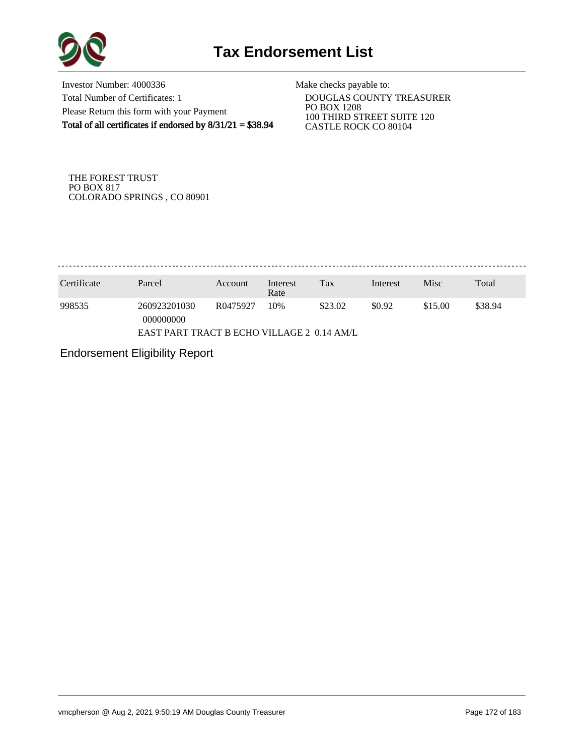

Investor Number: 4000336 Total Number of Certificates: 1 Please Return this form with your Payment Total of all certificates if endorsed by 8/31/21 = \$38.94

Make checks payable to:

 DOUGLAS COUNTY TREASURER PO BOX 1208 100 THIRD STREET SUITE 120 CASTLE ROCK CO 80104

THE FOREST TRUST PO BOX 817 COLORADO SPRINGS , CO 80901

. . . . . . . . . . . . . . . . .

| Certificate | Parcel                                     | Account  | Interest<br>Rate | Tax     | Interest | Misc    | Total   |  |
|-------------|--------------------------------------------|----------|------------------|---------|----------|---------|---------|--|
| 998535      | 260923201030<br>000000000                  | R0475927 | 10%              | \$23.02 | \$0.92   | \$15.00 | \$38.94 |  |
|             | EAST PART TRACT B ECHO VILLAGE 2 0.14 AM/L |          |                  |         |          |         |         |  |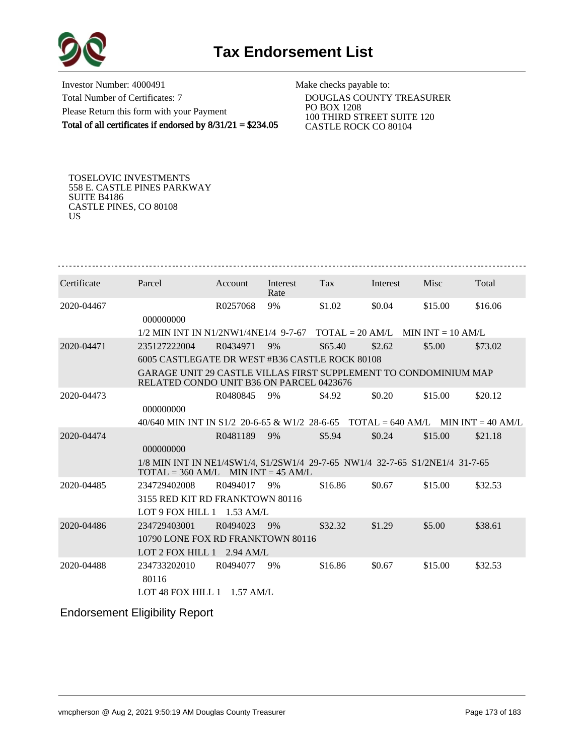

Investor Number: 4000491 Total Number of Certificates: 7 Please Return this form with your Payment Total of all certificates if endorsed by  $8/31/21 = $234.05$ 

Make checks payable to:

 DOUGLAS COUNTY TREASURER PO BOX 1208 100 THIRD STREET SUITE 120 CASTLE ROCK CO 80104

TOSELOVIC INVESTMENTS 558 E. CASTLE PINES PARKWAY SUITE B4186 CASTLE PINES, CO 80108 US

| Certificate | Parcel                                                                                                               | Account     | Interest<br>Rate | <b>Tax</b> | Interest | Misc    | Total   |
|-------------|----------------------------------------------------------------------------------------------------------------------|-------------|------------------|------------|----------|---------|---------|
| 2020-04467  | 000000000                                                                                                            | R0257068    | 9%               | \$1.02     | \$0.04   | \$15.00 | \$16.06 |
|             | $1/2$ MIN INT IN N1/2NW1/4NE1/4 9-7-67 TOTAL = 20 AM/L MIN INT = 10 AM/L                                             |             |                  |            |          |         |         |
| 2020-04471  | 235127222004                                                                                                         | R0434971    | 9%               | \$65.40    | \$2.62   | \$5.00  | \$73.02 |
|             | 6005 CASTLEGATE DR WEST #B36 CASTLE ROCK 80108                                                                       |             |                  |            |          |         |         |
|             | GARAGE UNIT 29 CASTLE VILLAS FIRST SUPPLEMENT TO CONDOMINIUM MAP<br>RELATED CONDO UNIT B36 ON PARCEL 0423676         |             |                  |            |          |         |         |
| 2020-04473  |                                                                                                                      | R0480845    | 9%               | \$4.92     | \$0.20   | \$15.00 | \$20.12 |
|             | 000000000                                                                                                            |             |                  |            |          |         |         |
|             | 40/640 MIN INT IN S1/2 20-6-65 & W1/2 28-6-65 TOTAL = 640 AM/L MIN INT = 40 AM/L                                     |             |                  |            |          |         |         |
| 2020-04474  | 000000000                                                                                                            | R0481189    | 9%               | \$5.94     | \$0.24   | \$15.00 | \$21.18 |
|             | 1/8 MIN INT IN NE1/4SW1/4, S1/2SW1/4 29-7-65 NW1/4 32-7-65 S1/2NE1/4 31-7-65<br>$TOTAL = 360 AM/L$ MIN INT = 45 AM/L |             |                  |            |          |         |         |
| 2020-04485  | 234729402008                                                                                                         | R0494017    | 9%               | \$16.86    | \$0.67   | \$15.00 | \$32.53 |
|             | 3155 RED KIT RD FRANKTOWN 80116                                                                                      |             |                  |            |          |         |         |
|             | LOT 9 FOX HILL $1$ 1.53 AM/L                                                                                         |             |                  |            |          |         |         |
| 2020-04486  | 234729403001                                                                                                         | R0494023    | 9%               | \$32.32    | \$1.29   | \$5.00  | \$38.61 |
|             | 10790 LONE FOX RD FRANKTOWN 80116                                                                                    |             |                  |            |          |         |         |
|             | LOT 2 FOX HILL $1$                                                                                                   | $2.94$ AM/L |                  |            |          |         |         |
| 2020-04488  | 234733202010<br>80116<br>LOT 48 FOX HILL $1$ 1.57 AM/L                                                               | R0494077    | 9%               | \$16.86    | \$0.67   | \$15.00 | \$32.53 |
|             |                                                                                                                      |             |                  |            |          |         |         |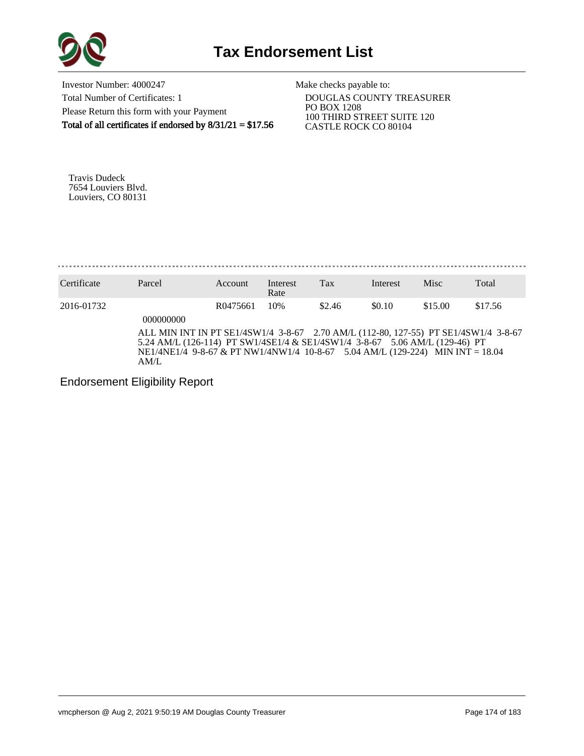

Investor Number: 4000247 Total Number of Certificates: 1 Please Return this form with your Payment Total of all certificates if endorsed by  $8/31/21 = $17.56$  Make checks payable to:

 DOUGLAS COUNTY TREASURER PO BOX 1208 100 THIRD STREET SUITE 120 CASTLE ROCK CO 80104

Travis Dudeck 7654 Louviers Blvd. Louviers, CO 80131

Certificate Parcel Account Interest Rate Tax Interest Misc Total 2016-01732 R0475661 10% \$2.46 \$0.10 \$15.00 \$17.56 000000000 ALL MIN INT IN PT SE1/4SW1/4 3-8-67 2.70 AM/L (112-80, 127-55) PT SE1/4SW1/4 3-8-67 5.24 AM/L (126-114) PT SW1/4SE1/4 & SE1/4SW1/4 3-8-67 5.06 AM/L (129-46) PT NE1/4NE1/4 9-8-67 & PT NW1/4NW1/4 10-8-67 5.04 AM/L (129-224) MIN INT = 18.04 AM/L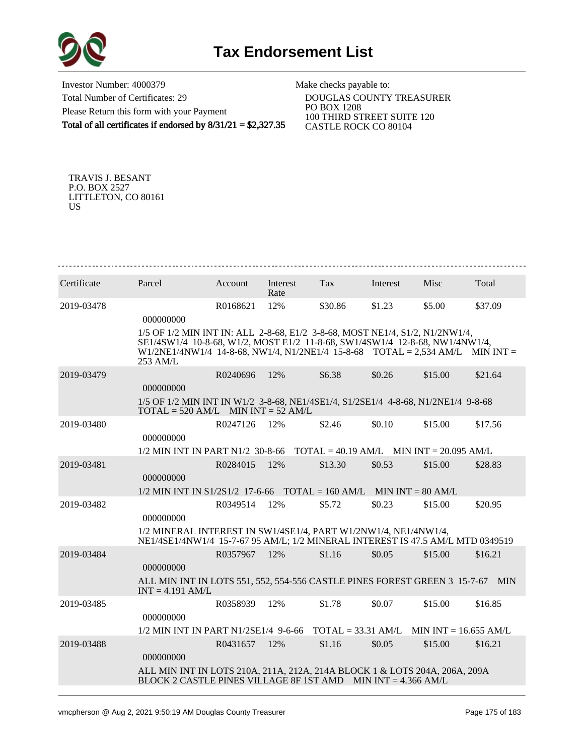

Investor Number: 4000379 Total Number of Certificates: 29 Please Return this form with your Payment Total of all certificates if endorsed by 8/31/21 = \$2,327.35

Make checks payable to:

 DOUGLAS COUNTY TREASURER PO BOX 1208 100 THIRD STREET SUITE 120 CASTLE ROCK CO 80104

TRAVIS J. BESANT P.O. BOX 2527 LITTLETON, CO 80161 US

| Certificate | Parcel                                                                                                                                                                                                                                                      | Account  | Interest<br>Rate | Tax     | Interest | Misc                    | Total   |
|-------------|-------------------------------------------------------------------------------------------------------------------------------------------------------------------------------------------------------------------------------------------------------------|----------|------------------|---------|----------|-------------------------|---------|
| 2019-03478  | 000000000                                                                                                                                                                                                                                                   | R0168621 | 12%              | \$30.86 | \$1.23   | \$5.00                  | \$37.09 |
|             |                                                                                                                                                                                                                                                             |          |                  |         |          |                         |         |
|             | 1/5 OF 1/2 MIN INT IN: ALL 2-8-68, E1/2 3-8-68, MOST NE1/4, S1/2, N1/2NW1/4,<br>SE1/4SW1/4 10-8-68, W1/2, MOST E1/2 11-8-68, SW1/4SW1/4 12-8-68, NW1/4NW1/4,<br>$W1/2NE1/4NW1/4$ 14-8-68, NW1/4, N1/2NE1/4 15-8-68 TOTAL = 2,534 AM/L MIN INT =<br>253 AM/L |          |                  |         |          |                         |         |
| 2019-03479  | 000000000                                                                                                                                                                                                                                                   | R0240696 | 12%              | \$6.38  | \$0.26   | \$15.00                 | \$21.64 |
|             | 1/5 OF 1/2 MIN INT IN W1/2 3-8-68, NE1/4SE1/4, S1/2SE1/4 4-8-68, N1/2NE1/4 9-8-68<br>$TOTAL = 520 AM/L$ MIN $INT = 52 AM/L$                                                                                                                                 |          |                  |         |          |                         |         |
| 2019-03480  | 000000000                                                                                                                                                                                                                                                   | R0247126 | 12%              | \$2.46  | \$0.10   | \$15.00                 | \$17.56 |
|             | $1/2$ MIN INT IN PART N1/2 30-8-66 TOTAL = 40.19 AM/L MIN INT = 20.095 AM/L                                                                                                                                                                                 |          |                  |         |          |                         |         |
| 2019-03481  | 000000000                                                                                                                                                                                                                                                   | R0284015 | 12%              | \$13.30 | \$0.53   | \$15.00                 | \$28.83 |
|             | $1/2$ MIN INT IN S1/2S1/2 17-6-66 TOTAL = 160 AM/L MIN INT = 80 AM/L                                                                                                                                                                                        |          |                  |         |          |                         |         |
| 2019-03482  | 000000000                                                                                                                                                                                                                                                   | R0349514 | 12%              | \$5.72  | \$0.23   | \$15.00                 | \$20.95 |
|             | 1/2 MINERAL INTEREST IN SW1/4SE1/4, PART W1/2NW1/4, NE1/4NW1/4,<br>NE1/4SE1/4NW1/4 15-7-67 95 AM/L; 1/2 MINERAL INTEREST IS 47.5 AM/L MTD 0349519                                                                                                           |          |                  |         |          |                         |         |
| 2019-03484  | 000000000                                                                                                                                                                                                                                                   | R0357967 | 12%              | \$1.16  | \$0.05   | \$15.00                 | \$16.21 |
|             | ALL MIN INT IN LOTS 551, 552, 554-556 CASTLE PINES FOREST GREEN 3 15-7-67 MIN<br>$INT = 4.191 AM/L$                                                                                                                                                         |          |                  |         |          |                         |         |
| 2019-03485  | 000000000                                                                                                                                                                                                                                                   | R0358939 | 12%              | \$1.78  | \$0.07   | \$15.00                 | \$16.85 |
|             | $1/2$ MIN INT IN PART N1/2SE1/4 9-6-66 TOTAL = 33.31 AM/L                                                                                                                                                                                                   |          |                  |         |          | MIN INT = $16.655$ AM/L |         |
| 2019-03488  | 000000000                                                                                                                                                                                                                                                   | R0431657 | 12%              | \$1.16  | \$0.05   | \$15.00                 | \$16.21 |
|             | ALL MIN INT IN LOTS 210A, 211A, 212A, 214A BLOCK 1 & LOTS 204A, 206A, 209A<br>BLOCK 2 CASTLE PINES VILLAGE 8F 1ST AMD MIN INT = 4.366 AM/L                                                                                                                  |          |                  |         |          |                         |         |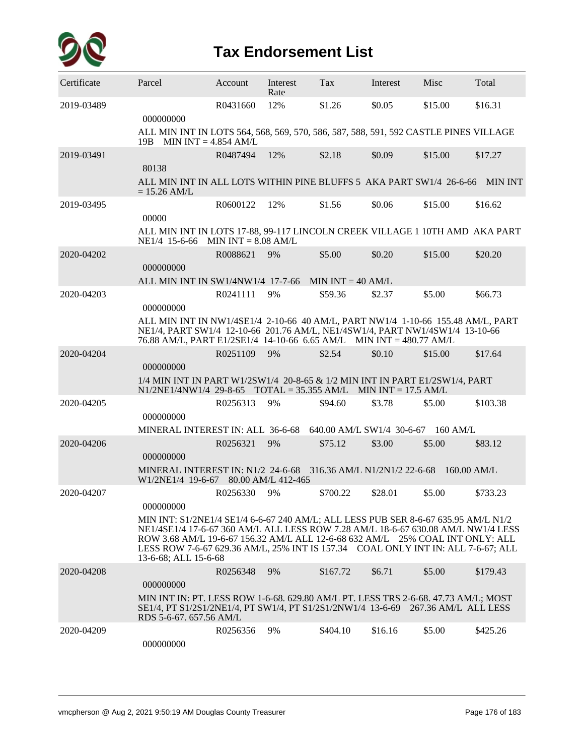

| Certificate | Parcel                                                                                                                                                                                                                                                                                                                                                               | Account               | Interest<br>Rate | Tax                       | Interest              | Misc          | Total    |
|-------------|----------------------------------------------------------------------------------------------------------------------------------------------------------------------------------------------------------------------------------------------------------------------------------------------------------------------------------------------------------------------|-----------------------|------------------|---------------------------|-----------------------|---------------|----------|
| 2019-03489  | 000000000                                                                                                                                                                                                                                                                                                                                                            | R0431660              | 12%              | \$1.26                    | \$0.05                | \$15.00       | \$16.31  |
|             | ALL MIN INT IN LOTS 564, 568, 569, 570, 586, 587, 588, 591, 592 CASTLE PINES VILLAGE<br>19B MIN INT = $4.854$ AM/L                                                                                                                                                                                                                                                   |                       |                  |                           |                       |               |          |
| 2019-03491  | 80138                                                                                                                                                                                                                                                                                                                                                                | R0487494              | 12%              | \$2.18                    | \$0.09                | \$15.00       | \$17.27  |
|             | ALL MIN INT IN ALL LOTS WITHIN PINE BLUFFS 5 AKA PART SW1/4 26-6-66 MIN INT<br>$= 15.26$ AM/L                                                                                                                                                                                                                                                                        |                       |                  |                           |                       |               |          |
| 2019-03495  | 00000                                                                                                                                                                                                                                                                                                                                                                | R0600122              | 12%              | \$1.56                    | \$0.06                | \$15.00       | \$16.62  |
|             | ALL MIN INT IN LOTS 17-88, 99-117 LINCOLN CREEK VILLAGE 1 10TH AMD AKA PART<br>NE1/4 15-6-66                                                                                                                                                                                                                                                                         | MIN INT $= 8.08$ AM/L |                  |                           |                       |               |          |
| 2020-04202  | 000000000                                                                                                                                                                                                                                                                                                                                                            | R0088621              | 9%               | \$5.00                    | \$0.20                | \$15.00       | \$20.20  |
|             | ALL MIN INT IN SW1/4NW1/4 17-7-66                                                                                                                                                                                                                                                                                                                                    |                       |                  | MIN $INT = 40$ AM/L       |                       |               |          |
| 2020-04203  | 000000000                                                                                                                                                                                                                                                                                                                                                            | R0241111              | 9%               | \$59.36                   | \$2.37                | \$5.00        | \$66.73  |
|             | ALL MIN INT IN NW1/4SE1/4 2-10-66 40 AM/L, PART NW1/4 1-10-66 155.48 AM/L, PART<br>NE1/4, PART SW1/4 12-10-66 201.76 AM/L, NE1/4SW1/4, PART NW1/4SW1/4 13-10-66<br>76.88 AM/L, PART E1/2SE1/4 14-10-66 6.65 AM/L MIN INT = 480.77 AM/L                                                                                                                               |                       |                  |                           |                       |               |          |
| 2020-04204  | 000000000                                                                                                                                                                                                                                                                                                                                                            | R0251109              | 9%               | \$2.54                    | \$0.10                | \$15.00       | \$17.64  |
|             | 1/4 MIN INT IN PART W1/2SW1/4 20-8-65 & 1/2 MIN INT IN PART E1/2SW1/4, PART<br>$N1/2NE1/4NW1/4$ 29-8-65 TOTAL = 35.355 AM/L                                                                                                                                                                                                                                          |                       |                  |                           | MIN $INT = 17.5$ AM/L |               |          |
| 2020-04205  | 000000000                                                                                                                                                                                                                                                                                                                                                            | R0256313              | 9%               | \$94.60                   | \$3.78                | \$5.00        | \$103.38 |
|             | MINERAL INTEREST IN: ALL 36-6-68                                                                                                                                                                                                                                                                                                                                     |                       |                  | 640.00 AM/L SW1/4 30-6-67 |                       | $160$ AM/L    |          |
| 2020-04206  | 000000000                                                                                                                                                                                                                                                                                                                                                            | R0256321              | 9%               | \$75.12                   | \$3.00                | \$5.00        | \$83.12  |
|             | MINERAL INTEREST IN: N1/2 24-6-68 316.36 AM/L N1/2N1/2 22-6-68<br>W1/2NE1/4 19-6-67 80.00 AM/L 412-465                                                                                                                                                                                                                                                               |                       |                  |                           |                       | $160.00$ AM/L |          |
| 2020-04207  | 000000000                                                                                                                                                                                                                                                                                                                                                            | R0256330              | 9%               | \$700.22                  | \$28.01               | \$5.00        | \$733.23 |
|             | MIN INT: S1/2NE1/4 SE1/4 6-6-67 240 AM/L; ALL LESS PUB SER 8-6-67 635.95 AM/L N1/2<br>NE1/4SE1/4 17-6-67 360 AM/L ALL LESS ROW 7.28 AM/L 18-6-67 630.08 AM/L NW1/4 LESS<br>ROW 3.68 AM/L 19-6-67 156.32 AM/L ALL 12-6-68 632 AM/L 25% COAL INT ONLY: ALL<br>LESS ROW 7-6-67 629.36 AM/L, 25% INT IS 157.34 COAL ONLY INT IN: ALL 7-6-67; ALL<br>13-6-68; ALL 15-6-68 |                       |                  |                           |                       |               |          |
| 2020-04208  | 000000000                                                                                                                                                                                                                                                                                                                                                            | R0256348              | 9%               | \$167.72                  | \$6.71                | \$5.00        | \$179.43 |
|             | MIN INT IN: PT. LESS ROW 1-6-68. 629.80 AM/L PT. LESS TRS 2-6-68. 47.73 AM/L; MOST<br>SE1/4, PT S1/2S1/2NE1/4, PT SW1/4, PT S1/2S1/2NW1/4 13-6-69 267.36 AM/L ALL LESS<br>RDS 5-6-67, 657.56 AM/L                                                                                                                                                                    |                       |                  |                           |                       |               |          |
| 2020-04209  | 000000000                                                                                                                                                                                                                                                                                                                                                            | R0256356              | 9%               | \$404.10                  | \$16.16               | \$5.00        | \$425.26 |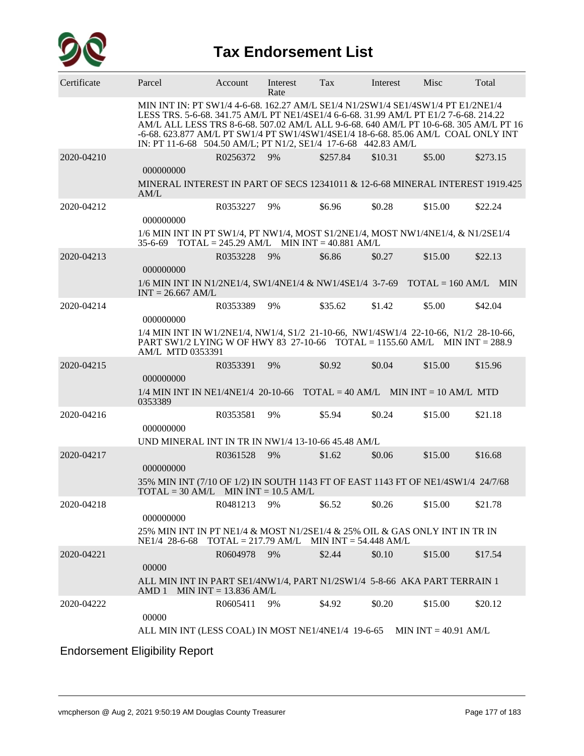

| Certificate | Parcel                                                                                                                                                                                                                                                                                                                                                                                                                    | Account                 | Interest<br>Rate                            | Tax      | Interest | Misc    | Total    |
|-------------|---------------------------------------------------------------------------------------------------------------------------------------------------------------------------------------------------------------------------------------------------------------------------------------------------------------------------------------------------------------------------------------------------------------------------|-------------------------|---------------------------------------------|----------|----------|---------|----------|
|             | MIN INT IN: PT SW1/4 4-6-68. 162.27 AM/L SE1/4 N1/2SW1/4 SE1/4SW1/4 PT E1/2NE1/4<br>LESS TRS. 5-6-68. 341.75 AM/L PT NE1/4SE1/4 6-6-68. 31.99 AM/L PT E1/2 7-6-68. 214.22<br>AM/L ALL LESS TRS 8-6-68. 507.02 AM/L ALL 9-6-68. 640 AM/L PT 10-6-68. 305 AM/L PT 16<br>-6-68. 623.877 AM/L PT SW1/4 PT SW1/4SW1/4SE1/4 18-6-68. 85.06 AM/L COAL ONLY INT<br>IN: PT 11-6-68 504.50 AM/L; PT N1/2, SE1/4 17-6-68 442.83 AM/L |                         |                                             |          |          |         |          |
| 2020-04210  | 000000000                                                                                                                                                                                                                                                                                                                                                                                                                 | R0256372                | 9%                                          | \$257.84 | \$10.31  | \$5.00  | \$273.15 |
|             | MINERAL INTEREST IN PART OF SECS 12341011 & 12-6-68 MINERAL INTEREST 1919.425<br>AM/L                                                                                                                                                                                                                                                                                                                                     |                         |                                             |          |          |         |          |
| 2020-04212  | 000000000                                                                                                                                                                                                                                                                                                                                                                                                                 | R0353227                | 9%                                          | \$6.96   | \$0.28   | \$15.00 | \$22.24  |
|             | 1/6 MIN INT IN PT SW1/4, PT NW1/4, MOST S1/2NE1/4, MOST NW1/4NE1/4, & N1/2SE1/4<br>35-6-69 TOTAL = 245.29 AM/L MIN INT = 40.881 AM/L                                                                                                                                                                                                                                                                                      |                         |                                             |          |          |         |          |
| 2020-04213  | 000000000                                                                                                                                                                                                                                                                                                                                                                                                                 | R0353228                | 9%                                          | \$6.86   | \$0.27   | \$15.00 | \$22.13  |
|             | 1/6 MIN INT IN N1/2NE1/4, SW1/4NE1/4 & NW1/4SE1/4 3-7-69 TOTAL = 160 AM/L MIN<br>$INT = 26.667$ AM/L                                                                                                                                                                                                                                                                                                                      |                         |                                             |          |          |         |          |
| 2020-04214  | 000000000                                                                                                                                                                                                                                                                                                                                                                                                                 | R0353389                | 9%                                          | \$35.62  | \$1.42   | \$5.00  | \$42.04  |
|             | 1/4 MIN INT IN W1/2NE1/4, NW1/4, S1/2 21-10-66, NW1/4SW1/4 22-10-66, N1/2 28-10-66,<br>PART SW1/2 LYING W OF HWY 83 27-10-66 TOTAL = 1155.60 AM/L MIN INT = 288.9<br>AM/L MTD 0353391                                                                                                                                                                                                                                     |                         |                                             |          |          |         |          |
| 2020-04215  | 000000000                                                                                                                                                                                                                                                                                                                                                                                                                 | R0353391                | 9%                                          | \$0.92   | \$0.04   | \$15.00 | \$15.96  |
|             | $1/4$ MIN INT IN NE1/4NE1/4 20-10-66 TOTAL = 40 AM/L MIN INT = 10 AM/L MTD<br>0353389                                                                                                                                                                                                                                                                                                                                     |                         |                                             |          |          |         |          |
| 2020-04216  | 000000000                                                                                                                                                                                                                                                                                                                                                                                                                 | R0353581                | 9%                                          | \$5.94   | \$0.24   | \$15.00 | \$21.18  |
|             | UND MINERAL INT IN TR IN NW1/4 13-10-66 45.48 AM/L                                                                                                                                                                                                                                                                                                                                                                        |                         |                                             |          |          |         |          |
| 2020-04217  | 000000000                                                                                                                                                                                                                                                                                                                                                                                                                 | R0361528                | 9%                                          | \$1.62   | \$0.06   | \$15.00 | \$16.68  |
|             | 35% MIN INT (7/10 OF 1/2) IN SOUTH 1143 FT OF EAST 1143 FT OF NE1/4SW1/4 24/7/68<br>$\text{TOTAL} = 30 \text{ AM/L}$ MIN $\text{INT} = 10.5 \text{ AM/L}$                                                                                                                                                                                                                                                                 |                         |                                             |          |          |         |          |
| 2020-04218  | 000000000                                                                                                                                                                                                                                                                                                                                                                                                                 | R0481213 9%             |                                             | \$6.52   | \$0.26   | \$15.00 | \$21.78  |
|             | 25% MIN INT IN PT NE1/4 & MOST N1/2SE1/4 & 25% OIL & GAS ONLY INT IN TR IN<br>NE <sub>1</sub> /4 28-6-68                                                                                                                                                                                                                                                                                                                  |                         | $TOTAL = 217.79 AM/L$ MIN INT = 54.448 AM/L |          |          |         |          |
| 2020-04221  | 00000                                                                                                                                                                                                                                                                                                                                                                                                                     | R0604978                | 9%                                          | \$2.44   | \$0.10   | \$15.00 | \$17.54  |
|             | ALL MIN INT IN PART SE1/4NW1/4, PART N1/2SW1/4 5-8-66 AKA PART TERRAIN 1<br>AMD 1                                                                                                                                                                                                                                                                                                                                         | MIN INT = $13.836$ AM/L |                                             |          |          |         |          |
| 2020-04222  | 00000                                                                                                                                                                                                                                                                                                                                                                                                                     | R0605411                | 9%                                          | \$4.92   | \$0.20   | \$15.00 | \$20.12  |
|             | ALL MIN INT (LESS COAL) IN MOST NE1/4NE1/4 19-6-65 MIN INT = 40.91 AM/L                                                                                                                                                                                                                                                                                                                                                   |                         |                                             |          |          |         |          |
|             | <b>Endorsement Eligibility Report</b>                                                                                                                                                                                                                                                                                                                                                                                     |                         |                                             |          |          |         |          |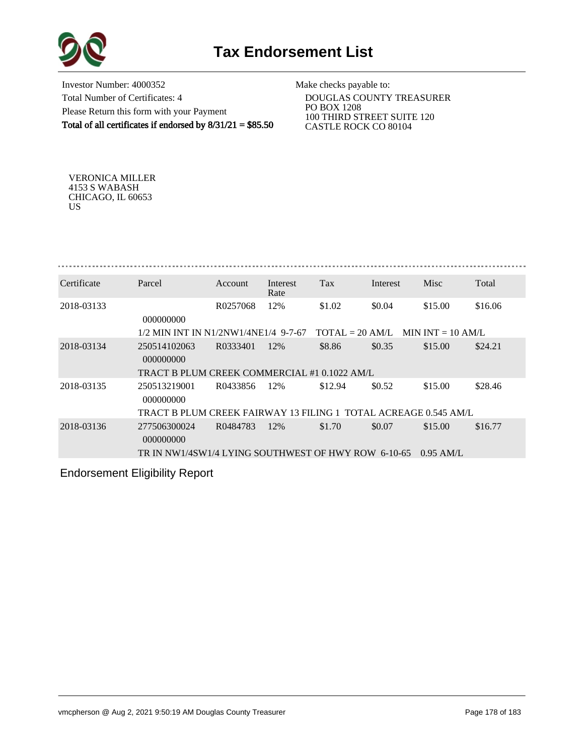



Investor Number: 4000352 Total Number of Certificates: 4 Please Return this form with your Payment Total of all certificates if endorsed by 8/31/21 = \$85.50

Make checks payable to:

 DOUGLAS COUNTY TREASURER PO BOX 1208 100 THIRD STREET SUITE 120 CASTLE ROCK CO 80104

VERONICA MILLER 4153 S WABASH CHICAGO, IL 60653 US

| Certificate | Parcel                                                           | <b>Account</b> | Interest<br>Rate | Tax                               | Interest | Misc                | Total   |
|-------------|------------------------------------------------------------------|----------------|------------------|-----------------------------------|----------|---------------------|---------|
| 2018-03133  | 000000000                                                        | R0257068       | 12%              | \$1.02                            | \$0.04   | \$15.00             | \$16.06 |
|             | 1/2 MIN INT IN N1/2NW1/4NE1/4 9-7-67                             |                |                  | $\text{TOTAI.} = 20 \text{ AM/L}$ |          | MIN INT $= 10$ AM/L |         |
| 2018-03134  | 250514102063<br>000000000                                        | R0333401       | 12%              | \$8.86                            | \$0.35   | \$15.00             | \$24.21 |
|             | TRACT B PLUM CREEK COMMERCIAL #1 0.1022 AM/L                     |                |                  |                                   |          |                     |         |
| 2018-03135  | 250513219001<br>000000000                                        | R0433856       | 12%              | \$12.94                           | \$0.52   | \$15.00             | \$28.46 |
|             | TRACT B PLUM CREEK FAIRWAY 13 FILING 1  TOTAL ACREAGE 0.545 AM/L |                |                  |                                   |          |                     |         |
| 2018-03136  | 277506300024<br>000000000                                        | R0484783       | 12%              | \$1.70                            | \$0.07   | \$15.00             | \$16.77 |
|             | TR IN NW1/4SW1/4 LYING SOUTHWEST OF HWY ROW 6-10-65              |                |                  |                                   |          | $0.95$ AM/L         |         |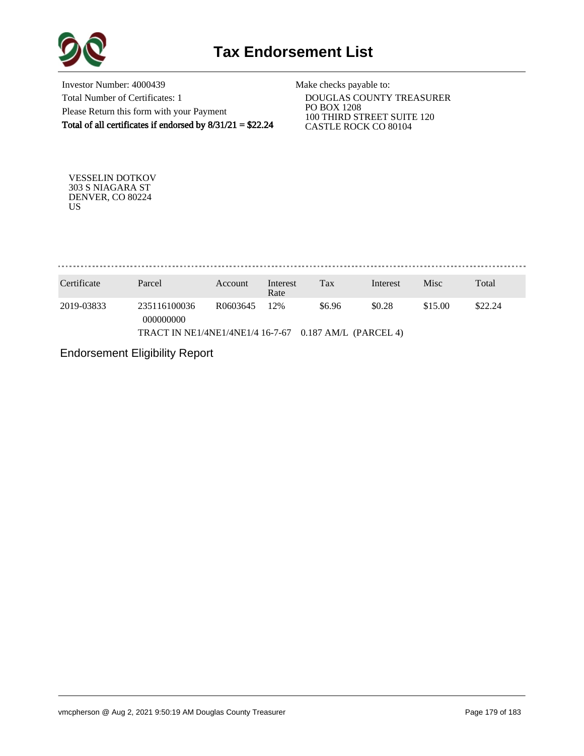

Investor Number: 4000439 Total Number of Certificates: 1 Please Return this form with your Payment Total of all certificates if endorsed by 8/31/21 = \$22.24

Make checks payable to:

 DOUGLAS COUNTY TREASURER PO BOX 1208 100 THIRD STREET SUITE 120 CASTLE ROCK CO 80104

VESSELIN DOTKOV 303 S NIAGARA ST DENVER, CO 80224 US

. . . . . . . . . . . . . . . . . 

| Certificate | Parcel                                                 | Account  | Interest<br>Rate | Tax    | Interest | Misc    | Total   |
|-------------|--------------------------------------------------------|----------|------------------|--------|----------|---------|---------|
| 2019-03833  | 235116100036<br>000000000                              | R0603645 | 12%              | \$6.96 | \$0.28   | \$15.00 | \$22.24 |
|             | TRACT IN NE1/4NE1/4NE1/4 16-7-67 0.187 AM/L (PARCEL 4) |          |                  |        |          |         |         |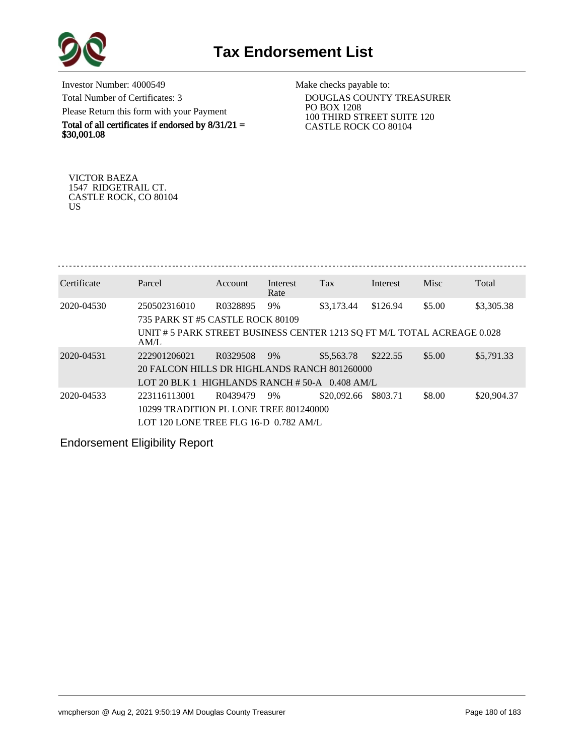

Investor Number: 4000549 Total Number of Certificates: 3 Please Return this form with your Payment

Total of all certificates if endorsed by  $8/31/21 =$ \$30,001.08

Make checks payable to:

 DOUGLAS COUNTY TREASURER PO BOX 1208 100 THIRD STREET SUITE 120 CASTLE ROCK CO 80104

VICTOR BAEZA 1547 RIDGETRAIL CT. CASTLE ROCK, CO 80104 US

| Certificate | Parcel                                                                          | Account  | Interest | Tax         | Interest | <b>Misc</b> | Total       |  |  |  |  |
|-------------|---------------------------------------------------------------------------------|----------|----------|-------------|----------|-------------|-------------|--|--|--|--|
|             |                                                                                 |          | Rate     |             |          |             |             |  |  |  |  |
| 2020-04530  | 250502316010                                                                    | R0328895 | 9%       | \$3,173.44  | \$126.94 | \$5.00      | \$3,305.38  |  |  |  |  |
|             | 735 PARK ST #5 CASTLE ROCK 80109                                                |          |          |             |          |             |             |  |  |  |  |
|             | UNIT # 5 PARK STREET BUSINESS CENTER 1213 SQ FT M/L TOTAL ACREAGE 0.028<br>AM/L |          |          |             |          |             |             |  |  |  |  |
| 2020-04531  | 222901206021                                                                    | R0329508 | 9%       | \$5,563.78  | \$222.55 | \$5.00      | \$5,791.33  |  |  |  |  |
|             | 20 FALCON HILLS DR HIGHLANDS RANCH 801260000                                    |          |          |             |          |             |             |  |  |  |  |
|             | LOT 20 BLK 1 HIGHLANDS RANCH $#$ 50-A 0.408 AM/L                                |          |          |             |          |             |             |  |  |  |  |
| 2020-04533  | 223116113001                                                                    | R0439479 | 9%       | \$20,092.66 | \$803.71 | \$8.00      | \$20,904.37 |  |  |  |  |
|             | 10299 TRADITION PL LONE TREE 801240000                                          |          |          |             |          |             |             |  |  |  |  |
|             | LOT 120 LONE TREE FLG 16-D 0.782 AM/L                                           |          |          |             |          |             |             |  |  |  |  |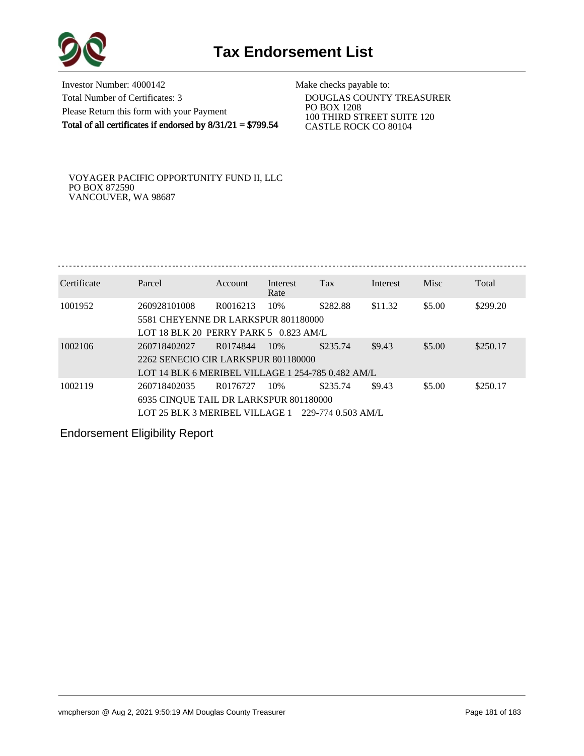

Investor Number: 4000142 Total Number of Certificates: 3 Please Return this form with your Payment Total of all certificates if endorsed by 8/31/21 = \$799.54

Make checks payable to:

 DOUGLAS COUNTY TREASURER PO BOX 1208 100 THIRD STREET SUITE 120 CASTLE ROCK CO 80104

VOYAGER PACIFIC OPPORTUNITY FUND II, LLC PO BOX 872590 VANCOUVER, WA 98687

| Certificate | Parcel                                                | Account  | Interest<br>Rate | Tax      | Interest | Misc   | Total    |  |  |  |  |  |
|-------------|-------------------------------------------------------|----------|------------------|----------|----------|--------|----------|--|--|--|--|--|
| 1001952     | 260928101008                                          | R0016213 | 10%              | \$282.88 | \$11.32  | \$5.00 | \$299.20 |  |  |  |  |  |
|             | 5581 CHEYENNE DR LARKSPUR 801180000                   |          |                  |          |          |        |          |  |  |  |  |  |
|             | LOT 18 BLK 20 PERRY PARK 5 $0.823$ AM/L               |          |                  |          |          |        |          |  |  |  |  |  |
| 1002106     | 260718402027                                          | R0174844 | -10%             | \$235.74 | \$9.43   | \$5.00 | \$250.17 |  |  |  |  |  |
|             | 2262 SENECIO CIR LARKSPUR 801180000                   |          |                  |          |          |        |          |  |  |  |  |  |
|             | LOT 14 BLK 6 MERIBEL VILLAGE 1 254-785 0.482 AM/L     |          |                  |          |          |        |          |  |  |  |  |  |
| 1002119     | 260718402035                                          | R0176727 | 10%              | \$235.74 | \$9.43   | \$5.00 | \$250.17 |  |  |  |  |  |
|             | 6935 CINQUE TAIL DR LARKSPUR 801180000                |          |                  |          |          |        |          |  |  |  |  |  |
|             | LOT 25 BLK 3 MERIBEL VILLAGE 1<br>-229-774 0.503 AM/L |          |                  |          |          |        |          |  |  |  |  |  |

Endorsement Eligibility Report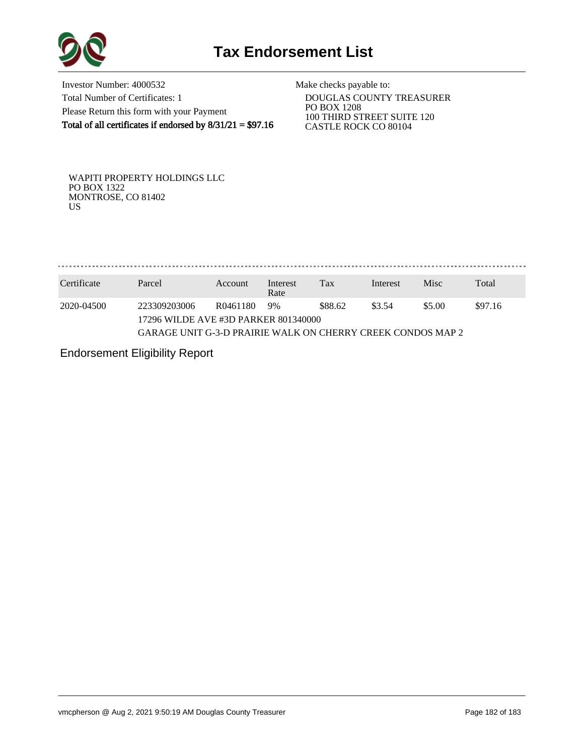

Investor Number: 4000532 Total Number of Certificates: 1 Please Return this form with your Payment Total of all certificates if endorsed by 8/31/21 = \$97.16

Make checks payable to:

 DOUGLAS COUNTY TREASURER PO BOX 1208 100 THIRD STREET SUITE 120 CASTLE ROCK CO 80104

WAPITI PROPERTY HOLDINGS LLC PO BOX 1322 MONTROSE, CO 81402 US

. . . . . . . . . . . . . . . . . . . . . . . . . . . . . . . . .

| Certificate | Parcel                                                      | Account  | Interest<br>Rate | Tax     | Interest | Misc   | Total   |  |  |  |  |
|-------------|-------------------------------------------------------------|----------|------------------|---------|----------|--------|---------|--|--|--|--|
| 2020-04500  | 223309203006                                                | R0461180 | 9%               | \$88.62 | \$3.54   | \$5.00 | \$97.16 |  |  |  |  |
|             | 17296 WILDE AVE #3D PARKER 801340000                        |          |                  |         |          |        |         |  |  |  |  |
|             | GARAGE UNIT G-3-D PRAIRIE WALK ON CHERRY CREEK CONDOS MAP 2 |          |                  |         |          |        |         |  |  |  |  |

Endorsement Eligibility Report